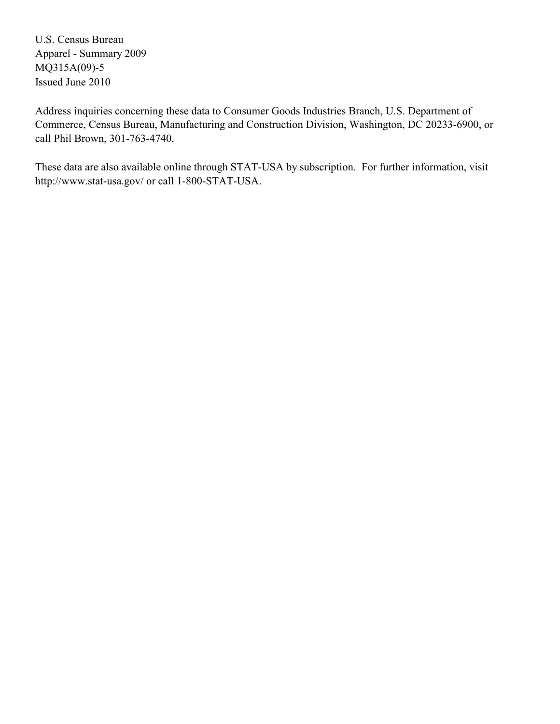U.S. Census Bureau Apparel - Summary 2009 MQ315A(09)-5 Issued June 2010

Address inquiries concerning these data to Consumer Goods Industries Branch, U.S. Department of Commerce, Census Bureau, Manufacturing and Construction Division, Washington, DC 20233-6900, or call Phil Brown, 301-763-4740.

These data are also available online through STAT-USA by subscription. For further information, visit http://www.stat-usa.gov/ or call 1-800-STAT-USA.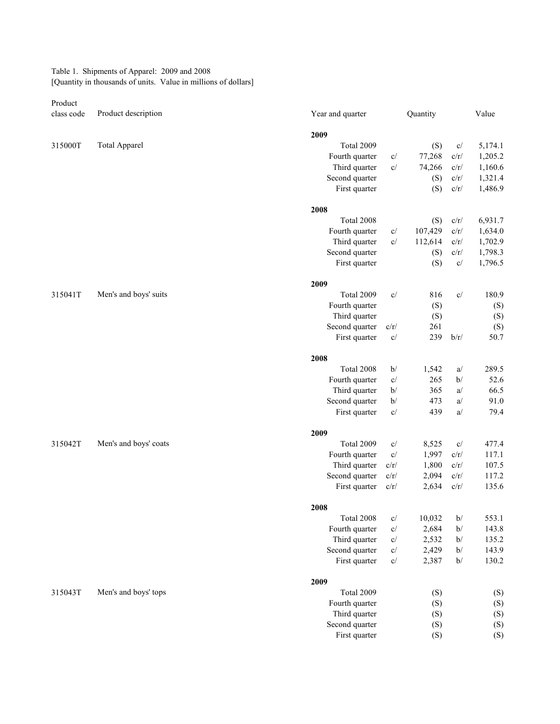Table 1. Shipments of Apparel: 2009 and 2008 [Quantity in thousands of units. Value in millions of dollars]

Product

| class code | Product description   | Year and quarter |                           | Quantity |          | Value   |
|------------|-----------------------|------------------|---------------------------|----------|----------|---------|
|            |                       | 2009             |                           |          |          |         |
| 315000T    | <b>Total Apparel</b>  | Total 2009       |                           | (S)      | c/       | 5,174.1 |
|            |                       | Fourth quarter   | C/                        | 77,268   | c/r/     | 1,205.2 |
|            |                       | Third quarter    | C/                        | 74,266   | c/r/     | 1,160.6 |
|            |                       | Second quarter   |                           | (S)      | c/r/     | 1,321.4 |
|            |                       | First quarter    |                           | (S)      | c/r/     | 1,486.9 |
|            |                       | 2008             |                           |          |          |         |
|            |                       | Total 2008       |                           | (S)      | c/r/     | 6,931.7 |
|            |                       | Fourth quarter   | c/                        | 107,429  | c/r/     | 1,634.0 |
|            |                       | Third quarter    | C/                        | 112,614  | c/r/     | 1,702.9 |
|            |                       | Second quarter   |                           | (S)      | c/r/     | 1,798.3 |
|            |                       | First quarter    |                           | (S)      | c/       | 1,796.5 |
|            |                       | 2009             |                           |          |          |         |
| 315041T    | Men's and boys' suits | Total 2009       | C/                        | 816      | c/       | 180.9   |
|            |                       | Fourth quarter   |                           | (S)      |          | (S)     |
|            |                       | Third quarter    |                           | (S)      |          | (S)     |
|            |                       | Second quarter   | c/r/                      | 261      |          | (S)     |
|            |                       | First quarter    | $\mathbf{C}/% \mathbf{C}$ | 239      | b/r/     | 50.7    |
|            |                       | 2008             |                           |          |          |         |
|            |                       | Total 2008       | b/                        | 1,542    |          | 289.5   |
|            |                       | Fourth quarter   | $\mathbf{C}/% \mathbf{C}$ | 265      | a/<br>b/ | 52.6    |
|            |                       | Third quarter    | b/                        | 365      | a/       | 66.5    |
|            |                       | Second quarter   | b/                        | 473      | a/       | 91.0    |
|            |                       | First quarter    | c/                        | 439      | a/       | 79.4    |
|            |                       |                  |                           |          |          |         |
|            |                       | 2009             |                           |          |          |         |
| 315042T    | Men's and boys' coats | Total 2009       | C/                        | 8,525    | c/       | 477.4   |
|            |                       | Fourth quarter   | $\mathbf{c}/$             | 1,997    | $c/r/$   | 117.1   |
|            |                       | Third quarter    | $c/r/$                    | 1,800    | c/r/     | 107.5   |
|            |                       | Second quarter   | $c/r/$                    | 2,094    | $c/r/$   | 117.2   |
|            |                       | First quarter    | c/r/                      | 2,634    | c/r/     | 135.6   |
|            |                       | 2008             |                           |          |          |         |
|            |                       | Total 2008       | c/                        | 10,032   | b/       | 553.1   |
|            |                       | Fourth quarter   | C/                        | 2,684    | b/       | 143.8   |
|            |                       | Third quarter    | c/                        | 2,532    | b/       | 135.2   |
|            |                       | Second quarter   | c/                        | 2,429    | b/       | 143.9   |
|            |                       | First quarter    | $\mathbf{C}/% \mathbf{C}$ | 2,387    | b/       | 130.2   |
|            |                       | 2009             |                           |          |          |         |
| 315043T    | Men's and boys' tops  | Total 2009       |                           | (S)      |          | (S)     |
|            |                       | Fourth quarter   |                           | (S)      |          | (S)     |
|            |                       | Third quarter    |                           | (S)      |          | (S)     |
|            |                       | Second quarter   |                           | (S)      |          | (S)     |
|            |                       | First quarter    |                           | (S)      |          | (S)     |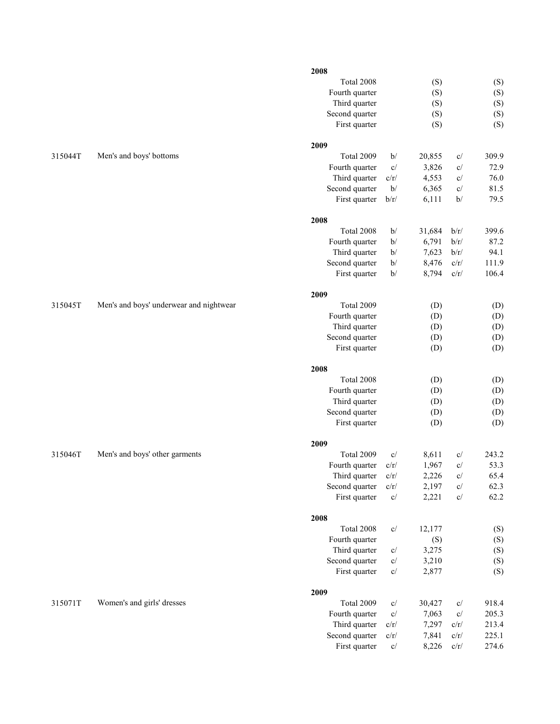|         |                                         | 2008                            |                                   |                |                                 |              |
|---------|-----------------------------------------|---------------------------------|-----------------------------------|----------------|---------------------------------|--------------|
|         |                                         | Total 2008                      |                                   | (S)            |                                 | (S)          |
|         |                                         | Fourth quarter                  |                                   | (S)            |                                 | (S)          |
|         |                                         | Third quarter                   |                                   | (S)            |                                 | (S)          |
|         |                                         | Second quarter                  |                                   | (S)            |                                 | (S)          |
|         |                                         | First quarter                   |                                   | (S)            |                                 | (S)          |
|         |                                         | 2009                            |                                   |                |                                 |              |
| 315044T | Men's and boys' bottoms                 | Total 2009                      | b/                                | 20,855         | $\ensuremath{\text{c}}\xspace/$ | 309.9        |
|         |                                         | Fourth quarter                  | C/                                | 3,826          | c/                              | 72.9         |
|         |                                         | Third quarter                   | $c/r/$                            | 4,553          | c/                              | 76.0         |
|         |                                         | Second quarter                  | b/                                | 6,365          | C/                              | 81.5         |
|         |                                         | First quarter                   | b/r/                              | 6,111          | b/                              | 79.5         |
|         |                                         | 2008                            |                                   |                |                                 |              |
|         |                                         | Total 2008                      | b/                                | 31,684         | b/r/                            | 399.6        |
|         |                                         | Fourth quarter                  | b/                                | 6,791          | b/r/                            | 87.2         |
|         |                                         | Third quarter                   | b/                                | 7,623          | b/r/                            | 94.1         |
|         |                                         | Second quarter                  | b/                                | 8,476          | c/r/                            | 111.9        |
|         |                                         | First quarter                   | b/                                | 8,794          | c/r/                            | 106.4        |
|         |                                         | 2009                            |                                   |                |                                 |              |
| 315045T | Men's and boys' underwear and nightwear | Total 2009                      |                                   | (D)            |                                 | (D)          |
|         |                                         | Fourth quarter                  |                                   | (D)            |                                 | (D)          |
|         |                                         | Third quarter                   |                                   | (D)            |                                 | (D)          |
|         |                                         | Second quarter                  |                                   | (D)            |                                 | (D)          |
|         |                                         | First quarter                   |                                   | (D)            |                                 | (D)          |
|         |                                         | 2008                            |                                   |                |                                 |              |
|         |                                         | Total 2008                      |                                   |                |                                 |              |
|         |                                         |                                 |                                   | (D)            |                                 | (D)          |
|         |                                         | Fourth quarter                  |                                   | (D)            |                                 | (D)          |
|         |                                         | Third quarter                   |                                   | (D)            |                                 | (D)          |
|         |                                         | Second quarter                  |                                   | (D)            |                                 | (D)          |
|         |                                         | First quarter                   |                                   | (D)            |                                 | (D)          |
|         |                                         | 2009                            |                                   |                |                                 |              |
| 315046T | Men's and boys' other garments          | Total 2009                      | C/                                | 8,611          | c/                              | 243.2        |
|         |                                         | Fourth quarter                  | c/r/                              | 1,967          | c/                              | 53.3         |
|         |                                         | Third quarter                   | c/r/                              | 2,226          | c/                              | 65.4         |
|         |                                         | Second quarter<br>First quarter | c/r/<br>$\mathbf{c}/% \mathbf{c}$ | 2,197<br>2,221 | C/<br>C/                        | 62.3<br>62.2 |
|         |                                         |                                 |                                   |                |                                 |              |
|         |                                         | 2008                            |                                   |                |                                 |              |
|         |                                         | Total 2008                      | $\mathbf{c}/% \mathbf{c}$         | 12,177         |                                 | (S)          |
|         |                                         | Fourth quarter                  |                                   | (S)            |                                 | (S)          |
|         |                                         | Third quarter                   | c/                                | 3,275          |                                 | (S)          |
|         |                                         | Second quarter                  | $\mathbf{c}/% \mathbf{c}$         | 3,210          |                                 | (S)          |
|         |                                         | First quarter                   | $\mathbf{c}/% \mathbf{c}$         | 2,877          |                                 | (S)          |
|         |                                         | 2009                            |                                   |                |                                 |              |
| 315071T | Women's and girls' dresses              | Total 2009                      | $\mathbf{c}/% \mathbf{c}$         | 30,427         | c/                              | 918.4        |
|         |                                         | Fourth quarter                  | C/                                | 7,063          | c/                              | 205.3        |
|         |                                         | Third quarter                   | $c/r/$                            | 7,297          | c/r/                            | 213.4        |
|         |                                         | Second quarter                  | c/r/                              | 7,841          | c/r/                            | 225.1        |
|         |                                         | First quarter                   | c/                                | 8,226          | c/r/                            | 274.6        |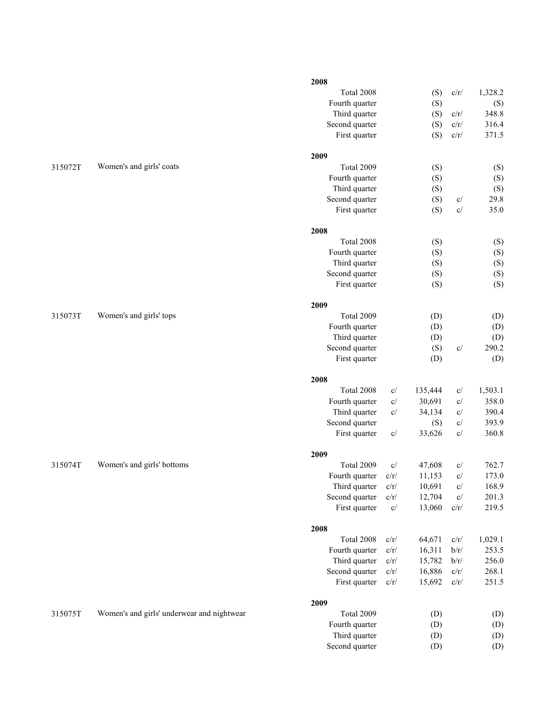|         |                                            | 2008           |                           |         |                                 |         |
|---------|--------------------------------------------|----------------|---------------------------|---------|---------------------------------|---------|
|         |                                            | Total 2008     |                           | (S)     | c/r/                            | 1,328.2 |
|         |                                            | Fourth quarter |                           | (S)     |                                 | (S)     |
|         |                                            | Third quarter  |                           | (S)     | c/r/                            | 348.8   |
|         |                                            | Second quarter |                           | (S)     | $c/r/$                          | 316.4   |
|         |                                            | First quarter  |                           | (S)     | c/r/                            | 371.5   |
|         |                                            | 2009           |                           |         |                                 |         |
| 315072T | Women's and girls' coats                   | Total 2009     |                           | (S)     |                                 | (S)     |
|         |                                            | Fourth quarter |                           | (S)     |                                 | (S)     |
|         |                                            | Third quarter  |                           | (S)     |                                 | (S)     |
|         |                                            | Second quarter |                           | (S)     | c/                              | 29.8    |
|         |                                            | First quarter  |                           | (S)     | c/                              | 35.0    |
|         |                                            |                |                           |         |                                 |         |
|         |                                            | 2008           |                           |         |                                 |         |
|         |                                            | Total 2008     |                           | (S)     |                                 | (S)     |
|         |                                            | Fourth quarter |                           | (S)     |                                 | (S)     |
|         |                                            | Third quarter  |                           | (S)     |                                 | (S)     |
|         |                                            | Second quarter |                           | (S)     |                                 | (S)     |
|         |                                            | First quarter  |                           | (S)     |                                 | (S)     |
|         |                                            | 2009           |                           |         |                                 |         |
| 315073T | Women's and girls' tops                    | Total 2009     |                           | (D)     |                                 | (D)     |
|         |                                            | Fourth quarter |                           | (D)     |                                 | (D)     |
|         |                                            | Third quarter  |                           | (D)     |                                 | (D)     |
|         |                                            | Second quarter |                           | (S)     | c/                              | 290.2   |
|         |                                            | First quarter  |                           | (D)     |                                 | (D)     |
|         |                                            | 2008           |                           |         |                                 |         |
|         |                                            | Total 2008     | C/                        | 135,444 | c/                              | 1,503.1 |
|         |                                            | Fourth quarter | c/                        | 30,691  | $\ensuremath{\text{c}}\xspace/$ | 358.0   |
|         |                                            | Third quarter  | $\mathbf{C}/% \mathbf{C}$ | 34,134  | c/                              | 390.4   |
|         |                                            |                |                           |         |                                 | 393.9   |
|         |                                            | Second quarter |                           | (S)     | c/                              |         |
|         |                                            | First quarter  | $\mathbf{C}/% \mathbf{C}$ | 33,626  | c/                              | 360.8   |
|         |                                            | 2009           |                           |         |                                 |         |
| 315074T | Women's and girls' bottoms                 | Total 2009     | C/                        | 47,608  | c/                              | 762.7   |
|         |                                            | Fourth quarter | c/r/                      | 11,153  | c/                              | 173.0   |
|         |                                            | Third quarter  | c/r/                      | 10,691  | c/                              | 168.9   |
|         |                                            | Second quarter | c/r/                      | 12,704  | c/                              | 201.3   |
|         |                                            | First quarter  | $\mathbf{c}/$             | 13,060  | c/r/                            | 219.5   |
|         |                                            | 2008           |                           |         |                                 |         |
|         |                                            | Total 2008     | c/r/                      | 64,671  | c/r/                            | 1,029.1 |
|         |                                            | Fourth quarter | $c/r/$                    | 16,311  | $b/r/$                          | 253.5   |
|         |                                            | Third quarter  | c/r/                      | 15,782  | $b/r/$                          | 256.0   |
|         |                                            | Second quarter | $c/r/$                    | 16,886  | $c/r/$                          | 268.1   |
|         |                                            | First quarter  | $c/r/$                    | 15,692  | c/r/                            | 251.5   |
|         |                                            | 2009           |                           |         |                                 |         |
| 315075T | Women's and girls' underwear and nightwear | Total 2009     |                           | (D)     |                                 | (D)     |
|         |                                            | Fourth quarter |                           | (D)     |                                 | (D)     |
|         |                                            | Third quarter  |                           | (D)     |                                 | (D)     |
|         |                                            | Second quarter |                           | (D)     |                                 | (D)     |
|         |                                            |                |                           |         |                                 |         |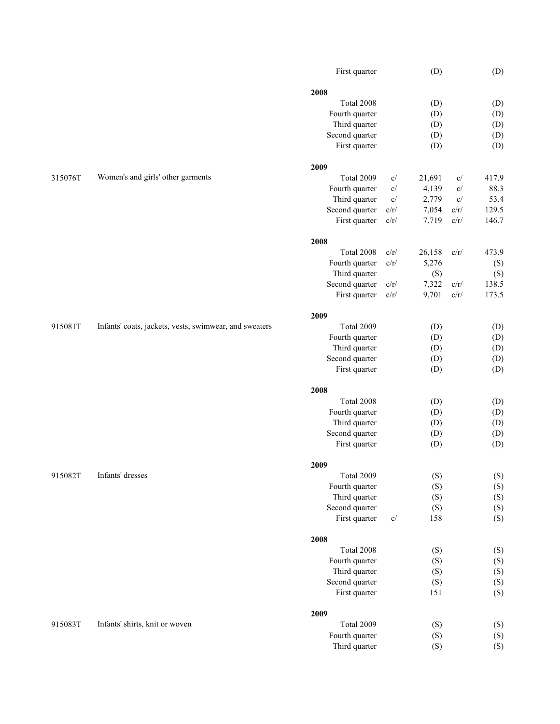|         |                                                        | First quarter  |               | (D)    |                           | (D)   |
|---------|--------------------------------------------------------|----------------|---------------|--------|---------------------------|-------|
|         |                                                        | 2008           |               |        |                           |       |
|         |                                                        | Total 2008     |               | (D)    |                           | (D)   |
|         |                                                        | Fourth quarter |               | (D)    |                           | (D)   |
|         |                                                        | Third quarter  |               | (D)    |                           | (D)   |
|         |                                                        | Second quarter |               | (D)    |                           | (D)   |
|         |                                                        | First quarter  |               | (D)    |                           | (D)   |
|         |                                                        |                |               |        |                           |       |
|         |                                                        | 2009           |               |        |                           |       |
| 315076T | Women's and girls' other garments                      | Total 2009     | c/            | 21,691 | c/                        | 417.9 |
|         |                                                        | Fourth quarter | c/            | 4,139  | c/                        | 88.3  |
|         |                                                        | Third quarter  | $\mathbf{c}/$ | 2,779  | $\mathbf{c}/% \mathbf{c}$ | 53.4  |
|         |                                                        | Second quarter | c/r/          | 7,054  | c/r/                      | 129.5 |
|         |                                                        | First quarter  | c/r/          | 7,719  | c/r/                      | 146.7 |
|         |                                                        | 2008           |               |        |                           |       |
|         |                                                        | Total 2008     | c/r/          | 26,158 | c/r/                      | 473.9 |
|         |                                                        | Fourth quarter | $c/r/$        | 5,276  |                           | (S)   |
|         |                                                        | Third quarter  |               | (S)    |                           | (S)   |
|         |                                                        |                |               | 7,322  |                           | 138.5 |
|         |                                                        | Second quarter | c/r/          |        | c/r/                      |       |
|         |                                                        | First quarter  | c/r/          | 9,701  | $c/r/$                    | 173.5 |
|         |                                                        | 2009           |               |        |                           |       |
| 915081T | Infants' coats, jackets, vests, swimwear, and sweaters | Total 2009     |               | (D)    |                           | (D)   |
|         |                                                        | Fourth quarter |               | (D)    |                           | (D)   |
|         |                                                        | Third quarter  |               | (D)    |                           | (D)   |
|         |                                                        | Second quarter |               | (D)    |                           | (D)   |
|         |                                                        | First quarter  |               | (D)    |                           | (D)   |
|         |                                                        |                |               |        |                           |       |
|         |                                                        | 2008           |               |        |                           |       |
|         |                                                        | Total 2008     |               | (D)    |                           | (D)   |
|         |                                                        | Fourth quarter |               | (D)    |                           | (D)   |
|         |                                                        | Third quarter  |               | (D)    |                           | (D)   |
|         |                                                        | Second quarter |               | (D)    |                           | (D)   |
|         |                                                        | First quarter  |               | (D)    |                           | (D)   |
|         |                                                        |                |               |        |                           |       |
|         |                                                        | 2009           |               |        |                           |       |
| 915082T | Infants' dresses                                       | Total 2009     |               | (S)    |                           | (S)   |
|         |                                                        | Fourth quarter |               | (S)    |                           | (S)   |
|         |                                                        | Third quarter  |               | (S)    |                           | (S)   |
|         |                                                        | Second quarter |               | (S)    |                           | (S)   |
|         |                                                        | First quarter  | C/            | 158    |                           | (S)   |
|         |                                                        | 2008           |               |        |                           |       |
|         |                                                        | Total 2008     |               | (S)    |                           | (S)   |
|         |                                                        | Fourth quarter |               | (S)    |                           | (S)   |
|         |                                                        | Third quarter  |               | (S)    |                           | (S)   |
|         |                                                        | Second quarter |               | (S)    |                           | (S)   |
|         |                                                        | First quarter  |               | 151    |                           | (S)   |
|         |                                                        |                |               |        |                           |       |
|         |                                                        | 2009           |               |        |                           |       |
| 915083T | Infants' shirts, knit or woven                         | Total 2009     |               | (S)    |                           | (S)   |
|         |                                                        | Fourth quarter |               | (S)    |                           | (S)   |
|         |                                                        | Third quarter  |               | (S)    |                           | (S)   |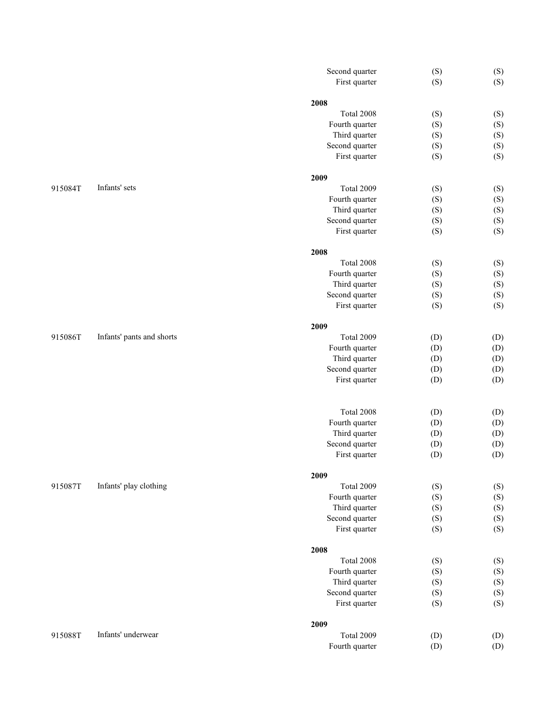|         |                           | Second quarter     | (S) | (S) |
|---------|---------------------------|--------------------|-----|-----|
|         |                           | First quarter      | (S) | (S) |
|         |                           |                    |     |     |
|         |                           | 2008<br>Total 2008 | (S) | (S) |
|         |                           | Fourth quarter     | (S) | (S) |
|         |                           | Third quarter      | (S) | (S) |
|         |                           | Second quarter     | (S) | (S) |
|         |                           | First quarter      | (S) | (S) |
|         |                           |                    |     |     |
|         |                           | 2009               |     |     |
| 915084T | Infants' sets             | Total 2009         | (S) | (S) |
|         |                           | Fourth quarter     | (S) | (S) |
|         |                           | Third quarter      | (S) | (S) |
|         |                           | Second quarter     | (S) | (S) |
|         |                           | First quarter      | (S) | (S) |
|         |                           | 2008               |     |     |
|         |                           | Total 2008         | (S) | (S) |
|         |                           | Fourth quarter     | (S) | (S) |
|         |                           | Third quarter      | (S) | (S) |
|         |                           | Second quarter     | (S) | (S) |
|         |                           | First quarter      | (S) | (S) |
|         |                           |                    |     |     |
|         |                           | 2009               |     |     |
| 915086T | Infants' pants and shorts | Total 2009         | (D) | (D) |
|         |                           | Fourth quarter     | (D) | (D) |
|         |                           | Third quarter      | (D) | (D) |
|         |                           | Second quarter     | (D) | (D) |
|         |                           | First quarter      | (D) | (D) |
|         |                           |                    |     |     |
|         |                           | Total 2008         | (D) | (D) |
|         |                           | Fourth quarter     | (D) | (D) |
|         |                           | Third quarter      | (D) | (D) |
|         |                           | Second quarter     | (D) | (D) |
|         |                           | First quarter      | (D) | (D) |
|         |                           | 2009               |     |     |
| 915087T | Infants' play clothing    | Total 2009         | (S) | (S) |
|         |                           | Fourth quarter     | (S) | (S) |
|         |                           | Third quarter      | (S) | (S) |
|         |                           | Second quarter     | (S) | (S) |
|         |                           | First quarter      | (S) | (S) |
|         |                           |                    |     |     |
|         |                           | 2008<br>Total 2008 | (S) | (S) |
|         |                           | Fourth quarter     | (S) | (S) |
|         |                           | Third quarter      | (S) | (S) |
|         |                           | Second quarter     | (S) | (S) |
|         |                           | First quarter      | (S) | (S) |
|         |                           |                    |     |     |
|         |                           | 2009               |     |     |
| 915088T | Infants' underwear        | Total 2009         | (D) | (D) |
|         |                           | Fourth quarter     | (D) | (D) |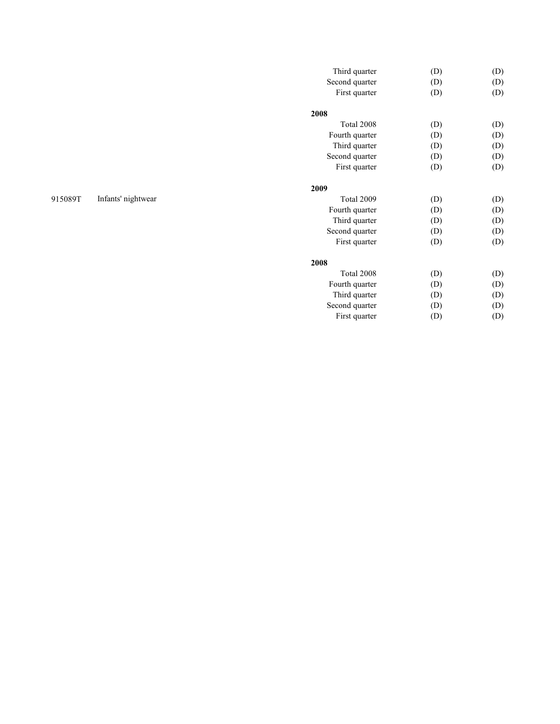| Third quarter  | (D) | (D) |
|----------------|-----|-----|
| Second quarter | (D) | (D) |
| First quarter  | (D) | (D) |
| 2008           |     |     |
| Total 2008     | (D) | (D) |
| Fourth quarter | (D) | (D) |
| Third quarter  | (D) | (D) |
| Second quarter | (D) | (D) |
| First quarter  | (D) | (D) |
| 2009           |     |     |
| Total 2009     | (D) | (D) |
| Fourth quarter | (D) | (D) |
| Third quarter  | (D) | (D) |
| Second quarter | (D) | (D) |
| First quarter  | (D) | (D) |
| 2008           |     |     |
| Total 2008     | (D) | (D) |
| Fourth quarter | (D) | (D) |
| Third quarter  | (D) | (D) |
| Second quarter | (D) | (D) |
| First quarter  | (D) | (D) |
|                |     |     |

## 915089T Infants' nightwear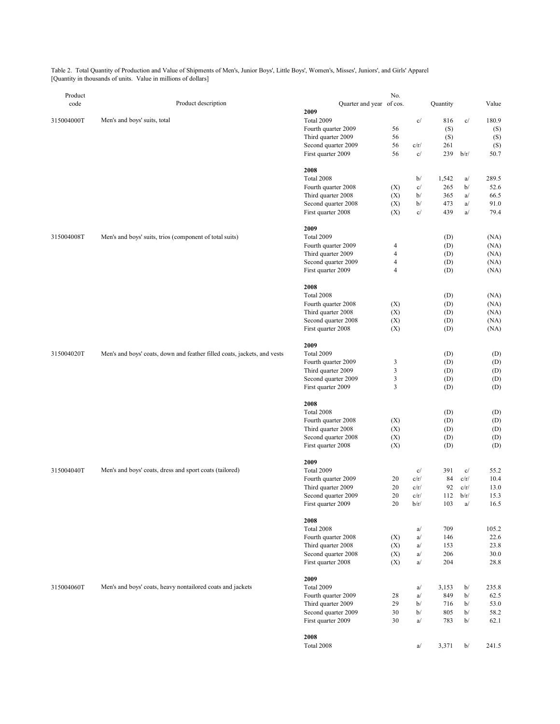Table 2. Total Quantity of Production and Value of Shipments of Men's, Junior Boys', Little Boys', Women's, Misses', Juniors', and Girls' Apparel [Quantity in thousands of units. Value in millions of dollars]

| Product    |                                                                          |                                           | No.    |      |            |      |            |
|------------|--------------------------------------------------------------------------|-------------------------------------------|--------|------|------------|------|------------|
| code       | Product description                                                      | Quarter and year of cos.<br>2009          |        |      | Quantity   |      | Value      |
| 315004000T | Men's and boys' suits, total                                             | Total 2009                                |        | c/   | 816        | c/   | 180.9      |
|            |                                                                          | Fourth quarter 2009                       | 56     |      | (S)        |      | (S)        |
|            |                                                                          | Third quarter 2009                        | 56     |      | (S)        |      | (S)        |
|            |                                                                          | Second quarter 2009                       | 56     | c/r/ | 261        |      | (S)        |
|            |                                                                          | First quarter 2009                        | 56     | c/   | 239        | b/r/ | 50.7       |
|            |                                                                          | 2008                                      |        |      |            |      |            |
|            |                                                                          | Total 2008                                |        | b/   | 1,542      | a/   | 289.5      |
|            |                                                                          | Fourth quarter 2008                       | (X)    | c/   | 265        | b/   | 52.6       |
|            |                                                                          | Third quarter 2008                        | (X)    | b/   | 365        | a/   | 66.5       |
|            |                                                                          | Second quarter 2008                       | (X)    | b/   | 473        | a/   | 91.0       |
|            |                                                                          | First quarter 2008                        | (X)    | c/   | 439        | a/   | 79.4       |
|            |                                                                          | 2009                                      |        |      |            |      |            |
| 315004008T | Men's and boys' suits, trios (component of total suits)                  | Total 2009                                |        |      | (D)        |      | (NA)       |
|            |                                                                          | Fourth quarter 2009                       | 4      |      | (D)        |      | (NA)       |
|            |                                                                          | Third quarter 2009                        | 4      |      | (D)        |      | (NA)       |
|            |                                                                          | Second quarter 2009                       | 4      |      | (D)        |      | (NA)       |
|            |                                                                          | First quarter 2009                        | 4      |      | (D)        |      | (NA)       |
|            |                                                                          | 2008                                      |        |      |            |      |            |
|            |                                                                          | Total 2008                                |        |      | (D)        |      | (NA)       |
|            |                                                                          | Fourth quarter 2008                       | (X)    |      | (D)        |      | (NA)       |
|            |                                                                          | Third quarter 2008                        | (X)    |      | (D)        |      | (NA)       |
|            |                                                                          | Second quarter 2008                       | (X)    |      | (D)        |      | (NA)       |
|            |                                                                          | First quarter 2008                        | (X)    |      | (D)        |      | (NA)       |
|            |                                                                          | 2009                                      |        |      |            |      |            |
| 315004020T | Men's and boys' coats, down and feather filled coats, jackets, and vests | Total 2009                                |        |      | (D)        |      | (D)        |
|            |                                                                          | Fourth quarter 2009                       | 3      |      | (D)        |      | (D)        |
|            |                                                                          | Third quarter 2009                        | 3      |      | (D)        |      | (D)        |
|            |                                                                          | Second quarter 2009<br>First quarter 2009 | 3<br>3 |      | (D)<br>(D) |      | (D)<br>(D) |
|            |                                                                          |                                           |        |      |            |      |            |
|            |                                                                          | 2008<br>Total 2008                        |        |      | (D)        |      | (D)        |
|            |                                                                          | Fourth quarter 2008                       | (X)    |      | (D)        |      | (D)        |
|            |                                                                          | Third quarter 2008                        | (X)    |      | (D)        |      | (D)        |
|            |                                                                          | Second quarter 2008                       | (X)    |      | (D)        |      | (D)        |
|            |                                                                          | First quarter 2008                        | (X)    |      | (D)        |      | (D)        |
|            |                                                                          | 2009                                      |        |      |            |      |            |
| 315004040T | Men's and boys' coats, dress and sport coats (tailored)                  | Total 2009                                |        | c/   | 391        | c/   | 55.2       |
|            |                                                                          | Fourth quarter 2009                       | 20     | c/r/ | 84         | c/r/ | 10.4       |
|            |                                                                          | Third quarter 2009                        | 20     | c/r/ | 92         | c/r/ | 13.0       |
|            |                                                                          | Second quarter 2009                       | 20     | c/r/ | 112        | b/r/ | 15.3       |
|            |                                                                          | First quarter 2009                        | 20     | b/r/ | 103        | a/   | 16.5       |
|            |                                                                          | 2008                                      |        |      |            |      |            |
|            |                                                                          | Total 2008                                |        | a/   | 709        |      | 105.2      |
|            |                                                                          | Fourth quarter 2008                       | (X)    | a/   | 146        |      | 22.6       |
|            |                                                                          | Third quarter 2008                        | (X)    | a/   | 153        |      | 23.8       |
|            |                                                                          | Second quarter 2008                       | (X)    | a/   | 206        |      | 30.0       |
|            |                                                                          | First quarter 2008                        | (X)    | a/   | 204        |      | 28.8       |
|            |                                                                          | 2009                                      |        |      |            |      |            |
| 315004060T | Men's and boys' coats, heavy nontailored coats and jackets               | Total 2009                                |        | a/   | 3,153      | b/   | 235.8      |
|            |                                                                          | Fourth quarter 2009                       | 28     | a/   | 849        | b/   | 62.5       |
|            |                                                                          | Third quarter 2009                        | 29     | b/   | 716        | b/   | 53.0       |
|            |                                                                          | Second quarter 2009                       | 30     | b/   | 805        | b/   | 58.2       |
|            |                                                                          | First quarter 2009                        | 30     | a/   | 783        | b/   | 62.1       |
|            |                                                                          | 2008                                      |        |      |            |      |            |
|            |                                                                          | Total 2008                                |        | a/   | 3,371      | b/   | 241.5      |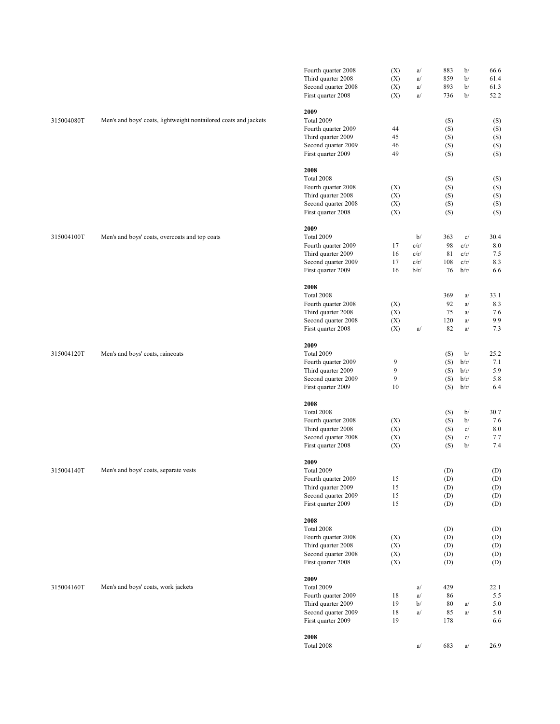|            |                                                                  | Fourth quarter 2008<br>Third quarter 2008<br>Second quarter 2008<br>First quarter 2008                       | (X)<br>(X)<br>(X)<br>(X) | a/<br>a/<br>a/<br>a/               | 883<br>859<br>893<br>736        | b/<br>b/<br>b/<br>b/               | 66.6<br>61.4<br>61.3<br>52.2     |
|------------|------------------------------------------------------------------|--------------------------------------------------------------------------------------------------------------|--------------------------|------------------------------------|---------------------------------|------------------------------------|----------------------------------|
| 315004080T | Men's and boys' coats, lightweight nontailored coats and jackets | 2009<br>Total 2009<br>Fourth quarter 2009<br>Third quarter 2009<br>Second quarter 2009<br>First quarter 2009 | 44<br>45<br>46<br>49     |                                    | (S)<br>(S)<br>(S)<br>(S)<br>(S) |                                    | (S)<br>(S)<br>(S)<br>(S)<br>(S)  |
|            |                                                                  | 2008<br>Total 2008<br>Fourth quarter 2008<br>Third quarter 2008<br>Second quarter 2008<br>First quarter 2008 | (X)<br>(X)<br>(X)<br>(X) |                                    | (S)<br>(S)<br>(S)<br>(S)<br>(S) |                                    | (S)<br>(S)<br>(S)<br>(S)<br>(S)  |
| 315004100T | Men's and boys' coats, overcoats and top coats                   | 2009<br>Total 2009<br>Fourth quarter 2009<br>Third quarter 2009<br>Second quarter 2009<br>First quarter 2009 | 17<br>16<br>17<br>16     | b/<br>c/r/<br>c/r/<br>c/r/<br>b/r/ | 363<br>98<br>81<br>108<br>76    | c/<br>c/r/<br>c/r/<br>c/r/<br>b/r/ | 30.4<br>8.0<br>7.5<br>8.3<br>6.6 |
| 315004120T |                                                                  | 2008<br>Total 2008<br>Fourth quarter 2008<br>Third quarter 2008<br>Second quarter 2008<br>First quarter 2008 | (X)<br>(X)<br>(X)<br>(X) | a/                                 | 369<br>92<br>75<br>120<br>82    | a/<br>a/<br>a/<br>a/<br>a/         | 33.1<br>8.3<br>7.6<br>9.9<br>7.3 |
|            | Men's and boys' coats, raincoats                                 | 2009<br>Total 2009<br>Fourth quarter 2009<br>Third quarter 2009<br>Second quarter 2009<br>First quarter 2009 | 9<br>9<br>9<br>10        |                                    | (S)<br>(S)<br>(S)<br>(S)<br>(S) | b/<br>b/r/<br>b/r/<br>b/r/<br>b/r/ | 25.2<br>7.1<br>5.9<br>5.8<br>6.4 |
|            |                                                                  | 2008<br>Total 2008<br>Fourth quarter 2008<br>Third quarter 2008<br>Second quarter 2008<br>First quarter 2008 | (X)<br>(X)<br>(X)<br>(X) |                                    | (S)<br>(S)<br>(S)<br>(S)<br>(S) | b/<br>b/<br>c/<br>c/<br>b/         | 30.7<br>7.6<br>8.0<br>7.7<br>7.4 |
| 315004140T | Men's and boys' coats, separate vests                            | 2009<br>Total 2009<br>Fourth quarter 2009<br>Third quarter 2009<br>Second quarter 2009<br>First quarter 2009 | 15<br>15<br>15<br>15     |                                    | (D)<br>(D)<br>(D)<br>(D)<br>(D) |                                    | (D)<br>(D)<br>(D)<br>(D)<br>(D)  |
|            |                                                                  | 2008<br>Total 2008<br>Fourth quarter 2008<br>Third quarter 2008<br>Second quarter 2008<br>First quarter 2008 | (X)<br>(X)<br>(X)<br>(X) |                                    | (D)<br>(D)<br>(D)<br>(D)<br>(D) |                                    | (D)<br>(D)<br>(D)<br>(D)<br>(D)  |
| 315004160T | Men's and boys' coats, work jackets                              | 2009<br>Total 2009<br>Fourth quarter 2009<br>Third quarter 2009<br>Second quarter 2009<br>First quarter 2009 | 18<br>19<br>18<br>19     | a/<br>a/<br>b/<br>a/               | 429<br>86<br>80<br>85<br>178    | a/<br>a/                           | 22.1<br>5.5<br>5.0<br>5.0<br>6.6 |
|            |                                                                  | 2008<br>Total 2008                                                                                           |                          | a/                                 | 683                             | a/                                 | 26.9                             |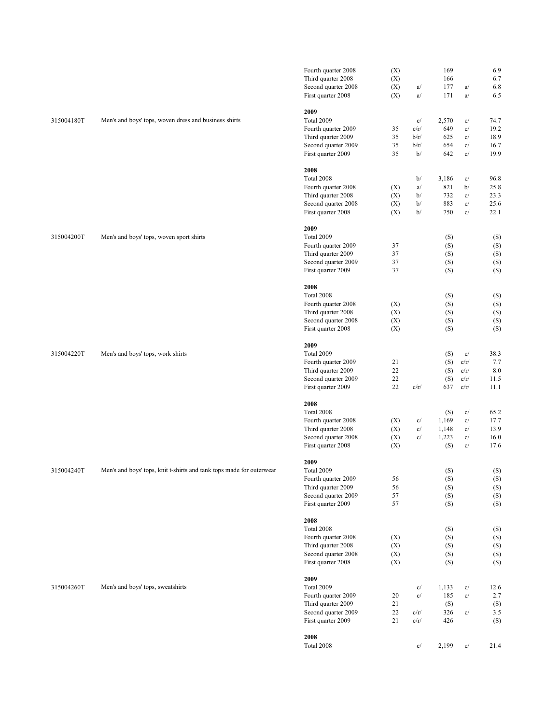|            |                                                                      | Fourth quarter 2008<br>Third quarter 2008<br>Second quarter 2008<br>First quarter 2008                       | (X)<br>(X)<br>(X)<br>(X) | a/<br>a/                         | 169<br>166<br>177<br>171              | a/<br>a/                           | 6.9<br>6.7<br>6.8<br>6.5                             |
|------------|----------------------------------------------------------------------|--------------------------------------------------------------------------------------------------------------|--------------------------|----------------------------------|---------------------------------------|------------------------------------|------------------------------------------------------|
| 315004180T | Men's and boys' tops, woven dress and business shirts                | 2009<br>Total 2009<br>Fourth quarter 2009<br>Third quarter 2009<br>Second quarter 2009<br>First quarter 2009 | 35<br>35<br>35<br>35     | c/<br>c/r/<br>b/r/<br>b/r/<br>b/ | 2,570<br>649<br>625<br>654<br>642     | c/<br>c/<br>c/<br>c/<br>c/         | 74.7<br>19.2<br>18.9<br>16.7<br>19.9                 |
|            |                                                                      | 2008<br>Total 2008<br>Fourth quarter 2008<br>Third quarter 2008<br>Second quarter 2008<br>First quarter 2008 | (X)<br>(X)<br>(X)<br>(X) | b/<br>a/<br>b/<br>b/<br>b/       | 3,186<br>821<br>732<br>883<br>750     | c/<br>b/<br>c/<br>c/<br>c/         | 96.8<br>25.8<br>23.3<br>25.6<br>22.1                 |
| 315004200T | Men's and boys' tops, woven sport shirts                             | 2009<br>Total 2009<br>Fourth quarter 2009<br>Third quarter 2009<br>Second quarter 2009<br>First quarter 2009 | 37<br>37<br>37<br>37     |                                  | (S)<br>(S)<br>(S)<br>(S)<br>(S)       |                                    | (S)<br>(S)<br>(S)<br>(S)<br>(S)                      |
|            |                                                                      | 2008<br>Total 2008<br>Fourth quarter 2008<br>Third quarter 2008<br>Second quarter 2008<br>First quarter 2008 | (X)<br>(X)<br>(X)<br>(X) |                                  | (S)<br>(S)<br>(S)<br>(S)<br>(S)       |                                    | (S)<br>(S)<br>(S)<br>(S)<br>(S)                      |
| 315004220T | Men's and boys' tops, work shirts                                    | 2009<br>Total 2009<br>Fourth quarter 2009<br>Third quarter 2009<br>Second quarter 2009<br>First quarter 2009 | 21<br>22<br>22<br>22     | c/r/                             | (S)<br>(S)<br>(S)<br>(S)<br>637       | c/<br>c/r/<br>c/r/<br>c/r/<br>c/r/ | 38.3<br>7.7<br>8.0<br>11.5<br>11.1                   |
|            |                                                                      | 2008<br>Total 2008<br>Fourth quarter 2008<br>Third quarter 2008<br>Second quarter 2008<br>First quarter 2008 | (X)<br>(X)<br>(X)<br>(X) | c/<br>c/<br>c/                   | (S)<br>1,169<br>1,148<br>1,223<br>(S) | c/<br>c/<br>c/<br>c/<br>c/         | 65.2<br>17.7<br>13.9<br>16.0<br>17.6                 |
| 315004240T | Men's and boys' tops, knit t-shirts and tank tops made for outerwear | 2009<br>Total 2009<br>Fourth quarter 2009<br>Third quarter 2009<br>Second quarter 2009<br>First quarter 2009 | 56<br>56<br>57<br>57     |                                  | (S)<br>(S)<br>(S)<br>(S)<br>(S)       |                                    | (S)<br>$\left( \text{S}\right)$<br>(S)<br>(S)<br>(S) |
|            |                                                                      | 2008<br>Total 2008<br>Fourth quarter 2008<br>Third quarter 2008<br>Second quarter 2008<br>First quarter 2008 | (X)<br>(X)<br>(X)<br>(X) |                                  | (S)<br>(S)<br>(S)<br>(S)<br>(S)       |                                    | (S)<br>(S)<br>(S)<br>(S)<br>(S)                      |
| 315004260T | Men's and boys' tops, sweatshirts                                    | 2009<br>Total 2009<br>Fourth quarter 2009<br>Third quarter 2009<br>Second quarter 2009<br>First quarter 2009 | 20<br>21<br>22<br>21     | c/<br>c/<br>c/r/<br>c/r/         | 1,133<br>185<br>(S)<br>326<br>426     | c/<br>c/<br>c/                     | 12.6<br>2.7<br>(S)<br>3.5<br>(S)                     |
|            |                                                                      | 2008<br>Total 2008                                                                                           |                          | c/                               | 2,199                                 | c/                                 | 21.4                                                 |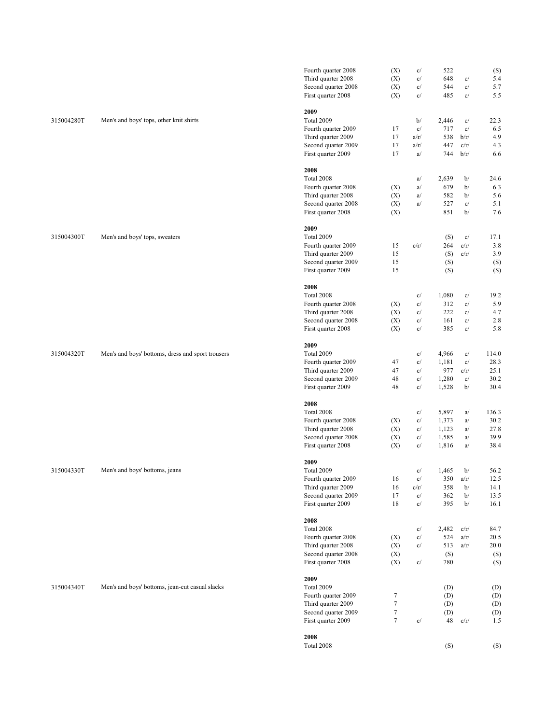|            |                                                   | Fourth quarter 2008<br>Third quarter 2008<br>Second quarter 2008 | (X)<br>(X)<br>(X) | c/<br>c/<br>c/ | 522<br>648<br>544 | c/<br>c/      | (S)<br>5.4<br>5.7 |
|------------|---------------------------------------------------|------------------------------------------------------------------|-------------------|----------------|-------------------|---------------|-------------------|
|            |                                                   | First quarter 2008                                               | (X)               | c/             | 485               | c/            | 5.5               |
|            |                                                   | 2009                                                             |                   |                |                   |               |                   |
| 315004280T | Men's and boys' tops, other knit shirts           | Total 2009                                                       |                   | b/             | 2,446             | c/            | 22.3              |
|            |                                                   | Fourth quarter 2009                                              | 17                | c/             | 717               | c/            | 6.5               |
|            |                                                   | Third quarter 2009                                               | 17                | a/r/           | 538               | b/r/          | 4.9               |
|            |                                                   | Second quarter 2009<br>First quarter 2009                        | 17<br>17          | a/r/<br>a/     | 447<br>744        | c/r/<br>b/r/  | 4.3<br>6.6        |
|            |                                                   |                                                                  |                   |                |                   |               |                   |
|            |                                                   | 2008<br>Total 2008                                               |                   | a/             | 2,639             | b/            | 24.6              |
|            |                                                   | Fourth quarter 2008                                              | (X)               | a/             | 679               | b/            | 6.3               |
|            |                                                   | Third quarter 2008                                               | (X)               | a/             | 582               | b/            | 5.6               |
|            |                                                   | Second quarter 2008                                              | (X)               | a/             | 527               | c/            | 5.1               |
|            |                                                   | First quarter 2008                                               | (X)               |                | 851               | b/            | 7.6               |
|            |                                                   | 2009                                                             |                   |                |                   |               |                   |
| 315004300T | Men's and boys' tops, sweaters                    | Total 2009                                                       |                   |                | (S)               | c/            | 17.1              |
|            |                                                   | Fourth quarter 2009                                              | 15                | c/r/           | 264               | c/r/          | 3.8               |
|            |                                                   | Third quarter 2009                                               | 15                |                | (S)               | c/r/          | 3.9               |
|            |                                                   | Second quarter 2009<br>First quarter 2009                        | 15<br>15          |                | (S)<br>(S)        |               | (S)<br>(S)        |
|            |                                                   |                                                                  |                   |                |                   |               |                   |
|            |                                                   | 2008                                                             |                   |                |                   |               |                   |
|            |                                                   | Total 2008                                                       |                   | c/             | 1,080             | c/            | 19.2              |
|            |                                                   | Fourth quarter 2008                                              | (X)               | c/             | 312               | $\mathbf{c}/$ | 5.9               |
|            |                                                   | Third quarter 2008<br>Second quarter 2008                        | (X)<br>(X)        | c/<br>c/       | 222<br>161        | c/<br>c/      | 4.7<br>2.8        |
|            |                                                   | First quarter 2008                                               | (X)               | c/             | 385               | c/            | 5.8               |
|            |                                                   | 2009                                                             |                   |                |                   |               |                   |
| 315004320T | Men's and boys' bottoms, dress and sport trousers | Total 2009                                                       |                   | c/             | 4,966             | c/            | 114.0             |
|            |                                                   | Fourth quarter 2009                                              | 47                | c/             | 1,181             | c/            | 28.3              |
|            |                                                   | Third quarter 2009                                               | 47                | c/             | 977               | c/r/          | 25.1              |
|            |                                                   | Second quarter 2009                                              | 48                | c/             | 1,280             | c/            | 30.2              |
|            |                                                   | First quarter 2009                                               | 48                | c/             | 1,528             | b/            | 30.4              |
|            |                                                   | 2008                                                             |                   |                |                   |               |                   |
|            |                                                   | Total 2008                                                       |                   | c/             | 5,897             | a/            | 136.3             |
|            |                                                   | Fourth quarter 2008                                              | (X)               | c/             | 1,373             | a/            | 30.2              |
|            |                                                   | Third quarter 2008                                               | (X)               | c/             | 1,123             | a/            | 27.8              |
|            |                                                   | Second quarter 2008<br>First quarter 2008                        | (X)<br>(X)        | c/<br>c/       | 1,585<br>1,816    | a/<br>a/      | 39.9<br>38.4      |
|            |                                                   |                                                                  |                   |                |                   |               |                   |
| 315004330T | Men's and boys' bottoms, jeans                    | 2009<br>Total 2009                                               |                   | c/             | 1,465             | b/            | 56.2              |
|            |                                                   | Fourth quarter 2009                                              | 16                | c/             | 350               | a/r/          | 12.5              |
|            |                                                   | Third quarter 2009                                               | 16                | c/r/           | 358               | b/            | 14.1              |
|            |                                                   | Second quarter 2009                                              | 17                | c/             | 362               | b/            | 13.5              |
|            |                                                   | First quarter 2009                                               | 18                | c/             | 395               | b/            | 16.1              |
|            |                                                   | 2008                                                             |                   |                |                   |               |                   |
|            |                                                   | Total 2008                                                       |                   | c/             | 2,482             | c/r/          | 84.7              |
|            |                                                   | Fourth quarter 2008                                              | (X)               | c/             | 524               | a/r/          | 20.5              |
|            |                                                   | Third quarter 2008                                               | (X)               | c/             | 513               | a/r/          | 20.0              |
|            |                                                   | Second quarter 2008<br>First quarter 2008                        | (X)<br>(X)        | c/             | (S)<br>780        |               | (S)<br>(S)        |
|            |                                                   |                                                                  |                   |                |                   |               |                   |
|            |                                                   | 2009                                                             |                   |                |                   |               |                   |
| 315004340T | Men's and boys' bottoms, jean-cut casual slacks   | Total 2009<br>Fourth quarter 2009                                | $\tau$            |                | (D)<br>(D)        |               | (D)<br>(D)        |
|            |                                                   | Third quarter 2009                                               | $\boldsymbol{7}$  |                | (D)               |               | (D)               |
|            |                                                   | Second quarter 2009                                              | $\tau$            |                | (D)               |               | (D)               |
|            |                                                   | First quarter 2009                                               | $\tau$            | c/             | 48                | c/r/          | 1.5               |
|            |                                                   | 2008                                                             |                   |                |                   |               |                   |
|            |                                                   | Total 2008                                                       |                   |                | (S)               |               | (S)               |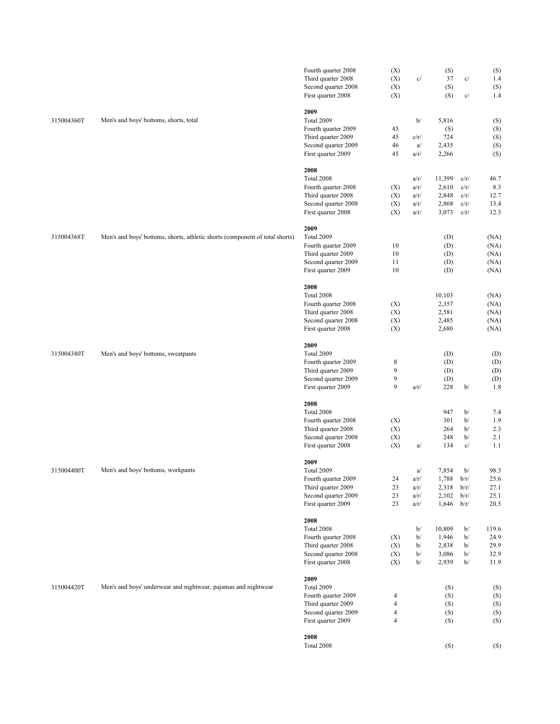|            |                                                                              | Fourth quarter 2008<br>Third quarter 2008<br>Second quarter 2008<br>First quarter 2008                       | (X)<br>(X)<br>(X)<br>(X)                                         | c/                                   | (S)<br>37<br>(S)<br>(S)                    | c/<br>c/                             | (S)<br>1.4<br>(S)<br>1.4              |
|------------|------------------------------------------------------------------------------|--------------------------------------------------------------------------------------------------------------|------------------------------------------------------------------|--------------------------------------|--------------------------------------------|--------------------------------------|---------------------------------------|
| 315004360T | Men's and boys' bottoms, shorts, total                                       | 2009<br>Total 2009<br>Fourth quarter 2009<br>Third quarter 2009<br>Second quarter 2009<br>First quarter 2009 | 45<br>45<br>46<br>45                                             | b/<br>c/r/<br>a/<br>a/r/             | 5,816<br>(S)<br>724<br>2,435<br>2,266      |                                      | (S)<br>(S)<br>(S)<br>(S)<br>(S)       |
|            |                                                                              | 2008<br>Total 2008<br>Fourth quarter 2008<br>Third quarter 2008<br>Second quarter 2008<br>First quarter 2008 | (X)<br>(X)<br>(X)<br>(X)                                         | a/r/<br>a/r/<br>a/r/<br>a/r/<br>a/r/ | 11,399<br>2,610<br>2,848<br>2,868<br>3,073 | c/r/<br>c/r/<br>c/r/<br>c/r/<br>c/r/ | 46.7<br>8.3<br>12.7<br>13.4<br>12.3   |
| 315004368T | Men's and boys' bottoms, shorts, athletic shorts (component of total shorts) | 2009<br>Total 2009<br>Fourth quarter 2009<br>Third quarter 2009<br>Second quarter 2009<br>First quarter 2009 | 10<br>10<br>11<br>10                                             |                                      | (D)<br>(D)<br>(D)<br>(D)<br>(D)            |                                      | (NA)<br>(NA)<br>(NA)<br>(NA)<br>(NA)  |
|            |                                                                              | 2008<br>Total 2008<br>Fourth quarter 2008<br>Third quarter 2008<br>Second quarter 2008<br>First quarter 2008 | (X)<br>(X)<br>(X)<br>(X)                                         |                                      | 10,103<br>2,357<br>2,581<br>2,485<br>2,680 |                                      | (NA)<br>(NA)<br>(NA)<br>(NA)<br>(NA)  |
| 315004380T | Men's and boys' bottoms, sweatpants                                          | 2009<br>Total 2009<br>Fourth quarter 2009<br>Third quarter 2009<br>Second quarter 2009<br>First quarter 2009 | 8<br>9<br>9<br>9                                                 | a/r/                                 | (D)<br>(D)<br>(D)<br>(D)<br>228            | b/                                   | (D)<br>(D)<br>(D)<br>(D)<br>1.8       |
|            | Men's and boys' bottoms, workpants                                           | 2008<br>Total 2008<br>Fourth quarter 2008<br>Third quarter 2008<br>Second quarter 2008<br>First quarter 2008 | (X)<br>(X)<br>(X)<br>(X)                                         | a/                                   | 947<br>301<br>264<br>248<br>134            | b/<br>b/<br>b/<br>b/<br>c/           | 7.4<br>1.9<br>2.3<br>2.1<br>1.1       |
| 315004400T |                                                                              | 2009<br>Total 2009<br>Fourth quarter 2009<br>Third quarter 2009<br>Second quarter 2009<br>First quarter 2009 | 24<br>23<br>23<br>23                                             | a/<br>a/r/<br>a/r/<br>a/r/<br>a/r/   | 7,854<br>1,788<br>2,318<br>2,102<br>1,646  | b/<br>b/r/<br>b/r/<br>b/r/<br>b/r/   | 98.3<br>25.6<br>27.1<br>25.1<br>20.5  |
|            |                                                                              | 2008<br>Total 2008<br>Fourth quarter 2008<br>Third quarter 2008<br>Second quarter 2008<br>First quarter 2008 | (X)<br>(X)<br>(X)<br>(X)                                         | b/<br>b/<br>b/<br>b/<br>b/           | 10,809<br>1,946<br>2,838<br>3,086<br>2,939 | b/<br>b/<br>b/<br>b/<br>b/           | 119.6<br>24.9<br>29.9<br>32.9<br>31.9 |
| 315004420T | Men's and boys' underwear and nightwear, pajamas and nightwear               | 2009<br>Total 2009<br>Fourth quarter 2009<br>Third quarter 2009<br>Second quarter 2009<br>First quarter 2009 | 4<br>$\overline{4}$<br>$\overline{\mathbf{4}}$<br>$\overline{4}$ |                                      | (S)<br>(S)<br>(S)<br>(S)<br>(S)            |                                      | (S)<br>(S)<br>(S)<br>(S)<br>(S)       |
|            |                                                                              | 2008<br>Total 2008                                                                                           |                                                                  |                                      | (S)                                        |                                      | (S)                                   |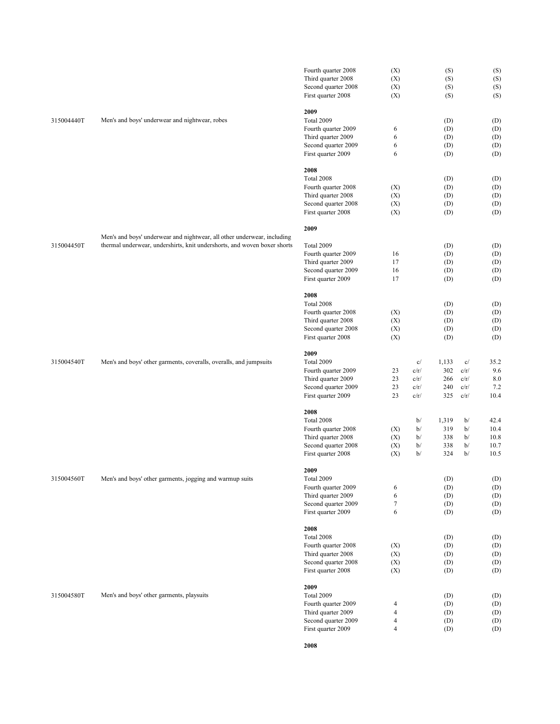|            |                                                                                                                                                     | Fourth quarter 2008<br>Third quarter 2008<br>Second quarter 2008<br>First quarter 2008                               | (X)<br>(X)<br>(X)<br>(X)                             | (S)<br>(S)<br>(S)<br>(S)                                                                      | (S)<br>(S)<br>(S)<br>(S)             |
|------------|-----------------------------------------------------------------------------------------------------------------------------------------------------|----------------------------------------------------------------------------------------------------------------------|------------------------------------------------------|-----------------------------------------------------------------------------------------------|--------------------------------------|
| 315004440T | Men's and boys' underwear and nightwear, robes                                                                                                      | 2009<br>Total 2009<br>Fourth quarter 2009<br>Third quarter 2009<br>Second quarter 2009<br>First quarter 2009         | 6<br>6<br>6<br>6                                     | (D)<br>(D)<br>(D)<br>(D)<br>(D)                                                               | (D)<br>(D)<br>(D)<br>(D)<br>(D)      |
|            |                                                                                                                                                     | 2008<br>Total 2008<br>Fourth quarter 2008<br>Third quarter 2008<br>Second quarter 2008<br>First quarter 2008         | (X)<br>(X)<br>(X)<br>(X)                             | (D)<br>(D)<br>(D)<br>(D)<br>(D)                                                               | (D)<br>(D)<br>(D)<br>(D)<br>(D)      |
| 315004450T | Men's and boys' underwear and nightwear, all other underwear, including<br>thermal underwear, undershirts, knit undershorts, and woven boxer shorts | 2009<br>Total 2009<br>Fourth quarter 2009<br>Third quarter 2009<br>Second quarter 2009<br>First quarter 2009         | 16<br>17<br>16<br>17                                 | (D)<br>(D)<br>(D)<br>(D)<br>(D)                                                               | (D)<br>(D)<br>(D)<br>(D)<br>(D)      |
|            | Men's and boys' other garments, coveralls, overalls, and jumpsuits                                                                                  | 2008<br>Total 2008<br>Fourth quarter 2008<br>Third quarter 2008<br>Second quarter 2008<br>First quarter 2008         | (X)<br>(X)<br>(X)<br>(X)                             | (D)<br>(D)<br>(D)<br>(D)<br>(D)                                                               | (D)<br>(D)<br>(D)<br>(D)<br>(D)      |
| 315004540T |                                                                                                                                                     | 2009<br>Total 2009<br>Fourth quarter 2009<br>Third quarter 2009<br>Second quarter 2009<br>First quarter 2009         | 23<br>c/r/<br>23<br>c/r/<br>23<br>c/r/<br>23<br>c/r/ | 1,133<br>c/<br>c/<br>302<br>c/r/<br>266<br>c/r/<br>240<br>c/r/<br>325<br>c/r/                 | 35.2<br>9.6<br>8.0<br>7.2<br>10.4    |
|            |                                                                                                                                                     | 2008<br>Total 2008<br>Fourth quarter 2008<br>Third quarter 2008<br>Second quarter 2008<br>First quarter 2008<br>2009 | (X)<br>(X)<br>(X)<br>(X)                             | b/<br>1,319<br>b/<br>b/<br>319<br>b/<br>b/<br>338<br>b/<br>b/<br>338<br>b/<br>b/<br>324<br>b/ | 42.4<br>10.4<br>10.8<br>10.7<br>10.5 |
| 315004560T | Men's and boys' other garments, jogging and warmup suits                                                                                            | Total 2009<br>Fourth quarter 2009<br>Third quarter 2009<br>Second quarter 2009<br>First quarter 2009                 | 6<br>6<br>$\tau$<br>6                                | (D)<br>(D)<br>(D)<br>(D)<br>(D)                                                               | (D)<br>(D)<br>(D)<br>(D)<br>(D)      |
|            |                                                                                                                                                     | 2008<br>Total 2008<br>Fourth quarter 2008<br>Third quarter 2008<br>Second quarter 2008<br>First quarter 2008         | (X)<br>(X)<br>(X)<br>(X)                             | (D)<br>(D)<br>(D)<br>(D)<br>(D)                                                               | (D)<br>(D)<br>(D)<br>(D)<br>(D)      |
| 315004580T | Men's and boys' other garments, playsuits                                                                                                           | 2009<br>Total 2009<br>Fourth quarter 2009<br>Third quarter 2009<br>Second quarter 2009<br>First quarter 2009         | 4<br>4<br>4<br>4                                     | (D)<br>(D)<br>(D)<br>(D)<br>(D)                                                               | (D)<br>(D)<br>(D)<br>(D)<br>(D)      |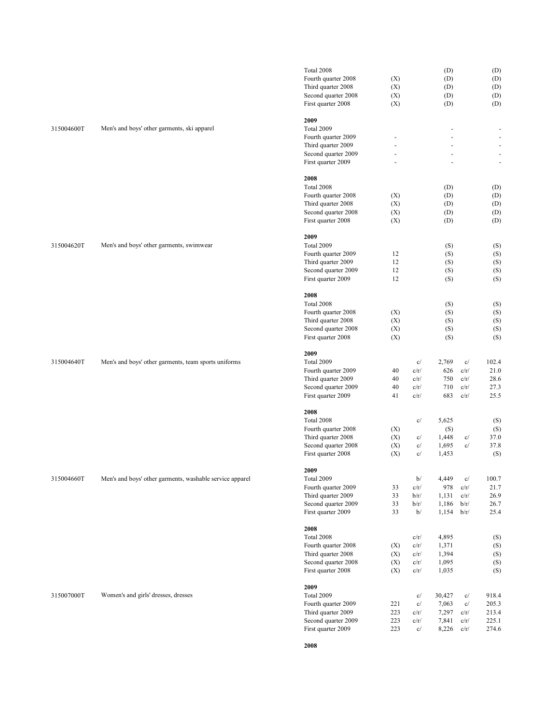|            |                                                          | Total 2008          |                |              | (D)        |              | (D)                      |
|------------|----------------------------------------------------------|---------------------|----------------|--------------|------------|--------------|--------------------------|
|            |                                                          | Fourth quarter 2008 | (X)            |              | (D)        |              | (D)                      |
|            |                                                          | Third quarter 2008  | (X)            |              | (D)        |              | (D)                      |
|            |                                                          | Second quarter 2008 | (X)            |              | (D)        |              | (D)                      |
|            |                                                          | First quarter 2008  | (X)            |              | (D)        |              | (D)                      |
|            |                                                          |                     |                |              |            |              |                          |
|            |                                                          | 2009                |                |              |            |              |                          |
| 315004600T | Men's and boys' other garments, ski apparel              | Total 2009          |                |              |            |              |                          |
|            |                                                          | Fourth quarter 2009 |                |              |            |              |                          |
|            |                                                          | Third quarter 2009  | $\overline{a}$ |              |            |              |                          |
|            |                                                          | Second quarter 2009 | ä,             |              |            |              | $\bar{\phantom{a}}$      |
|            |                                                          | First quarter 2009  |                |              |            |              | $\overline{\phantom{a}}$ |
|            |                                                          | 2008                |                |              |            |              |                          |
|            |                                                          | Total 2008          |                |              | (D)        |              | (D)                      |
|            |                                                          | Fourth quarter 2008 | (X)            |              | (D)        |              | (D)                      |
|            |                                                          | Third quarter 2008  | (X)            |              | (D)        |              | (D)                      |
|            |                                                          | Second quarter 2008 | (X)            |              | (D)        |              | (D)                      |
|            |                                                          | First quarter 2008  | (X)            |              | (D)        |              | (D)                      |
|            |                                                          |                     |                |              |            |              |                          |
|            |                                                          | 2009                |                |              |            |              |                          |
| 315004620T | Men's and boys' other garments, swimwear                 | Total 2009          |                |              | (S)        |              | (S)                      |
|            |                                                          | Fourth quarter 2009 | 12             |              | (S)        |              | (S)                      |
|            |                                                          | Third quarter 2009  | 12             |              | (S)        |              | (S)                      |
|            |                                                          | Second quarter 2009 | 12             |              | (S)        |              | (S)                      |
|            |                                                          | First quarter 2009  | 12             |              | (S)        |              | (S)                      |
|            |                                                          |                     |                |              |            |              |                          |
|            |                                                          | 2008                |                |              |            |              |                          |
|            |                                                          | Total 2008          |                |              | (S)        |              | (S)                      |
|            |                                                          | Fourth quarter 2008 | (X)            |              | (S)        |              | (S)                      |
|            |                                                          | Third quarter 2008  | (X)            |              | (S)        |              | (S)                      |
|            |                                                          | Second quarter 2008 | (X)            |              | (S)        |              | (S)                      |
|            |                                                          | First quarter 2008  | (X)            |              | (S)        |              | (S)                      |
|            |                                                          | 2009                |                |              |            |              |                          |
| 315004640T | Men's and boys' other garments, team sports uniforms     | Total 2009          |                | c/           | 2,769      | c/           | 102.4                    |
|            |                                                          | Fourth quarter 2009 | 40             | c/r/         | 626        | c/r/         | 21.0                     |
|            |                                                          |                     | 40             | c/r/         | 750        | c/r/         | 28.6                     |
|            |                                                          | Third quarter 2009  |                |              |            |              |                          |
|            |                                                          | Second quarter 2009 | 40<br>41       | c/r/<br>c/r/ | 710<br>683 | c/r/<br>c/r/ | 27.3<br>25.5             |
|            |                                                          | First quarter 2009  |                |              |            |              |                          |
|            |                                                          | 2008                |                |              |            |              |                          |
|            |                                                          | Total 2008          |                | c/           | 5,625      |              | (S)                      |
|            |                                                          | Fourth quarter 2008 | (X)            |              | (S)        |              | (S)                      |
|            |                                                          | Third quarter 2008  | (X)            | c/           | 1,448      | c/           | 37.0                     |
|            |                                                          | Second quarter 2008 | (X)            | c/           | 1,695      | c/           | 37.8                     |
|            |                                                          | First quarter 2008  | (X)            | c/           | 1,453      |              | (S)                      |
|            |                                                          |                     |                |              |            |              |                          |
|            |                                                          | 2009                |                |              |            |              |                          |
| 315004660T | Men's and boys' other garments, washable service apparel | Total 2009          |                | b/           | 4,449      | c/           | 100.7                    |
|            |                                                          | Fourth quarter 2009 | 33             | c/r/         | 978        | c/r/         | 21.7                     |
|            |                                                          | Third quarter 2009  | 33             | b/r/         | 1,131      | c/r/         | 26.9                     |
|            |                                                          | Second quarter 2009 | 33             | b/r/         | 1,186      | b/r/         | 26.7                     |
|            |                                                          | First quarter 2009  | 33             | b/           | 1,154      | b/r/         | 25.4                     |
|            |                                                          | 2008                |                |              |            |              |                          |
|            |                                                          | Total 2008          |                | c/r/         | 4,895      |              | (S)                      |
|            |                                                          | Fourth quarter 2008 | (X)            | c/r/         | 1,371      |              | (S)                      |
|            |                                                          | Third quarter 2008  | (X)            | c/r/         | 1,394      |              | (S)                      |
|            |                                                          | Second quarter 2008 | (X)            | c/r/         | 1,095      |              | (S)                      |
|            |                                                          | First quarter 2008  | (X)            | c/r/         | 1,035      |              | (S)                      |
|            |                                                          |                     |                |              |            |              |                          |
|            |                                                          | 2009                |                |              |            |              |                          |
| 315007000T | Women's and girls' dresses, dresses                      | Total 2009          |                | c/           | 30,427     | c/           | 918.4                    |
|            |                                                          | Fourth quarter 2009 | 221            | c/           | 7,063      | c/           | 205.3                    |
|            |                                                          | Third quarter 2009  | 223            | c/r/         | 7,297      | c/r/         | 213.4                    |
|            |                                                          | Second quarter 2009 | 223            | c/r/         | 7,841      | c/r/         | 225.1                    |
|            |                                                          | First quarter 2009  | 223            | c/           | 8,226      | c/r/         | 274.6                    |
|            |                                                          |                     |                |              |            |              |                          |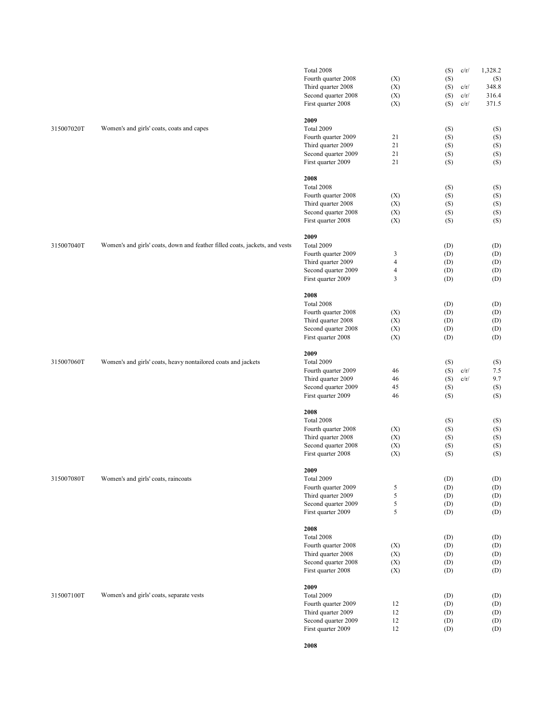|            |                                                                             | Total 2008                                |                | (S)        | c/r/ | 1,328.2    |
|------------|-----------------------------------------------------------------------------|-------------------------------------------|----------------|------------|------|------------|
|            |                                                                             | Fourth quarter 2008                       | (X)            | (S)        |      | (S)        |
|            |                                                                             | Third quarter 2008                        | (X)            | (S)        | c/r/ | 348.8      |
|            |                                                                             | Second quarter 2008                       | (X)            | (S)        | c/r/ | 316.4      |
|            |                                                                             |                                           |                |            |      |            |
|            |                                                                             | First quarter 2008                        | (X)            | (S)        | c/r/ | 371.5      |
|            |                                                                             | 2009                                      |                |            |      |            |
| 315007020T | Women's and girls' coats, coats and capes                                   | Total 2009                                |                | (S)        |      | (S)        |
|            |                                                                             | Fourth quarter 2009                       | 21             | (S)        |      | (S)        |
|            |                                                                             | Third quarter 2009                        | 21             | (S)        |      | (S)        |
|            |                                                                             | Second quarter 2009                       | 21             | (S)        |      | (S)        |
|            |                                                                             | First quarter 2009                        | 21             | (S)        |      | (S)        |
|            |                                                                             |                                           |                |            |      |            |
|            |                                                                             | 2008                                      |                |            |      |            |
|            |                                                                             | Total 2008                                |                | (S)        |      | (S)        |
|            |                                                                             | Fourth quarter 2008                       | (X)            | (S)        |      | (S)        |
|            |                                                                             | Third quarter 2008                        | (X)            | (S)        |      | (S)        |
|            |                                                                             | Second quarter 2008                       | (X)            | (S)        |      | (S)        |
|            |                                                                             | First quarter 2008                        | (X)            | (S)        |      | (S)        |
|            |                                                                             |                                           |                |            |      |            |
|            |                                                                             | 2009                                      |                |            |      |            |
| 315007040T | Women's and girls' coats, down and feather filled coats, jackets, and vests | Total 2009                                |                | (D)        |      | (D)        |
|            |                                                                             | Fourth quarter 2009                       | 3              | (D)        |      | (D)        |
|            |                                                                             | Third quarter 2009                        | $\overline{4}$ | (D)        |      | (D)        |
|            |                                                                             | Second quarter 2009                       | $\overline{4}$ | (D)        |      | (D)        |
|            |                                                                             | First quarter 2009                        | 3              | (D)        |      | (D)        |
|            |                                                                             |                                           |                |            |      |            |
|            |                                                                             | 2008                                      |                |            |      |            |
|            |                                                                             | Total 2008                                |                | (D)        |      | (D)        |
|            |                                                                             | Fourth quarter 2008                       | (X)            | (D)        |      | (D)        |
|            |                                                                             | Third quarter 2008                        | (X)            | (D)        |      | (D)        |
|            |                                                                             | Second quarter 2008                       | (X)            | (D)        |      | (D)        |
|            |                                                                             | First quarter 2008                        | (X)            | (D)        |      | (D)        |
|            |                                                                             |                                           |                |            |      |            |
|            |                                                                             | 2009                                      |                |            |      |            |
| 315007060T | Women's and girls' coats, heavy nontailored coats and jackets               | Total 2009                                |                | (S)        |      | (S)        |
|            |                                                                             | Fourth quarter 2009                       | 46             | (S)        | c/r/ | 7.5        |
|            |                                                                             | Third quarter 2009                        | 46             | (S)        | c/r/ | 9.7        |
|            |                                                                             | Second quarter 2009                       | 45             | (S)        |      | (S)        |
|            |                                                                             | First quarter 2009                        | 46             | (S)        |      | (S)        |
|            |                                                                             |                                           |                |            |      |            |
|            |                                                                             | 2008                                      |                |            |      |            |
|            |                                                                             | Total 2008                                |                | (S)        |      | (S)        |
|            |                                                                             | Fourth quarter 2008                       | (X)            | (S)        |      | (S)        |
|            |                                                                             | Third quarter 2008                        | (X)            | (S)        |      | (S)        |
|            |                                                                             | Second quarter 2008                       | (X)            | (S)        |      | (S)        |
|            |                                                                             | First quarter 2008                        | (X)            | (S)        |      | (S)        |
|            |                                                                             | 2009                                      |                |            |      |            |
| 315007080T | Women's and girls' coats, raincoats                                         | <b>Total 2009</b>                         |                | (D)        |      | (D)        |
|            |                                                                             | Fourth quarter 2009                       |                |            |      |            |
|            |                                                                             |                                           | 5              | (D)        |      | (D)        |
|            |                                                                             | Third quarter 2009                        | 5              | (D)        |      | (D)        |
|            |                                                                             | Second quarter 2009                       | 5              | (D)        |      | (D)        |
|            |                                                                             | First quarter 2009                        | 5              | (D)        |      | (D)        |
|            |                                                                             | 2008                                      |                |            |      |            |
|            |                                                                             | Total 2008                                |                | (D)        |      | (D)        |
|            |                                                                             | Fourth quarter 2008                       | (X)            | (D)        |      | (D)        |
|            |                                                                             | Third quarter 2008                        | (X)            | (D)        |      | (D)        |
|            |                                                                             |                                           |                |            |      |            |
|            |                                                                             | Second quarter 2008<br>First quarter 2008 | (X)<br>(X)     | (D)<br>(D) |      | (D)<br>(D) |
|            |                                                                             |                                           |                |            |      |            |
|            |                                                                             | 2009                                      |                |            |      |            |
| 315007100T | Women's and girls' coats, separate vests                                    | Total 2009                                |                | (D)        |      | (D)        |
|            |                                                                             | Fourth quarter 2009                       | 12             | (D)        |      | (D)        |
|            |                                                                             | Third quarter 2009                        | 12             | (D)        |      | (D)        |
|            |                                                                             | Second quarter 2009                       | 12             | (D)        |      | (D)        |
|            |                                                                             | First quarter 2009                        | 12             | (D)        |      | (D)        |
|            |                                                                             |                                           |                |            |      |            |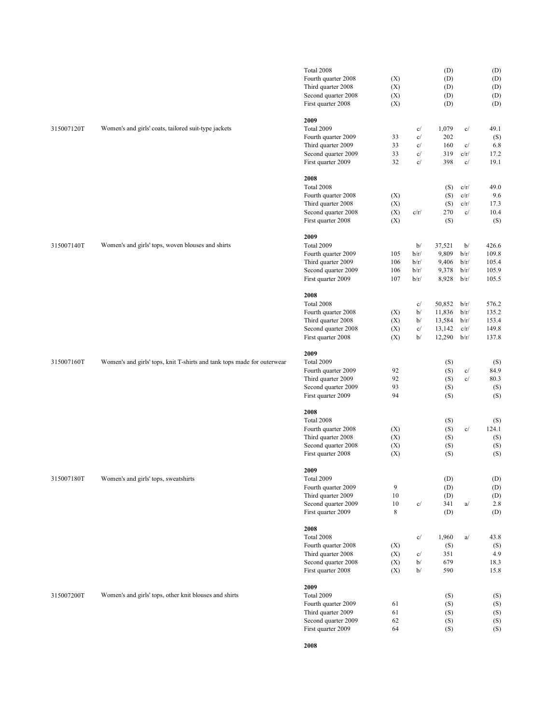|                       |                                                                         | Total 2008          |     |      | (D)    |      | (D)   |
|-----------------------|-------------------------------------------------------------------------|---------------------|-----|------|--------|------|-------|
|                       |                                                                         | Fourth quarter 2008 | (X) |      | (D)    |      | (D)   |
|                       |                                                                         | Third quarter 2008  | (X) |      | (D)    |      | (D)   |
|                       |                                                                         | Second quarter 2008 | (X) |      | (D)    |      | (D)   |
|                       |                                                                         | First quarter 2008  | (X) |      | (D)    |      | (D)   |
|                       |                                                                         | 2009                |     |      |        |      |       |
| 315007120T            | Women's and girls' coats, tailored suit-type jackets                    | Total 2009          |     | c/   | 1,079  | c/   | 49.1  |
|                       |                                                                         | Fourth quarter 2009 | 33  | c/   | 202    |      | (S)   |
|                       |                                                                         | Third quarter 2009  | 33  | c/   | 160    | c/   | 6.8   |
|                       |                                                                         | Second quarter 2009 | 33  | c/   | 319    | c/r/ | 17.2  |
|                       |                                                                         | First quarter 2009  | 32  | c/   | 398    | c/   | 19.1  |
|                       |                                                                         | 2008                |     |      |        |      |       |
|                       |                                                                         | Total 2008          |     |      | (S)    | c/r/ | 49.0  |
|                       |                                                                         | Fourth quarter 2008 | (X) |      | (S)    | c/r/ | 9.6   |
|                       |                                                                         | Third quarter 2008  | (X) |      | (S)    | c/r/ | 17.3  |
|                       |                                                                         | Second quarter 2008 | (X) | c/r/ | 270    | c/   | 10.4  |
|                       |                                                                         | First quarter 2008  | (X) |      | (S)    |      | (S)   |
|                       |                                                                         | 2009                |     |      |        |      |       |
| 315007140T            | Women's and girls' tops, woven blouses and shirts                       | Total 2009          |     | b/   | 37,521 | b/   | 426.6 |
|                       |                                                                         | Fourth quarter 2009 | 105 | b/r/ | 9,809  | b/r/ | 109.8 |
|                       |                                                                         | Third quarter 2009  | 106 | b/r/ | 9,406  | b/r/ | 105.4 |
|                       |                                                                         | Second quarter 2009 | 106 | b/r/ | 9,378  | b/r/ | 105.9 |
|                       |                                                                         | First quarter 2009  | 107 | b/r/ | 8,928  | b/r/ | 105.5 |
|                       |                                                                         |                     |     |      |        |      |       |
|                       |                                                                         | 2008                |     |      |        |      |       |
|                       |                                                                         | Total 2008          |     | c/   | 50,852 | b/r/ | 576.2 |
|                       |                                                                         | Fourth quarter 2008 | (X) | b/   | 11,836 | b/r/ | 135.2 |
|                       |                                                                         | Third quarter 2008  | (X) | b/   | 13,584 | b/r/ | 153.4 |
|                       |                                                                         | Second quarter 2008 | (X) | c/   | 13,142 | c/r/ | 149.8 |
|                       |                                                                         | First quarter 2008  | (X) | b/   | 12,290 | b/r/ | 137.8 |
|                       |                                                                         | 2009                |     |      |        |      |       |
| 315007160T            | Women's and girls' tops, knit T-shirts and tank tops made for outerwear | Total 2009          |     |      | (S)    |      | (S)   |
|                       |                                                                         | Fourth quarter 2009 | 92  |      | (S)    | c/   | 84.9  |
|                       |                                                                         | Third quarter 2009  | 92  |      | (S)    | c/   | 80.3  |
|                       |                                                                         | Second quarter 2009 | 93  |      | (S)    |      | (S)   |
|                       |                                                                         | First quarter 2009  | 94  |      | (S)    |      | (S)   |
|                       |                                                                         | 2008                |     |      |        |      |       |
|                       |                                                                         | Total 2008          |     |      | (S)    |      | (S)   |
|                       |                                                                         | Fourth quarter 2008 | (X) |      | (S)    | c/   | 124.1 |
|                       |                                                                         | Third quarter 2008  | (X) |      | (S)    |      | (S)   |
|                       |                                                                         | Second quarter 2008 | (X) |      | (S)    |      | (S)   |
|                       |                                                                         | First quarter 2008  | (X) |      | (S)    |      | (S)   |
|                       |                                                                         | 2009                |     |      |        |      |       |
| $315007180\mathrm{T}$ | Women's and girls' tops, sweatshirts                                    | Total 2009          |     |      | (D)    |      | (D)   |
|                       |                                                                         | Fourth quarter 2009 | 9   |      | (D)    |      | (D)   |
|                       |                                                                         | Third quarter 2009  | 10  |      | (D)    |      | (D)   |
|                       |                                                                         | Second quarter 2009 | 10  | c/   | 341    | a/   | 2.8   |
|                       |                                                                         | First quarter 2009  | 8   |      | (D)    |      | (D)   |
|                       |                                                                         | 2008                |     |      |        |      |       |
|                       |                                                                         | Total 2008          |     | c/   | 1,960  | a/   | 43.8  |
|                       |                                                                         | Fourth quarter 2008 | (X) |      | (S)    |      | (S)   |
|                       |                                                                         | Third quarter 2008  | (X) | c/   | 351    |      | 4.9   |
|                       |                                                                         | Second quarter 2008 | (X) | b/   | 679    |      | 18.3  |
|                       |                                                                         | First quarter 2008  | (X) | b/   | 590    |      | 15.8  |
|                       |                                                                         |                     |     |      |        |      |       |
| 315007200T            | Women's and girls' tops, other knit blouses and shirts                  | 2009<br>Total 2009  |     |      | (S)    |      | (S)   |
|                       |                                                                         | Fourth quarter 2009 | 61  |      | (S)    |      | (S)   |
|                       |                                                                         | Third quarter 2009  | 61  |      | (S)    |      | (S)   |
|                       |                                                                         | Second quarter 2009 | 62  |      | (S)    |      | (S)   |
|                       |                                                                         | First quarter 2009  | 64  |      | (S)    |      | (S)   |
|                       |                                                                         |                     |     |      |        |      |       |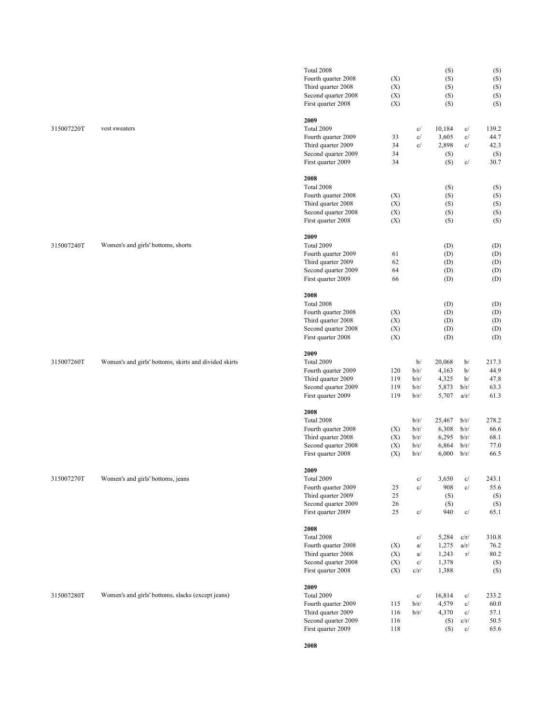|                    |                                                       | Total 2008          |     |      | (S)    |      | (S)   |
|--------------------|-------------------------------------------------------|---------------------|-----|------|--------|------|-------|
|                    |                                                       | Fourth quarter 2008 | (X) |      | (S)    |      | (S)   |
|                    |                                                       | Third quarter 2008  | (X) |      | (S)    |      | (S)   |
|                    |                                                       | Second quarter 2008 | (X) |      | (S)    |      | (S)   |
|                    |                                                       |                     |     |      |        |      |       |
|                    |                                                       | First quarter 2008  | (X) |      | (S)    |      | (S)   |
|                    |                                                       | 2009                |     |      |        |      |       |
| 315007220T         | vest sweaters                                         | Total 2009          |     | c/   | 10,184 | c/   | 139.2 |
|                    |                                                       | Fourth quarter 2009 | 33  | c/   | 3,605  | c/   | 44.7  |
|                    |                                                       | Third quarter 2009  | 34  | c/   | 2,898  | c/   | 42.3  |
|                    |                                                       |                     | 34  |      |        |      |       |
|                    |                                                       | Second quarter 2009 | 34  |      | (S)    |      | (S)   |
|                    |                                                       | First quarter 2009  |     |      | (S)    | c/   | 30.7  |
|                    |                                                       | 2008                |     |      |        |      |       |
|                    |                                                       | Total 2008          |     |      | (S)    |      | (S)   |
|                    |                                                       | Fourth quarter 2008 | (X) |      | (S)    |      | (S)   |
|                    |                                                       | Third quarter 2008  | (X) |      | (S)    |      | (S)   |
|                    |                                                       |                     |     |      |        |      |       |
|                    |                                                       | Second quarter 2008 | (X) |      | (S)    |      | (S)   |
|                    |                                                       | First quarter 2008  | (X) |      | (S)    |      | (S)   |
|                    |                                                       | 2009                |     |      |        |      |       |
| 315007240T         | Women's and girls' bottoms, shorts                    | Total 2009          |     |      | (D)    |      | (D)   |
|                    |                                                       | Fourth quarter 2009 | 61  |      | (D)    |      | (D)   |
|                    |                                                       | Third quarter 2009  | 62  |      | (D)    |      | (D)   |
|                    |                                                       | Second quarter 2009 | 64  |      |        |      |       |
|                    |                                                       |                     |     |      | (D)    |      | (D)   |
|                    |                                                       | First quarter 2009  | 66  |      | (D)    |      | (D)   |
|                    |                                                       | 2008                |     |      |        |      |       |
|                    |                                                       | Total 2008          |     |      | (D)    |      | (D)   |
|                    |                                                       | Fourth quarter 2008 | (X) |      | (D)    |      | (D)   |
|                    |                                                       | Third quarter 2008  | (X) |      | (D)    |      | (D)   |
|                    |                                                       |                     |     |      |        |      |       |
|                    |                                                       | Second quarter 2008 | (X) |      | (D)    |      | (D)   |
|                    |                                                       | First quarter 2008  | (X) |      | (D)    |      | (D)   |
|                    |                                                       | 2009                |     |      |        |      |       |
| 315007260T         | Women's and girls' bottoms, skirts and divided skirts | Total 2009          |     | b/   | 20,068 | b/   | 217.3 |
|                    |                                                       | Fourth quarter 2009 | 120 | b/r/ | 4,163  | b/   | 44.9  |
|                    |                                                       | Third quarter 2009  | 119 |      | 4,325  | b/   | 47.8  |
|                    |                                                       |                     |     | b/r/ |        |      |       |
|                    |                                                       | Second quarter 2009 | 119 | b/r/ | 5,873  | b/r/ | 63.3  |
|                    |                                                       | First quarter 2009  | 119 | b/r/ | 5,707  | a/r/ | 61.3  |
|                    |                                                       | 2008                |     |      |        |      |       |
|                    |                                                       | Total 2008          |     | b/r/ | 25,467 | b/r/ | 278.2 |
|                    |                                                       |                     |     |      |        |      |       |
|                    |                                                       | Fourth quarter 2008 | (X) | b/r/ | 6,308  | b/r/ | 66.6  |
|                    |                                                       | Third quarter 2008  | (X) | b/r/ | 6,295  | b/r/ | 68.1  |
|                    |                                                       | Second quarter 2008 | (X) | b/r/ | 6,864  | b/r/ | 77.0  |
|                    |                                                       | First quarter 2008  | (X) | b/r/ | 6,000  | b/r/ | 66.5  |
|                    |                                                       | 2009                |     |      |        |      |       |
| $315007270{\rm T}$ | Women's and girls' bottoms, jeans                     | Total 2009          |     | c/   | 3,650  | c/   | 243.1 |
|                    |                                                       | Fourth quarter 2009 | 25  | c/   | 908    | c/   | 55.6  |
|                    |                                                       |                     |     |      |        |      |       |
|                    |                                                       | Third quarter 2009  | 25  |      | (S)    |      | (S)   |
|                    |                                                       | Second quarter 2009 | 26  |      | (S)    |      | (S)   |
|                    |                                                       | First quarter 2009  | 25  | c/   | 940    | c/   | 65.1  |
|                    |                                                       | 2008                |     |      |        |      |       |
|                    |                                                       | Total 2008          |     | c/   | 5,284  | c/r/ | 310.8 |
|                    |                                                       | Fourth quarter 2008 | (X) | a/   | 1,275  | a/r/ | 76.2  |
|                    |                                                       |                     |     |      |        |      |       |
|                    |                                                       | Third quarter 2008  | (X) | a/   | 1,243  | r/   | 80.2  |
|                    |                                                       | Second quarter 2008 | (X) | c/   | 1,378  |      | (S)   |
|                    |                                                       | First quarter 2008  | (X) | c/r/ | 1,388  |      | (S)   |
|                    |                                                       | 2009                |     |      |        |      |       |
| 315007280T         | Women's and girls' bottoms, slacks (except jeans)     | Total 2009          |     | c/   | 16,814 | c/   | 233.2 |
|                    |                                                       | Fourth quarter 2009 | 115 | b/r/ | 4,579  | c/   | 60.0  |
|                    |                                                       |                     |     |      |        |      |       |
|                    |                                                       | Third quarter 2009  | 116 | b/r/ | 4,370  | c/   | 57.1  |
|                    |                                                       | Second quarter 2009 | 116 |      | (S)    | c/r/ | 50.5  |
|                    |                                                       | First quarter 2009  | 118 |      | (S)    | c/   | 65.6  |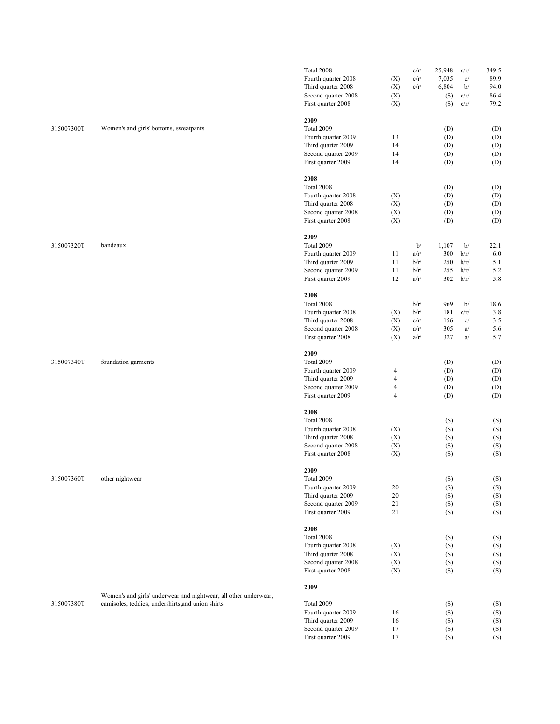|            |                                                                                                                       | Total 2008          |                         | c/r/ | 25,948     | c/r/ | 349.5      |
|------------|-----------------------------------------------------------------------------------------------------------------------|---------------------|-------------------------|------|------------|------|------------|
|            |                                                                                                                       | Fourth quarter 2008 | (X)                     | c/r/ | 7,035      | c/   | 89.9       |
|            |                                                                                                                       | Third quarter 2008  | (X)                     | c/r/ | 6,804      | b/   | 94.0       |
|            |                                                                                                                       | Second quarter 2008 | (X)                     |      | (S)        | c/r/ | 86.4       |
|            |                                                                                                                       |                     |                         |      |            | c/r/ | 79.2       |
|            |                                                                                                                       | First quarter 2008  | (X)                     |      | (S)        |      |            |
|            |                                                                                                                       | 2009                |                         |      |            |      |            |
| 315007300T | Women's and girls' bottoms, sweatpants                                                                                | Total 2009          |                         |      | (D)        |      | (D)        |
|            |                                                                                                                       | Fourth quarter 2009 | 13                      |      | (D)        |      | (D)        |
|            |                                                                                                                       | Third quarter 2009  | 14                      |      | (D)        |      | (D)        |
|            |                                                                                                                       | Second quarter 2009 | 14                      |      | (D)        |      | (D)        |
|            |                                                                                                                       | First quarter 2009  | 14                      |      | (D)        |      | (D)        |
|            |                                                                                                                       |                     |                         |      |            |      |            |
|            |                                                                                                                       | 2008                |                         |      |            |      |            |
|            |                                                                                                                       | Total 2008          |                         |      | (D)        |      | (D)        |
|            |                                                                                                                       | Fourth quarter 2008 | (X)                     |      | (D)        |      | (D)        |
|            |                                                                                                                       | Third quarter 2008  | (X)                     |      | (D)        |      | (D)        |
|            |                                                                                                                       | Second quarter 2008 | (X)                     |      | (D)        |      | (D)        |
|            |                                                                                                                       | First quarter 2008  | (X)                     |      | (D)        |      | (D)        |
|            |                                                                                                                       | 2009                |                         |      |            |      |            |
| 315007320T | bandeaux                                                                                                              | Total 2009          |                         | b/   | 1,107      | b/   | 22.1       |
|            |                                                                                                                       | Fourth quarter 2009 | 11                      | a/r/ | 300        | b/r/ | 6.0        |
|            |                                                                                                                       |                     | 11                      |      |            |      |            |
|            |                                                                                                                       | Third quarter 2009  |                         | b/r/ | 250        | b/r/ | 5.1        |
|            |                                                                                                                       | Second quarter 2009 | 11                      | b/r/ | 255        | b/r/ | 5.2        |
|            |                                                                                                                       | First quarter 2009  | 12                      | a/r/ | 302        | b/r/ | 5.8        |
|            |                                                                                                                       | 2008                |                         |      |            |      |            |
|            |                                                                                                                       | Total 2008          |                         | b/r/ | 969        | b/   | 18.6       |
|            |                                                                                                                       | Fourth quarter 2008 | (X)                     | b/r/ | 181        | c/r/ | 3.8        |
|            |                                                                                                                       | Third quarter 2008  | (X)                     | c/r/ | 156        | c/   | 3.5        |
|            |                                                                                                                       |                     | (X)                     |      |            |      |            |
|            |                                                                                                                       | Second quarter 2008 |                         | a/r/ | 305        | a/   | 5.6        |
|            |                                                                                                                       | First quarter 2008  | (X)                     | a/r/ | 327        | a/   | 5.7        |
|            |                                                                                                                       | 2009                |                         |      |            |      |            |
| 315007340T | foundation garments                                                                                                   | Total 2009          |                         |      | (D)        |      | (D)        |
|            |                                                                                                                       | Fourth quarter 2009 | 4                       |      | (D)        |      | (D)        |
|            |                                                                                                                       | Third quarter 2009  | $\overline{\mathbf{4}}$ |      | (D)        |      | (D)        |
|            |                                                                                                                       | Second quarter 2009 | $\overline{4}$          |      | (D)        |      | (D)        |
|            |                                                                                                                       | First quarter 2009  | $\overline{4}$          |      | (D)        |      | (D)        |
|            |                                                                                                                       |                     |                         |      |            |      |            |
|            |                                                                                                                       | 2008                |                         |      |            |      |            |
|            |                                                                                                                       | Total 2008          |                         |      | (S)        |      | (S)        |
|            |                                                                                                                       | Fourth quarter 2008 | (X)                     |      | (S)        |      | (S)        |
|            |                                                                                                                       | Third quarter 2008  | (X)                     |      | (S)        |      | (S)        |
|            |                                                                                                                       | Second quarter 2008 | (X)                     |      | (S)        |      | (S)        |
|            |                                                                                                                       | First quarter 2008  | (X)                     |      | (S)        |      | (S)        |
|            |                                                                                                                       |                     |                         |      |            |      |            |
| 315007360T | other nightwear                                                                                                       | 2009<br>Total 2009  |                         |      | (S)        |      | (S)        |
|            |                                                                                                                       |                     |                         |      |            |      |            |
|            |                                                                                                                       | Fourth quarter 2009 | 20                      |      | (S)        |      | (S)        |
|            |                                                                                                                       | Third quarter 2009  | 20                      |      | (S)        |      | (S)        |
|            |                                                                                                                       | Second quarter 2009 | 21                      |      | (S)        |      | (S)        |
|            |                                                                                                                       | First quarter 2009  | 21                      |      | (S)        |      | (S)        |
|            |                                                                                                                       | 2008                |                         |      |            |      |            |
|            |                                                                                                                       | Total 2008          |                         |      | (S)        |      | (S)        |
|            |                                                                                                                       | Fourth quarter 2008 | (X)                     |      | (S)        |      | (S)        |
|            |                                                                                                                       | Third quarter 2008  | (X)                     |      | (S)        |      | (S)        |
|            |                                                                                                                       | Second quarter 2008 |                         |      |            |      |            |
|            |                                                                                                                       | First quarter 2008  | (X)<br>(X)              |      | (S)<br>(S) |      | (S)<br>(S) |
|            |                                                                                                                       |                     |                         |      |            |      |            |
|            |                                                                                                                       | 2009                |                         |      |            |      |            |
|            | Women's and girls' underwear and nightwear, all other underwear,<br>camisoles, teddies, undershirts, and union shirts |                     |                         |      |            |      |            |
| 315007380T |                                                                                                                       | Total 2009          |                         |      | (S)        |      | (S)        |
|            |                                                                                                                       | Fourth quarter 2009 | 16                      |      | (S)        |      | (S)        |
|            |                                                                                                                       | Third quarter 2009  | 16                      |      | (S)        |      | (S)        |
|            |                                                                                                                       | Second quarter 2009 | 17                      |      | (S)        |      | (S)        |
|            |                                                                                                                       | First quarter 2009  | 17                      |      | (S)        |      | (S)        |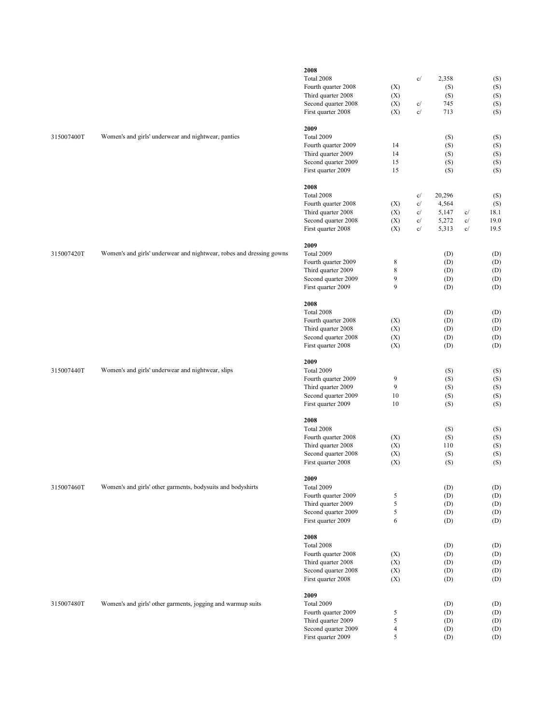|            |                                                                      | 2008<br>Total 2008<br>Fourth quarter 2008<br>Third quarter 2008<br>Second quarter 2008<br>First quarter 2008 | (X)<br>(X)<br>(X)<br>(X)                        | 2,358<br>c/<br>c/<br>713<br>c/                                           | (S)<br>(S)<br>745               | (S)<br>(S)<br>(S)<br>(S)<br>(S)    |
|------------|----------------------------------------------------------------------|--------------------------------------------------------------------------------------------------------------|-------------------------------------------------|--------------------------------------------------------------------------|---------------------------------|------------------------------------|
| 315007400T | Women's and girls' underwear and nightwear, panties                  | 2009<br>Total 2009<br>Fourth quarter 2009<br>Third quarter 2009<br>Second quarter 2009<br>First quarter 2009 | 14<br>14<br>15<br>15                            |                                                                          | (S)<br>(S)<br>(S)<br>(S)<br>(S) | (S)<br>(S)<br>(S)<br>(S)<br>(S)    |
|            |                                                                      | 2008<br>Total 2008<br>Fourth quarter 2008<br>Third quarter 2008<br>Second quarter 2008<br>First quarter 2008 | (X)<br>(X)<br>(X)<br>(X)                        | 20,296<br>c/<br>4,564<br>c/<br>c/<br>5,147<br>c/<br>5,272<br>c/<br>5,313 | c/<br>c/<br>c/                  | (S)<br>(S)<br>18.1<br>19.0<br>19.5 |
| 315007420T | Women's and girls' underwear and nightwear, robes and dressing gowns | 2009<br>Total 2009<br>Fourth quarter 2009<br>Third quarter 2009<br>Second quarter 2009<br>First quarter 2009 | 8<br>8<br>$\overline{9}$<br>9                   |                                                                          | (D)<br>(D)<br>(D)<br>(D)<br>(D) | (D)<br>(D)<br>(D)<br>(D)<br>(D)    |
|            |                                                                      | 2008<br>Total 2008<br>Fourth quarter 2008<br>Third quarter 2008<br>Second quarter 2008<br>First quarter 2008 | (X)<br>(X)<br>(X)<br>(X)                        |                                                                          | (D)<br>(D)<br>(D)<br>(D)<br>(D) | (D)<br>(D)<br>(D)<br>(D)<br>(D)    |
| 315007440T | Women's and girls' underwear and nightwear, slips                    | 2009<br>Total 2009<br>Fourth quarter 2009<br>Third quarter 2009<br>Second quarter 2009<br>First quarter 2009 | 9<br>9<br>10<br>10                              |                                                                          | (S)<br>(S)<br>(S)<br>(S)<br>(S) | (S)<br>(S)<br>(S)<br>(S)<br>(S)    |
|            |                                                                      | 2008<br>Total 2008<br>Fourth quarter 2008<br>Third quarter 2008<br>Second quarter 2008<br>First quarter 2008 | (X)<br>(X)<br>(X)<br>(X)                        |                                                                          | (S)<br>(S)<br>110<br>(S)<br>(S) | (S)<br>(S)<br>(S)<br>(S)<br>(S)    |
| 315007460T | Women's and girls' other garments, bodysuits and bodyshirts          | 2009<br>Total 2009<br>Fourth quarter 2009<br>Third quarter 2009<br>Second quarter 2009<br>First quarter 2009 | 5<br>$\sqrt{5}$<br>$\sqrt{5}$<br>6              |                                                                          | (D)<br>(D)<br>(D)<br>(D)<br>(D) | (D)<br>(D)<br>(D)<br>(D)<br>(D)    |
|            |                                                                      | 2008<br>Total 2008<br>Fourth quarter 2008<br>Third quarter 2008<br>Second quarter 2008<br>First quarter 2008 | (X)<br>(X)<br>(X)<br>(X)                        |                                                                          | (D)<br>(D)<br>(D)<br>(D)<br>(D) | (D)<br>(D)<br>(D)<br>(D)<br>(D)    |
| 315007480T | Women's and girls' other garments, jogging and warmup suits          | 2009<br>Total 2009<br>Fourth quarter 2009<br>Third quarter 2009<br>Second quarter 2009<br>First quarter 2009 | 5<br>$\sqrt{5}$<br>$\overline{4}$<br>$\sqrt{5}$ |                                                                          | (D)<br>(D)<br>(D)<br>(D)<br>(D) | (D)<br>(D)<br>(D)<br>(D)<br>(D)    |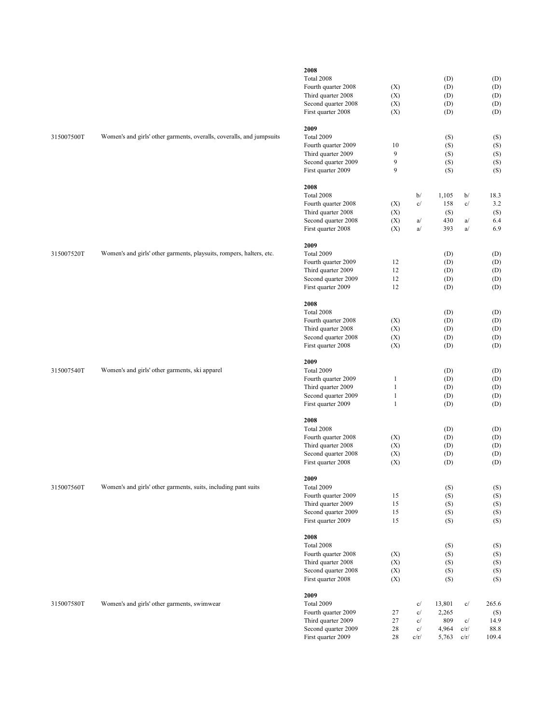|            |                                                                       | 2008<br>Total 2008<br>Fourth quarter 2008<br>Third quarter 2008<br>Second quarter 2008<br>First quarter 2008 | (X)<br>(X)<br>(X)<br>(X)                          |                              | (D)<br>(D)<br>(D)<br>(D)<br>(D)          |                          | (D)<br>(D)<br>(D)<br>(D)<br>(D)       |
|------------|-----------------------------------------------------------------------|--------------------------------------------------------------------------------------------------------------|---------------------------------------------------|------------------------------|------------------------------------------|--------------------------|---------------------------------------|
| 315007500T | Women's and girls' other garments, overalls, coveralls, and jumpsuits | 2009<br>Total 2009<br>Fourth quarter 2009<br>Third quarter 2009<br>Second quarter 2009<br>First quarter 2009 | 10<br>9<br>9<br>9                                 |                              | (S)<br>(S)<br>(S)<br>(S)<br>(S)          |                          | (S)<br>(S)<br>(S)<br>(S)<br>(S)       |
|            |                                                                       | 2008<br>Total 2008<br>Fourth quarter 2008<br>Third quarter 2008<br>Second quarter 2008<br>First quarter 2008 | (X)<br>(X)<br>(X)<br>(X)                          | b/<br>c/<br>a/<br>a/         | 1,105<br>158<br>(S)<br>430<br>393        | b/<br>c/<br>a/<br>a/     | 18.3<br>3.2<br>(S)<br>6.4<br>6.9      |
| 315007520T | Women's and girls' other garments, playsuits, rompers, halters, etc.  | 2009<br>Total 2009<br>Fourth quarter 2009<br>Third quarter 2009<br>Second quarter 2009<br>First quarter 2009 | 12<br>12<br>12<br>12                              |                              | (D)<br>(D)<br>(D)<br>(D)<br>(D)          |                          | (D)<br>(D)<br>(D)<br>(D)<br>(D)       |
|            |                                                                       | 2008<br>Total 2008<br>Fourth quarter 2008<br>Third quarter 2008<br>Second quarter 2008<br>First quarter 2008 | (X)<br>(X)<br>(X)<br>(X)                          |                              | (D)<br>(D)<br>(D)<br>(D)<br>(D)          |                          | (D)<br>(D)<br>(D)<br>(D)<br>(D)       |
| 315007540T | Women's and girls' other garments, ski apparel                        | 2009<br>Total 2009<br>Fourth quarter 2009<br>Third quarter 2009<br>Second quarter 2009<br>First quarter 2009 | 1<br>$\mathbf{1}$<br>$\mathbf{1}$<br>$\mathbf{1}$ |                              | (D)<br>(D)<br>(D)<br>(D)<br>(D)          |                          | (D)<br>(D)<br>(D)<br>(D)<br>(D)       |
|            |                                                                       | 2008<br>Total 2008<br>Fourth quarter 2008<br>Third quarter 2008<br>Second quarter 2008<br>First quarter 2008 | (X)<br>(X)<br>(X)<br>(X)                          |                              | (D)<br>(D)<br>(D)<br>(D)<br>(D)          |                          | (D)<br>(D)<br>(D)<br>(D)<br>(D)       |
| 315007560T | Women's and girls' other garments, suits, including pant suits        | 2009<br>Total 2009<br>Fourth quarter 2009<br>Third quarter 2009<br>Second quarter 2009<br>First quarter 2009 | 15<br>15<br>15<br>15                              |                              | (S)<br>(S)<br>(S)<br>(S)<br>(S)          |                          | (S)<br>(S)<br>(S)<br>(S)<br>(S)       |
|            |                                                                       | 2008<br>Total 2008<br>Fourth quarter 2008<br>Third quarter 2008<br>Second quarter 2008<br>First quarter 2008 | (X)<br>(X)<br>(X)<br>(X)                          |                              | (S)<br>(S)<br>(S)<br>(S)<br>(S)          |                          | (S)<br>(S)<br>(S)<br>(S)<br>(S)       |
| 315007580T | Women's and girls' other garments, swimwear                           | 2009<br>Total 2009<br>Fourth quarter 2009<br>Third quarter 2009<br>Second quarter 2009<br>First quarter 2009 | 27<br>27<br>28<br>28                              | c/<br>c/<br>c/<br>c/<br>c/r/ | 13,801<br>2,265<br>809<br>4,964<br>5,763 | c/<br>c/<br>c/r/<br>c/r/ | 265.6<br>(S)<br>14.9<br>88.8<br>109.4 |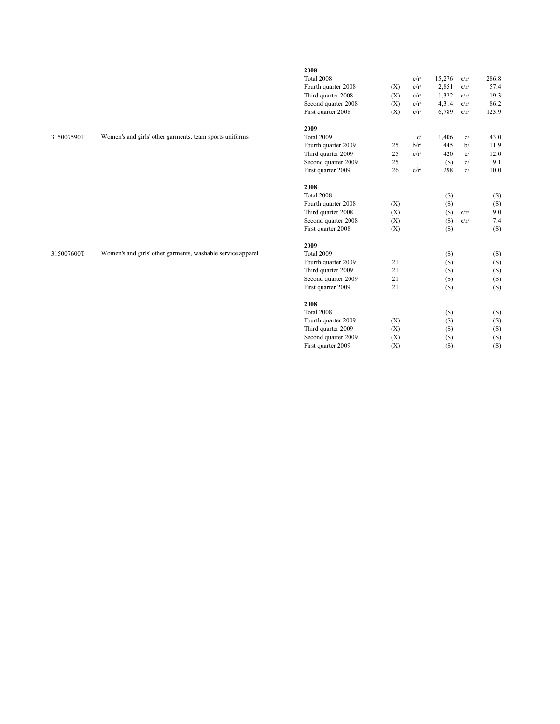|            |                                                             | 2008                |     |      |        |      |       |
|------------|-------------------------------------------------------------|---------------------|-----|------|--------|------|-------|
|            |                                                             | Total 2008          |     | c/r/ | 15,276 | c/r/ | 286.8 |
|            |                                                             | Fourth quarter 2008 | (X) | c/r/ | 2,851  | c/r/ | 57.4  |
|            |                                                             | Third quarter 2008  | (X) | c/r/ | 1,322  | c/r/ | 19.3  |
|            |                                                             | Second quarter 2008 | (X) | c/r/ | 4,314  | c/r/ | 86.2  |
|            |                                                             | First quarter 2008  | (X) | c/r/ | 6,789  | c/r/ | 123.9 |
|            |                                                             | 2009                |     |      |        |      |       |
| 315007590T | Women's and girls' other garments, team sports uniforms     | Total 2009          |     | c/   | 1,406  | c/   | 43.0  |
|            |                                                             | Fourth quarter 2009 | 25  | b/r/ | 445    | b/   | 11.9  |
|            |                                                             | Third quarter 2009  | 25  | c/r/ | 420    | c/   | 12.0  |
|            |                                                             | Second quarter 2009 | 25  |      | (S)    | c/   | 9.1   |
|            |                                                             | First quarter 2009  | 26  | c/r/ | 298    | c/   | 10.0  |
|            |                                                             | 2008                |     |      |        |      |       |
|            |                                                             | Total 2008          |     |      | (S)    |      | (S)   |
|            |                                                             | Fourth quarter 2008 | (X) |      | (S)    |      | (S)   |
|            |                                                             | Third quarter 2008  | (X) |      | (S)    | c/r/ | 9.0   |
|            |                                                             | Second quarter 2008 | (X) |      | (S)    | c/r/ | 7.4   |
|            |                                                             | First quarter 2008  | (X) |      | (S)    |      | (S)   |
|            |                                                             | 2009                |     |      |        |      |       |
| 315007600T | Women's and girls' other garments, washable service apparel | Total 2009          |     |      | (S)    |      | (S)   |
|            |                                                             | Fourth quarter 2009 | 21  |      | (S)    |      | (S)   |
|            |                                                             | Third quarter 2009  | 21  |      | (S)    |      | (S)   |
|            |                                                             | Second quarter 2009 | 21  |      | (S)    |      | (S)   |
|            |                                                             | First quarter 2009  | 21  |      | (S)    |      | (S)   |
|            |                                                             | 2008                |     |      |        |      |       |
|            |                                                             | Total 2008          |     |      | (S)    |      | (S)   |
|            |                                                             | Fourth quarter 2009 | (X) |      | (S)    |      | (S)   |
|            |                                                             | Third quarter 2009  | (X) |      | (S)    |      | (S)   |

Second quarter 2009 (X) (S) (S) First quarter 2009  $(X)$  (S)  $(S)$  (S)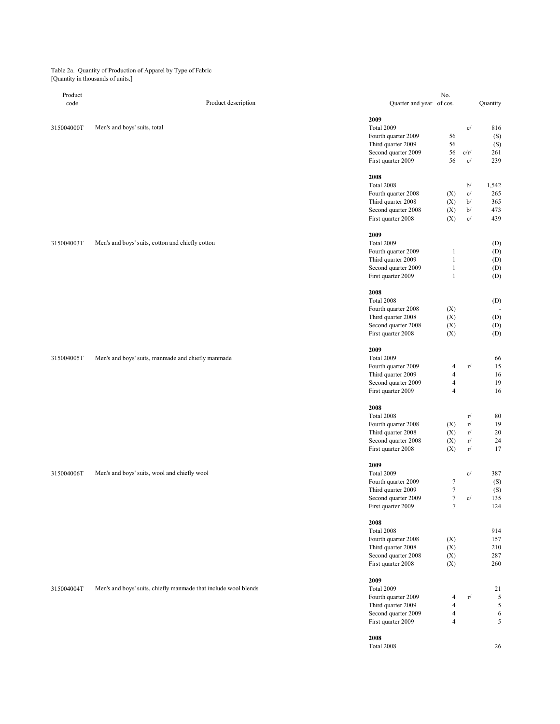Table 2a. Quantity of Production of Apparel by Type of Fabric [Quantity in thousands of units.]

| Product    |                                                                 |                          | No.                      |                                 |          |
|------------|-----------------------------------------------------------------|--------------------------|--------------------------|---------------------------------|----------|
| code       | Product description                                             | Quarter and year of cos. |                          |                                 | Quantity |
|            |                                                                 |                          |                          |                                 |          |
|            |                                                                 |                          |                          |                                 |          |
|            |                                                                 | 2009                     |                          |                                 |          |
| 315004000T | Men's and boys' suits, total                                    | Total 2009               |                          | c/                              | 816      |
|            |                                                                 | Fourth quarter 2009      | 56                       |                                 | (S)      |
|            |                                                                 | Third quarter 2009       | 56                       |                                 | (S)      |
|            |                                                                 | Second quarter 2009      | 56                       | c/r/                            | 261      |
|            |                                                                 |                          |                          |                                 |          |
|            |                                                                 | First quarter 2009       | 56                       | c/                              | 239      |
|            |                                                                 |                          |                          |                                 |          |
|            |                                                                 | 2008                     |                          |                                 |          |
|            |                                                                 | Total 2008               |                          | b/                              | 1,542    |
|            |                                                                 | Fourth quarter 2008      | (X)                      | c/                              | 265      |
|            |                                                                 |                          | (X)                      | b/                              | 365      |
|            |                                                                 | Third quarter 2008       |                          |                                 |          |
|            |                                                                 | Second quarter 2008      | (X)                      | b/                              | 473      |
|            |                                                                 | First quarter 2008       | (X)                      | $\ensuremath{\text{c}}\xspace/$ | 439      |
|            |                                                                 |                          |                          |                                 |          |
|            |                                                                 | 2009                     |                          |                                 |          |
| 315004003T | Men's and boys' suits, cotton and chiefly cotton                | Total 2009               |                          |                                 | (D)      |
|            |                                                                 |                          |                          |                                 |          |
|            |                                                                 | Fourth quarter 2009      | $\mathbf 1$              |                                 | (D)      |
|            |                                                                 | Third quarter 2009       | $\mathbf 1$              |                                 | (D)      |
|            |                                                                 | Second quarter 2009      | $\,1\,$                  |                                 | (D)      |
|            |                                                                 | First quarter 2009       | $\mathbf{1}$             |                                 | (D)      |
|            |                                                                 |                          |                          |                                 |          |
|            |                                                                 |                          |                          |                                 |          |
|            |                                                                 | 2008                     |                          |                                 |          |
|            |                                                                 | Total 2008               |                          |                                 | (D)      |
|            |                                                                 | Fourth quarter 2008      | (X)                      |                                 |          |
|            |                                                                 | Third quarter 2008       | (X)                      |                                 | (D)      |
|            |                                                                 | Second quarter 2008      | (X)                      |                                 | (D)      |
|            |                                                                 |                          | (X)                      |                                 |          |
|            |                                                                 | First quarter 2008       |                          |                                 | (D)      |
|            |                                                                 |                          |                          |                                 |          |
|            |                                                                 | 2009                     |                          |                                 |          |
| 315004005T | Men's and boys' suits, manmade and chiefly manmade              | Total 2009               |                          |                                 | 66       |
|            |                                                                 | Fourth quarter 2009      | 4                        | $\rm r/$                        | 15       |
|            |                                                                 | Third quarter 2009       | $\overline{\mathbf{4}}$  |                                 | 16       |
|            |                                                                 |                          |                          |                                 |          |
|            |                                                                 | Second quarter 2009      | $\overline{\mathcal{A}}$ |                                 | 19       |
|            |                                                                 | First quarter 2009       | $\overline{4}$           |                                 | 16       |
|            |                                                                 |                          |                          |                                 |          |
|            |                                                                 | 2008                     |                          |                                 |          |
|            |                                                                 | Total 2008               |                          | r/                              | 80       |
|            |                                                                 | Fourth quarter 2008      | (X)                      | $\rm r/$                        | 19       |
|            |                                                                 |                          |                          |                                 |          |
|            |                                                                 | Third quarter 2008       | (X)                      | $\rm r/$                        | 20       |
|            |                                                                 | Second quarter 2008      | (X)                      | $\rm r/$                        | 24       |
|            |                                                                 | First quarter 2008       | (X)                      | $\rm r/$                        | 17       |
|            |                                                                 |                          |                          |                                 |          |
|            |                                                                 | 2009                     |                          |                                 |          |
| 315004006T | Men's and boys' suits, wool and chiefly wool                    | Total 2009               |                          | c/                              | 387      |
|            |                                                                 | Fourth quarter 2009      |                          |                                 |          |
|            |                                                                 |                          | $\boldsymbol{7}$         |                                 | (S)      |
|            |                                                                 | Third quarter 2009       | $\boldsymbol{7}$         |                                 | (S)      |
|            |                                                                 | Second quarter 2009      | $\tau$                   | c/                              | 135      |
|            |                                                                 | First quarter 2009       | $\boldsymbol{7}$         |                                 | 124      |
|            |                                                                 |                          |                          |                                 |          |
|            |                                                                 | 2008                     |                          |                                 |          |
|            |                                                                 | Total 2008               |                          |                                 | 914      |
|            |                                                                 |                          |                          |                                 |          |
|            |                                                                 | Fourth quarter 2008      | (X)                      |                                 | 157      |
|            |                                                                 | Third quarter 2008       | (X)                      |                                 | 210      |
|            |                                                                 | Second quarter 2008      | (X)                      |                                 | 287      |
|            |                                                                 | First quarter 2008       | (X)                      |                                 | 260      |
|            |                                                                 |                          |                          |                                 |          |
|            |                                                                 | 2009                     |                          |                                 |          |
|            |                                                                 |                          |                          |                                 |          |
| 315004004T | Men's and boys' suits, chiefly manmade that include wool blends | Total 2009               |                          |                                 | 21       |
|            |                                                                 | Fourth quarter 2009      | $\overline{4}$           | $\rm r/$                        | 5        |
|            |                                                                 | Third quarter 2009       | $\overline{\mathcal{L}}$ |                                 | 5        |
|            |                                                                 | Second quarter 2009      | $\overline{\mathcal{L}}$ |                                 | 6        |
|            |                                                                 | First quarter 2009       | $\overline{4}$           |                                 | 5        |
|            |                                                                 |                          |                          |                                 |          |
|            |                                                                 |                          |                          |                                 |          |
|            |                                                                 | 2008                     |                          |                                 |          |
|            |                                                                 | Total 2008               |                          |                                 | 26       |
|            |                                                                 |                          |                          |                                 |          |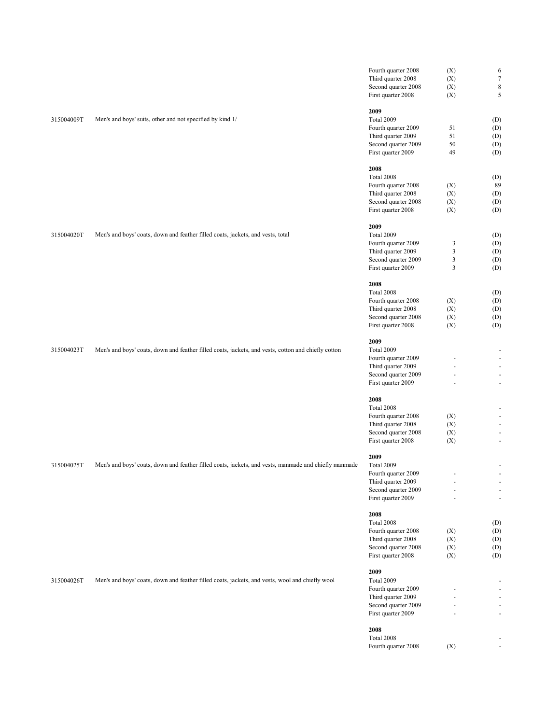|            |                                                                                                       | Fourth quarter 2008                       | (X)                        | 6                                          |
|------------|-------------------------------------------------------------------------------------------------------|-------------------------------------------|----------------------------|--------------------------------------------|
|            |                                                                                                       | Third quarter 2008                        | (X)                        | $\boldsymbol{7}$                           |
|            |                                                                                                       | Second quarter 2008                       | (X)                        | $\,$ 8 $\,$                                |
|            |                                                                                                       | First quarter 2008                        | (X)                        | 5                                          |
|            |                                                                                                       | 2009                                      |                            |                                            |
| 315004009T | Men's and boys' suits, other and not specified by kind 1/                                             | Total 2009                                |                            |                                            |
|            |                                                                                                       |                                           |                            | (D)                                        |
|            |                                                                                                       | Fourth quarter 2009                       | 51                         | (D)                                        |
|            |                                                                                                       | Third quarter 2009                        | 51                         | (D)                                        |
|            |                                                                                                       | Second quarter 2009                       | 50                         | (D)                                        |
|            |                                                                                                       | First quarter 2009                        | 49                         | (D)                                        |
|            |                                                                                                       | 2008                                      |                            |                                            |
|            |                                                                                                       | Total 2008                                |                            | (D)                                        |
|            |                                                                                                       | Fourth quarter 2008                       | (X)                        | 89                                         |
|            |                                                                                                       | Third quarter 2008                        | (X)                        | (D)                                        |
|            |                                                                                                       | Second quarter 2008                       | (X)                        | (D)                                        |
|            |                                                                                                       | First quarter 2008                        | (X)                        | (D)                                        |
|            |                                                                                                       |                                           |                            |                                            |
|            |                                                                                                       | 2009                                      |                            |                                            |
| 315004020T | Men's and boys' coats, down and feather filled coats, jackets, and vests, total                       | Total 2009                                |                            | (D)                                        |
|            |                                                                                                       | Fourth quarter 2009                       | 3                          | (D)                                        |
|            |                                                                                                       | Third quarter 2009                        | 3                          | (D)                                        |
|            |                                                                                                       | Second quarter 2009                       | 3                          | (D)                                        |
|            |                                                                                                       | First quarter 2009                        | 3                          | (D)                                        |
|            |                                                                                                       | 2008                                      |                            |                                            |
|            |                                                                                                       | Total 2008                                |                            | (D)                                        |
|            |                                                                                                       | Fourth quarter 2008                       | (X)                        | (D)                                        |
|            |                                                                                                       | Third quarter 2008                        | (X)                        | (D)                                        |
|            |                                                                                                       | Second quarter 2008                       | (X)                        | (D)                                        |
|            |                                                                                                       | First quarter 2008                        | (X)                        | (D)                                        |
|            |                                                                                                       |                                           |                            |                                            |
|            |                                                                                                       | 2009                                      |                            |                                            |
| 315004023T | Men's and boys' coats, down and feather filled coats, jackets, and vests, cotton and chiefly cotton   | Total 2009                                |                            | $\overline{\phantom{a}}$                   |
|            |                                                                                                       | Fourth quarter 2009                       |                            | $\overline{\phantom{a}}$                   |
|            |                                                                                                       | Third quarter 2009                        |                            | $\overline{\phantom{a}}$                   |
|            |                                                                                                       | Second quarter 2009<br>First quarter 2009 | $\ddot{\phantom{1}}$<br>÷, | $\overline{\phantom{a}}$<br>$\blacksquare$ |
|            |                                                                                                       |                                           |                            |                                            |
|            |                                                                                                       | 2008                                      |                            |                                            |
|            |                                                                                                       | Total 2008                                |                            | $\overline{\phantom{a}}$                   |
|            |                                                                                                       | Fourth quarter 2008                       | (X)                        | $\overline{\phantom{a}}$                   |
|            |                                                                                                       | Third quarter 2008                        | (X)                        | $\overline{\phantom{a}}$                   |
|            |                                                                                                       | Second quarter 2008                       | (X)                        | $\overline{\phantom{a}}$                   |
|            |                                                                                                       | First quarter 2008                        | (X)                        | $\overline{\phantom{a}}$                   |
|            |                                                                                                       | 2009                                      |                            |                                            |
| 315004025T | Men's and boys' coats, down and feather filled coats, jackets, and vests, manmade and chiefly manmade | Total 2009                                |                            | $\blacksquare$                             |
|            |                                                                                                       | Fourth quarter 2009                       | $\sim$                     | $\sim$                                     |
|            |                                                                                                       | Third quarter 2009                        |                            | $\overline{\phantom{a}}$                   |
|            |                                                                                                       | Second quarter 2009                       |                            | $\overline{\phantom{a}}$                   |
|            |                                                                                                       | First quarter 2009                        |                            | $\overline{\phantom{a}}$                   |
|            |                                                                                                       |                                           |                            |                                            |
|            |                                                                                                       | 2008                                      |                            |                                            |
|            |                                                                                                       | Total 2008                                |                            | (D)                                        |
|            |                                                                                                       | Fourth quarter 2008                       | (X)                        | (D)                                        |
|            |                                                                                                       | Third quarter 2008                        | (X)                        | (D)                                        |
|            |                                                                                                       | Second quarter 2008                       | (X)                        | (D)                                        |
|            |                                                                                                       | First quarter 2008                        | (X)                        | (D)                                        |
|            |                                                                                                       | 2009                                      |                            |                                            |
| 315004026T | Men's and boys' coats, down and feather filled coats, jackets, and vests, wool and chiefly wool       | Total 2009                                |                            | $\overline{\phantom{a}}$                   |
|            |                                                                                                       | Fourth quarter 2009                       |                            | $\overline{\phantom{a}}$                   |
|            |                                                                                                       | Third quarter 2009                        |                            | $\overline{\phantom{a}}$                   |
|            |                                                                                                       | Second quarter 2009                       |                            | $\sim$                                     |
|            |                                                                                                       | First quarter 2009                        | $\overline{a}$             | $\overline{\phantom{a}}$                   |
|            |                                                                                                       | 2008                                      |                            |                                            |
|            |                                                                                                       | Total 2008                                |                            |                                            |
|            |                                                                                                       | Fourth quarter 2008                       | (X)                        | $\overline{\phantom{a}}$                   |
|            |                                                                                                       |                                           |                            |                                            |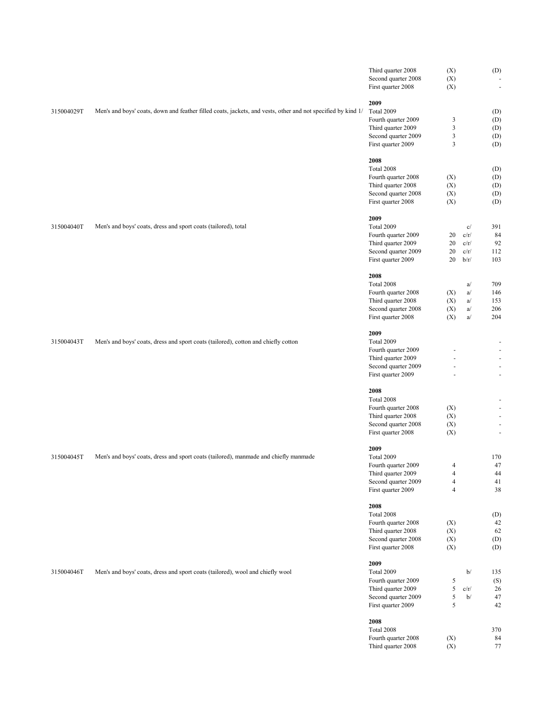|            |                                                                                                              | Third quarter 2008  | (X)                      |                                      | (D)        |
|------------|--------------------------------------------------------------------------------------------------------------|---------------------|--------------------------|--------------------------------------|------------|
|            |                                                                                                              | Second quarter 2008 | (X)                      |                                      |            |
|            |                                                                                                              | First quarter 2008  | (X)                      |                                      | ł,         |
|            |                                                                                                              |                     |                          |                                      |            |
|            |                                                                                                              | 2009                |                          |                                      |            |
| 315004029T | Men's and boys' coats, down and feather filled coats, jackets, and vests, other and not specified by kind 1/ | Total 2009          |                          |                                      | (D)        |
|            |                                                                                                              | Fourth quarter 2009 | 3                        |                                      | (D)        |
|            |                                                                                                              | Third quarter 2009  | 3                        |                                      | (D)        |
|            |                                                                                                              | Second quarter 2009 | 3                        |                                      | (D)        |
|            |                                                                                                              | First quarter 2009  | 3                        |                                      | (D)        |
|            |                                                                                                              |                     |                          |                                      |            |
|            |                                                                                                              | 2008<br>Total 2008  |                          |                                      |            |
|            |                                                                                                              | Fourth quarter 2008 |                          |                                      | (D)        |
|            |                                                                                                              | Third quarter 2008  | (X)<br>(X)               |                                      | (D)<br>(D) |
|            |                                                                                                              | Second quarter 2008 | (X)                      |                                      | (D)        |
|            |                                                                                                              | First quarter 2008  | (X)                      |                                      | (D)        |
|            |                                                                                                              |                     |                          |                                      |            |
|            |                                                                                                              | 2009                |                          |                                      |            |
| 315004040T | Men's and boys' coats, dress and sport coats (tailored), total                                               | Total 2009          |                          | c/                                   | 391        |
|            |                                                                                                              | Fourth quarter 2009 | 20                       | c/r/                                 | 84         |
|            |                                                                                                              | Third quarter 2009  | 20                       | c/r/                                 | 92         |
|            |                                                                                                              | Second quarter 2009 | 20                       | c/r/                                 | 112        |
|            |                                                                                                              | First quarter 2009  | 20                       | b/r/                                 | 103        |
|            |                                                                                                              |                     |                          |                                      |            |
|            |                                                                                                              | 2008                |                          |                                      |            |
|            |                                                                                                              | Total 2008          |                          | a/                                   | 709        |
|            |                                                                                                              | Fourth quarter 2008 | (X)                      | a/                                   | 146        |
|            |                                                                                                              | Third quarter 2008  | (X)                      | a/                                   | 153        |
|            |                                                                                                              | Second quarter 2008 | (X)                      | a/                                   | 206        |
|            |                                                                                                              | First quarter 2008  | (X)                      | a/                                   | 204        |
|            |                                                                                                              |                     |                          |                                      |            |
|            |                                                                                                              | 2009                |                          |                                      |            |
| 315004043T | Men's and boys' coats, dress and sport coats (tailored), cotton and chiefly cotton                           | Total 2009          |                          |                                      |            |
|            |                                                                                                              | Fourth quarter 2009 |                          |                                      | ł,         |
|            |                                                                                                              | Third quarter 2009  |                          |                                      |            |
|            |                                                                                                              | Second quarter 2009 | ä,                       |                                      | ł,         |
|            |                                                                                                              | First quarter 2009  |                          |                                      | ÷,         |
|            |                                                                                                              |                     |                          |                                      |            |
|            |                                                                                                              | 2008                |                          |                                      |            |
|            |                                                                                                              | Total 2008          |                          |                                      |            |
|            |                                                                                                              | Fourth quarter 2008 | (X)                      |                                      |            |
|            |                                                                                                              | Third quarter 2008  | (X)                      |                                      |            |
|            |                                                                                                              | Second quarter 2008 | (X)                      |                                      | ł,         |
|            |                                                                                                              | First quarter 2008  | (X)                      |                                      | ÷,         |
|            |                                                                                                              |                     |                          |                                      |            |
|            |                                                                                                              | 2009                |                          |                                      |            |
| 315004045T | Men's and boys' coats, dress and sport coats (tailored), manmade and chiefly manmade                         | Total 2009          |                          |                                      | 170        |
|            |                                                                                                              | Fourth quarter 2009 | 4                        |                                      | 47         |
|            |                                                                                                              | Third quarter 2009  | $\overline{4}$           |                                      | 44         |
|            |                                                                                                              | Second quarter 2009 | $\overline{\mathcal{A}}$ |                                      | 41         |
|            |                                                                                                              | First quarter 2009  | $\overline{4}$           |                                      | 38         |
|            |                                                                                                              | 2008                |                          |                                      |            |
|            |                                                                                                              | Total 2008          |                          |                                      | (D)        |
|            |                                                                                                              | Fourth quarter 2008 | (X)                      |                                      | 42         |
|            |                                                                                                              | Third quarter 2008  | (X)                      |                                      | 62         |
|            |                                                                                                              | Second quarter 2008 | (X)                      |                                      | (D)        |
|            |                                                                                                              | First quarter 2008  | (X)                      |                                      | (D)        |
|            |                                                                                                              |                     |                          |                                      |            |
|            |                                                                                                              | 2009                |                          |                                      |            |
| 315004046T | Men's and boys' coats, dress and sport coats (tailored), wool and chiefly wool                               | Total 2009          |                          | $\mathbf{b}/% \mathbf{b}/\mathbf{c}$ | 135        |
|            |                                                                                                              | Fourth quarter 2009 | 5                        |                                      | (S)        |
|            |                                                                                                              | Third quarter 2009  | 5                        | c/r/                                 | 26         |
|            |                                                                                                              | Second quarter 2009 | $\mathfrak s$            | b/                                   | 47         |
|            |                                                                                                              | First quarter 2009  | 5                        |                                      | 42         |
|            |                                                                                                              |                     |                          |                                      |            |
|            |                                                                                                              | 2008                |                          |                                      |            |
|            |                                                                                                              | Total 2008          |                          |                                      | 370        |
|            |                                                                                                              | Fourth quarter 2008 | (X)                      |                                      | 84         |
|            |                                                                                                              | Third quarter 2008  | (X)                      |                                      | 77         |
|            |                                                                                                              |                     |                          |                                      |            |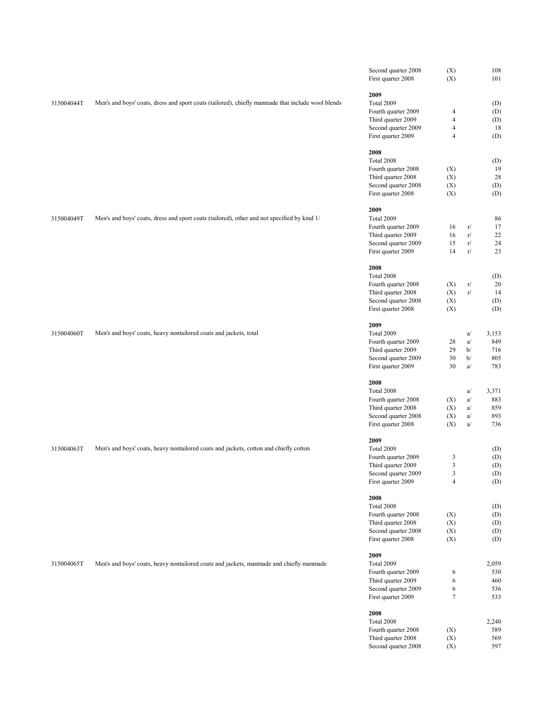|            |                                                                                                   | Second quarter 2008                       | (X)            |                      | 108        |
|------------|---------------------------------------------------------------------------------------------------|-------------------------------------------|----------------|----------------------|------------|
|            |                                                                                                   | First quarter 2008                        | (X)            |                      | 101        |
|            |                                                                                                   | 2009                                      |                |                      |            |
| 315004044T | Men's and boys' coats, dress and sport coats (tailored), chiefly manmade that include wool blends | Total 2009                                |                |                      | (D)        |
|            |                                                                                                   | Fourth quarter 2009                       | 4              |                      | (D)        |
|            |                                                                                                   | Third quarter 2009                        | $\overline{4}$ |                      | (D)        |
|            |                                                                                                   | Second quarter 2009                       | $\overline{4}$ |                      | 18         |
|            |                                                                                                   | First quarter 2009                        | 4              |                      | (D)        |
|            |                                                                                                   |                                           |                |                      |            |
|            |                                                                                                   | 2008                                      |                |                      |            |
|            |                                                                                                   | Total 2008<br>Fourth quarter 2008         | (X)            |                      | (D)<br>19  |
|            |                                                                                                   | Third quarter 2008                        | (X)            |                      | 28         |
|            |                                                                                                   | Second quarter 2008                       | (X)            |                      | (D)        |
|            |                                                                                                   | First quarter 2008                        | (X)            |                      | (D)        |
|            |                                                                                                   |                                           |                |                      |            |
|            |                                                                                                   | 2009                                      |                |                      |            |
| 315004049T | Men's and boys' coats, dress and sport coats (tailored), other and not specified by kind 1/       | Total 2009                                |                |                      | 86         |
|            |                                                                                                   | Fourth quarter 2009                       | 16             | r/                   | 17         |
|            |                                                                                                   | Third quarter 2009                        | 16<br>15       | $\rm r/$<br>$\rm r/$ | 22         |
|            |                                                                                                   | Second quarter 2009<br>First quarter 2009 | 14             | $\rm r/$             | 24<br>23   |
|            |                                                                                                   |                                           |                |                      |            |
|            |                                                                                                   | 2008                                      |                |                      |            |
|            |                                                                                                   | Total 2008                                |                |                      | (D)        |
|            |                                                                                                   | Fourth quarter 2008                       | (X)            | r/                   | 20         |
|            |                                                                                                   | Third quarter 2008                        | (X)            | $\rm r/$             | 14         |
|            |                                                                                                   | Second quarter 2008                       | (X)            |                      | (D)        |
|            |                                                                                                   | First quarter 2008                        | (X)            |                      | (D)        |
|            |                                                                                                   | 2009                                      |                |                      |            |
| 315004060T | Men's and boys' coats, heavy nontailored coats and jackets, total                                 | Total 2009                                |                | a/                   | 3,153      |
|            |                                                                                                   | Fourth quarter 2009                       | 28             | a/                   | 849        |
|            |                                                                                                   | Third quarter 2009                        | 29             | b/                   | 716        |
|            |                                                                                                   | Second quarter 2009                       | 30             | b/                   | 805        |
|            |                                                                                                   | First quarter 2009                        | 30             | a/                   | 783        |
|            |                                                                                                   |                                           |                |                      |            |
|            |                                                                                                   | 2008                                      |                |                      |            |
|            |                                                                                                   | Total 2008                                |                | a/                   | 3,371      |
|            |                                                                                                   | Fourth quarter 2008                       | (X)            | a/                   | 883        |
|            |                                                                                                   | Third quarter 2008<br>Second quarter 2008 | (X)<br>(X)     | a/<br>a/             | 859<br>893 |
|            |                                                                                                   | First quarter 2008                        | (X)            | a/                   | 736        |
|            |                                                                                                   |                                           |                |                      |            |
|            |                                                                                                   | 2009                                      |                |                      |            |
| 315004063T | Men's and boys' coats, heavy nontailored coats and jackets, cotton and chiefly cotton             | Total 2009                                |                |                      | (D)        |
|            |                                                                                                   | Fourth quarter 2009                       | 3              |                      | (D)        |
|            |                                                                                                   | Third quarter 2009                        | 3              |                      | (D)        |
|            |                                                                                                   | Second quarter 2009                       | 3              |                      | (D)        |
|            |                                                                                                   | First quarter 2009                        | $\overline{4}$ |                      | (D)        |
|            |                                                                                                   | 2008                                      |                |                      |            |
|            |                                                                                                   | Total 2008                                |                |                      | (D)        |
|            |                                                                                                   | Fourth quarter 2008                       | (X)            |                      | (D)        |
|            |                                                                                                   | Third quarter 2008                        | (X)            |                      | (D)        |
|            |                                                                                                   | Second quarter 2008                       | (X)            |                      | (D)        |
|            |                                                                                                   | First quarter 2008                        | (X)            |                      | (D)        |
|            |                                                                                                   |                                           |                |                      |            |
| 315004065T | Men's and boys' coats, heavy nontailored coats and jackets, manmade and chiefly manmade           | 2009<br>Total 2009                        |                |                      | 2,059      |
|            |                                                                                                   | Fourth quarter 2009                       | 6              |                      | 530        |
|            |                                                                                                   | Third quarter 2009                        | 6              |                      | 460        |
|            |                                                                                                   | Second quarter 2009                       | 6              |                      | 536        |
|            |                                                                                                   | First quarter 2009                        | $\tau$         |                      | 533        |
|            |                                                                                                   |                                           |                |                      |            |
|            |                                                                                                   | 2008                                      |                |                      |            |
|            |                                                                                                   | Total 2008                                |                |                      | 2,240      |
|            |                                                                                                   | Fourth quarter 2008                       | (X)            |                      | 589        |
|            |                                                                                                   | Third quarter 2008                        | (X)            |                      | 569        |
|            |                                                                                                   | Second quarter 2008                       | (X)            |                      | 597        |
|            |                                                                                                   |                                           |                |                      |            |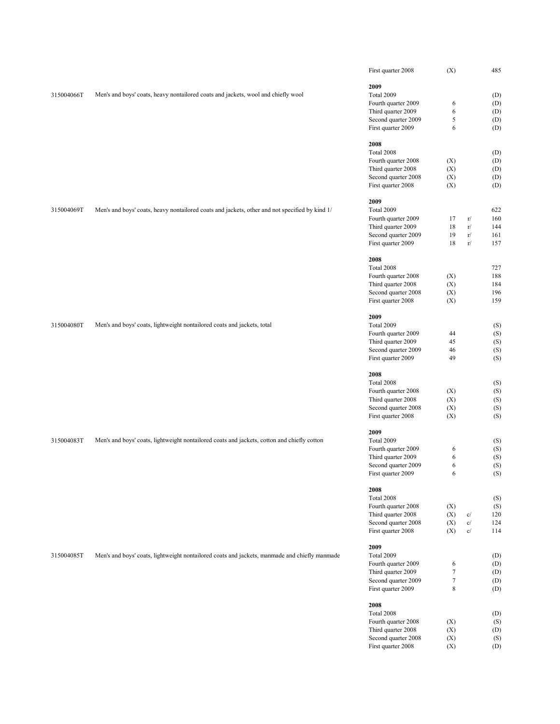|            |                                                                                                | First quarter 2008                        | (X)        |                                     | 485        |
|------------|------------------------------------------------------------------------------------------------|-------------------------------------------|------------|-------------------------------------|------------|
|            |                                                                                                | 2009                                      |            |                                     |            |
| 315004066T | Men's and boys' coats, heavy nontailored coats and jackets, wool and chiefly wool              | Total 2009                                |            |                                     | (D)        |
|            |                                                                                                | Fourth quarter 2009                       | 6          |                                     | (D)        |
|            |                                                                                                | Third quarter 2009                        | 6          |                                     | (D)        |
|            |                                                                                                | Second quarter 2009                       | 5          |                                     | (D)        |
|            |                                                                                                | First quarter 2009                        | 6          |                                     | (D)        |
|            |                                                                                                |                                           |            |                                     |            |
|            |                                                                                                | 2008                                      |            |                                     |            |
|            |                                                                                                | Total 2008                                |            |                                     | (D)        |
|            |                                                                                                | Fourth quarter 2008                       | (X)        |                                     | (D)        |
|            |                                                                                                | Third quarter 2008<br>Second quarter 2008 | (X)<br>(X) |                                     | (D)<br>(D) |
|            |                                                                                                | First quarter 2008                        | (X)        |                                     | (D)        |
|            |                                                                                                |                                           |            |                                     |            |
|            |                                                                                                | 2009                                      |            |                                     |            |
| 315004069T | Men's and boys' coats, heavy nontailored coats and jackets, other and not specified by kind 1/ | Total 2009                                |            |                                     | 622        |
|            |                                                                                                | Fourth quarter 2009                       | 17         | $\rm r/$                            | 160        |
|            |                                                                                                | Third quarter 2009                        | 18         | r/                                  | 144        |
|            |                                                                                                | Second quarter 2009                       | 19         | r/                                  | 161        |
|            |                                                                                                | First quarter 2009                        | 18         | r/                                  | 157        |
|            |                                                                                                | 2008                                      |            |                                     |            |
|            |                                                                                                | Total 2008                                |            |                                     | 727        |
|            |                                                                                                | Fourth quarter 2008                       | (X)        |                                     | 188        |
|            |                                                                                                | Third quarter 2008                        | (X)        |                                     | 184        |
|            |                                                                                                | Second quarter 2008                       | (X)        |                                     | 196        |
|            |                                                                                                | First quarter 2008                        | (X)        |                                     | 159        |
|            |                                                                                                |                                           |            |                                     |            |
|            |                                                                                                | 2009                                      |            |                                     |            |
| 315004080T | Men's and boys' coats, lightweight nontailored coats and jackets, total                        | Total 2009<br>Fourth quarter 2009         | 44         |                                     | (S)<br>(S) |
|            |                                                                                                | Third quarter 2009                        | 45         |                                     | (S)        |
|            |                                                                                                | Second quarter 2009                       | 46         |                                     | (S)        |
|            |                                                                                                | First quarter 2009                        | 49         |                                     | (S)        |
|            |                                                                                                |                                           |            |                                     |            |
|            |                                                                                                | 2008                                      |            |                                     |            |
|            |                                                                                                | Total 2008                                |            |                                     | (S)        |
|            |                                                                                                | Fourth quarter 2008                       | (X)        |                                     | (S)        |
|            |                                                                                                | Third quarter 2008                        | (X)        |                                     | (S)        |
|            |                                                                                                | Second quarter 2008<br>First quarter 2008 | (X)<br>(X) |                                     | (S)<br>(S) |
|            |                                                                                                |                                           |            |                                     |            |
|            |                                                                                                | 2009                                      |            |                                     |            |
| 315004083T | Men's and boys' coats, lightweight nontailored coats and jackets, cotton and chiefly cotton    | Total 2009                                |            |                                     | (S)        |
|            |                                                                                                | Fourth quarter 2009                       | 6          |                                     | (S)        |
|            |                                                                                                | Third quarter 2009                        | 6          |                                     | (S)        |
|            |                                                                                                | Second quarter 2009                       | 6          |                                     | (S)        |
|            |                                                                                                | First quarter 2009                        | 6          |                                     | (S)        |
|            |                                                                                                | 2008                                      |            |                                     |            |
|            |                                                                                                | Total 2008                                |            |                                     | (S)        |
|            |                                                                                                | Fourth quarter 2008                       | (X)        |                                     | (S)        |
|            |                                                                                                | Third quarter 2008                        | (X)        | $\mathbf{c}/$                       | 120        |
|            |                                                                                                | Second quarter 2008                       | (X)        | $\mathbf{c}/% \mathbf{c}^{\prime }$ | 124        |
|            |                                                                                                | First quarter 2008                        | (X)        | $\mathbf{c}/% \mathbf{c}^{\prime }$ | 114        |
|            |                                                                                                | 2009                                      |            |                                     |            |
| 315004085T | Men's and boys' coats, lightweight nontailored coats and jackets, manmade and chiefly manmade  | Total 2009                                |            |                                     | (D)        |
|            |                                                                                                | Fourth quarter 2009                       | 6          |                                     | (D)        |
|            |                                                                                                | Third quarter 2009                        | $\tau$     |                                     | (D)        |
|            |                                                                                                | Second quarter 2009                       | $\tau$     |                                     | (D)        |
|            |                                                                                                | First quarter 2009                        | 8          |                                     | (D)        |
|            |                                                                                                |                                           |            |                                     |            |
|            |                                                                                                | 2008                                      |            |                                     |            |
|            |                                                                                                | Total 2008<br>Fourth quarter 2008         |            |                                     | (D)        |
|            |                                                                                                | Third quarter 2008                        | (X)<br>(X) |                                     | (S)<br>(D) |
|            |                                                                                                | Second quarter 2008                       | (X)        |                                     | (S)        |
|            |                                                                                                | First quarter 2008                        | (X)        |                                     | (D)        |
|            |                                                                                                |                                           |            |                                     |            |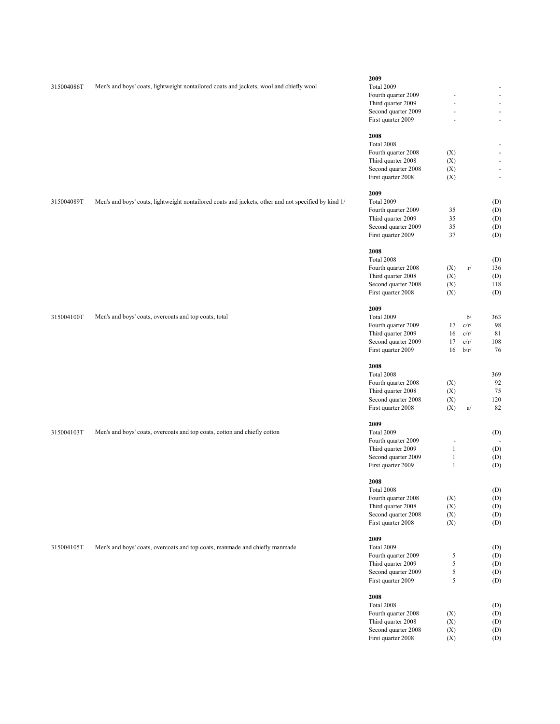|            |                                                                                                      | 2009                                      |              |      |                          |
|------------|------------------------------------------------------------------------------------------------------|-------------------------------------------|--------------|------|--------------------------|
| 315004086T |                                                                                                      | Total 2009                                |              |      |                          |
|            | Men's and boys' coats, lightweight nontailored coats and jackets, wool and chiefly wool              |                                           |              |      | $\overline{\phantom{a}}$ |
|            |                                                                                                      | Fourth quarter 2009                       |              |      | $\overline{\phantom{a}}$ |
|            |                                                                                                      | Third quarter 2009                        |              |      | $\overline{\phantom{a}}$ |
|            |                                                                                                      | Second quarter 2009                       | ä,           |      | $\blacksquare$           |
|            |                                                                                                      | First quarter 2009                        | ä,           |      | $\overline{\phantom{a}}$ |
|            |                                                                                                      |                                           |              |      |                          |
|            |                                                                                                      | 2008                                      |              |      |                          |
|            |                                                                                                      | Total 2008                                |              |      | $\overline{\phantom{a}}$ |
|            |                                                                                                      | Fourth quarter 2008                       | (X)          |      | $\overline{\phantom{a}}$ |
|            |                                                                                                      | Third quarter 2008                        | (X)          |      | $\overline{\phantom{a}}$ |
|            |                                                                                                      | Second quarter 2008                       | (X)          |      | $\blacksquare$           |
|            |                                                                                                      | First quarter 2008                        | (X)          |      | $\overline{\phantom{a}}$ |
|            |                                                                                                      |                                           |              |      |                          |
|            |                                                                                                      | 2009                                      |              |      |                          |
| 315004089T | Men's and boys' coats, lightweight nontailored coats and jackets, other and not specified by kind 1/ | Total 2009                                |              |      | (D)                      |
|            |                                                                                                      | Fourth quarter 2009                       | 35           |      | (D)                      |
|            |                                                                                                      | Third quarter 2009                        | 35           |      | (D)                      |
|            |                                                                                                      | Second quarter 2009                       | 35           |      | (D)                      |
|            |                                                                                                      | First quarter 2009                        | 37           |      | (D)                      |
|            |                                                                                                      |                                           |              |      |                          |
|            |                                                                                                      | 2008                                      |              |      |                          |
|            |                                                                                                      | Total 2008                                |              |      | (D)                      |
|            |                                                                                                      | Fourth quarter 2008                       | (X)          | r/   | 136                      |
|            |                                                                                                      | Third quarter 2008                        | (X)          |      | (D)                      |
|            |                                                                                                      | Second quarter 2008                       | (X)          |      | 118                      |
|            |                                                                                                      | First quarter 2008                        | (X)          |      | (D)                      |
|            |                                                                                                      |                                           |              |      |                          |
|            |                                                                                                      | 2009                                      |              |      |                          |
| 315004100T | Men's and boys' coats, overcoats and top coats, total                                                | Total 2009                                |              | b/   | 363                      |
|            |                                                                                                      | Fourth quarter 2009                       | 17           | c/r/ | 98                       |
|            |                                                                                                      | Third quarter 2009                        | 16           | c/r/ | 81                       |
|            |                                                                                                      |                                           | 17           | c/r/ | 108                      |
|            |                                                                                                      | Second quarter 2009                       |              |      |                          |
|            |                                                                                                      | First quarter 2009                        | 16           | b/r/ | 76                       |
|            |                                                                                                      | 2008                                      |              |      |                          |
|            |                                                                                                      | Total 2008                                |              |      | 369                      |
|            |                                                                                                      |                                           |              |      |                          |
|            |                                                                                                      |                                           |              |      |                          |
|            |                                                                                                      | Fourth quarter 2008                       | (X)          |      | 92                       |
|            |                                                                                                      | Third quarter 2008                        | (X)          |      | 75                       |
|            |                                                                                                      | Second quarter 2008                       | (X)          |      | 120                      |
|            |                                                                                                      | First quarter 2008                        | (X)          | a/   | 82                       |
|            |                                                                                                      |                                           |              |      |                          |
|            |                                                                                                      | 2009                                      |              |      |                          |
| 315004103T | Men's and boys' coats, overcoats and top coats, cotton and chiefly cotton                            | Total 2009                                |              |      | (D)                      |
|            |                                                                                                      | Fourth quarter 2009                       | Ē,           |      |                          |
|            |                                                                                                      | Third quarter 2009                        | $\,1\,$      |      | (D)                      |
|            |                                                                                                      | Second quarter 2009                       | $\mathbf{1}$ |      | (D)                      |
|            |                                                                                                      | First quarter 2009                        | $\mathbf{1}$ |      | (D)                      |
|            |                                                                                                      |                                           |              |      |                          |
|            |                                                                                                      | 2008                                      |              |      |                          |
|            |                                                                                                      | Total 2008                                |              |      | (D)                      |
|            |                                                                                                      | Fourth quarter 2008                       | (X)          |      | (D)                      |
|            |                                                                                                      | Third quarter 2008                        | (X)          |      | (D)                      |
|            |                                                                                                      | Second quarter 2008                       | (X)          |      | (D)                      |
|            |                                                                                                      | First quarter 2008                        | (X)          |      | (D)                      |
|            |                                                                                                      |                                           |              |      |                          |
|            |                                                                                                      | 2009                                      |              |      |                          |
| 315004105T | Men's and boys' coats, overcoats and top coats, manmade and chiefly manmade                          | Total 2009                                |              |      | (D)                      |
|            |                                                                                                      | Fourth quarter 2009                       | 5            |      | (D)                      |
|            |                                                                                                      | Third quarter 2009                        | $\sqrt{5}$   |      | (D)                      |
|            |                                                                                                      | Second quarter 2009                       | 5            |      | (D)                      |
|            |                                                                                                      | First quarter 2009                        | 5            |      | (D)                      |
|            |                                                                                                      |                                           |              |      |                          |
|            |                                                                                                      | 2008                                      |              |      |                          |
|            |                                                                                                      | Total 2008                                |              |      | (D)                      |
|            |                                                                                                      | Fourth quarter 2008                       | (X)          |      |                          |
|            |                                                                                                      | Third quarter 2008                        | (X)          |      | (D)                      |
|            |                                                                                                      |                                           |              |      | (D)                      |
|            |                                                                                                      | Second quarter 2008<br>First quarter 2008 | (X)<br>(X)   |      | (D)<br>(D)               |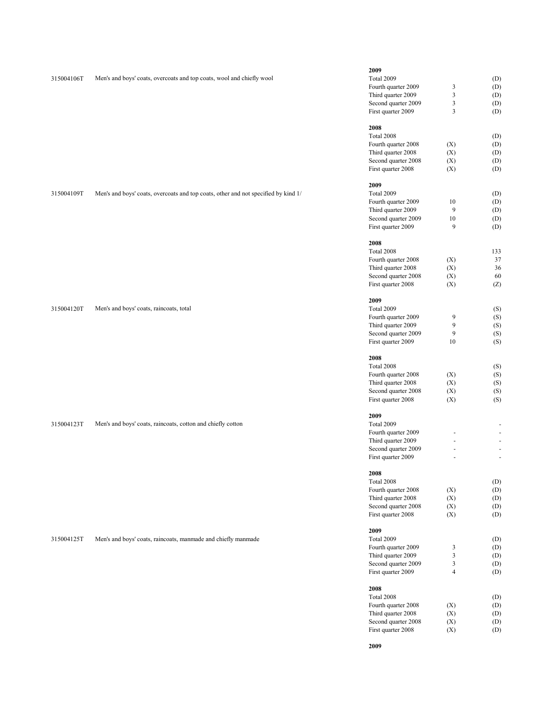| 315004106T | Men's and boys' coats, overcoats and top coats, wool and chiefly wool              | 2009<br>Total 2009<br>Fourth quarter 2009<br>Third quarter 2009<br>Second quarter 2009<br>First quarter 2009                       | 3<br>3<br>3<br>3                                     | (D)<br>(D)<br>(D)<br>(D)<br>(D)        |
|------------|------------------------------------------------------------------------------------|------------------------------------------------------------------------------------------------------------------------------------|------------------------------------------------------|----------------------------------------|
|            |                                                                                    | 2008<br>Total 2008<br>Fourth quarter 2008<br>Third quarter 2008<br>Second quarter 2008<br>First quarter 2008                       | (X)<br>(X)<br>(X)<br>(X)                             | (D)<br>(D)<br>(D)<br>(D)<br>(D)        |
| 315004109T | Men's and boys' coats, overcoats and top coats, other and not specified by kind 1/ | 2009<br>Total 2009<br>Fourth quarter 2009<br>Third quarter 2009<br>Second quarter 2009<br>First quarter 2009                       | 10<br>9<br>10<br>9                                   | (D)<br>(D)<br>(D)<br>(D)<br>(D)        |
|            |                                                                                    | 2008<br>Total 2008<br>Fourth quarter 2008<br>Third quarter 2008<br>Second quarter 2008<br>First quarter 2008                       | (X)<br>(X)<br>(X)<br>(X)                             | 133<br>37<br>36<br>60<br>(Z)           |
| 315004120T | Men's and boys' coats, raincoats, total                                            | 2009<br>Total 2009<br>Fourth quarter 2009<br>Third quarter 2009<br>Second quarter 2009<br>First quarter 2009                       | 9<br>9<br>9<br>10                                    | (S)<br>(S)<br>(S)<br>(S)<br>(S)        |
|            |                                                                                    | 2008<br>Total 2008<br>Fourth quarter 2008<br>Third quarter 2008<br>Second quarter 2008<br>First quarter 2008                       | (X)<br>(X)<br>(X)<br>(X)                             | (S)<br>(S)<br>(S)<br>(S)<br>(S)        |
| 315004123T | Men's and boys' coats, raincoats, cotton and chiefly cotton                        | 2009<br>Total 2009<br>Fourth quarter 2009<br>Third quarter 2009<br>Second quarter 2009                                             | $\blacksquare$<br>ä,                                 | $\omega$<br>$\overline{\phantom{a}}$   |
|            |                                                                                    | First quarter 2009<br>2008<br>$\mbox{Total 2008}$<br>Fourth quarter 2008<br>Third quarter 2008<br>Second quarter 2008              | (X)<br>(X)<br>(X)                                    | $\omega$<br>(D)<br>(D)<br>(D)<br>(D)   |
| 315004125T | Men's and boys' coats, raincoats, manmade and chiefly manmade                      | First quarter 2008<br>2009<br>Total 2009<br>Fourth quarter 2009<br>Third quarter 2009<br>Second quarter 2009                       | (X)<br>3<br>3<br>3                                   | (D)<br>(D)<br>(D)<br>(D)<br>(D)        |
|            |                                                                                    | First quarter 2009<br>2008<br>Total 2008<br>Fourth quarter 2008<br>Third quarter 2008<br>Second quarter 2008<br>First quarter 2008 | $\overline{\mathcal{L}}$<br>(X)<br>(X)<br>(X)<br>(X) | (D)<br>(D)<br>(D)<br>(D)<br>(D)<br>(D) |

**2009**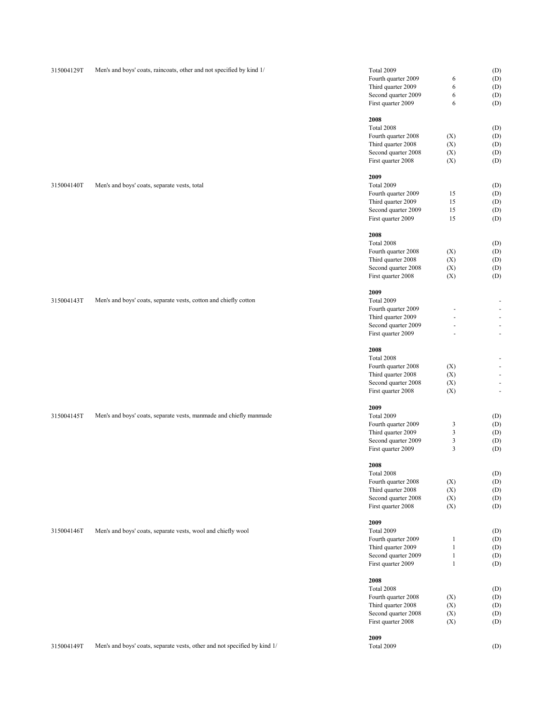| 315004129T | Men's and boys' coats, raincoats, other and not specified by kind 1/      | Total 2009                                |              | (D)        |
|------------|---------------------------------------------------------------------------|-------------------------------------------|--------------|------------|
|            |                                                                           | Fourth quarter 2009                       | 6            | (D)        |
|            |                                                                           | Third quarter 2009                        | 6            | (D)        |
|            |                                                                           |                                           | 6            |            |
|            |                                                                           | Second quarter 2009                       |              | (D)        |
|            |                                                                           | First quarter 2009                        | 6            | (D)        |
|            |                                                                           | 2008                                      |              |            |
|            |                                                                           | Total 2008                                |              | (D)        |
|            |                                                                           | Fourth quarter 2008                       | (X)          | (D)        |
|            |                                                                           | Third quarter 2008                        | (X)          | (D)        |
|            |                                                                           | Second quarter 2008                       | (X)          | (D)        |
|            |                                                                           | First quarter 2008                        | (X)          | (D)        |
|            |                                                                           |                                           |              |            |
|            |                                                                           | 2009                                      |              |            |
| 315004140T | Men's and boys' coats, separate vests, total                              | Total 2009                                |              | (D)        |
|            |                                                                           | Fourth quarter 2009                       | 15           | (D)        |
|            |                                                                           | Third quarter 2009                        | 15           | (D)        |
|            |                                                                           | Second quarter 2009                       | 15           | (D)        |
|            |                                                                           | First quarter 2009                        | 15           | (D)        |
|            |                                                                           |                                           |              |            |
|            |                                                                           | 2008                                      |              |            |
|            |                                                                           | Total 2008                                |              | (D)        |
|            |                                                                           | Fourth quarter 2008                       | (X)          | (D)        |
|            |                                                                           | Third quarter 2008                        | (X)          | (D)        |
|            |                                                                           | Second quarter 2008                       | (X)          | (D)        |
|            |                                                                           | First quarter 2008                        | (X)          | (D)        |
|            |                                                                           | 2009                                      |              |            |
| 315004143T | Men's and boys' coats, separate vests, cotton and chiefly cotton          | Total 2009                                |              | ÷          |
|            |                                                                           | Fourth quarter 2009                       |              |            |
|            |                                                                           | Third quarter 2009                        |              | ł,         |
|            |                                                                           | Second quarter 2009                       | $\bar{a}$    | ł,         |
|            |                                                                           | First quarter 2009                        | $\bar{a}$    | ł,         |
|            |                                                                           |                                           |              |            |
|            |                                                                           | 2008                                      |              |            |
|            |                                                                           | Total 2008                                |              |            |
|            |                                                                           | Fourth quarter 2008                       | (X)          |            |
|            |                                                                           | Third quarter 2008                        | (X)          |            |
|            |                                                                           | Second quarter 2008                       | (X)          | ł,         |
|            |                                                                           | First quarter 2008                        | (X)          | ł,         |
|            |                                                                           |                                           |              |            |
|            |                                                                           | 2009                                      |              |            |
| 315004145T | Men's and boys' coats, separate vests, manmade and chiefly manmade        | Total 2009                                |              | (D)        |
|            |                                                                           | Fourth quarter 2009                       | 3            | (D)        |
|            |                                                                           | Third quarter 2009                        | 3            | (D)        |
|            |                                                                           | Second quarter 2009                       | 3            | (D)        |
|            |                                                                           | First quarter 2009                        | 3            | (D)        |
|            |                                                                           | 2008                                      |              |            |
|            |                                                                           | Total 2008                                |              | (D)        |
|            |                                                                           | Fourth quarter 2008                       | (X)          | (D)        |
|            |                                                                           | Third quarter 2008                        | (X)          | (D)        |
|            |                                                                           | Second quarter 2008                       | (X)          | (D)        |
|            |                                                                           | First quarter 2008                        | (X)          | (D)        |
|            |                                                                           |                                           |              |            |
|            |                                                                           | 2009                                      |              |            |
| 315004146T | Men's and boys' coats, separate vests, wool and chiefly wool              | Total 2009                                |              | (D)        |
|            |                                                                           | Fourth quarter 2009                       | $\mathbf{1}$ | (D)        |
|            |                                                                           | Third quarter 2009                        | $\mathbf 1$  | (D)        |
|            |                                                                           | Second quarter 2009                       | $\mathbf{1}$ | (D)        |
|            |                                                                           | First quarter 2009                        | $\mathbf{1}$ | (D)        |
|            |                                                                           | 2008                                      |              |            |
|            |                                                                           | Total 2008                                |              | (D)        |
|            |                                                                           | Fourth quarter 2008                       | (X)          | (D)        |
|            |                                                                           | Third quarter 2008                        |              |            |
|            |                                                                           |                                           | (X)          | (D)        |
|            |                                                                           | Second quarter 2008<br>First quarter 2008 | (X)<br>(X)   | (D)<br>(D) |
|            |                                                                           |                                           |              |            |
|            |                                                                           | 2009                                      |              |            |
| 315004149T | Men's and boys' coats, separate vests, other and not specified by kind 1/ | Total 2009                                |              | (D)        |
|            |                                                                           |                                           |              |            |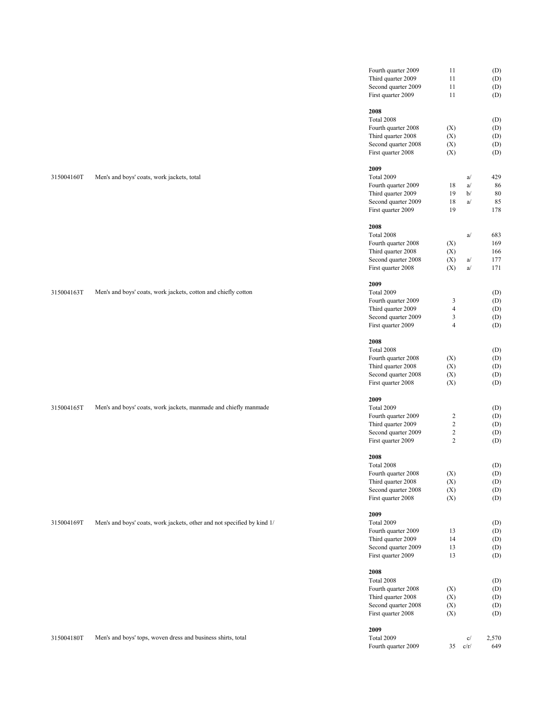|            |                                                                         | Fourth quarter 2009 | 11                       |      | (D)   |
|------------|-------------------------------------------------------------------------|---------------------|--------------------------|------|-------|
|            |                                                                         | Third quarter 2009  | 11                       |      | (D)   |
|            |                                                                         | Second quarter 2009 | 11                       |      | (D)   |
|            |                                                                         | First quarter 2009  | 11                       |      | (D)   |
|            |                                                                         | 2008                |                          |      |       |
|            |                                                                         | Total 2008          |                          |      | (D)   |
|            |                                                                         | Fourth quarter 2008 | (X)                      |      | (D)   |
|            |                                                                         | Third quarter 2008  | (X)                      |      | (D)   |
|            |                                                                         | Second quarter 2008 | (X)                      |      | (D)   |
|            |                                                                         | First quarter 2008  | (X)                      |      | (D)   |
|            |                                                                         | 2009                |                          |      |       |
| 315004160T | Men's and boys' coats, work jackets, total                              | Total 2009          |                          | a/   | 429   |
|            |                                                                         | Fourth quarter 2009 | 18                       | a/   | 86    |
|            |                                                                         | Third quarter 2009  | 19                       | b/   | 80    |
|            |                                                                         | Second quarter 2009 | 18                       | a/   | 85    |
|            |                                                                         | First quarter 2009  | 19                       |      | 178   |
|            |                                                                         | 2008                |                          |      |       |
|            |                                                                         | Total 2008          |                          | a/   | 683   |
|            |                                                                         | Fourth quarter 2008 | (X)                      |      | 169   |
|            |                                                                         | Third quarter 2008  | (X)                      |      | 166   |
|            |                                                                         | Second quarter 2008 | (X)                      | a/   | 177   |
|            |                                                                         | First quarter 2008  | (X)                      | a/   | 171   |
|            |                                                                         |                     |                          |      |       |
|            |                                                                         | 2009                |                          |      |       |
| 315004163T | Men's and boys' coats, work jackets, cotton and chiefly cotton          | Total 2009          |                          |      | (D)   |
|            |                                                                         | Fourth quarter 2009 | 3                        |      | (D)   |
|            |                                                                         | Third quarter 2009  | $\overline{\mathcal{L}}$ |      | (D)   |
|            |                                                                         | Second quarter 2009 | 3                        |      | (D)   |
|            |                                                                         | First quarter 2009  | $\overline{\mathcal{L}}$ |      | (D)   |
|            |                                                                         | 2008                |                          |      |       |
|            |                                                                         | Total 2008          |                          |      | (D)   |
|            |                                                                         | Fourth quarter 2008 | (X)                      |      | (D)   |
|            |                                                                         | Third quarter 2008  | (X)                      |      | (D)   |
|            |                                                                         | Second quarter 2008 | (X)                      |      | (D)   |
|            |                                                                         | First quarter 2008  | (X)                      |      | (D)   |
|            |                                                                         | 2009                |                          |      |       |
| 315004165T | Men's and boys' coats, work jackets, manmade and chiefly manmade        | Total 2009          |                          |      | (D)   |
|            |                                                                         | Fourth quarter 2009 | $\overline{c}$           |      | (D)   |
|            |                                                                         | Third quarter 2009  | $\overline{c}$           |      | (D)   |
|            |                                                                         | Second quarter 2009 | $\overline{c}$           |      | (D)   |
|            |                                                                         | First quarter 2009  | $\overline{c}$           |      | (D)   |
|            |                                                                         | 2008                |                          |      |       |
|            |                                                                         | Total 2008          |                          |      | (D)   |
|            |                                                                         | Fourth quarter 2008 | (X)                      |      | (D)   |
|            |                                                                         | Third quarter 2008  | (X)                      |      | (D)   |
|            |                                                                         | Second quarter 2008 | (X)                      |      | (D)   |
|            |                                                                         | First quarter 2008  | (X)                      |      | (D)   |
|            |                                                                         | 2009                |                          |      |       |
| 315004169T | Men's and boys' coats, work jackets, other and not specified by kind 1/ | Total 2009          |                          |      | (D)   |
|            |                                                                         | Fourth quarter 2009 | 13                       |      | (D)   |
|            |                                                                         | Third quarter 2009  | 14                       |      | (D)   |
|            |                                                                         | Second quarter 2009 | 13                       |      | (D)   |
|            |                                                                         | First quarter 2009  | 13                       |      | (D)   |
|            |                                                                         | 2008                |                          |      |       |
|            |                                                                         | Total 2008          |                          |      | (D)   |
|            |                                                                         | Fourth quarter 2008 | (X)                      |      | (D)   |
|            |                                                                         | Third quarter 2008  | (X)                      |      | (D)   |
|            |                                                                         | Second quarter 2008 | (X)                      |      | (D)   |
|            |                                                                         | First quarter 2008  | (X)                      |      | (D)   |
|            |                                                                         | 2009                |                          |      |       |
| 315004180T | Men's and boys' tops, woven dress and business shirts, total            | Total 2009          |                          | c/   | 2,570 |
|            |                                                                         | Fourth quarter 2009 | 35                       | c/r/ | 649   |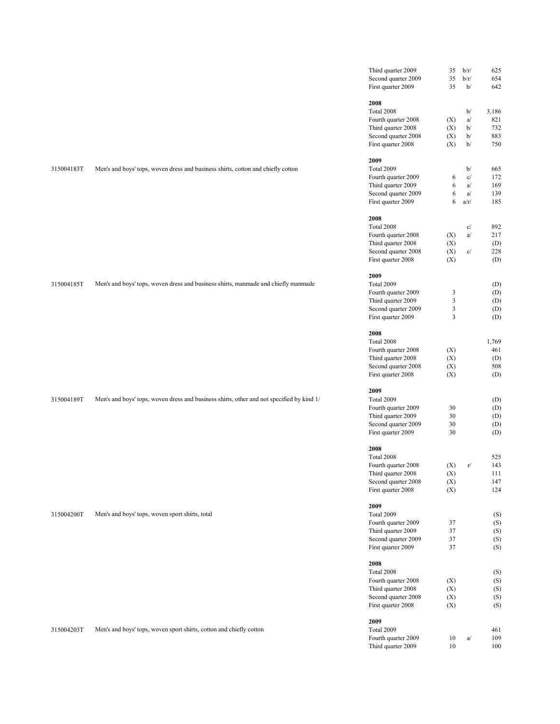| Second quarter 2009<br>35<br>b/r/<br>First quarter 2009<br>35<br>b/<br>2008<br>Total 2008<br>b/<br>Fourth quarter 2008<br>a/<br>(X)<br>Third quarter 2008<br>b/<br>(X)<br>Second quarter 2008<br>b/<br>(X)<br>First quarter 2008<br>(X)<br>b/<br>2009<br>315004183T<br>Total 2009<br>Men's and boys' tops, woven dress and business shirts, cotton and chiefly cotton<br>b/<br>$\mathbf{c}/$<br>Fourth quarter 2009<br>6<br>Third quarter 2009<br>6<br>a/<br>Second quarter 2009<br>6<br>a/<br>First quarter 2009<br>6<br>a/r/<br>2008<br>Total 2008<br>c/<br>a/<br>Fourth quarter 2008<br>(X)<br>Third quarter 2008<br>(X)<br>$\mathbf{c}/$<br>Second quarter 2008<br>(X)<br>First quarter 2008<br>(X) | 654<br>642<br>3,186<br>821<br>732<br>883<br>750<br>665<br>172<br>169<br>139<br>185<br>892<br>217 |
|---------------------------------------------------------------------------------------------------------------------------------------------------------------------------------------------------------------------------------------------------------------------------------------------------------------------------------------------------------------------------------------------------------------------------------------------------------------------------------------------------------------------------------------------------------------------------------------------------------------------------------------------------------------------------------------------------------|--------------------------------------------------------------------------------------------------|
|                                                                                                                                                                                                                                                                                                                                                                                                                                                                                                                                                                                                                                                                                                         |                                                                                                  |
|                                                                                                                                                                                                                                                                                                                                                                                                                                                                                                                                                                                                                                                                                                         |                                                                                                  |
|                                                                                                                                                                                                                                                                                                                                                                                                                                                                                                                                                                                                                                                                                                         |                                                                                                  |
|                                                                                                                                                                                                                                                                                                                                                                                                                                                                                                                                                                                                                                                                                                         |                                                                                                  |
|                                                                                                                                                                                                                                                                                                                                                                                                                                                                                                                                                                                                                                                                                                         |                                                                                                  |
|                                                                                                                                                                                                                                                                                                                                                                                                                                                                                                                                                                                                                                                                                                         |                                                                                                  |
|                                                                                                                                                                                                                                                                                                                                                                                                                                                                                                                                                                                                                                                                                                         |                                                                                                  |
|                                                                                                                                                                                                                                                                                                                                                                                                                                                                                                                                                                                                                                                                                                         |                                                                                                  |
|                                                                                                                                                                                                                                                                                                                                                                                                                                                                                                                                                                                                                                                                                                         |                                                                                                  |
|                                                                                                                                                                                                                                                                                                                                                                                                                                                                                                                                                                                                                                                                                                         |                                                                                                  |
|                                                                                                                                                                                                                                                                                                                                                                                                                                                                                                                                                                                                                                                                                                         |                                                                                                  |
|                                                                                                                                                                                                                                                                                                                                                                                                                                                                                                                                                                                                                                                                                                         |                                                                                                  |
|                                                                                                                                                                                                                                                                                                                                                                                                                                                                                                                                                                                                                                                                                                         |                                                                                                  |
|                                                                                                                                                                                                                                                                                                                                                                                                                                                                                                                                                                                                                                                                                                         |                                                                                                  |
|                                                                                                                                                                                                                                                                                                                                                                                                                                                                                                                                                                                                                                                                                                         |                                                                                                  |
|                                                                                                                                                                                                                                                                                                                                                                                                                                                                                                                                                                                                                                                                                                         |                                                                                                  |
|                                                                                                                                                                                                                                                                                                                                                                                                                                                                                                                                                                                                                                                                                                         |                                                                                                  |
|                                                                                                                                                                                                                                                                                                                                                                                                                                                                                                                                                                                                                                                                                                         | (D)                                                                                              |
|                                                                                                                                                                                                                                                                                                                                                                                                                                                                                                                                                                                                                                                                                                         | 228                                                                                              |
|                                                                                                                                                                                                                                                                                                                                                                                                                                                                                                                                                                                                                                                                                                         | (D)                                                                                              |
| 2009                                                                                                                                                                                                                                                                                                                                                                                                                                                                                                                                                                                                                                                                                                    |                                                                                                  |
| Total 2009<br>315004185T<br>Men's and boys' tops, woven dress and business shirts, manmade and chiefly manmade                                                                                                                                                                                                                                                                                                                                                                                                                                                                                                                                                                                          | (D)                                                                                              |
| Fourth quarter 2009<br>3                                                                                                                                                                                                                                                                                                                                                                                                                                                                                                                                                                                                                                                                                | (D)                                                                                              |
| $\mathfrak{Z}$<br>Third quarter 2009                                                                                                                                                                                                                                                                                                                                                                                                                                                                                                                                                                                                                                                                    | (D)                                                                                              |
| Second quarter 2009<br>3                                                                                                                                                                                                                                                                                                                                                                                                                                                                                                                                                                                                                                                                                | (D)                                                                                              |
| $\mathfrak{Z}$<br>First quarter 2009                                                                                                                                                                                                                                                                                                                                                                                                                                                                                                                                                                                                                                                                    | (D)                                                                                              |
| 2008                                                                                                                                                                                                                                                                                                                                                                                                                                                                                                                                                                                                                                                                                                    |                                                                                                  |
| Total 2008                                                                                                                                                                                                                                                                                                                                                                                                                                                                                                                                                                                                                                                                                              | 1,769                                                                                            |
| Fourth quarter 2008<br>(X)                                                                                                                                                                                                                                                                                                                                                                                                                                                                                                                                                                                                                                                                              | 461                                                                                              |
| Third quarter 2008<br>(X)                                                                                                                                                                                                                                                                                                                                                                                                                                                                                                                                                                                                                                                                               | (D)                                                                                              |
| Second quarter 2008<br>(X)                                                                                                                                                                                                                                                                                                                                                                                                                                                                                                                                                                                                                                                                              | 508                                                                                              |
| (X)<br>First quarter 2008                                                                                                                                                                                                                                                                                                                                                                                                                                                                                                                                                                                                                                                                               | (D)                                                                                              |
| 2009                                                                                                                                                                                                                                                                                                                                                                                                                                                                                                                                                                                                                                                                                                    |                                                                                                  |
| Total 2009<br>315004189T<br>Men's and boys' tops, woven dress and business shirts, other and not specified by kind 1/                                                                                                                                                                                                                                                                                                                                                                                                                                                                                                                                                                                   | (D)                                                                                              |
| Fourth quarter 2009<br>30                                                                                                                                                                                                                                                                                                                                                                                                                                                                                                                                                                                                                                                                               | (D)                                                                                              |
| 30<br>Third quarter 2009                                                                                                                                                                                                                                                                                                                                                                                                                                                                                                                                                                                                                                                                                | (D)                                                                                              |
| Second quarter 2009<br>30                                                                                                                                                                                                                                                                                                                                                                                                                                                                                                                                                                                                                                                                               | (D)                                                                                              |
| 30<br>First quarter 2009                                                                                                                                                                                                                                                                                                                                                                                                                                                                                                                                                                                                                                                                                | (D)                                                                                              |
| 2008                                                                                                                                                                                                                                                                                                                                                                                                                                                                                                                                                                                                                                                                                                    |                                                                                                  |
| Total 2008                                                                                                                                                                                                                                                                                                                                                                                                                                                                                                                                                                                                                                                                                              | 525                                                                                              |
| Fourth quarter 2008<br>(X)<br>r/                                                                                                                                                                                                                                                                                                                                                                                                                                                                                                                                                                                                                                                                        | 143                                                                                              |
| Third quarter 2008<br>(X)                                                                                                                                                                                                                                                                                                                                                                                                                                                                                                                                                                                                                                                                               | 111                                                                                              |
| Second quarter 2008<br>(X)<br>First quarter 2008<br>(X)                                                                                                                                                                                                                                                                                                                                                                                                                                                                                                                                                                                                                                                 | 147<br>124                                                                                       |
|                                                                                                                                                                                                                                                                                                                                                                                                                                                                                                                                                                                                                                                                                                         |                                                                                                  |
| 2009                                                                                                                                                                                                                                                                                                                                                                                                                                                                                                                                                                                                                                                                                                    |                                                                                                  |
| Total 2009<br>315004200T<br>Men's and boys' tops, woven sport shirts, total                                                                                                                                                                                                                                                                                                                                                                                                                                                                                                                                                                                                                             | (S)                                                                                              |
| Fourth quarter 2009<br>37                                                                                                                                                                                                                                                                                                                                                                                                                                                                                                                                                                                                                                                                               | (S)                                                                                              |
| Third quarter 2009<br>37                                                                                                                                                                                                                                                                                                                                                                                                                                                                                                                                                                                                                                                                                | (S)                                                                                              |
| Second quarter 2009<br>37<br>First quarter 2009<br>37                                                                                                                                                                                                                                                                                                                                                                                                                                                                                                                                                                                                                                                   | (S)<br>(S)                                                                                       |
|                                                                                                                                                                                                                                                                                                                                                                                                                                                                                                                                                                                                                                                                                                         |                                                                                                  |
| 2008                                                                                                                                                                                                                                                                                                                                                                                                                                                                                                                                                                                                                                                                                                    |                                                                                                  |
| Total 2008                                                                                                                                                                                                                                                                                                                                                                                                                                                                                                                                                                                                                                                                                              | (S)                                                                                              |
| Fourth quarter 2008<br>(X)                                                                                                                                                                                                                                                                                                                                                                                                                                                                                                                                                                                                                                                                              | (S)                                                                                              |
| Third quarter 2008<br>(X)                                                                                                                                                                                                                                                                                                                                                                                                                                                                                                                                                                                                                                                                               | (S)                                                                                              |
| Second quarter 2008<br>(X)<br>First quarter 2008<br>(X)                                                                                                                                                                                                                                                                                                                                                                                                                                                                                                                                                                                                                                                 | (S)<br>(S)                                                                                       |
|                                                                                                                                                                                                                                                                                                                                                                                                                                                                                                                                                                                                                                                                                                         |                                                                                                  |
|                                                                                                                                                                                                                                                                                                                                                                                                                                                                                                                                                                                                                                                                                                         |                                                                                                  |
| 2009                                                                                                                                                                                                                                                                                                                                                                                                                                                                                                                                                                                                                                                                                                    |                                                                                                  |
| Total 2009<br>315004203T<br>Men's and boys' tops, woven sport shirts, cotton and chiefly cotton                                                                                                                                                                                                                                                                                                                                                                                                                                                                                                                                                                                                         | 461                                                                                              |
| Fourth quarter 2009<br>a/<br>10<br>Third quarter 2009<br>10                                                                                                                                                                                                                                                                                                                                                                                                                                                                                                                                                                                                                                             | 109<br>100                                                                                       |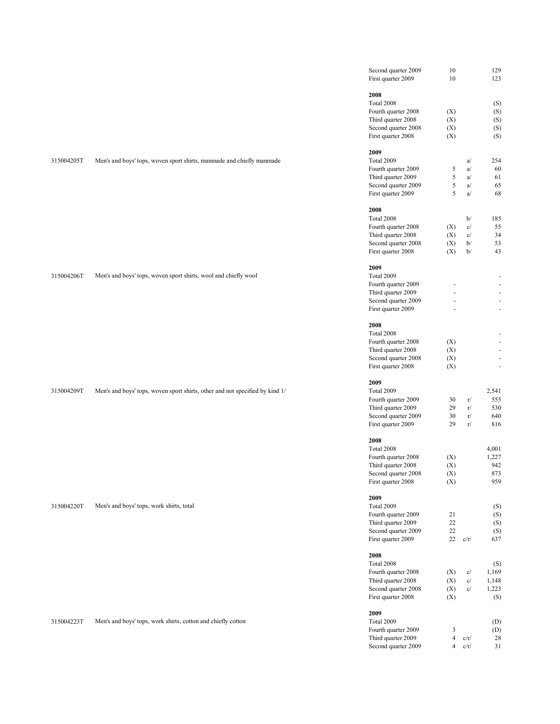|            |                                                                              | Second quarter 2009<br>First quarter 2009                                                                                                                                                                                    | 10<br>10                                                          |                                | 129<br>123                                                                                                                                                |
|------------|------------------------------------------------------------------------------|------------------------------------------------------------------------------------------------------------------------------------------------------------------------------------------------------------------------------|-------------------------------------------------------------------|--------------------------------|-----------------------------------------------------------------------------------------------------------------------------------------------------------|
| 315004205T | Men's and boys' tops, woven sport shirts, manmade and chiefly manmade        | 2008<br>Total 2008<br>Fourth quarter 2008<br>Third quarter 2008<br>Second quarter 2008<br>First quarter 2008<br>2009<br>Total 2009<br>Fourth quarter 2009<br>Third quarter 2009<br>Second quarter 2009<br>First quarter 2009 | (X)<br>(X)<br>(X)<br>(X)<br>5<br>5<br>5<br>5                      | a/<br>a/<br>a/<br>a/<br>a/     | (S)<br>(S)<br>(S)<br>(S)<br>(S)<br>254<br>60<br>61<br>65<br>68                                                                                            |
| 315004206T | Men's and boys' tops, woven sport shirts, wool and chiefly wool              | 2008<br>Total 2008<br>Fourth quarter 2008<br>Third quarter 2008<br>Second quarter 2008<br>First quarter 2008<br>2009<br>Total 2009<br>Fourth quarter 2009<br>Third quarter 2009<br>Second quarter 2009<br>First quarter 2009 | (X)<br>(X)<br>(X)<br>(X)<br>ä,<br>ä,                              | b/<br>c/<br>c/<br>b/<br>b/     | 185<br>55<br>34<br>53<br>43<br>$\overline{\phantom{a}}$<br>$\blacksquare$<br>$\overline{\phantom{a}}$<br>$\blacksquare$<br>$\omega$                       |
| 315004209T | Men's and boys' tops, woven sport shirts, other and not specified by kind 1/ | 2008<br>Total 2008<br>Fourth quarter 2008<br>Third quarter 2008<br>Second quarter 2008<br>First quarter 2008<br>2009<br>Total 2009<br>Fourth quarter 2009<br>Third quarter 2009<br>Second quarter 2009<br>First quarter 2009 | (X)<br>(X)<br>(X)<br>(X)<br>30<br>29<br>30<br>29                  | r/<br>r/<br>r/<br>r/           | $\overline{\phantom{a}}$<br>$\overline{\phantom{a}}$<br>$\blacksquare$<br>$\blacksquare$<br>$\overline{\phantom{a}}$<br>2,541<br>555<br>530<br>640<br>816 |
| 315004220T | Men's and boys' tops, work shirts, total                                     | 2008<br>Total 2008<br>Fourth quarter 2008<br>Third quarter 2008<br>Second quarter 2008<br>First quarter 2008<br>2009<br>Total 2009<br>Fourth quarter 2009<br>Third quarter 2009<br>Second quarter 2009<br>First quarter 2009 | (X)<br>(X)<br>(X)<br>(X)<br>21<br>22<br>22<br>22                  | c/r/                           | 4,001<br>1,227<br>942<br>873<br>959<br>(S)<br>(S)<br>(S)<br>(S)<br>637                                                                                    |
| 315004223T | Men's and boys' tops, work shirts, cotton and chiefly cotton                 | 2008<br>Total 2008<br>Fourth quarter 2008<br>Third quarter 2008<br>Second quarter 2008<br>First quarter 2008<br>2009<br>Total 2009<br>Fourth quarter 2009<br>Third quarter 2009<br>Second quarter 2009                       | (X)<br>(X)<br>(X)<br>(X)<br>3<br>$\overline{4}$<br>$\overline{4}$ | c/<br>c/<br>c/<br>c/r/<br>c/r/ | (S)<br>1,169<br>1,148<br>1,223<br>(S)<br>(D)<br>(D)<br>28<br>31                                                                                           |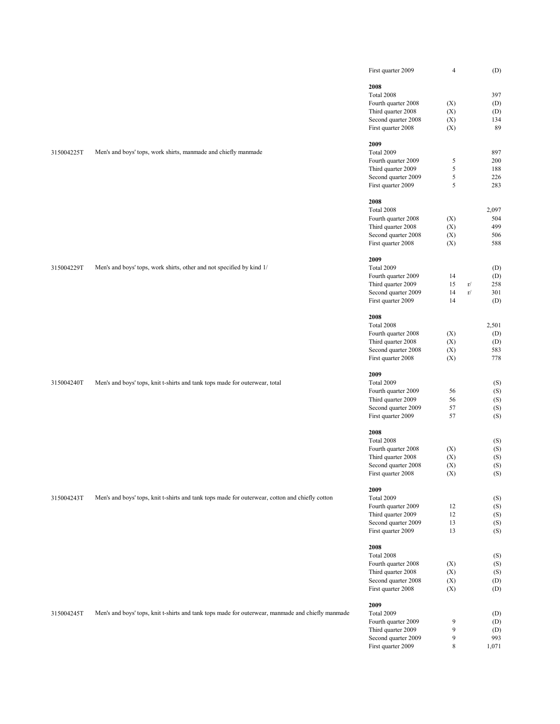|            |                                                                                                   | First quarter 2009                        | $\overline{4}$ |    | (D)        |
|------------|---------------------------------------------------------------------------------------------------|-------------------------------------------|----------------|----|------------|
|            |                                                                                                   | 2008                                      |                |    |            |
|            |                                                                                                   | Total 2008                                |                |    | 397        |
|            |                                                                                                   | Fourth quarter 2008                       | (X)            |    | (D)        |
|            |                                                                                                   |                                           |                |    |            |
|            |                                                                                                   | Third quarter 2008                        | (X)            |    | (D)        |
|            |                                                                                                   | Second quarter 2008                       | (X)            |    | 134        |
|            |                                                                                                   | First quarter 2008                        | (X)            |    | 89         |
|            |                                                                                                   | 2009                                      |                |    |            |
| 315004225T | Men's and boys' tops, work shirts, manmade and chiefly manmade                                    | Total 2009                                |                |    | 897        |
|            |                                                                                                   | Fourth quarter 2009                       | 5              |    | 200        |
|            |                                                                                                   | Third quarter 2009                        | $\mathfrak s$  |    | 188        |
|            |                                                                                                   | Second quarter 2009                       | 5              |    | 226        |
|            |                                                                                                   | First quarter 2009                        | 5              |    | 283        |
|            |                                                                                                   | 2008                                      |                |    |            |
|            |                                                                                                   | Total 2008                                |                |    | 2,097      |
|            |                                                                                                   |                                           |                |    | 504        |
|            |                                                                                                   | Fourth quarter 2008                       | (X)            |    |            |
|            |                                                                                                   | Third quarter 2008                        | (X)            |    | 499        |
|            |                                                                                                   | Second quarter 2008                       | (X)            |    | 506        |
|            |                                                                                                   | First quarter 2008                        | (X)            |    | 588        |
|            |                                                                                                   | 2009                                      |                |    |            |
| 315004229T | Men's and boys' tops, work shirts, other and not specified by kind 1/                             | Total 2009                                |                |    | (D)        |
|            |                                                                                                   | Fourth quarter 2009                       | 14             |    | (D)        |
|            |                                                                                                   | Third quarter 2009                        | 15             | r/ | 258        |
|            |                                                                                                   | Second quarter 2009                       | 14             | r/ | 301        |
|            |                                                                                                   | First quarter 2009                        | 14             |    | (D)        |
|            |                                                                                                   | 2008                                      |                |    |            |
|            |                                                                                                   | Total 2008                                |                |    | 2,501      |
|            |                                                                                                   |                                           |                |    |            |
|            |                                                                                                   | Fourth quarter 2008                       | (X)            |    | (D)        |
|            |                                                                                                   | Third quarter 2008                        | (X)            |    | (D)        |
|            |                                                                                                   | Second quarter 2008                       | (X)            |    | 583        |
|            |                                                                                                   | First quarter 2008                        | (X)            |    | 778        |
|            |                                                                                                   | 2009                                      |                |    |            |
| 315004240T | Men's and boys' tops, knit t-shirts and tank tops made for outerwear, total                       | Total 2009                                |                |    | (S)        |
|            |                                                                                                   | Fourth quarter 2009                       | 56             |    | (S)        |
|            |                                                                                                   | Third quarter 2009                        | 56             |    | (S)        |
|            |                                                                                                   | Second quarter 2009                       | 57             |    | (S)        |
|            |                                                                                                   | First quarter 2009                        | 57             |    | (S)        |
|            |                                                                                                   |                                           |                |    |            |
|            |                                                                                                   | 2008                                      |                |    |            |
|            |                                                                                                   | Total 2008                                |                |    | (S)        |
|            |                                                                                                   | Fourth quarter 2008                       | (X)            |    | (S)        |
|            |                                                                                                   | Third quarter 2008                        | (X)            |    | (S)        |
|            |                                                                                                   | Second quarter 2008<br>First quarter 2008 | (X)<br>(X)     |    | (S)<br>(S) |
|            |                                                                                                   |                                           |                |    |            |
|            |                                                                                                   | 2009                                      |                |    |            |
| 315004243T | Men's and boys' tops, knit t-shirts and tank tops made for outerwear, cotton and chiefly cotton   | Total 2009                                |                |    | (S)        |
|            |                                                                                                   | Fourth quarter 2009                       | 12             |    | (S)        |
|            |                                                                                                   | Third quarter 2009                        | 12             |    | (S)        |
|            |                                                                                                   | Second quarter 2009                       | 13             |    | (S)        |
|            |                                                                                                   | First quarter 2009                        | 13             |    | (S)        |
|            |                                                                                                   | 2008                                      |                |    |            |
|            |                                                                                                   | Total 2008                                |                |    | (S)        |
|            |                                                                                                   | Fourth quarter 2008                       | (X)            |    | (S)        |
|            |                                                                                                   | Third quarter 2008                        | (X)            |    | (S)        |
|            |                                                                                                   | Second quarter 2008                       | (X)            |    | (D)        |
|            |                                                                                                   | First quarter 2008                        | (X)            |    | (D)        |
|            |                                                                                                   |                                           |                |    |            |
|            |                                                                                                   | 2009                                      |                |    |            |
| 315004245T | Men's and boys' tops, knit t-shirts and tank tops made for outerwear, manmade and chiefly manmade | Total 2009                                |                |    | (D)        |
|            |                                                                                                   | Fourth quarter 2009                       | 9              |    | (D)        |
|            |                                                                                                   | Third quarter 2009                        | 9              |    | (D)        |
|            |                                                                                                   | Second quarter 2009                       | 9              |    | 993        |
|            |                                                                                                   | First quarter 2009                        | 8              |    | 1,071      |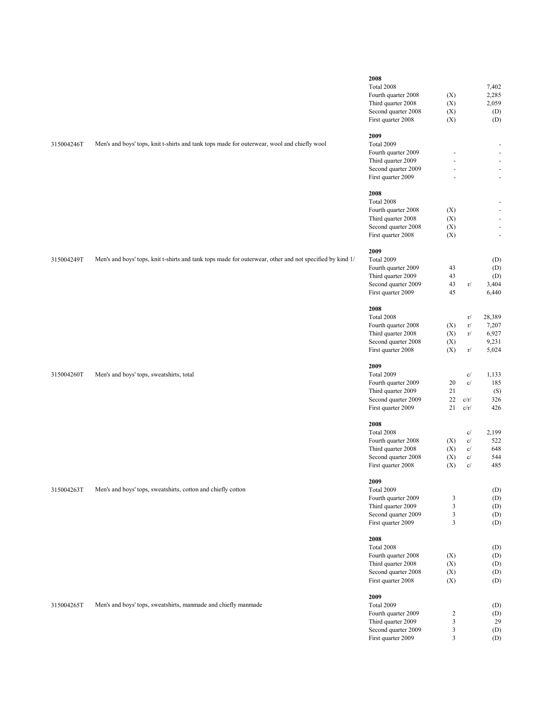| 315004246T | Men's and boys' tops, knit t-shirts and tank tops made for outerwear, wool and chiefly wool              | 2008<br>Total 2008<br>Fourth quarter 2008<br>Third quarter 2008<br>Second quarter 2008<br>First quarter 2008<br>2009<br>Total 2009<br>Fourth quarter 2009<br>Third quarter 2009<br>Second quarter 2009<br>First quarter 2009<br>2008 | (X)<br>(X)<br>(X)<br>(X)                         |                                                        | 7,402<br>2,285<br>2,059<br>(D)<br>(D)<br>$\qquad \qquad \blacksquare$<br>$\blacksquare$<br>$\blacksquare$<br>$\overline{\phantom{a}}$<br>$\overline{\phantom{a}}$ |
|------------|----------------------------------------------------------------------------------------------------------|--------------------------------------------------------------------------------------------------------------------------------------------------------------------------------------------------------------------------------------|--------------------------------------------------|--------------------------------------------------------|-------------------------------------------------------------------------------------------------------------------------------------------------------------------|
| 315004249T | Men's and boys' tops, knit t-shirts and tank tops made for outerwear, other and not specified by kind 1/ | Total 2008<br>Fourth quarter 2008<br>Third quarter 2008<br>Second quarter 2008<br>First quarter 2008<br>2009<br>Total 2009<br>Fourth quarter 2009<br>Third quarter 2009<br>Second quarter 2009<br>First quarter 2009<br>2008         | (X)<br>(X)<br>(X)<br>(X)<br>43<br>43<br>43<br>45 | r/                                                     | $\overline{\phantom{a}}$<br>$\blacksquare$<br>$\blacksquare$<br>$\overline{\phantom{a}}$<br>(D)<br>(D)<br>(D)<br>3,404<br>6,440                                   |
| 315004260T | Men's and boys' tops, sweatshirts, total                                                                 | Total 2008<br>Fourth quarter 2008<br>Third quarter 2008<br>Second quarter 2008<br>First quarter 2008<br>2009<br>Total 2009<br>Fourth quarter 2009<br>Third quarter 2009<br>Second quarter 2009<br>First quarter 2009                 | (X)<br>(X)<br>(X)<br>(X)<br>20<br>21<br>22<br>21 | r/<br>r/<br>r/<br>$\rm r/$<br>c/<br>c/<br>c/r/<br>c/r/ | 28,389<br>7,207<br>6,927<br>9,231<br>5,024<br>1,133<br>185<br>(S)<br>326<br>426                                                                                   |
| 315004263T | Men's and boys' tops, sweatshirts, cotton and chiefly cotton                                             | 2008<br>Total 2008<br>Fourth quarter 2008<br>Third quarter 2008<br>Second quarter 2008<br>First quarter 2008<br>2009<br>Total 2009<br>Fourth quarter 2009<br>Third quarter 2009<br>Second quarter 2009<br>First quarter 2009<br>2008 | (X)<br>(X)<br>(X)<br>(X)<br>3<br>3<br>3<br>3     | c/<br>c/<br>c/<br>c/<br>c/                             | 2,199<br>522<br>648<br>544<br>485<br>(D)<br>(D)<br>(D)<br>(D)<br>(D)                                                                                              |
| 315004265T | Men's and boys' tops, sweatshirts, manmade and chiefly manmade                                           | Total 2008<br>Fourth quarter 2008<br>Third quarter 2008<br>Second quarter 2008<br>First quarter 2008<br>2009<br>Total 2009<br>Fourth quarter 2009<br>Third quarter 2009<br>Second quarter 2009<br>First quarter 2009                 | (X)<br>(X)<br>(X)<br>(X)<br>2<br>3<br>3<br>3     |                                                        | (D)<br>(D)<br>(D)<br>(D)<br>(D)<br>(D)<br>(D)<br>29<br>(D)<br>(D)                                                                                                 |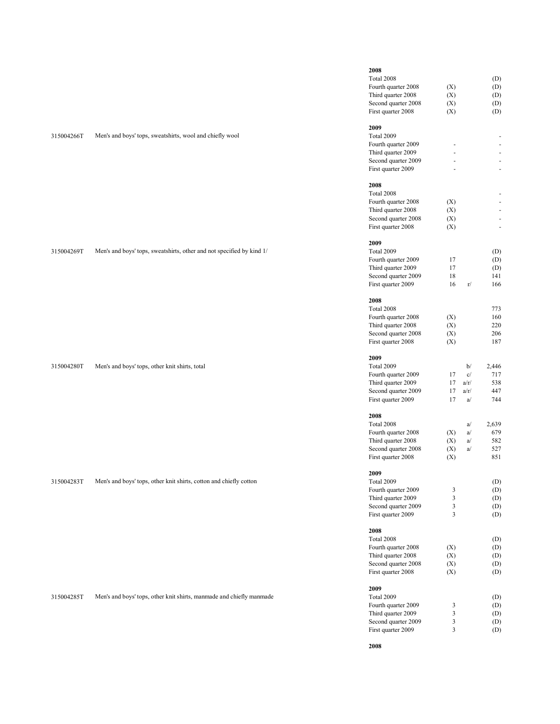| 315004266T | Men's and boys' tops, sweatshirts, wool and chiefly wool              | 2008<br>Total 2008<br>Fourth quarter 2008<br>Third quarter 2008<br>Second quarter 2008<br>First quarter 2008<br>2009<br>Total 2009<br>Fourth quarter 2009<br>Third quarter 2009<br>Second quarter 2009<br>First quarter 2009<br>2008<br>Total 2008 | (X)<br>(X)<br>(X)<br>(X)                                                        |                                                                   | (D)<br>(D)<br>(D)<br>(D)<br>(D)<br>٠<br>$\overline{\phantom{a}}$<br>÷.<br>$\overline{\phantom{a}}$<br>ä,                                                 |  |
|------------|-----------------------------------------------------------------------|----------------------------------------------------------------------------------------------------------------------------------------------------------------------------------------------------------------------------------------------------|---------------------------------------------------------------------------------|-------------------------------------------------------------------|----------------------------------------------------------------------------------------------------------------------------------------------------------|--|
| 315004269T | Men's and boys' tops, sweatshirts, other and not specified by kind 1/ | Fourth quarter 2008<br>Third quarter 2008<br>Second quarter 2008<br>First quarter 2008<br>2009<br>Total 2009<br>Fourth quarter 2009<br>Third quarter 2009<br>Second quarter 2009<br>First quarter 2009<br>2008                                     | (X)<br>(X)<br>(X)<br>(X)<br>17<br>17<br>18<br>16                                | r/                                                                | $\overline{\phantom{m}}$<br>$\mathcal{L}_{\mathcal{A}}$<br>$\overline{\phantom{a}}$<br>÷.<br>$\overline{\phantom{a}}$<br>(D)<br>(D)<br>(D)<br>141<br>166 |  |
| 315004280T | Men's and boys' tops, other knit shirts, total                        | Total 2008<br>Fourth quarter 2008<br>Third quarter 2008<br>Second quarter 2008<br>First quarter 2008<br>2009<br>Total 2009<br>Fourth quarter 2009<br>Third quarter 2009<br>Second quarter 2009<br>First quarter 2009<br>2008                       | (X)<br>(X)<br>(X)<br>(X)<br>17<br>17<br>17<br>17                                | b/<br>$\mathbf{c}/$<br>a/r/<br>a/r/<br>a/                         | 773<br>160<br>220<br>206<br>187<br>2,446<br>717<br>538<br>447<br>744                                                                                     |  |
| 315004283T | Men's and boys' tops, other knit shirts, cotton and chiefly cotton    | Total 2008<br>Fourth quarter 2008<br>Third quarter 2008<br>Second quarter 2008<br>First quarter 2008<br>2009<br>Total 2009<br>Fourth quarter 2009<br>Third quarter 2009<br>Second quarter 2009<br>First quarter 2009<br>2008                       | (X)<br>(X)<br>(X)<br>(X)<br>3<br>$\sqrt{3}$<br>$\mathfrak{Z}$<br>$\mathfrak{Z}$ | a/<br>a/<br>a/<br>$\mathbf{a}/% \mathbf{a}/\mathbf{a}/\mathbf{a}$ | 2,639<br>679<br>582<br>527<br>851<br>(D)<br>(D)<br>(D)<br>(D)<br>(D)                                                                                     |  |
| 315004285T | Men's and boys' tops, other knit shirts, manmade and chiefly manmade  | Total 2008<br>Fourth quarter 2008<br>Third quarter 2008<br>Second quarter 2008<br>First quarter 2008<br>2009<br>Total 2009<br>Fourth quarter 2009<br>Third quarter 2009<br>Second quarter 2009<br>First quarter 2009                               | (X)<br>(X)<br>(X)<br>(X)<br>3<br>$\mathfrak{Z}$<br>3<br>$\overline{\mathbf{3}}$ |                                                                   | (D)<br>(D)<br>(D)<br>(D)<br>(D)<br>(D)<br>(D)<br>(D)<br>(D)<br>(D)                                                                                       |  |

**2008**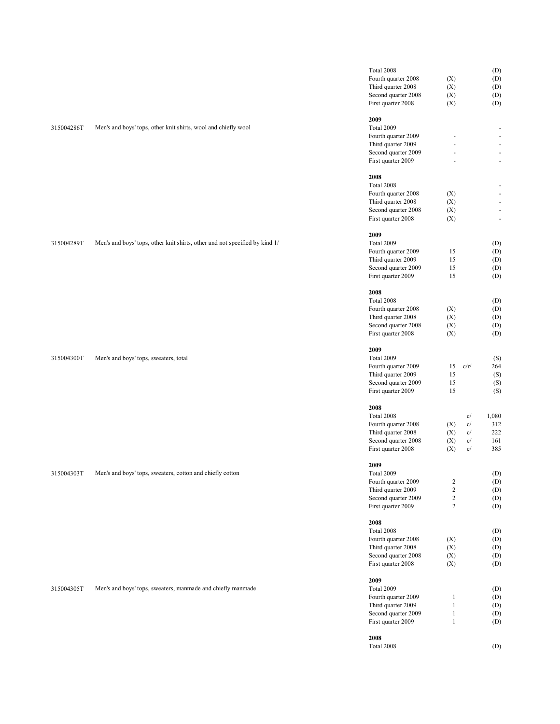| 315004286T | Men's and boys' tops, other knit shirts, wool and chiefly wool              | Total 2008<br>Fourth quarter 2008<br>Third quarter 2008<br>Second quarter 2008<br>First quarter 2008<br>2009<br>Total 2009<br>Fourth quarter 2009<br>Third quarter 2009<br>Second quarter 2009<br>First quarter 2009                       | (X)<br>(X)<br>(X)<br>(X)<br>$\sim$                                                     |                                                             | (D)<br>(D)<br>(D)<br>(D)<br>(D)<br>$\blacksquare$<br>÷,<br>÷              |
|------------|-----------------------------------------------------------------------------|--------------------------------------------------------------------------------------------------------------------------------------------------------------------------------------------------------------------------------------------|----------------------------------------------------------------------------------------|-------------------------------------------------------------|---------------------------------------------------------------------------|
| 315004289T | Men's and boys' tops, other knit shirts, other and not specified by kind 1/ | 2008<br>Total 2008<br>Fourth quarter 2008<br>Third quarter 2008<br>Second quarter 2008<br>First quarter 2008<br>2009<br>Total 2009<br>Fourth quarter 2009<br>Third quarter 2009<br>Second quarter 2009<br>First quarter 2009<br>2008       | (X)<br>(X)<br>(X)<br>(X)<br>15<br>15<br>15<br>15                                       |                                                             | $\blacksquare$<br>÷<br>(D)<br>(D)<br>(D)<br>(D)<br>(D)                    |
| 315004300T | Men's and boys' tops, sweaters, total                                       | Total 2008<br>Fourth quarter 2008<br>Third quarter 2008<br>Second quarter 2008<br>First quarter 2008<br>2009<br>Total 2009<br>Fourth quarter 2009<br>Third quarter 2009<br>Second quarter 2009<br>First quarter 2009<br>2008               | (X)<br>(X)<br>(X)<br>(X)<br>15<br>15<br>15<br>15                                       | c/r/                                                        | (D)<br>(D)<br>(D)<br>(D)<br>(D)<br>(S)<br>264<br>(S)<br>(S)<br>(S)        |
| 315004303T | Men's and boys' tops, sweaters, cotton and chiefly cotton                   | Total 2008<br>Fourth quarter 2008<br>Third quarter 2008<br>Second quarter 2008<br>First quarter 2008<br>2009<br>Total 2009<br>Fourth quarter 2009<br>Third quarter 2009<br>Second quarter 2009<br>First quarter 2009<br>2008               | (X)<br>(X)<br>(X)<br>(X)<br>$\sqrt{2}$<br>$\sqrt{2}$<br>$\boldsymbol{2}$<br>$\sqrt{2}$ | c/<br>c/<br>c/<br>c/<br>$\mathbf{c}/% \mathbf{c}^{\prime }$ | 1,080<br>312<br>222<br>161<br>385<br>(D)<br>(D)<br>(D)<br>(D)<br>(D)      |
| 315004305T | Men's and boys' tops, sweaters, manmade and chiefly manmade                 | Total 2008<br>Fourth quarter 2008<br>Third quarter 2008<br>Second quarter 2008<br>First quarter 2008<br>2009<br>Total 2009<br>Fourth quarter 2009<br>Third quarter 2009<br>Second quarter 2009<br>First quarter 2009<br>2008<br>Total 2008 | (X)<br>(X)<br>(X)<br>(X)<br>1<br>$\mathbf{1}$<br>$\mathbf{1}$<br>$\mathbf{1}$          |                                                             | (D)<br>(D)<br>(D)<br>(D)<br>(D)<br>(D)<br>(D)<br>(D)<br>(D)<br>(D)<br>(D) |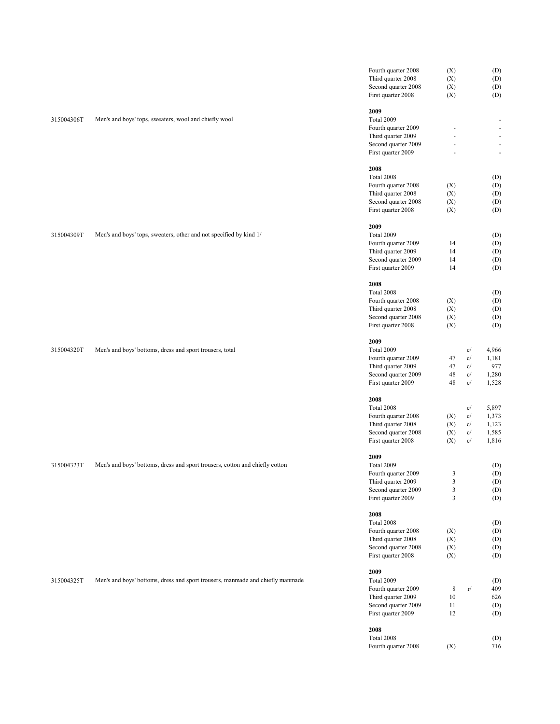|            |                                                                                | Fourth quarter 2008 | (X)            |                                     | (D)   |
|------------|--------------------------------------------------------------------------------|---------------------|----------------|-------------------------------------|-------|
|            |                                                                                | Third quarter 2008  | (X)            |                                     | (D)   |
|            |                                                                                |                     |                |                                     |       |
|            |                                                                                | Second quarter 2008 | (X)            |                                     | (D)   |
|            |                                                                                | First quarter 2008  | (X)            |                                     | (D)   |
|            |                                                                                |                     |                |                                     |       |
|            |                                                                                | 2009                |                |                                     |       |
| 315004306T | Men's and boys' tops, sweaters, wool and chiefly wool                          | Total 2009          |                |                                     |       |
|            |                                                                                | Fourth quarter 2009 |                |                                     |       |
|            |                                                                                | Third quarter 2009  |                |                                     | ä,    |
|            |                                                                                | Second quarter 2009 |                |                                     |       |
|            |                                                                                | First quarter 2009  |                |                                     | ä,    |
|            |                                                                                |                     |                |                                     |       |
|            |                                                                                | 2008                |                |                                     |       |
|            |                                                                                | Total 2008          |                |                                     | (D)   |
|            |                                                                                | Fourth quarter 2008 | (X)            |                                     | (D)   |
|            |                                                                                | Third quarter 2008  | (X)            |                                     | (D)   |
|            |                                                                                | Second quarter 2008 | (X)            |                                     | (D)   |
|            |                                                                                | First quarter 2008  | (X)            |                                     | (D)   |
|            |                                                                                |                     |                |                                     |       |
|            |                                                                                | 2009                |                |                                     |       |
|            |                                                                                |                     |                |                                     |       |
| 315004309T | Men's and boys' tops, sweaters, other and not specified by kind 1/             | Total 2009          |                |                                     | (D)   |
|            |                                                                                | Fourth quarter 2009 | 14             |                                     | (D)   |
|            |                                                                                | Third quarter 2009  | 14             |                                     | (D)   |
|            |                                                                                | Second quarter 2009 | 14             |                                     | (D)   |
|            |                                                                                | First quarter 2009  | 14             |                                     | (D)   |
|            |                                                                                |                     |                |                                     |       |
|            |                                                                                | 2008                |                |                                     |       |
|            |                                                                                | Total 2008          |                |                                     | (D)   |
|            |                                                                                | Fourth quarter 2008 | (X)            |                                     | (D)   |
|            |                                                                                | Third quarter 2008  | (X)            |                                     | (D)   |
|            |                                                                                | Second quarter 2008 | (X)            |                                     | (D)   |
|            |                                                                                |                     |                |                                     |       |
|            |                                                                                | First quarter 2008  | (X)            |                                     | (D)   |
|            |                                                                                | 2009                |                |                                     |       |
|            |                                                                                |                     |                |                                     |       |
| 315004320T | Men's and boys' bottoms, dress and sport trousers, total                       | Total 2009          |                | c/                                  | 4,966 |
|            |                                                                                | Fourth quarter 2009 | 47             | c/                                  | 1,181 |
|            |                                                                                | Third quarter 2009  | 47             | c/                                  | 977   |
|            |                                                                                | Second quarter 2009 | 48             | $\mathbf{c}/% \mathbf{c}^{\prime }$ | 1,280 |
|            |                                                                                | First quarter 2009  | 48             | c/                                  | 1,528 |
|            |                                                                                |                     |                |                                     |       |
|            |                                                                                | 2008                |                |                                     |       |
|            |                                                                                | Total 2008          |                | c/                                  | 5,897 |
|            |                                                                                | Fourth quarter 2008 | (X)            | c/                                  | 1,373 |
|            |                                                                                | Third quarter 2008  | (X)            | c/                                  | 1,123 |
|            |                                                                                | Second quarter 2008 | (X)            | c/                                  | 1,585 |
|            |                                                                                |                     |                |                                     |       |
|            |                                                                                | First quarter 2008  | (X)            | c/                                  | 1,816 |
|            |                                                                                |                     |                |                                     |       |
|            |                                                                                | 2009                |                |                                     |       |
| 315004323T | Men's and boys' bottoms, dress and sport trousers, cotton and chiefly cotton   | Total 2009          |                |                                     | (D)   |
|            |                                                                                | Fourth quarter 2009 | 3              |                                     | (D)   |
|            |                                                                                | Third quarter 2009  | $\mathfrak{Z}$ |                                     | (D)   |
|            |                                                                                | Second quarter 2009 | 3              |                                     | (D)   |
|            |                                                                                | First quarter 2009  | $\mathfrak{Z}$ |                                     | (D)   |
|            |                                                                                |                     |                |                                     |       |
|            |                                                                                | 2008                |                |                                     |       |
|            |                                                                                | Total 2008          |                |                                     | (D)   |
|            |                                                                                | Fourth quarter 2008 | (X)            |                                     | (D)   |
|            |                                                                                | Third quarter 2008  | (X)            |                                     | (D)   |
|            |                                                                                | Second quarter 2008 | (X)            |                                     | (D)   |
|            |                                                                                | First quarter 2008  |                |                                     |       |
|            |                                                                                |                     | (X)            |                                     | (D)   |
|            |                                                                                |                     |                |                                     |       |
|            |                                                                                | 2009                |                |                                     |       |
| 315004325T | Men's and boys' bottoms, dress and sport trousers, manmade and chiefly manmade | Total 2009          |                |                                     | (D)   |
|            |                                                                                | Fourth quarter 2009 | $\,$ 8 $\,$    | $\rm r/$                            | 409   |
|            |                                                                                | Third quarter 2009  | 10             |                                     | 626   |
|            |                                                                                | Second quarter 2009 | 11             |                                     | (D)   |
|            |                                                                                | First quarter 2009  | 12             |                                     | (D)   |
|            |                                                                                |                     |                |                                     |       |
|            |                                                                                | 2008                |                |                                     |       |
|            |                                                                                | Total 2008          |                |                                     | (D)   |
|            |                                                                                | Fourth quarter 2008 | (X)            |                                     | 716   |
|            |                                                                                |                     |                |                                     |       |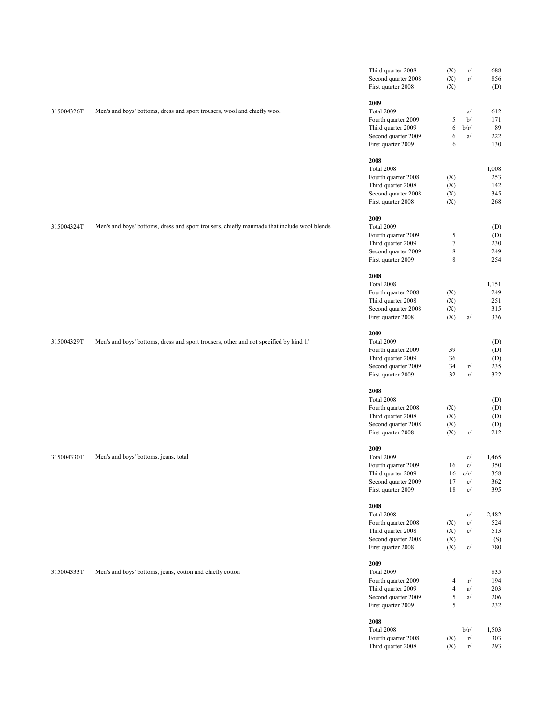|            |                                                                                             | Third quarter 2008<br>Second quarter 2008<br>First quarter 2008                                                                                                                                                                      | (X)<br>(X)<br>(X)                                                     | r/<br>$\Gamma/$                                                         | 688<br>856<br>(D)                                                    |  |
|------------|---------------------------------------------------------------------------------------------|--------------------------------------------------------------------------------------------------------------------------------------------------------------------------------------------------------------------------------------|-----------------------------------------------------------------------|-------------------------------------------------------------------------|----------------------------------------------------------------------|--|
| 315004326T | Men's and boys' bottoms, dress and sport trousers, wool and chiefly wool                    | 2009<br>Total 2009<br>Fourth quarter 2009<br>Third quarter 2009<br>Second quarter 2009<br>First quarter 2009                                                                                                                         | 5<br>6<br>6<br>6                                                      | a/<br>b/<br>b/r/<br>a/                                                  | 612<br>171<br>89<br>222<br>130                                       |  |
| 315004324T | Men's and boys' bottoms, dress and sport trousers, chiefly manmade that include wool blends | 2008<br>Total 2008<br>Fourth quarter 2008<br>Third quarter 2008<br>Second quarter 2008<br>First quarter 2008<br>2009<br>Total 2009<br>Fourth quarter 2009<br>Third quarter 2009<br>Second quarter 2009<br>First quarter 2009<br>2008 | (X)<br>(X)<br>(X)<br>(X)<br>5<br>$\boldsymbol{7}$<br>$\,$ 8 $\,$<br>8 |                                                                         | 1,008<br>253<br>142<br>345<br>268<br>(D)<br>(D)<br>230<br>249<br>254 |  |
| 315004329T | Men's and boys' bottoms, dress and sport trousers, other and not specified by kind 1/       | Total 2008<br>Fourth quarter 2008<br>Third quarter 2008<br>Second quarter 2008<br>First quarter 2008<br>2009<br>Total 2009<br>Fourth quarter 2009<br>Third quarter 2009<br>Second quarter 2009<br>First quarter 2009                 | (X)<br>(X)<br>(X)<br>(X)<br>39<br>36<br>34<br>32                      | a/<br>$\Gamma/$<br>$\Gamma/$                                            | 1,151<br>249<br>251<br>315<br>336<br>(D)<br>(D)<br>(D)<br>235<br>322 |  |
| 315004330T | Men's and boys' bottoms, jeans, total                                                       | 2008<br>Total 2008<br>Fourth quarter 2008<br>Third quarter 2008<br>Second quarter 2008<br>First quarter 2008<br>2009<br>Total 2009<br>Fourth quarter 2009<br>Third quarter 2009<br>Second quarter 2009<br>First quarter 2009         | (X)<br>(X)<br>(X)<br>(X)<br>16<br>16<br>17<br>18                      | r/<br>c/<br>$\mathbf{c}/$<br>c/r/<br>$\mathbf{c}/$<br>$\mathbf{c}/$     | (D)<br>(D)<br>(D)<br>(D)<br>212<br>1,465<br>350<br>358<br>362<br>395 |  |
| 315004333T | Men's and boys' bottoms, jeans, cotton and chiefly cotton                                   | 2008<br>Total 2008<br>Fourth quarter 2008<br>Third quarter 2008<br>Second quarter 2008<br>First quarter 2008<br>2009<br>Total 2009<br>Fourth quarter 2009<br>Third quarter 2009<br>Second quarter 2009<br>First quarter 2009         | (X)<br>(X)<br>(X)<br>(X)<br>4<br>$\overline{\mathcal{L}}$<br>5<br>5   | c/<br>$\mathbf{c}/$<br>$\mathbf{c}/$<br>$\mathbf{c}/$<br>r/<br>a/<br>a/ | 2,482<br>524<br>513<br>(S)<br>780<br>835<br>194<br>203<br>206<br>232 |  |
|            |                                                                                             | 2008<br>Total 2008<br>Fourth quarter 2008<br>Third quarter 2008                                                                                                                                                                      | (X)<br>(X)                                                            | b/r/<br>r/<br>$\rm r/$                                                  | 1,503<br>303<br>293                                                  |  |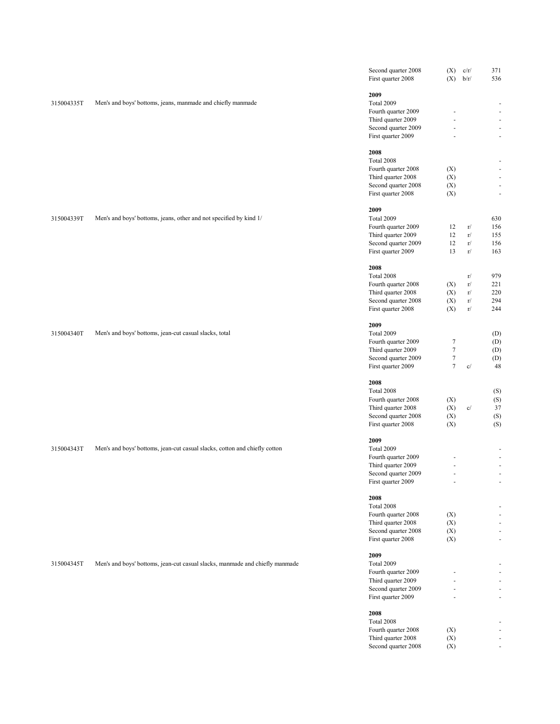|            |                                                                              | Second quarter 2008<br>First quarter 2008                                                                    | (X)<br>$(X)$ $b/r/$                                                        | c/r/                             | 371<br>536                                                                                                 |
|------------|------------------------------------------------------------------------------|--------------------------------------------------------------------------------------------------------------|----------------------------------------------------------------------------|----------------------------------|------------------------------------------------------------------------------------------------------------|
| 315004335T | Men's and boys' bottoms, jeans, manmade and chiefly manmade                  | 2009<br>Total 2009<br>Fourth quarter 2009<br>Third quarter 2009<br>Second quarter 2009<br>First quarter 2009 | ä,                                                                         |                                  | $\overline{\phantom{a}}$<br>$\overline{\phantom{a}}$<br>$\blacksquare$<br>$\blacksquare$<br>$\blacksquare$ |
|            |                                                                              | 2008<br>Total 2008<br>Fourth quarter 2008<br>Third quarter 2008<br>Second quarter 2008<br>First quarter 2008 | (X)<br>(X)<br>(X)<br>(X)                                                   |                                  | $\overline{\phantom{0}}$<br>$\blacksquare$<br>$\frac{1}{2}$<br>$\blacksquare$<br>$\overline{\phantom{a}}$  |
| 315004339T | Men's and boys' bottoms, jeans, other and not specified by kind 1/           | 2009<br>Total 2009<br>Fourth quarter 2009<br>Third quarter 2009<br>Second quarter 2009<br>First quarter 2009 | 12<br>12<br>12<br>13                                                       | r/<br>r/<br>r/<br>r/             | 630<br>156<br>155<br>156<br>163                                                                            |
|            |                                                                              | 2008<br>Total 2008<br>Fourth quarter 2008<br>Third quarter 2008<br>Second quarter 2008<br>First quarter 2008 | (X)<br>(X)<br>(X)<br>(X)                                                   | r/<br>$\rm r/$<br>r/<br>r/<br>r/ | 979<br>221<br>220<br>294<br>244                                                                            |
| 315004340T | Men's and boys' bottoms, jean-cut casual slacks, total                       | 2009<br>Total 2009<br>Fourth quarter 2009<br>Third quarter 2009<br>Second quarter 2009<br>First quarter 2009 | $\boldsymbol{7}$<br>$\boldsymbol{7}$<br>$\boldsymbol{7}$<br>$\overline{7}$ | $\mathbf{c}/$                    | (D)<br>(D)<br>(D)<br>(D)<br>48                                                                             |
|            |                                                                              | 2008<br>Total 2008<br>Fourth quarter 2008<br>Third quarter 2008<br>Second quarter 2008<br>First quarter 2008 | (X)<br>(X)<br>(X)<br>(X)                                                   | c/                               | (S)<br>(S)<br>37<br>(S)<br>(S)                                                                             |
| 315004343T | Men's and boys' bottoms, jean-cut casual slacks, cotton and chiefly cotton   | 2009<br>Total 2009<br>Fourth quarter 2009<br>Third quarter 2009<br>Second quarter 2009<br>First quarter 2009 | $\frac{1}{2}$<br>ä,                                                        |                                  | $\overline{\phantom{a}}$<br>$\blacksquare$<br>$\overline{\phantom{a}}$<br>$\blacksquare$                   |
|            |                                                                              | 2008<br>Total 2008<br>Fourth quarter 2008<br>Third quarter 2008<br>Second quarter 2008<br>First quarter 2008 | (X)<br>(X)<br>(X)<br>(X)                                                   |                                  | $\blacksquare$<br>$\overline{\phantom{a}}$<br>ä,                                                           |
| 315004345T | Men's and boys' bottoms, jean-cut casual slacks, manmade and chiefly manmade | 2009<br>Total 2009<br>Fourth quarter 2009<br>Third quarter 2009<br>Second quarter 2009<br>First quarter 2009 |                                                                            |                                  | ä,<br>÷.                                                                                                   |
|            |                                                                              | 2008<br>Total 2008<br>Fourth quarter 2008<br>Third quarter 2008<br>Second quarter 2008                       | (X)<br>(X)<br>(X)                                                          |                                  | $\overline{\phantom{0}}$<br>÷.<br>$\overline{\phantom{a}}$                                                 |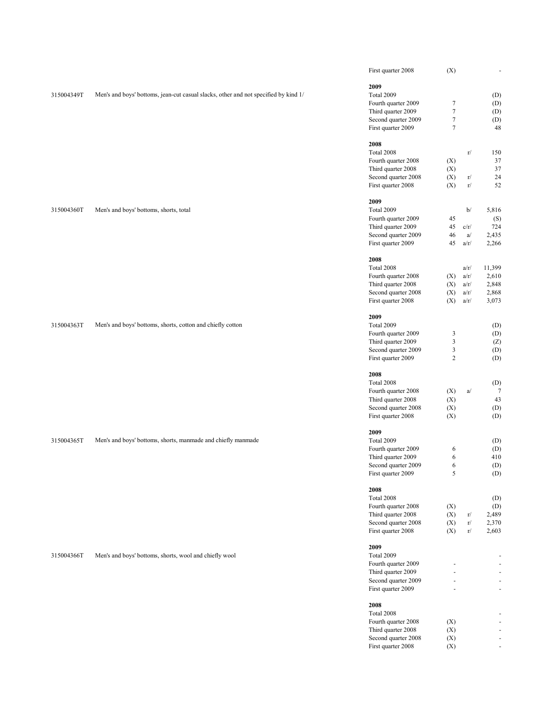|            |                                                                                     | First quarter 2008                        | (X)              |      | $\blacksquare$           |
|------------|-------------------------------------------------------------------------------------|-------------------------------------------|------------------|------|--------------------------|
|            |                                                                                     | 2009                                      |                  |      |                          |
| 315004349T | Men's and boys' bottoms, jean-cut casual slacks, other and not specified by kind 1/ | Total 2009                                |                  |      | (D)                      |
|            |                                                                                     | Fourth quarter 2009                       | $\boldsymbol{7}$ |      | (D)                      |
|            |                                                                                     | Third quarter 2009                        | $\boldsymbol{7}$ |      | (D)                      |
|            |                                                                                     | Second quarter 2009                       | $\boldsymbol{7}$ |      | (D)                      |
|            |                                                                                     | First quarter 2009                        | $\overline{7}$   |      | 48                       |
|            |                                                                                     |                                           |                  |      |                          |
|            |                                                                                     | 2008                                      |                  |      |                          |
|            |                                                                                     | Total 2008                                |                  | r/   | 150                      |
|            |                                                                                     | Fourth quarter 2008                       | (X)              |      | 37                       |
|            |                                                                                     | Third quarter 2008                        | (X)              |      | 37                       |
|            |                                                                                     | Second quarter 2008                       | (X)              | r/   | 24                       |
|            |                                                                                     | First quarter 2008                        | (X)              | r/   | 52                       |
|            |                                                                                     |                                           |                  |      |                          |
| 315004360T | Men's and boys' bottoms, shorts, total                                              | 2009<br>Total 2009                        |                  | b/   | 5,816                    |
|            |                                                                                     | Fourth quarter 2009                       | 45               |      | (S)                      |
|            |                                                                                     | Third quarter 2009                        | 45               | c/r/ | 724                      |
|            |                                                                                     | Second quarter 2009                       | 46               | a/   | 2,435                    |
|            |                                                                                     | First quarter 2009                        | 45               | a/r/ | 2,266                    |
|            |                                                                                     |                                           |                  |      |                          |
|            |                                                                                     | 2008                                      |                  |      |                          |
|            |                                                                                     | Total 2008                                |                  | a/r/ | 11,399                   |
|            |                                                                                     | Fourth quarter 2008                       | (X)              | a/r/ | 2,610                    |
|            |                                                                                     | Third quarter 2008                        | (X)              | a/r/ | 2,848                    |
|            |                                                                                     | Second quarter 2008                       | (X)              | a/r/ | 2,868                    |
|            |                                                                                     | First quarter 2008                        | (X)              | a/r/ | 3,073                    |
|            |                                                                                     |                                           |                  |      |                          |
| 315004363T |                                                                                     | 2009<br>Total 2009                        |                  |      |                          |
|            | Men's and boys' bottoms, shorts, cotton and chiefly cotton                          | Fourth quarter 2009                       | 3                |      | (D)<br>(D)               |
|            |                                                                                     | Third quarter 2009                        | $\mathbf{3}$     |      |                          |
|            |                                                                                     | Second quarter 2009                       | $\mathfrak z$    |      | (Z)<br>(D)               |
|            |                                                                                     | First quarter 2009                        | $\overline{c}$   |      | (D)                      |
|            |                                                                                     |                                           |                  |      |                          |
|            |                                                                                     | 2008                                      |                  |      |                          |
|            |                                                                                     | Total 2008                                |                  |      | (D)                      |
|            |                                                                                     | Fourth quarter 2008                       | (X)              | a/   | 7                        |
|            |                                                                                     | Third quarter 2008                        | (X)              |      | 43                       |
|            |                                                                                     | Second quarter 2008                       | (X)              |      | (D)                      |
|            |                                                                                     | First quarter 2008                        | (X)              |      | (D)                      |
|            |                                                                                     |                                           |                  |      |                          |
|            |                                                                                     | 2009                                      |                  |      |                          |
| 315004365T | Men's and boys' bottoms, shorts, manmade and chiefly manmade                        | Total 2009                                |                  |      | (D)                      |
|            |                                                                                     | Fourth quarter 2009                       | 6                |      | (D)                      |
|            |                                                                                     | Third quarter 2009<br>Second quarter 2009 | 6<br>6           |      | 410<br>(D)               |
|            |                                                                                     | First quarter 2009                        | 5                |      | (D)                      |
|            |                                                                                     |                                           |                  |      |                          |
|            |                                                                                     | 2008                                      |                  |      |                          |
|            |                                                                                     | Total 2008                                |                  |      | (D)                      |
|            |                                                                                     | Fourth quarter 2008                       | (X)              |      | (D)                      |
|            |                                                                                     | Third quarter 2008                        | (X)              | r/   | 2,489                    |
|            |                                                                                     | Second quarter 2008                       | (X)              | r/   | 2,370                    |
|            |                                                                                     | First quarter 2008                        | (X)              | r/   | 2,603                    |
|            |                                                                                     |                                           |                  |      |                          |
| 315004366T | Men's and boys' bottoms, shorts, wool and chiefly wool                              | 2009<br>Total 2009                        |                  |      |                          |
|            |                                                                                     | Fourth quarter 2009                       |                  |      | $\sim$                   |
|            |                                                                                     | Third quarter 2009                        |                  |      | $\sim$                   |
|            |                                                                                     | Second quarter 2009                       |                  |      | ÷.                       |
|            |                                                                                     | First quarter 2009                        |                  |      | ÷                        |
|            |                                                                                     |                                           |                  |      |                          |
|            |                                                                                     | 2008                                      |                  |      |                          |
|            |                                                                                     | Total 2008                                |                  |      | $\overline{a}$           |
|            |                                                                                     | Fourth quarter 2008                       | (X)              |      | $\sim$                   |
|            |                                                                                     | Third quarter 2008                        | (X)              |      | $\sim$                   |
|            |                                                                                     | Second quarter 2008                       | (X)              |      | $\sim$                   |
|            |                                                                                     | First quarter 2008                        | (X)              |      | $\overline{\phantom{a}}$ |
|            |                                                                                     |                                           |                  |      |                          |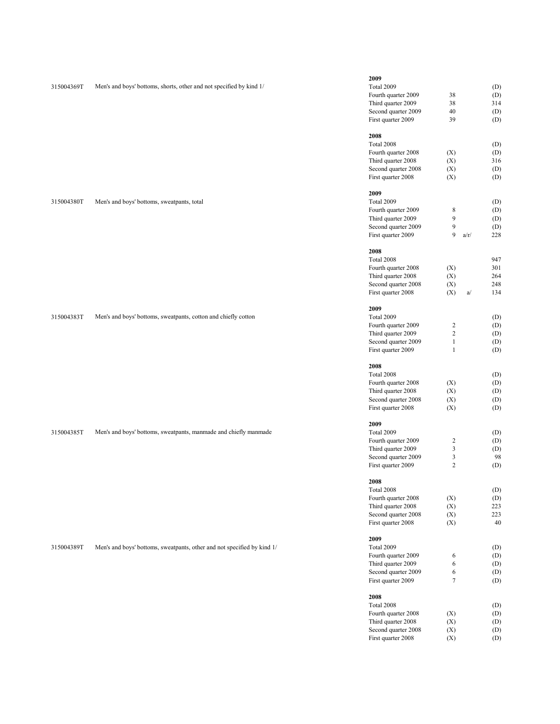|            |                                                                         | 2009                |                         |      |     |
|------------|-------------------------------------------------------------------------|---------------------|-------------------------|------|-----|
| 315004369T | Men's and boys' bottoms, shorts, other and not specified by kind 1/     | Total 2009          |                         |      | (D) |
|            |                                                                         | Fourth quarter 2009 | 38                      |      | (D) |
|            |                                                                         |                     |                         |      |     |
|            |                                                                         | Third quarter 2009  | 38                      |      | 314 |
|            |                                                                         | Second quarter 2009 | 40                      |      | (D) |
|            |                                                                         | First quarter 2009  | 39                      |      | (D) |
|            |                                                                         | 2008                |                         |      |     |
|            |                                                                         |                     |                         |      |     |
|            |                                                                         | Total 2008          |                         |      | (D) |
|            |                                                                         | Fourth quarter 2008 | (X)                     |      | (D) |
|            |                                                                         | Third quarter 2008  | (X)                     |      | 316 |
|            |                                                                         | Second quarter 2008 | (X)                     |      | (D) |
|            |                                                                         | First quarter 2008  | (X)                     |      | (D) |
|            |                                                                         |                     |                         |      |     |
|            |                                                                         | 2009                |                         |      |     |
| 315004380T | Men's and boys' bottoms, sweatpants, total                              | Total 2009          |                         |      | (D) |
|            |                                                                         | Fourth quarter 2009 | 8                       |      | (D) |
|            |                                                                         | Third quarter 2009  | 9                       |      | (D) |
|            |                                                                         | Second quarter 2009 | 9                       |      | (D) |
|            |                                                                         | First quarter 2009  | 9                       | a/r/ | 228 |
|            |                                                                         |                     |                         |      |     |
|            |                                                                         | 2008                |                         |      |     |
|            |                                                                         | Total 2008          |                         |      | 947 |
|            |                                                                         | Fourth quarter 2008 | (X)                     |      | 301 |
|            |                                                                         | Third quarter 2008  | (X)                     |      | 264 |
|            |                                                                         | Second quarter 2008 | (X)                     |      | 248 |
|            |                                                                         | First quarter 2008  | (X)                     | a/   | 134 |
|            |                                                                         |                     |                         |      |     |
|            |                                                                         | 2009                |                         |      |     |
| 315004383T | Men's and boys' bottoms, sweatpants, cotton and chiefly cotton          | Total 2009          |                         |      | (D) |
|            |                                                                         | Fourth quarter 2009 | $\overline{\mathbf{c}}$ |      | (D) |
|            |                                                                         | Third quarter 2009  | $\boldsymbol{2}$        |      | (D) |
|            |                                                                         | Second quarter 2009 | $\mathbf{1}$            |      | (D) |
|            |                                                                         | First quarter 2009  | $\mathbf{1}$            |      | (D) |
|            |                                                                         |                     |                         |      |     |
|            |                                                                         | 2008                |                         |      |     |
|            |                                                                         | Total 2008          |                         |      | (D) |
|            |                                                                         | Fourth quarter 2008 | (X)                     |      | (D) |
|            |                                                                         | Third quarter 2008  | (X)                     |      | (D) |
|            |                                                                         | Second quarter 2008 | (X)                     |      | (D) |
|            |                                                                         |                     | (X)                     |      |     |
|            |                                                                         | First quarter 2008  |                         |      | (D) |
|            |                                                                         | 2009                |                         |      |     |
| 315004385T | Men's and boys' bottoms, sweatpants, manmade and chiefly manmade        | Total 2009          |                         |      | (D) |
|            |                                                                         | Fourth quarter 2009 | $\overline{c}$          |      | (D) |
|            |                                                                         | Third quarter 2009  | 3                       |      | (D) |
|            |                                                                         | Second quarter 2009 | 3                       |      | 98  |
|            |                                                                         | First quarter 2009  | $\overline{2}$          |      | (D) |
|            |                                                                         |                     |                         |      |     |
|            |                                                                         | 2008                |                         |      |     |
|            |                                                                         | Total 2008          |                         |      | (D) |
|            |                                                                         | Fourth quarter 2008 | (X)                     |      | (D) |
|            |                                                                         | Third quarter 2008  | (X)                     |      | 223 |
|            |                                                                         | Second quarter 2008 | (X)                     |      | 223 |
|            |                                                                         | First quarter 2008  | (X)                     |      | 40  |
|            |                                                                         |                     |                         |      |     |
| 315004389T | Men's and boys' bottoms, sweatpants, other and not specified by kind 1/ | 2009<br>Total 2009  |                         |      | (D) |
|            |                                                                         |                     |                         |      |     |
|            |                                                                         | Fourth quarter 2009 | 6                       |      | (D) |
|            |                                                                         | Third quarter 2009  | 6                       |      | (D) |
|            |                                                                         | Second quarter 2009 | 6                       |      | (D) |
|            |                                                                         | First quarter 2009  | $\overline{7}$          |      | (D) |
|            |                                                                         | 2008                |                         |      |     |
|            |                                                                         | Total 2008          |                         |      | (D) |
|            |                                                                         |                     |                         |      |     |
|            |                                                                         | Fourth quarter 2008 | (X)                     |      | (D) |

Third quarter 2008 (X) (D) Second quarter 2008 (X) (D) First quarter 2008 (X) (D)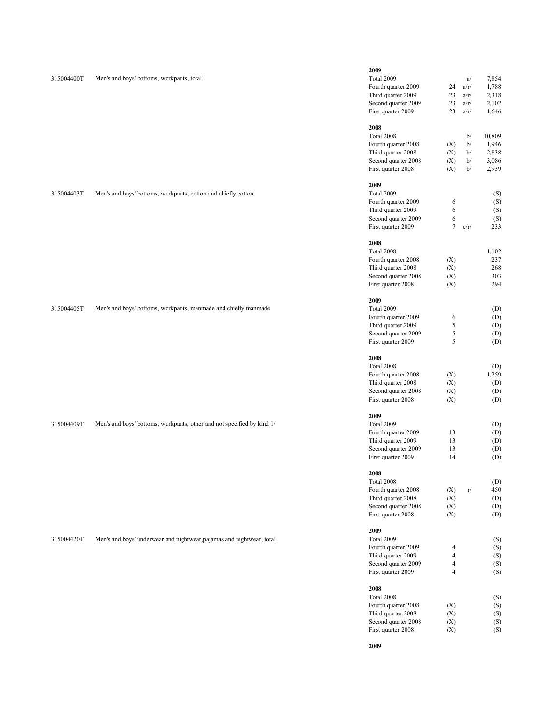| 315004400T | Men's and boys' bottoms, workpants, total                              | 2009<br>Total 2009<br>Fourth quarter 2009<br>Third quarter 2009<br>Second quarter 2009<br>First quarter 2009 | 24<br>23<br>23<br>23                   | a/<br>a/r/<br>a/r/<br>a/r/<br>a/r/ | 7,854<br>1,788<br>2,318<br>2,102<br>1,646  |
|------------|------------------------------------------------------------------------|--------------------------------------------------------------------------------------------------------------|----------------------------------------|------------------------------------|--------------------------------------------|
|            |                                                                        | 2008<br>Total 2008<br>Fourth quarter 2008<br>Third quarter 2008<br>Second quarter 2008<br>First quarter 2008 | (X)<br>(X)<br>(X)<br>(X)               | b/<br>b/<br>b/<br>b/<br>b/         | 10,809<br>1,946<br>2,838<br>3,086<br>2,939 |
| 315004403T | Men's and boys' bottoms, workpants, cotton and chiefly cotton          | 2009<br>Total 2009<br>Fourth quarter 2009<br>Third quarter 2009<br>Second quarter 2009<br>First quarter 2009 | 6<br>6<br>6<br>$\overline{7}$          | c/r/                               | (S)<br>(S)<br>(S)<br>(S)<br>233            |
|            |                                                                        | 2008<br>Total 2008<br>Fourth quarter 2008<br>Third quarter 2008<br>Second quarter 2008<br>First quarter 2008 | (X)<br>(X)<br>(X)<br>(X)               |                                    | 1,102<br>237<br>268<br>303<br>294          |
| 315004405T | Men's and boys' bottoms, workpants, manmade and chiefly manmade        | 2009<br>Total 2009<br>Fourth quarter 2009<br>Third quarter 2009<br>Second quarter 2009<br>First quarter 2009 | 6<br>5<br>5<br>5                       |                                    | (D)<br>(D)<br>(D)<br>(D)<br>(D)            |
|            |                                                                        | 2008<br>Total 2008<br>Fourth quarter 2008<br>Third quarter 2008<br>Second quarter 2008<br>First quarter 2008 | (X)<br>(X)<br>(X)<br>(X)               |                                    | (D)<br>1,259<br>(D)<br>(D)<br>(D)          |
| 315004409T | Men's and boys' bottoms, workpants, other and not specified by kind 1/ | 2009<br>Total 2009<br>Fourth quarter 2009<br>Third quarter 2009<br>Second quarter 2009<br>First quarter 2009 | 13<br>13<br>13<br>14                   |                                    | (D)<br>(D)<br>(D)<br>(D)<br>(D)            |
|            |                                                                        | 2008<br>Total 2008<br>Fourth quarter 2008<br>Third quarter 2008<br>Second quarter 2008<br>First quarter 2008 | (X)<br>(X)<br>(X)<br>(X)               | $\Gamma/$                          | (D)<br>450<br>(D)<br>(D)<br>(D)            |
| 315004420T | Men's and boys' underwear and nightwear, pajamas and nightwear, total  | 2009<br>Total 2009<br>Fourth quarter 2009<br>Third quarter 2009<br>Second quarter 2009<br>First quarter 2009 | 4<br>4<br>$\overline{\mathbf{4}}$<br>4 |                                    | (S)<br>(S)<br>(S)<br>(S)<br>(S)            |
|            |                                                                        | 2008<br>Total 2008<br>Fourth quarter 2008<br>Third quarter 2008<br>Second quarter 2008<br>First quarter 2008 | (X)<br>(X)<br>(X)<br>(X)               |                                    | (S)<br>(S)<br>(S)<br>(S)<br>(S)            |

**2009**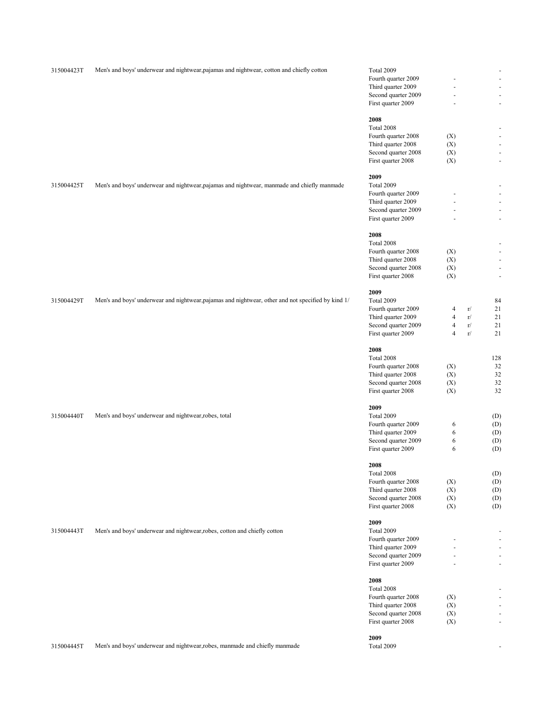| 315004423T | Men's and boys' underwear and nightwear, pajamas and nightwear, cotton and chiefly cotton          | Total 2009          |                          |    | $\overline{\phantom{a}}$         |
|------------|----------------------------------------------------------------------------------------------------|---------------------|--------------------------|----|----------------------------------|
|            |                                                                                                    | Fourth quarter 2009 |                          |    | $\overline{\phantom{a}}$         |
|            |                                                                                                    | Third quarter 2009  |                          |    | $\overline{\phantom{a}}$         |
|            |                                                                                                    | Second quarter 2009 | $\overline{\phantom{a}}$ |    | $\overline{\phantom{a}}$         |
|            |                                                                                                    | First quarter 2009  | ÷,                       |    | $\blacksquare$                   |
|            |                                                                                                    |                     |                          |    |                                  |
|            |                                                                                                    | 2008                |                          |    |                                  |
|            |                                                                                                    | Total 2008          |                          |    | $\overline{\phantom{a}}$         |
|            |                                                                                                    | Fourth quarter 2008 | (X)                      |    | $\overline{\phantom{a}}$         |
|            |                                                                                                    | Third quarter 2008  | (X)                      |    | $\overline{\phantom{a}}$         |
|            |                                                                                                    | Second quarter 2008 | (X)                      |    | $\overline{\phantom{a}}$         |
|            |                                                                                                    | First quarter 2008  | (X)                      |    | $\blacksquare$                   |
|            |                                                                                                    |                     |                          |    |                                  |
| 315004425T | Men's and boys' underwear and nightwear, pajamas and nightwear, manmade and chiefly manmade        | 2009<br>Total 2009  |                          |    | $\overline{\phantom{a}}$         |
|            |                                                                                                    | Fourth quarter 2009 |                          |    | $\overline{\phantom{a}}$         |
|            |                                                                                                    | Third quarter 2009  |                          |    | $\overline{\phantom{a}}$         |
|            |                                                                                                    |                     |                          |    |                                  |
|            |                                                                                                    | Second quarter 2009 |                          |    | $\blacksquare$<br>$\blacksquare$ |
|            |                                                                                                    | First quarter 2009  |                          |    |                                  |
|            |                                                                                                    | 2008                |                          |    |                                  |
|            |                                                                                                    | Total 2008          |                          |    | $\overline{\phantom{a}}$         |
|            |                                                                                                    | Fourth quarter 2008 | (X)                      |    | $\overline{\phantom{a}}$         |
|            |                                                                                                    | Third quarter 2008  | (X)                      |    | $\overline{\phantom{a}}$         |
|            |                                                                                                    | Second quarter 2008 | (X)                      |    | $\overline{\phantom{a}}$         |
|            |                                                                                                    | First quarter 2008  | (X)                      |    | $\overline{\phantom{a}}$         |
|            |                                                                                                    |                     |                          |    |                                  |
|            |                                                                                                    | 2009                |                          |    |                                  |
| 315004429T | Men's and boys' underwear and nightwear, pajamas and nightwear, other and not specified by kind 1/ | Total 2009          |                          |    | 84                               |
|            |                                                                                                    | Fourth quarter 2009 | $\overline{4}$           | r/ | 21                               |
|            |                                                                                                    | Third quarter 2009  | $\overline{4}$           | r/ | 21                               |
|            |                                                                                                    | Second quarter 2009 | $\overline{4}$           | r/ | 21                               |
|            |                                                                                                    | First quarter 2009  | $\overline{4}$           | r/ | 21                               |
|            |                                                                                                    | 2008                |                          |    |                                  |
|            |                                                                                                    |                     |                          |    | 128                              |
|            |                                                                                                    | Total 2008          |                          |    |                                  |
|            |                                                                                                    | Fourth quarter 2008 | (X)                      |    | 32                               |
|            |                                                                                                    | Third quarter 2008  | (X)                      |    | 32                               |
|            |                                                                                                    | Second quarter 2008 | (X)                      |    | 32                               |
|            |                                                                                                    | First quarter 2008  | (X)                      |    | 32                               |
|            |                                                                                                    | 2009                |                          |    |                                  |
| 315004440T | Men's and boys' underwear and nightwear, robes, total                                              | Total 2009          |                          |    | (D)                              |
|            |                                                                                                    | Fourth quarter 2009 | 6                        |    | (D)                              |
|            |                                                                                                    | Third quarter 2009  | 6                        |    | (D)                              |
|            |                                                                                                    | Second quarter 2009 | 6                        |    | (D)                              |
|            |                                                                                                    | First quarter 2009  | 6                        |    | (D)                              |
|            |                                                                                                    |                     |                          |    |                                  |
|            |                                                                                                    | 2008                |                          |    |                                  |
|            |                                                                                                    | Total 2008          |                          |    | (D)                              |
|            |                                                                                                    | Fourth quarter 2008 | (X)                      |    | (D)                              |
|            |                                                                                                    | Third quarter 2008  | (X)                      |    | (D)                              |
|            |                                                                                                    | Second quarter 2008 | (X)                      |    | (D)                              |
|            |                                                                                                    | First quarter 2008  | (X)                      |    | (D)                              |
|            |                                                                                                    | 2009                |                          |    |                                  |
| 315004443T | Men's and boys' underwear and nightwear, robes, cotton and chiefly cotton                          | Total 2009          |                          |    |                                  |
|            |                                                                                                    | Fourth quarter 2009 |                          |    | $\overline{\phantom{a}}$         |
|            |                                                                                                    | Third quarter 2009  |                          |    | $\overline{\phantom{a}}$         |
|            |                                                                                                    | Second quarter 2009 |                          |    | $\overline{\phantom{a}}$         |
|            |                                                                                                    | First quarter 2009  |                          |    | $\bar{\phantom{a}}$              |
|            |                                                                                                    |                     |                          |    |                                  |
|            |                                                                                                    | 2008                |                          |    |                                  |
|            |                                                                                                    | Total 2008          |                          |    | $\overline{\phantom{a}}$         |
|            |                                                                                                    | Fourth quarter 2008 | (X)                      |    | $\overline{\phantom{a}}$         |
|            |                                                                                                    | Third quarter 2008  | (X)                      |    | $\overline{\phantom{a}}$         |
|            |                                                                                                    | Second quarter 2008 | (X)                      |    | $\sim$                           |
|            |                                                                                                    | First quarter 2008  | (X)                      |    | $\blacksquare$                   |
|            |                                                                                                    | 2009                |                          |    |                                  |
| 315004445T | Men's and boys' underwear and nightwear, robes, manmade and chiefly manmade                        | Total 2009          |                          |    | $\overline{\phantom{a}}$         |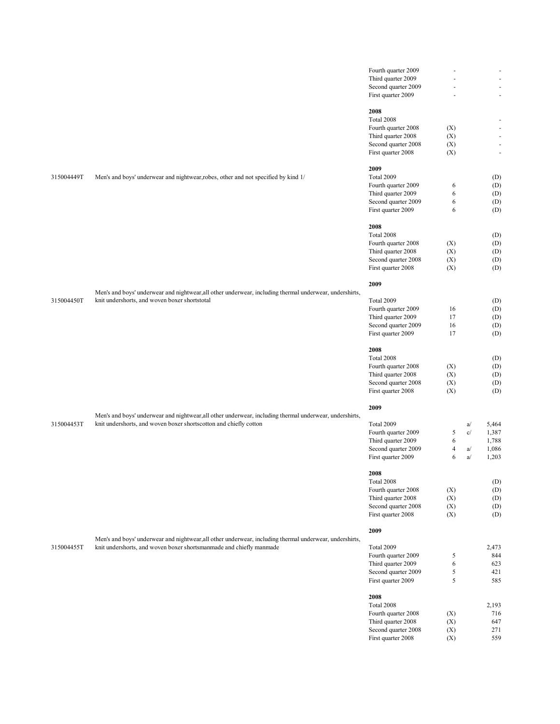|            |                                                                                                         | Fourth quarter 2009                       |            |    | $\overline{\phantom{a}}$           |
|------------|---------------------------------------------------------------------------------------------------------|-------------------------------------------|------------|----|------------------------------------|
|            |                                                                                                         | Third quarter 2009                        |            |    | $\sim$                             |
|            |                                                                                                         | Second quarter 2009                       | ä,         |    | $\overline{\phantom{a}}$           |
|            |                                                                                                         | First quarter 2009                        |            |    | $\overline{\phantom{a}}$           |
|            |                                                                                                         | 2008                                      |            |    |                                    |
|            |                                                                                                         | Total 2008                                |            |    |                                    |
|            |                                                                                                         | Fourth quarter 2008                       |            |    | $\overline{\phantom{a}}$<br>$\sim$ |
|            |                                                                                                         |                                           | (X)        |    |                                    |
|            |                                                                                                         | Third quarter 2008                        | (X)        |    | $\overline{\phantom{a}}$           |
|            |                                                                                                         | Second quarter 2008                       | (X)        |    | $\overline{\phantom{a}}$           |
|            |                                                                                                         | First quarter 2008                        | (X)        |    | $\blacksquare$                     |
|            |                                                                                                         | 2009                                      |            |    |                                    |
| 315004449T | Men's and boys' underwear and nightwear, robes, other and not specified by kind 1/                      | Total 2009                                |            |    | (D)                                |
|            |                                                                                                         | Fourth quarter 2009                       | 6          |    | (D)                                |
|            |                                                                                                         | Third quarter 2009                        | 6          |    | (D)                                |
|            |                                                                                                         | Second quarter 2009                       | 6          |    | (D)                                |
|            |                                                                                                         | First quarter 2009                        | 6          |    | (D)                                |
|            |                                                                                                         | 2008                                      |            |    |                                    |
|            |                                                                                                         | Total 2008                                |            |    | (D)                                |
|            |                                                                                                         | Fourth quarter 2008                       | (X)        |    | (D)                                |
|            |                                                                                                         | Third quarter 2008                        | (X)        |    | (D)                                |
|            |                                                                                                         | Second quarter 2008                       | (X)        |    | (D)                                |
|            |                                                                                                         | First quarter 2008                        | (X)        |    | (D)                                |
|            |                                                                                                         |                                           |            |    |                                    |
|            | Men's and boys' underwear and nightwear, all other underwear, including thermal underwear, undershirts, | 2009                                      |            |    |                                    |
| 315004450T | knit undershorts, and woven boxer shortstotal                                                           | Total 2009                                |            |    |                                    |
|            |                                                                                                         |                                           |            |    | (D)                                |
|            |                                                                                                         | Fourth quarter 2009<br>Third quarter 2009 | 16<br>17   |    | (D)                                |
|            |                                                                                                         | Second quarter 2009                       | 16         |    | (D)                                |
|            |                                                                                                         |                                           |            |    | (D)                                |
|            |                                                                                                         | First quarter 2009                        | 17         |    | (D)                                |
|            |                                                                                                         | 2008                                      |            |    |                                    |
|            |                                                                                                         | Total 2008                                |            |    | (D)                                |
|            |                                                                                                         | Fourth quarter 2008                       | (X)        |    | (D)                                |
|            |                                                                                                         | Third quarter 2008                        | (X)        |    | (D)                                |
|            |                                                                                                         | Second quarter 2008                       | (X)        |    | (D)                                |
|            |                                                                                                         | First quarter 2008                        | (X)        |    | (D)                                |
|            |                                                                                                         | 2009                                      |            |    |                                    |
|            | Men's and boys' underwear and nightwear, all other underwear, including thermal underwear, undershirts, |                                           |            |    |                                    |
| 315004453T | knit undershorts, and woven boxer shortscotton and chiefly cotton                                       | Total 2009                                |            | a/ | 5,464                              |
|            |                                                                                                         | Fourth quarter 2009                       | 5          | c/ | 1,387                              |
|            |                                                                                                         | Third quarter 2009                        | 6          |    | 1,788                              |
|            |                                                                                                         | Second quarter 2009                       | 4          | a/ | 1,086                              |
|            |                                                                                                         | First quarter 2009                        | 6          | a/ | 1,203                              |
|            |                                                                                                         |                                           |            |    |                                    |
|            |                                                                                                         | 2008                                      |            |    |                                    |
|            |                                                                                                         | Total 2008                                |            |    | (D)                                |
|            |                                                                                                         | Fourth quarter 2008                       | (X)        |    | (D)                                |
|            |                                                                                                         | Third quarter 2008                        | (X)        |    | (D)                                |
|            |                                                                                                         | Second quarter 2008                       | (X)        |    | (D)                                |
|            |                                                                                                         | First quarter 2008                        | (X)        |    | (D)                                |
|            |                                                                                                         | 2009                                      |            |    |                                    |
|            | Men's and boys' underwear and nightwear, all other underwear, including thermal underwear, undershirts, |                                           |            |    |                                    |
| 315004455T | knit undershorts, and woven boxer shortsmanmade and chiefly manmade                                     | Total 2009                                |            |    | 2,473                              |
|            |                                                                                                         | Fourth quarter 2009                       | $\sqrt{5}$ |    | 844                                |
|            |                                                                                                         | Third quarter 2009                        | 6          |    | 623                                |
|            |                                                                                                         | Second quarter 2009                       | $\sqrt{5}$ |    | 421                                |
|            |                                                                                                         | First quarter 2009                        | 5          |    | 585                                |
|            |                                                                                                         | 2008                                      |            |    |                                    |
|            |                                                                                                         | Total 2008                                |            |    | 2,193                              |
|            |                                                                                                         | Fourth quarter 2008                       | (X)        |    | 716                                |
|            |                                                                                                         | Third quarter 2008                        | (X)        |    | 647                                |
|            |                                                                                                         | Second quarter 2008                       | (X)        |    | 271                                |
|            |                                                                                                         | First quarter 2008                        | (X)        |    | 559                                |
|            |                                                                                                         |                                           |            |    |                                    |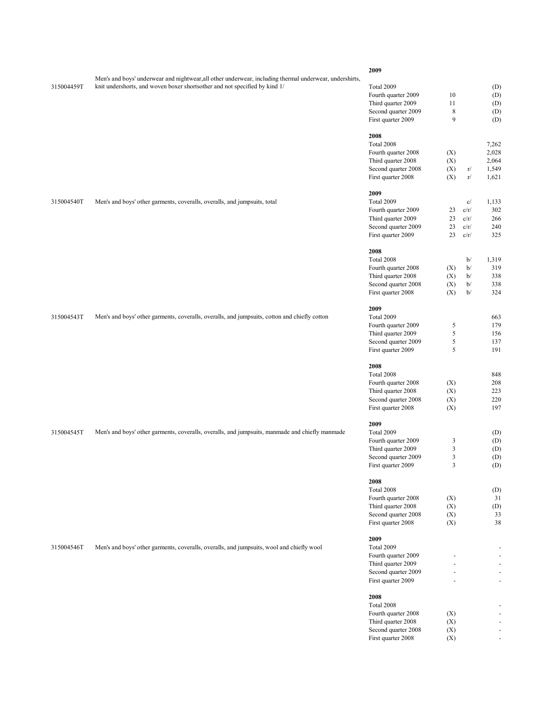|            |                                                                                                         | 2009                |               |      |                          |
|------------|---------------------------------------------------------------------------------------------------------|---------------------|---------------|------|--------------------------|
|            | Men's and boys' underwear and nightwear, all other underwear, including thermal underwear, undershirts, |                     |               |      |                          |
| 315004459T | knit undershorts, and woven boxer shortsother and not specified by kind 1/                              | Total 2009          |               |      | (D)                      |
|            |                                                                                                         | Fourth quarter 2009 | 10            |      | (D)                      |
|            |                                                                                                         | Third quarter 2009  | 11            |      | (D)                      |
|            |                                                                                                         | Second quarter 2009 | $\,$ 8 $\,$   |      | (D)                      |
|            |                                                                                                         | First quarter 2009  | 9             |      | (D)                      |
|            |                                                                                                         |                     |               |      |                          |
|            |                                                                                                         | 2008                |               |      |                          |
|            |                                                                                                         | Total 2008          |               |      | 7,262                    |
|            |                                                                                                         | Fourth quarter 2008 | (X)           |      | 2,028                    |
|            |                                                                                                         | Third quarter 2008  | (X)           |      | 2,064                    |
|            |                                                                                                         | Second quarter 2008 | (X)           | r/   | 1,549                    |
|            |                                                                                                         | First quarter 2008  | (X)           | r/   | 1,621                    |
|            |                                                                                                         | 2009                |               |      |                          |
| 315004540T | Men's and boys' other garments, coveralls, overalls, and jumpsuits, total                               | Total 2009          |               | c/   | 1,133                    |
|            |                                                                                                         | Fourth quarter 2009 | 23            | c/r/ | 302                      |
|            |                                                                                                         | Third quarter 2009  | 23            | c/r/ | 266                      |
|            |                                                                                                         | Second quarter 2009 | 23            | c/r/ | 240                      |
|            |                                                                                                         | First quarter 2009  | 23            | c/r/ | 325                      |
|            |                                                                                                         |                     |               |      |                          |
|            |                                                                                                         | 2008                |               |      |                          |
|            |                                                                                                         | Total 2008          |               | b/   | 1,319                    |
|            |                                                                                                         | Fourth quarter 2008 | (X)           | b/   | 319                      |
|            |                                                                                                         | Third quarter 2008  | (X)           | b/   | 338                      |
|            |                                                                                                         | Second quarter 2008 | (X)           | b/   | 338                      |
|            |                                                                                                         | First quarter 2008  | (X)           | b/   | 324                      |
|            |                                                                                                         | 2009                |               |      |                          |
| 315004543T | Men's and boys' other garments, coveralls, overalls, and jumpsuits, cotton and chiefly cotton           | Total 2009          |               |      | 663                      |
|            |                                                                                                         | Fourth quarter 2009 | 5             |      | 179                      |
|            |                                                                                                         | Third quarter 2009  | 5             |      | 156                      |
|            |                                                                                                         | Second quarter 2009 | $\mathfrak s$ |      | 137                      |
|            |                                                                                                         | First quarter 2009  | 5             |      | 191                      |
|            |                                                                                                         |                     |               |      |                          |
|            |                                                                                                         | 2008                |               |      |                          |
|            |                                                                                                         | Total 2008          |               |      | 848                      |
|            |                                                                                                         | Fourth quarter 2008 | (X)           |      | 208                      |
|            |                                                                                                         | Third quarter 2008  | (X)           |      | 223                      |
|            |                                                                                                         | Second quarter 2008 | (X)           |      | 220                      |
|            |                                                                                                         | First quarter 2008  | (X)           |      | 197                      |
|            |                                                                                                         | 2009                |               |      |                          |
| 315004545T | Men's and boys' other garments, coveralls, overalls, and jumpsuits, manmade and chiefly manmade         | Total 2009          |               |      | (D)                      |
|            |                                                                                                         | Fourth quarter 2009 | 3             |      | (D)                      |
|            |                                                                                                         | Third quarter 2009  | 3             |      | (D)                      |
|            |                                                                                                         | Second quarter 2009 | 3             |      | (D)                      |
|            |                                                                                                         | First quarter 2009  | 3             |      | (D)                      |
|            |                                                                                                         |                     |               |      |                          |
|            |                                                                                                         | 2008                |               |      |                          |
|            |                                                                                                         | Total 2008          |               |      | (D)                      |
|            |                                                                                                         | Fourth quarter 2008 | (X)           |      | 31                       |
|            |                                                                                                         | Third quarter 2008  | (X)           |      | (D)                      |
|            |                                                                                                         | Second quarter 2008 | (X)           |      | 33                       |
|            |                                                                                                         | First quarter 2008  | (X)           |      | 38                       |
|            |                                                                                                         | 2009                |               |      |                          |
| 315004546T | Men's and boys' other garments, coveralls, overalls, and jumpsuits, wool and chiefly wool               | Total 2009          |               |      | $\overline{\phantom{a}}$ |
|            |                                                                                                         | Fourth quarter 2009 |               |      | $\overline{\phantom{a}}$ |
|            |                                                                                                         | Third quarter 2009  | ÷,            |      | $\blacksquare$           |
|            |                                                                                                         | Second quarter 2009 |               |      | $\overline{\phantom{a}}$ |
|            |                                                                                                         | First quarter 2009  |               |      | $\overline{\phantom{a}}$ |
|            |                                                                                                         |                     |               |      |                          |
|            |                                                                                                         | 2008<br>Total 2008  |               |      |                          |
|            |                                                                                                         | Fourth quarter 2008 | (X)           |      | $\overline{\phantom{a}}$ |
|            |                                                                                                         | Third quarter 2008  | (X)           |      | $\overline{\phantom{a}}$ |
|            |                                                                                                         | Second quarter 2008 | (X)           |      | $\overline{\phantom{a}}$ |
|            |                                                                                                         | First quarter 2008  | (X)           |      | $\overline{\phantom{a}}$ |
|            |                                                                                                         |                     |               |      |                          |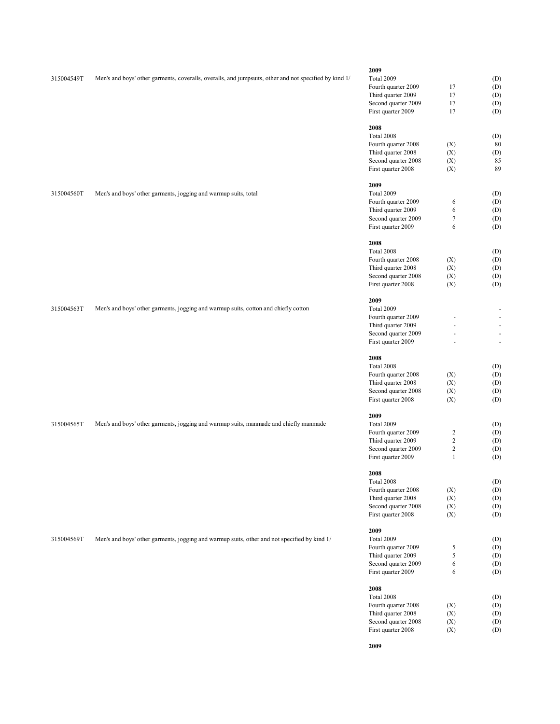|            |                                                                                                        | 2009                                      |                            |                                                      |
|------------|--------------------------------------------------------------------------------------------------------|-------------------------------------------|----------------------------|------------------------------------------------------|
| 315004549T | Men's and boys' other garments, coveralls, overalls, and jumpsuits, other and not specified by kind 1/ | Total 2009                                |                            | (D)                                                  |
|            |                                                                                                        | Fourth quarter 2009                       | 17                         | (D)                                                  |
|            |                                                                                                        | Third quarter 2009                        | 17                         | (D)                                                  |
|            |                                                                                                        | Second quarter 2009                       | 17                         | (D)                                                  |
|            |                                                                                                        | First quarter 2009                        | 17                         | (D)                                                  |
|            |                                                                                                        |                                           |                            |                                                      |
|            |                                                                                                        | 2008                                      |                            |                                                      |
|            |                                                                                                        | Total 2008                                |                            | (D)                                                  |
|            |                                                                                                        | Fourth quarter 2008                       | (X)                        | 80                                                   |
|            |                                                                                                        | Third quarter 2008                        | (X)                        | (D)                                                  |
|            |                                                                                                        | Second quarter 2008                       | (X)                        | 85                                                   |
|            |                                                                                                        | First quarter 2008                        | (X)                        | 89                                                   |
|            |                                                                                                        | 2009                                      |                            |                                                      |
| 315004560T | Men's and boys' other garments, jogging and warmup suits, total                                        | Total 2009                                |                            | (D)                                                  |
|            |                                                                                                        | Fourth quarter 2009                       | 6                          | (D)                                                  |
|            |                                                                                                        | Third quarter 2009                        | 6                          | (D)                                                  |
|            |                                                                                                        | Second quarter 2009                       | $\boldsymbol{7}$           |                                                      |
|            |                                                                                                        | First quarter 2009                        | 6                          | (D)<br>(D)                                           |
|            |                                                                                                        |                                           |                            |                                                      |
|            |                                                                                                        | 2008                                      |                            |                                                      |
|            |                                                                                                        | Total 2008                                |                            | (D)                                                  |
|            |                                                                                                        | Fourth quarter 2008                       | (X)                        | (D)                                                  |
|            |                                                                                                        | Third quarter 2008                        | (X)                        | (D)                                                  |
|            |                                                                                                        | Second quarter 2008                       | (X)                        | (D)                                                  |
|            |                                                                                                        | First quarter 2008                        | (X)                        | (D)                                                  |
|            |                                                                                                        | 2009                                      |                            |                                                      |
| 315004563T | Men's and boys' other garments, jogging and warmup suits, cotton and chiefly cotton                    | <b>Total 2009</b>                         |                            | ÷                                                    |
|            |                                                                                                        |                                           |                            |                                                      |
|            |                                                                                                        | Fourth quarter 2009                       |                            | $\overline{\phantom{a}}$                             |
|            |                                                                                                        | Third quarter 2009                        |                            | $\overline{\phantom{a}}$                             |
|            |                                                                                                        | Second quarter 2009<br>First quarter 2009 |                            | $\overline{\phantom{m}}$<br>$\overline{\phantom{a}}$ |
|            |                                                                                                        |                                           |                            |                                                      |
|            |                                                                                                        | 2008                                      |                            |                                                      |
|            |                                                                                                        | Total 2008                                |                            | (D)                                                  |
|            |                                                                                                        | Fourth quarter 2008                       | (X)                        | (D)                                                  |
|            |                                                                                                        | Third quarter 2008                        | (X)                        | (D)                                                  |
|            |                                                                                                        | Second quarter 2008                       | (X)                        | (D)                                                  |
|            |                                                                                                        | First quarter 2008                        | (X)                        | (D)                                                  |
|            |                                                                                                        | 2009                                      |                            |                                                      |
| 315004565T | Men's and boys' other garments, jogging and warmup suits, manmade and chiefly manmade                  | Total 2009                                |                            | (D)                                                  |
|            |                                                                                                        | Fourth quarter 2009                       |                            |                                                      |
|            |                                                                                                        |                                           | $\overline{c}$             | (D)                                                  |
|            |                                                                                                        | Third quarter 2009                        | $\overline{c}$             | (D)                                                  |
|            |                                                                                                        | Second quarter 2009<br>First quarter 2009 | $\sqrt{2}$<br>$\mathbf{1}$ | (D)<br>(D)                                           |
|            |                                                                                                        |                                           |                            |                                                      |
|            |                                                                                                        | 2008                                      |                            |                                                      |
|            |                                                                                                        | Total 2008                                |                            | (D)                                                  |
|            |                                                                                                        | Fourth quarter 2008                       | (X)                        | (D)                                                  |
|            |                                                                                                        | Third quarter 2008                        | (X)                        | (D)                                                  |
|            |                                                                                                        | Second quarter 2008                       | (X)                        | (D)                                                  |
|            |                                                                                                        | First quarter 2008                        | (X)                        | (D)                                                  |
|            |                                                                                                        | 2009                                      |                            |                                                      |
| 315004569T |                                                                                                        | <b>Total 2009</b>                         |                            |                                                      |
|            | Men's and boys' other garments, jogging and warmup suits, other and not specified by kind 1/           |                                           |                            | (D)                                                  |
|            |                                                                                                        | Fourth quarter 2009                       | 5                          | (D)                                                  |
|            |                                                                                                        | Third quarter 2009                        | 5                          | (D)                                                  |
|            |                                                                                                        | Second quarter 2009                       | 6                          | (D)                                                  |
|            |                                                                                                        | First quarter 2009                        | 6                          | (D)                                                  |
|            |                                                                                                        | 2008                                      |                            |                                                      |
|            |                                                                                                        | Total 2008                                |                            | (D)                                                  |
|            |                                                                                                        | Fourth quarter 2008                       | (X)                        | (D)                                                  |
|            |                                                                                                        | Third quarter 2008                        | (X)                        | (D)                                                  |

Second quarter 2008 (X) (D) First quarter 2008 (X) (D)

**2009**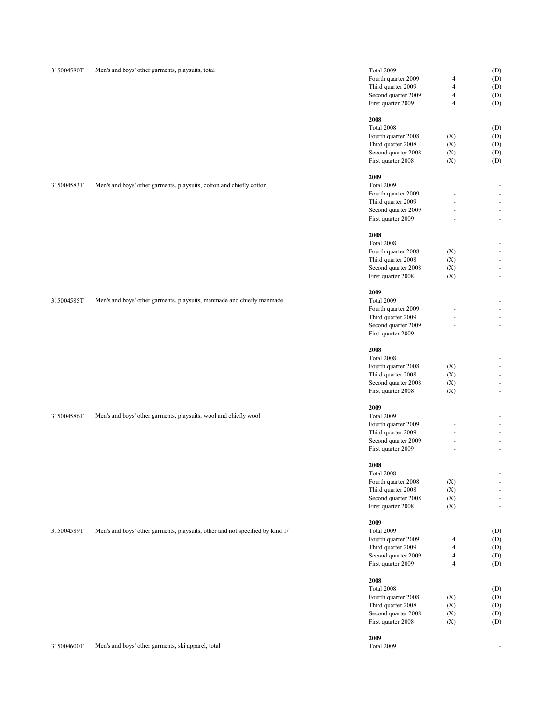| 315004580T | Men's and boys' other garments, playsuits, total                              | Total 2009          |                | (D)        |
|------------|-------------------------------------------------------------------------------|---------------------|----------------|------------|
|            |                                                                               | Fourth quarter 2009 | $\overline{4}$ | (D)        |
|            |                                                                               | Third quarter 2009  | $\overline{4}$ | (D)        |
|            |                                                                               | Second quarter 2009 | $\overline{4}$ | (D)        |
|            |                                                                               | First quarter 2009  | $\overline{4}$ | (D)        |
|            |                                                                               |                     |                |            |
|            |                                                                               | 2008                |                |            |
|            |                                                                               | Total 2008          |                | (D)        |
|            |                                                                               | Fourth quarter 2008 | (X)            | (D)        |
|            |                                                                               | Third quarter 2008  | (X)            | (D)        |
|            |                                                                               | Second quarter 2008 | (X)            | (D)        |
|            |                                                                               | First quarter 2008  | (X)            | (D)        |
|            |                                                                               |                     |                |            |
|            |                                                                               | 2009                |                |            |
| 315004583T | Men's and boys' other garments, playsuits, cotton and chiefly cotton          | Total 2009          |                |            |
|            |                                                                               | Fourth quarter 2009 |                |            |
|            |                                                                               | Third quarter 2009  |                |            |
|            |                                                                               | Second quarter 2009 | $\sim$         |            |
|            |                                                                               | First quarter 2009  | ä,             | ł,         |
|            |                                                                               | 2008                |                |            |
|            |                                                                               | Total 2008          |                |            |
|            |                                                                               | Fourth quarter 2008 | (X)            |            |
|            |                                                                               |                     |                |            |
|            |                                                                               | Third quarter 2008  | (X)            |            |
|            |                                                                               | Second quarter 2008 | (X)            |            |
|            |                                                                               | First quarter 2008  | (X)            | ł,         |
|            |                                                                               | 2009                |                |            |
| 315004585T | Men's and boys' other garments, playsuits, manmade and chiefly manmade        | Total 2009          |                |            |
|            |                                                                               | Fourth quarter 2009 |                |            |
|            |                                                                               | Third quarter 2009  |                |            |
|            |                                                                               | Second quarter 2009 |                |            |
|            |                                                                               | First quarter 2009  |                |            |
|            |                                                                               |                     |                |            |
|            |                                                                               | 2008<br>Total 2008  |                |            |
|            |                                                                               |                     |                |            |
|            |                                                                               | Fourth quarter 2008 | (X)            |            |
|            |                                                                               | Third quarter 2008  | (X)            |            |
|            |                                                                               | Second quarter 2008 | (X)            |            |
|            |                                                                               | First quarter 2008  | (X)            | ł,         |
|            |                                                                               | 2009                |                |            |
| 315004586T | Men's and boys' other garments, playsuits, wool and chiefly wool              | Total 2009          |                |            |
|            |                                                                               | Fourth quarter 2009 |                |            |
|            |                                                                               | Third quarter 2009  |                |            |
|            |                                                                               | Second quarter 2009 | ÷,             |            |
|            |                                                                               | First quarter 2009  |                |            |
|            |                                                                               |                     |                |            |
|            |                                                                               | 2008<br>Total 2008  |                |            |
|            |                                                                               | Fourth quarter 2008 | (X)            |            |
|            |                                                                               | Third quarter 2008  | (X)            |            |
|            |                                                                               | Second quarter 2008 | (X)            |            |
|            |                                                                               | First quarter 2008  | (X)            | ł,         |
|            |                                                                               |                     |                |            |
|            |                                                                               | 2009                |                |            |
| 315004589T | Men's and boys' other garments, playsuits, other and not specified by kind 1/ | Total 2009          |                | (D)        |
|            |                                                                               | Fourth quarter 2009 | $\overline{4}$ | (D)        |
|            |                                                                               | Third quarter 2009  | $\overline{4}$ | (D)        |
|            |                                                                               | Second quarter 2009 | $\overline{4}$ | (D)        |
|            |                                                                               | First quarter 2009  | $\overline{4}$ | (D)        |
|            |                                                                               |                     |                |            |
|            |                                                                               | 2008<br>Total 2008  |                | (D)        |
|            |                                                                               | Fourth quarter 2008 | (X)            | (D)        |
|            |                                                                               | Third quarter 2008  | (X)            |            |
|            |                                                                               | Second quarter 2008 | (X)            | (D)        |
|            |                                                                               | First quarter 2008  | (X)            | (D)<br>(D) |
|            |                                                                               |                     |                |            |
|            |                                                                               | 2009                |                |            |
| 315004600T | Men's and boys' other garments, ski apparel, total                            | Total 2009          |                |            |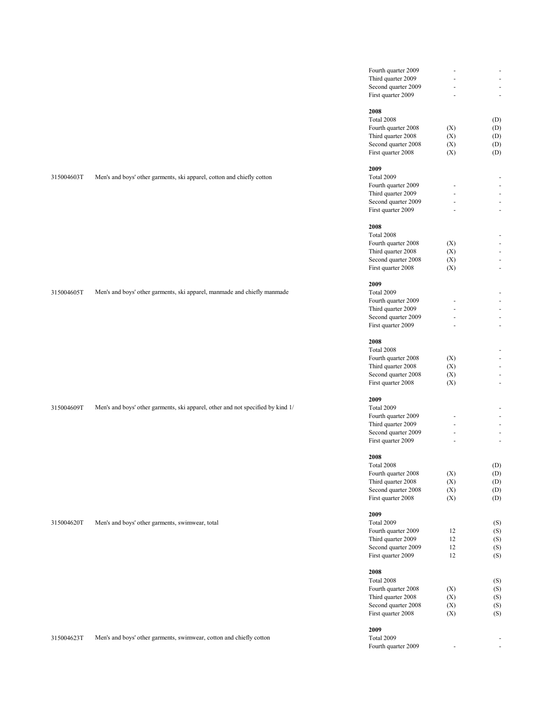|            |                                                                                 | Fourth quarter 2009 |     | $\overline{\phantom{a}}$ |
|------------|---------------------------------------------------------------------------------|---------------------|-----|--------------------------|
|            |                                                                                 | Third quarter 2009  |     | $\overline{\phantom{a}}$ |
|            |                                                                                 |                     |     |                          |
|            |                                                                                 | Second quarter 2009 |     | $\overline{\phantom{a}}$ |
|            |                                                                                 | First quarter 2009  |     | $\overline{\phantom{a}}$ |
|            |                                                                                 |                     |     |                          |
|            |                                                                                 | 2008                |     |                          |
|            |                                                                                 | Total 2008          |     | (D)                      |
|            |                                                                                 |                     |     |                          |
|            |                                                                                 | Fourth quarter 2008 | (X) | (D)                      |
|            |                                                                                 | Third quarter 2008  | (X) | (D)                      |
|            |                                                                                 | Second quarter 2008 | (X) | (D)                      |
|            |                                                                                 | First quarter 2008  | (X) | (D)                      |
|            |                                                                                 |                     |     |                          |
|            |                                                                                 | 2009                |     |                          |
|            | Men's and boys' other garments, ski apparel, cotton and chiefly cotton          | Total 2009          |     |                          |
| 315004603T |                                                                                 |                     |     | $\overline{\phantom{a}}$ |
|            |                                                                                 | Fourth quarter 2009 |     | $\overline{\phantom{a}}$ |
|            |                                                                                 | Third quarter 2009  |     | $\overline{\phantom{a}}$ |
|            |                                                                                 | Second quarter 2009 |     | $\overline{\phantom{a}}$ |
|            |                                                                                 | First quarter 2009  |     | $\overline{\phantom{a}}$ |
|            |                                                                                 |                     |     |                          |
|            |                                                                                 | 2008                |     |                          |
|            |                                                                                 |                     |     |                          |
|            |                                                                                 | Total 2008          |     | ÷,                       |
|            |                                                                                 | Fourth quarter 2008 | (X) | $\overline{\phantom{a}}$ |
|            |                                                                                 | Third quarter 2008  | (X) | $\overline{\phantom{a}}$ |
|            |                                                                                 | Second quarter 2008 | (X) | $\overline{\phantom{a}}$ |
|            |                                                                                 | First quarter 2008  | (X) | $\overline{\phantom{a}}$ |
|            |                                                                                 |                     |     |                          |
|            |                                                                                 |                     |     |                          |
|            |                                                                                 | 2009                |     |                          |
| 315004605T | Men's and boys' other garments, ski apparel, manmade and chiefly manmade        | Total 2009          |     | $\overline{\phantom{a}}$ |
|            |                                                                                 | Fourth quarter 2009 |     | $\overline{\phantom{a}}$ |
|            |                                                                                 | Third quarter 2009  |     | $\overline{\phantom{a}}$ |
|            |                                                                                 | Second quarter 2009 |     | $\overline{\phantom{a}}$ |
|            |                                                                                 | First quarter 2009  |     | $\overline{\phantom{a}}$ |
|            |                                                                                 |                     |     |                          |
|            |                                                                                 |                     |     |                          |
|            |                                                                                 | 2008                |     |                          |
|            |                                                                                 | Total 2008          |     | ÷,                       |
|            |                                                                                 | Fourth quarter 2008 | (X) | $\overline{\phantom{a}}$ |
|            |                                                                                 | Third quarter 2008  | (X) | $\overline{\phantom{a}}$ |
|            |                                                                                 | Second quarter 2008 | (X) | $\overline{\phantom{a}}$ |
|            |                                                                                 |                     |     |                          |
|            |                                                                                 | First quarter 2008  | (X) | $\overline{\phantom{a}}$ |
|            |                                                                                 |                     |     |                          |
|            |                                                                                 | 2009                |     |                          |
| 315004609T | Men's and boys' other garments, ski apparel, other and not specified by kind 1/ | Total 2009          |     | $\overline{\phantom{a}}$ |
|            |                                                                                 | Fourth quarter 2009 |     | $\overline{\phantom{a}}$ |
|            |                                                                                 | Third quarter 2009  |     | $\overline{\phantom{a}}$ |
|            |                                                                                 | Second quarter 2009 |     | $\overline{\phantom{a}}$ |
|            |                                                                                 |                     |     |                          |
|            |                                                                                 | First quarter 2009  |     | $\overline{\phantom{a}}$ |
|            |                                                                                 |                     |     |                          |
|            |                                                                                 | 2008                |     |                          |
|            |                                                                                 | Total 2008          |     | (D)                      |
|            |                                                                                 | Fourth quarter 2008 | (X) | $(D)$                    |
|            |                                                                                 | Third quarter 2008  | (X) | (D)                      |
|            |                                                                                 | Second quarter 2008 | (X) | (D)                      |
|            |                                                                                 |                     |     |                          |
|            |                                                                                 | First quarter 2008  | (X) | (D)                      |
|            |                                                                                 |                     |     |                          |
|            |                                                                                 | 2009                |     |                          |
| 315004620T | Men's and boys' other garments, swimwear, total                                 | Total 2009          |     | (S)                      |
|            |                                                                                 | Fourth quarter 2009 | 12  | (S)                      |
|            |                                                                                 | Third quarter 2009  | 12  | (S)                      |
|            |                                                                                 | Second quarter 2009 | 12  | (S)                      |
|            |                                                                                 |                     |     |                          |
|            |                                                                                 | First quarter 2009  | 12  | (S)                      |
|            |                                                                                 |                     |     |                          |
|            |                                                                                 | 2008                |     |                          |
|            |                                                                                 | Total 2008          |     | (S)                      |
|            |                                                                                 | Fourth quarter 2008 | (X) | (S)                      |
|            |                                                                                 | Third quarter 2008  | (X) | (S)                      |
|            |                                                                                 | Second quarter 2008 |     |                          |
|            |                                                                                 |                     | (X) | (S)                      |
|            |                                                                                 | First quarter 2008  | (X) | (S)                      |
|            |                                                                                 |                     |     |                          |
|            |                                                                                 | 2009                |     |                          |
| 315004623T | Men's and boys' other garments, swimwear, cotton and chiefly cotton             | Total 2009          |     | $\overline{\phantom{a}}$ |
|            |                                                                                 | Fourth quarter 2009 |     | $\blacksquare$           |
|            |                                                                                 |                     |     |                          |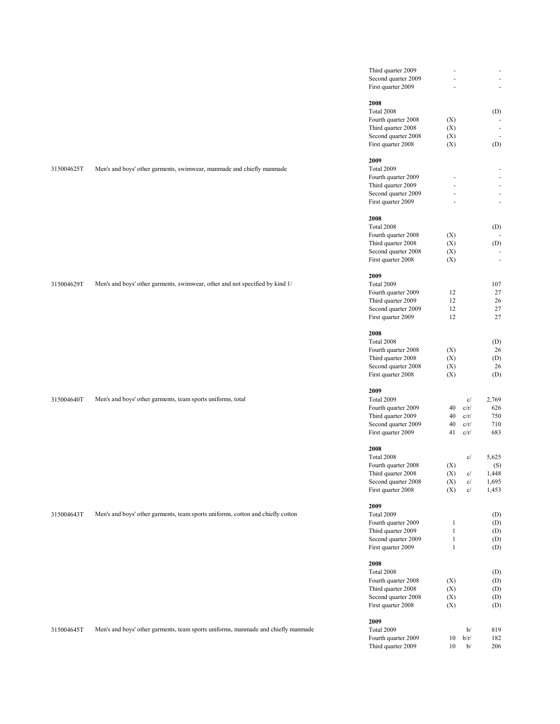|            |                                                                                   | Third quarter 2009                        | $\overline{\phantom{a}}$ |            | $\sim$                   |
|------------|-----------------------------------------------------------------------------------|-------------------------------------------|--------------------------|------------|--------------------------|
|            |                                                                                   | Second quarter 2009                       |                          |            | $\blacksquare$           |
|            |                                                                                   | First quarter 2009                        |                          |            | $\blacksquare$           |
|            |                                                                                   |                                           |                          |            |                          |
|            |                                                                                   | 2008                                      |                          |            |                          |
|            |                                                                                   | Total 2008                                |                          |            | (D)                      |
|            |                                                                                   | Fourth quarter 2008                       | (X)                      |            |                          |
|            |                                                                                   | Third quarter 2008                        | (X)                      |            | $\overline{\phantom{a}}$ |
|            |                                                                                   | Second quarter 2008                       | (X)                      |            | $\blacksquare$           |
|            |                                                                                   | First quarter 2008                        | (X)                      |            | (D)                      |
|            |                                                                                   | 2009                                      |                          |            |                          |
| 315004625T | Men's and boys' other garments, swimwear, manmade and chiefly manmade             | Total 2009                                |                          |            | ÷,                       |
|            |                                                                                   | Fourth quarter 2009                       |                          |            | $\overline{\phantom{a}}$ |
|            |                                                                                   | Third quarter 2009                        | ÷,                       |            | $\blacksquare$           |
|            |                                                                                   | Second quarter 2009                       |                          |            | $\overline{\phantom{a}}$ |
|            |                                                                                   | First quarter 2009                        |                          |            | $\overline{\phantom{a}}$ |
|            |                                                                                   |                                           |                          |            |                          |
|            |                                                                                   | 2008                                      |                          |            |                          |
|            |                                                                                   | Total 2008                                |                          |            | (D)                      |
|            |                                                                                   | Fourth quarter 2008                       | (X)                      |            |                          |
|            |                                                                                   | Third quarter 2008                        | (X)                      |            | (D)                      |
|            |                                                                                   | Second quarter 2008                       | (X)                      |            | $\overline{\phantom{a}}$ |
|            |                                                                                   | First quarter 2008                        | (X)                      |            | $\overline{\phantom{a}}$ |
|            |                                                                                   |                                           |                          |            |                          |
|            |                                                                                   | 2009                                      |                          |            |                          |
| 315004629T | Men's and boys' other garments, swimwear, other and not specified by kind 1/      | Total 2009                                |                          |            | 107                      |
|            |                                                                                   | Fourth quarter 2009                       | 12                       |            | 27                       |
|            |                                                                                   | Third quarter 2009                        | 12                       |            | 26                       |
|            |                                                                                   | Second quarter 2009                       | 12                       |            | 27                       |
|            |                                                                                   | First quarter 2009                        | 12                       |            | 27                       |
|            |                                                                                   | 2008                                      |                          |            |                          |
|            |                                                                                   | Total 2008                                |                          |            | (D)                      |
|            |                                                                                   | Fourth quarter 2008                       | (X)                      |            | 26                       |
|            |                                                                                   | Third quarter 2008                        | (X)                      |            | (D)                      |
|            |                                                                                   | Second quarter 2008                       | (X)                      |            | 26                       |
|            |                                                                                   | First quarter 2008                        | (X)                      |            | (D)                      |
|            |                                                                                   |                                           |                          |            |                          |
|            |                                                                                   | 2009                                      |                          |            |                          |
| 315004640T | Men's and boys' other garments, team sports uniforms, total                       | Total 2009                                |                          | c/         | 2,769                    |
|            |                                                                                   | Fourth quarter 2009                       | 40                       | c/r/       | 626                      |
|            |                                                                                   | Third quarter 2009                        | 40                       | c/r/       | 750                      |
|            |                                                                                   | Second quarter 2009                       | 40                       | c/r/       | 710                      |
|            |                                                                                   | First quarter 2009                        | 41                       | c/r/       | 683                      |
|            |                                                                                   |                                           |                          |            |                          |
|            |                                                                                   | 2008                                      |                          |            |                          |
|            |                                                                                   | Total 2008                                |                          | c/         | 5,625                    |
|            |                                                                                   | Fourth quarter 2008                       | (X)                      |            | (S)                      |
|            |                                                                                   | Third quarter 2008                        | (X)                      | c/         | 1,448                    |
|            |                                                                                   | Second quarter 2008<br>First quarter 2008 | (X)<br>(X)               | c/<br>c/   | 1,695<br>1,453           |
|            |                                                                                   |                                           |                          |            |                          |
|            |                                                                                   | 2009                                      |                          |            |                          |
| 315004643T | Men's and boys' other garments, team sports uniforms, cotton and chiefly cotton   | Total 2009                                |                          |            | (D)                      |
|            |                                                                                   | Fourth quarter 2009                       | $\mathbf{1}$             |            | (D)                      |
|            |                                                                                   | Third quarter 2009                        | $\mathbf{1}$             |            | (D)                      |
|            |                                                                                   | Second quarter 2009                       | $\mathbf{1}$             |            | (D)                      |
|            |                                                                                   | First quarter 2009                        | $\mathbf{1}$             |            | (D)                      |
|            |                                                                                   |                                           |                          |            |                          |
|            |                                                                                   | 2008                                      |                          |            |                          |
|            |                                                                                   | Total 2008                                |                          |            | (D)                      |
|            |                                                                                   | Fourth quarter 2008                       | (X)                      |            | (D)                      |
|            |                                                                                   | Third quarter 2008                        | (X)                      |            | (D)                      |
|            |                                                                                   | Second quarter 2008                       | (X)                      |            | (D)                      |
|            |                                                                                   | First quarter 2008                        | (X)                      |            | (D)                      |
|            |                                                                                   |                                           |                          |            |                          |
|            |                                                                                   | 2009                                      |                          |            |                          |
| 315004645T | Men's and boys' other garments, team sports uniforms, manmade and chiefly manmade | Total 2009                                |                          | b/         | 819                      |
|            |                                                                                   | Fourth quarter 2009<br>Third quarter 2009 | 10<br>10                 | b/r/<br>b/ | 182<br>206               |
|            |                                                                                   |                                           |                          |            |                          |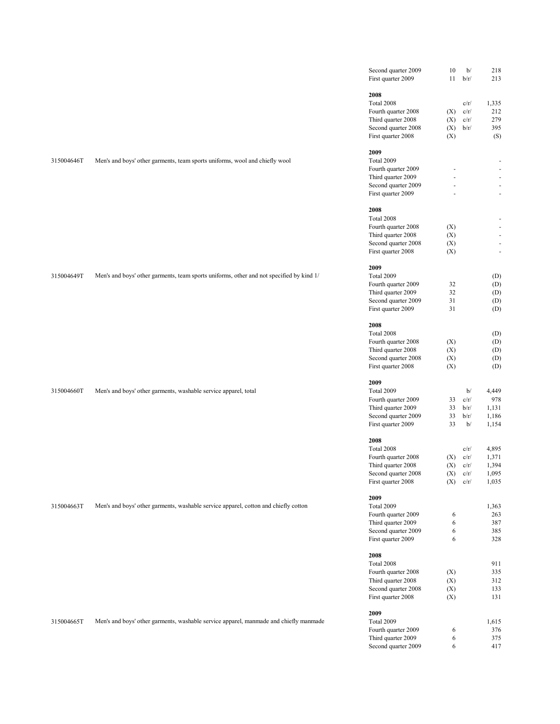|            |                                                                                          | Second quarter 2009<br>First quarter 2009                                                                    | $10\,$<br>11             | b/<br>b/r/                                   | 218<br>213                                                   |
|------------|------------------------------------------------------------------------------------------|--------------------------------------------------------------------------------------------------------------|--------------------------|----------------------------------------------|--------------------------------------------------------------|
|            |                                                                                          | 2008<br>Total 2008<br>Fourth quarter 2008<br>Third quarter 2008<br>Second quarter 2008                       | (X)<br>(X)<br>(X)        | c/r/<br>c/r/<br>c/r/<br>b/r/                 | 1,335<br>212<br>279<br>395                                   |
|            |                                                                                          | First quarter 2008                                                                                           | (X)                      |                                              | (S)                                                          |
| 315004646T | Men's and boys' other garments, team sports uniforms, wool and chiefly wool              | 2009<br>Total 2009<br>Fourth quarter 2009<br>Third quarter 2009                                              |                          |                                              | $\omega$<br>$\omega$                                         |
|            |                                                                                          | Second quarter 2009<br>First quarter 2009                                                                    |                          |                                              | $\overline{\phantom{a}}$<br>$\omega$                         |
|            |                                                                                          | 2008<br>Total 2008<br>Fourth quarter 2008                                                                    | (X)                      |                                              | $\omega$                                                     |
|            |                                                                                          | Third quarter 2008<br>Second quarter 2008<br>First quarter 2008                                              | (X)<br>(X)<br>(X)        |                                              | $\overline{\phantom{a}}$<br>$\blacksquare$<br>$\blacksquare$ |
| 315004649T | Men's and boys' other garments, team sports uniforms, other and not specified by kind 1/ | 2009<br>Total 2009<br>Fourth quarter 2009<br>Third quarter 2009<br>Second quarter 2009                       | 32<br>32<br>31           |                                              | (D)<br>(D)<br>(D)<br>(D)                                     |
|            |                                                                                          | First quarter 2009<br>2008<br>Total 2008                                                                     | 31                       |                                              | (D)<br>(D)                                                   |
|            |                                                                                          | Fourth quarter 2008<br>Third quarter 2008<br>Second quarter 2008<br>First quarter 2008                       | (X)<br>(X)<br>(X)<br>(X) |                                              | (D)<br>(D)<br>(D)<br>(D)                                     |
| 315004660T | Men's and boys' other garments, washable service apparel, total                          | 2009<br>Total 2009<br>Fourth quarter 2009<br>Third quarter 2009<br>Second quarter 2009<br>First quarter 2009 | 33<br>33<br>33<br>33     | b/<br>c/r/<br>b/r/<br>b/r/<br>b/             | 4,449<br>978<br>1,131<br>1,186<br>1,154                      |
|            |                                                                                          | 2008<br>Total 2008<br>Fourth quarter 2008<br>Third quarter 2008<br>Second quarter 2008<br>First quarter 2008 | (X)<br>(X)<br>(X)        | c/r/<br>c/r/<br>c/r/<br>c/r/<br>$(X)$ $c/r/$ | 4,895<br>1,371<br>1,394<br>1,095<br>1,035                    |
| 315004663T | Men's and boys' other garments, washable service apparel, cotton and chiefly cotton      | 2009<br>Total 2009<br>Fourth quarter 2009<br>Third quarter 2009<br>Second quarter 2009<br>First quarter 2009 | 6<br>6<br>6<br>6         |                                              | 1,363<br>263<br>387<br>385<br>328                            |
|            |                                                                                          | 2008<br>Total 2008<br>Fourth quarter 2008<br>Third quarter 2008<br>Second quarter 2008<br>First quarter 2008 | (X)<br>(X)<br>(X)<br>(X) |                                              | 911<br>335<br>312<br>133<br>131                              |
| 315004665T | Men's and boys' other garments, washable service apparel, manmade and chiefly manmade    | 2009<br>Total 2009<br>Fourth quarter 2009<br>Third quarter 2009<br>Second quarter 2009                       | 6<br>6<br>6              |                                              | 1,615<br>376<br>375<br>417                                   |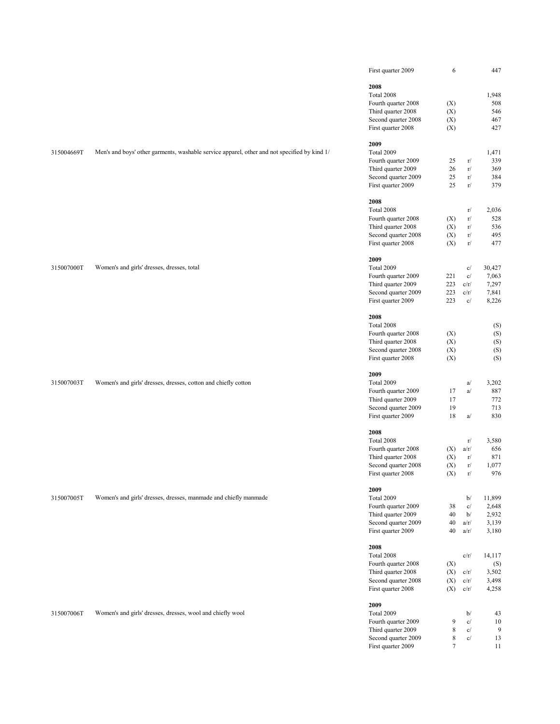|            |                                                                                              | First quarter 2009                        | 6                |              | 447            |
|------------|----------------------------------------------------------------------------------------------|-------------------------------------------|------------------|--------------|----------------|
|            |                                                                                              | 2008                                      |                  |              |                |
|            |                                                                                              | Total 2008                                |                  |              | 1,948          |
|            |                                                                                              | Fourth quarter 2008                       | (X)              |              | 508            |
|            |                                                                                              | Third quarter 2008                        | (X)              |              | 546            |
|            |                                                                                              | Second quarter 2008                       | (X)              |              | 467            |
|            |                                                                                              | First quarter 2008                        | (X)              |              | 427            |
|            |                                                                                              |                                           |                  |              |                |
|            |                                                                                              | 2009                                      |                  |              |                |
| 315004669T | Men's and boys' other garments, washable service apparel, other and not specified by kind 1/ | Total 2009                                |                  |              | 1,471          |
|            |                                                                                              | Fourth quarter 2009                       | 25               | r/           | 339            |
|            |                                                                                              | Third quarter 2009                        | 26               | r/           | 369            |
|            |                                                                                              | Second quarter 2009                       | 25               | r/           | 384            |
|            |                                                                                              | First quarter 2009                        | 25               | r/           | 379            |
|            |                                                                                              | 2008                                      |                  |              |                |
|            |                                                                                              | Total 2008                                |                  | r/           | 2,036          |
|            |                                                                                              | Fourth quarter 2008                       | (X)              | r/           | 528            |
|            |                                                                                              | Third quarter 2008                        | (X)              | r/           | 536            |
|            |                                                                                              | Second quarter 2008                       | (X)              | r/           | 495            |
|            |                                                                                              | First quarter 2008                        | (X)              | r/           | 477            |
|            |                                                                                              |                                           |                  |              |                |
|            |                                                                                              | 2009                                      |                  |              |                |
| 315007000T | Women's and girls' dresses, dresses, total                                                   | Total 2009                                |                  | c/           | 30,427         |
|            |                                                                                              | Fourth quarter 2009<br>Third quarter 2009 | 221<br>223       | c/<br>c/r/   | 7,063<br>7,297 |
|            |                                                                                              | Second quarter 2009                       | 223              | c/r/         | 7,841          |
|            |                                                                                              | First quarter 2009                        | 223              | c/           | 8,226          |
|            |                                                                                              |                                           |                  |              |                |
|            |                                                                                              | 2008                                      |                  |              |                |
|            |                                                                                              | Total 2008                                |                  |              | (S)            |
|            |                                                                                              | Fourth quarter 2008                       | (X)              |              | (S)            |
|            |                                                                                              | Third quarter 2008                        | (X)              |              | (S)            |
|            |                                                                                              | Second quarter 2008                       | (X)              |              | (S)            |
|            |                                                                                              | First quarter 2008                        | (X)              |              | (S)            |
|            |                                                                                              | 2009                                      |                  |              |                |
| 315007003T | Women's and girls' dresses, dresses, cotton and chiefly cotton                               | Total 2009                                |                  | a/           | 3,202          |
|            |                                                                                              | Fourth quarter 2009                       | 17               | a/           | 887            |
|            |                                                                                              | Third quarter 2009                        | 17               |              | 772            |
|            |                                                                                              | Second quarter 2009                       | 19               |              | 713            |
|            |                                                                                              | First quarter 2009                        | 18               | a/           | 830            |
|            |                                                                                              | 2008                                      |                  |              |                |
|            |                                                                                              | Total 2008                                |                  | r/           | 3,580          |
|            |                                                                                              | Fourth quarter 2008                       | (X)              | a/r/         | 656            |
|            |                                                                                              | Third quarter 2008                        | (X)              | r/           | 871            |
|            |                                                                                              | Second quarter 2008                       | (X)              | r/           | 1,077          |
|            |                                                                                              | First quarter 2008                        | (X)              | $\Gamma/$    | 976            |
|            |                                                                                              |                                           |                  |              |                |
|            |                                                                                              | 2009                                      |                  |              |                |
| 315007005T | Women's and girls' dresses, dresses, manmade and chiefly manmade                             | Total 2009                                |                  | b/<br>c/     | 11,899         |
|            |                                                                                              | Fourth quarter 2009<br>Third quarter 2009 | 38<br>40         | b/           | 2,648<br>2,932 |
|            |                                                                                              | Second quarter 2009                       | 40               | a/r/         | 3,139          |
|            |                                                                                              | First quarter 2009                        | 40               | a/r/         | 3,180          |
|            |                                                                                              |                                           |                  |              |                |
|            |                                                                                              | 2008                                      |                  |              |                |
|            |                                                                                              | Total 2008                                |                  | c/r/         | 14,117         |
|            |                                                                                              | Fourth quarter 2008                       | (X)              |              | (S)            |
|            |                                                                                              | Third quarter 2008                        | (X)              | c/r/         | 3,502          |
|            |                                                                                              | Second quarter 2008<br>First quarter 2008 | (X)<br>(X)       | c/r/<br>c/r/ | 3,498<br>4,258 |
|            |                                                                                              |                                           |                  |              |                |
|            |                                                                                              | 2009                                      |                  |              |                |
| 315007006T | Women's and girls' dresses, dresses, wool and chiefly wool                                   | Total 2009                                |                  | b/           | 43             |
|            |                                                                                              | Fourth quarter 2009                       | 9                | c/           | 10             |
|            |                                                                                              | Third quarter 2009                        | $\,$ 8 $\,$      | c/           | 9              |
|            |                                                                                              | Second quarter 2009                       | 8                | c/           | 13             |
|            |                                                                                              | First quarter 2009                        | $\boldsymbol{7}$ |              | 11             |
|            |                                                                                              |                                           |                  |              |                |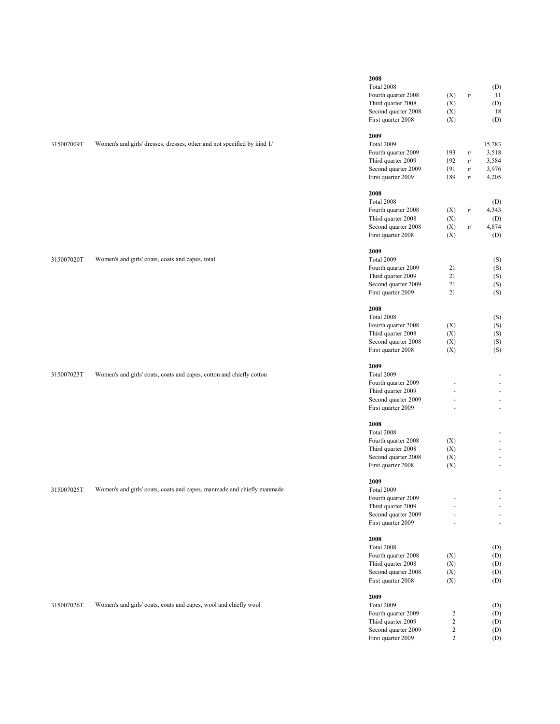| 315007009T | Women's and girls' dresses, dresses, other and not specified by kind 1/ | 2008<br>Total 2008<br>Fourth quarter 2008<br>Third quarter 2008<br>Second quarter 2008<br>First quarter 2008<br>2009<br>Total 2009<br>Fourth quarter 2009<br>Third quarter 2009<br>Second quarter 2009 | (X)<br>(X)<br>(X)<br>(X)<br>193<br>192<br>191                  | r/<br>r/<br>r/<br>r/ | (D)<br>11<br>(D)<br>18<br>(D)<br>15,283<br>3,518<br>3,584<br>3,976                                                                                                     |
|------------|-------------------------------------------------------------------------|--------------------------------------------------------------------------------------------------------------------------------------------------------------------------------------------------------|----------------------------------------------------------------|----------------------|------------------------------------------------------------------------------------------------------------------------------------------------------------------------|
|            |                                                                         | First quarter 2009<br>2008<br>Total 2008<br>Fourth quarter 2008<br>Third quarter 2008<br>Second quarter 2008                                                                                           | 189<br>(X)<br>(X)<br>(X)                                       | r/<br>r/<br>r/       | 4,205<br>(D)<br>4,343<br>(D)<br>4,874                                                                                                                                  |
| 315007020T | Women's and girls' coats, coats and capes, total                        | First quarter 2008<br>2009<br>Total 2009<br>Fourth quarter 2009<br>Third quarter 2009<br>Second quarter 2009<br>First quarter 2009                                                                     | (X)<br>21<br>21<br>21<br>21                                    |                      | (D)<br>(S)<br>(S)<br>(S)<br>(S)<br>(S)                                                                                                                                 |
| 315007023T | Women's and girls' coats, coats and capes, cotton and chiefly cotton    | 2008<br>Total 2008<br>Fourth quarter 2008<br>Third quarter 2008<br>Second quarter 2008<br>First quarter 2008<br>2009<br>Total 2009<br>Fourth quarter 2009<br>Third quarter 2009<br>Second quarter 2009 | (X)<br>(X)<br>(X)<br>(X)                                       |                      | (S)<br>(S)<br>(S)<br>(S)<br>(S)<br>$\sim$<br>$\sim$<br>$\sim$<br>$\sim$                                                                                                |
| 315007025T | Women's and girls' coats, coats and capes, manmade and chiefly manmade  | First quarter 2009<br>2008<br>Total 2008<br>Fourth quarter 2008<br>Third quarter 2008<br>Second quarter 2008<br>First quarter 2008<br>2009<br>Total 2009<br>Fourth quarter 2009                        | $\ddot{\phantom{1}}$<br>(X)<br>(X)<br>(X)<br>(X)               |                      | $\overline{\phantom{a}}$<br>$\sim$<br>$\overline{\phantom{a}}$<br>$\sim$<br>$\sim$<br>$\overline{\phantom{a}}$<br>$\overline{\phantom{a}}$<br>$\overline{\phantom{a}}$ |
|            |                                                                         | Third quarter 2009<br>Second quarter 2009<br>First quarter 2009<br>2008<br>Total 2008<br>Fourth quarter 2008<br>Third quarter 2008<br>Second quarter 2008                                              | (X)<br>(X)<br>(X)                                              |                      | $\omega$<br>$\overline{\phantom{a}}$<br>$\blacksquare$<br>(D)<br>(D)<br>(D)<br>(D)                                                                                     |
| 315007026T | Women's and girls' coats, coats and capes, wool and chiefly wool        | First quarter 2008<br>2009<br>Total 2009<br>Fourth quarter 2009<br>Third quarter 2009<br>Second quarter 2009                                                                                           | (X)<br>$\overline{c}$<br>$\overline{\mathbf{c}}$<br>$\sqrt{2}$ |                      | (D)<br>(D)<br>(D)<br>(D)<br>(D)                                                                                                                                        |

First quarter 2009 2 (D)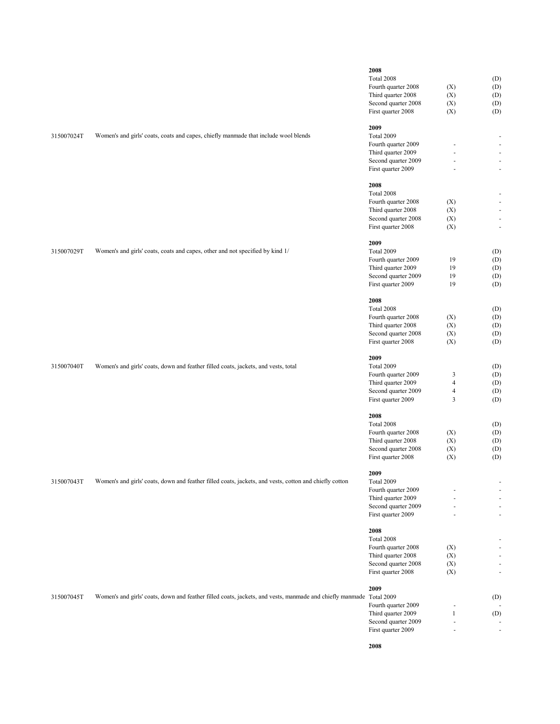| 315007024T | Women's and girls' coats, coats and capes, chiefly manmade that include wool blends                                 | 2008<br>Total 2008<br>Fourth quarter 2008<br>Third quarter 2008<br>Second quarter 2008<br>First quarter 2008<br>2009<br>Total 2009<br>Fourth quarter 2009<br>Third quarter 2009<br>Second quarter 2009<br>First quarter 2009<br>2008 | (X)<br>(X)<br>(X)<br>(X)<br>L.                                                             | (D)<br>(D)<br>(D)<br>(D)<br>(D)<br>$\omega$<br>$\sim$<br>$\sim$<br>$\blacksquare$ |
|------------|---------------------------------------------------------------------------------------------------------------------|--------------------------------------------------------------------------------------------------------------------------------------------------------------------------------------------------------------------------------------|--------------------------------------------------------------------------------------------|-----------------------------------------------------------------------------------|
| 315007029T | Women's and girls' coats, coats and capes, other and not specified by kind 1/                                       | Total 2008<br>Fourth quarter 2008<br>Third quarter 2008<br>Second quarter 2008<br>First quarter 2008<br>2009<br>Total 2009<br>Fourth quarter 2009<br>Third quarter 2009<br>Second quarter 2009<br>First quarter 2009<br>2008         | (X)<br>(X)<br>(X)<br>(X)<br>19<br>19<br>19<br>19                                           | $\omega$<br>$\overline{\phantom{a}}$<br>$\sim$<br>(D)<br>(D)<br>(D)<br>(D)<br>(D) |
| 315007040T | Women's and girls' coats, down and feather filled coats, jackets, and vests, total                                  | Total 2008<br>Fourth quarter 2008<br>Third quarter 2008<br>Second quarter 2008<br>First quarter 2008<br>2009<br>Total 2009<br>Fourth quarter 2009<br>Third quarter 2009<br>Second quarter 2009<br>First quarter 2009                 | (X)<br>(X)<br>(X)<br>(X)<br>3<br>$\overline{\mathcal{L}}$<br>$\overline{\mathcal{L}}$<br>3 | (D)<br>(D)<br>(D)<br>(D)<br>(D)<br>(D)<br>(D)<br>(D)<br>(D)<br>(D)                |
| 315007043T | Women's and girls' coats, down and feather filled coats, jackets, and vests, cotton and chiefly cotton              | 2008<br>Total 2008<br>Fourth quarter 2008<br>Third quarter 2008<br>Second quarter 2008<br>First quarter 2008<br>2009<br>Total 2009<br>Fourth quarter 2009<br>Third quarter 2009<br>Second quarter 2009<br>First quarter 2009<br>2008 | (X)<br>(X)<br>(X)<br>(X)                                                                   | (D)<br>(D)<br>(D)<br>(D)<br>(D)<br>÷.<br>÷.                                       |
| 315007045T | Women's and girls' coats, down and feather filled coats, jackets, and vests, manmade and chiefly manmade Total 2009 | Total 2008<br>Fourth quarter 2008<br>Third quarter 2008<br>Second quarter 2008<br>First quarter 2008<br>2009<br>Fourth quarter 2009<br>Third quarter 2009<br>Second quarter 2009<br>First quarter 2009<br>2008                       | (X)<br>(X)<br>(X)<br>(X)<br>$\mathbf{1}$<br>L.                                             | ÷.<br>$\overline{\phantom{a}}$<br>(D)<br>(D)                                      |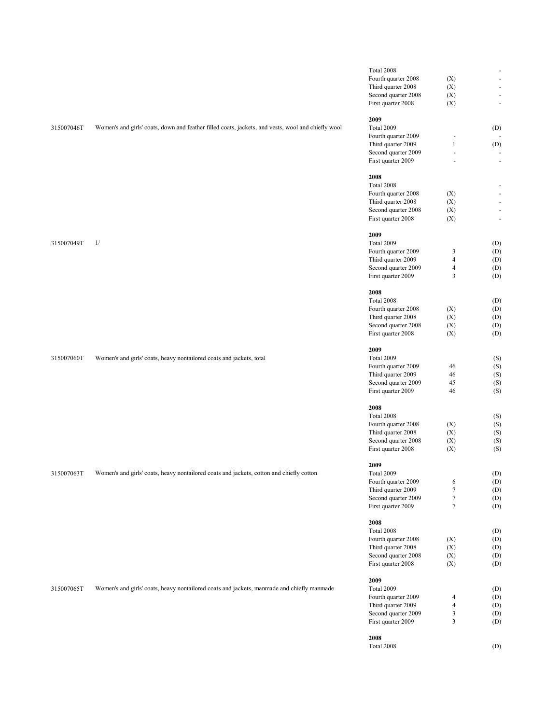|            |                                                                                                    | Total 2008          |                          | $\blacksquare$           |
|------------|----------------------------------------------------------------------------------------------------|---------------------|--------------------------|--------------------------|
|            |                                                                                                    | Fourth quarter 2008 | (X)                      | $\blacksquare$           |
|            |                                                                                                    | Third quarter 2008  | (X)                      | $\blacksquare$           |
|            |                                                                                                    | Second quarter 2008 | (X)                      | $\blacksquare$           |
|            |                                                                                                    | First quarter 2008  | (X)                      | $\blacksquare$           |
|            |                                                                                                    |                     |                          |                          |
|            |                                                                                                    | 2009                |                          |                          |
| 315007046T | Women's and girls' coats, down and feather filled coats, jackets, and vests, wool and chiefly wool | Total 2009          |                          | (D)                      |
|            |                                                                                                    | Fourth quarter 2009 | $\overline{\phantom{a}}$ |                          |
|            |                                                                                                    | Third quarter 2009  | $\mathbf{1}$             | (D)                      |
|            |                                                                                                    |                     |                          |                          |
|            |                                                                                                    | Second quarter 2009 | $\blacksquare$           |                          |
|            |                                                                                                    | First quarter 2009  | ä,                       | $\bar{\phantom{a}}$      |
|            |                                                                                                    |                     |                          |                          |
|            |                                                                                                    | 2008                |                          |                          |
|            |                                                                                                    | Total 2008          |                          | $\overline{\phantom{a}}$ |
|            |                                                                                                    | Fourth quarter 2008 | (X)                      | $\blacksquare$           |
|            |                                                                                                    | Third quarter 2008  | (X)                      | $\overline{\phantom{a}}$ |
|            |                                                                                                    | Second quarter 2008 | (X)                      | $\blacksquare$           |
|            |                                                                                                    | First quarter 2008  | (X)                      | $\blacksquare$           |
|            |                                                                                                    |                     |                          |                          |
|            |                                                                                                    | 2009                |                          |                          |
| 315007049T | 1/                                                                                                 | Total 2009          |                          | (D)                      |
|            |                                                                                                    | Fourth quarter 2009 | 3                        | (D)                      |
|            |                                                                                                    | Third quarter 2009  | $\overline{4}$           | (D)                      |
|            |                                                                                                    | Second quarter 2009 | $\overline{4}$           | (D)                      |
|            |                                                                                                    | First quarter 2009  | 3                        | (D)                      |
|            |                                                                                                    |                     |                          |                          |
|            |                                                                                                    | 2008                |                          |                          |
|            |                                                                                                    |                     |                          |                          |
|            |                                                                                                    | Total 2008          |                          | (D)                      |
|            |                                                                                                    | Fourth quarter 2008 | (X)                      | (D)                      |
|            |                                                                                                    | Third quarter 2008  | (X)                      | (D)                      |
|            |                                                                                                    | Second quarter 2008 | (X)                      | (D)                      |
|            |                                                                                                    | First quarter 2008  | (X)                      | (D)                      |
|            |                                                                                                    |                     |                          |                          |
|            |                                                                                                    | 2009                |                          |                          |
| 315007060T | Women's and girls' coats, heavy nontailored coats and jackets, total                               | Total 2009          |                          | (S)                      |
|            |                                                                                                    | Fourth quarter 2009 | 46                       | (S)                      |
|            |                                                                                                    | Third quarter 2009  | 46                       | (S)                      |
|            |                                                                                                    | Second quarter 2009 | 45                       | (S)                      |
|            |                                                                                                    | First quarter 2009  | 46                       | (S)                      |
|            |                                                                                                    |                     |                          |                          |
|            |                                                                                                    | 2008                |                          |                          |
|            |                                                                                                    | Total 2008          |                          |                          |
|            |                                                                                                    |                     |                          | (S)                      |
|            |                                                                                                    | Fourth quarter 2008 | (X)                      | (S)                      |
|            |                                                                                                    | Third quarter 2008  | (X)                      | (S)                      |
|            |                                                                                                    | Second quarter 2008 | (X)                      | (S)                      |
|            |                                                                                                    | First quarter 2008  | (X)                      | (S)                      |
|            |                                                                                                    |                     |                          |                          |
|            |                                                                                                    | 2009                |                          |                          |
| 315007063T | Women's and girls' coats, heavy nontailored coats and jackets, cotton and chiefly cotton           | Total 2009          |                          | (D)                      |
|            |                                                                                                    | Fourth quarter 2009 | 6                        | (D)                      |
|            |                                                                                                    | Third quarter 2009  | $\tau$                   | (D)                      |
|            |                                                                                                    | Second quarter 2009 | 7                        | (D)                      |
|            |                                                                                                    | First quarter 2009  | $\tau$                   | (D)                      |
|            |                                                                                                    |                     |                          |                          |
|            |                                                                                                    | 2008                |                          |                          |
|            |                                                                                                    | Total 2008          |                          | (D)                      |
|            |                                                                                                    | Fourth quarter 2008 | (X)                      | (D)                      |
|            |                                                                                                    | Third quarter 2008  | (X)                      | (D)                      |
|            |                                                                                                    | Second quarter 2008 | (X)                      | (D)                      |
|            |                                                                                                    |                     |                          |                          |
|            |                                                                                                    | First quarter 2008  | (X)                      | (D)                      |
|            |                                                                                                    |                     |                          |                          |
|            |                                                                                                    | 2009                |                          |                          |
| 315007065T | Women's and girls' coats, heavy nontailored coats and jackets, manmade and chiefly manmade         | Total 2009          |                          | (D)                      |
|            |                                                                                                    | Fourth quarter 2009 | $\overline{4}$           | (D)                      |
|            |                                                                                                    | Third quarter 2009  | $\overline{4}$           | (D)                      |
|            |                                                                                                    | Second quarter 2009 | 3                        | (D)                      |
|            |                                                                                                    | First quarter 2009  | $\overline{\mathbf{3}}$  | (D)                      |
|            |                                                                                                    |                     |                          |                          |
|            |                                                                                                    | 2008                |                          |                          |
|            |                                                                                                    | Total 2008          |                          | (D)                      |
|            |                                                                                                    |                     |                          |                          |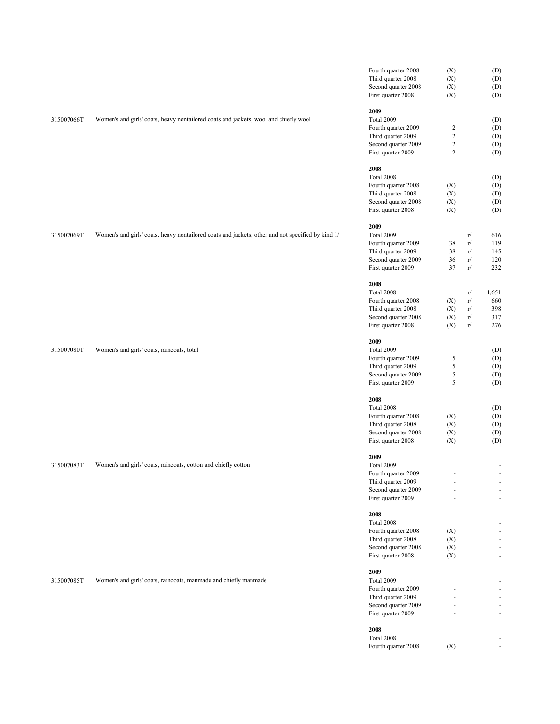|            |                                                                                                   | Fourth quarter 2008 | (X)            |          | (D)                          |
|------------|---------------------------------------------------------------------------------------------------|---------------------|----------------|----------|------------------------------|
|            |                                                                                                   | Third quarter 2008  | (X)            |          | (D)                          |
|            |                                                                                                   | Second quarter 2008 | (X)            |          | (D)                          |
|            |                                                                                                   | First quarter 2008  | (X)            |          | (D)                          |
|            |                                                                                                   |                     |                |          |                              |
|            |                                                                                                   | 2009                |                |          |                              |
| 315007066T | Women's and girls' coats, heavy nontailored coats and jackets, wool and chiefly wool              | Total 2009          |                |          | (D)                          |
|            |                                                                                                   | Fourth quarter 2009 | $\sqrt{2}$     |          | (D)                          |
|            |                                                                                                   | Third quarter 2009  | $\sqrt{2}$     |          | (D)                          |
|            |                                                                                                   | Second quarter 2009 | $\sqrt{2}$     |          | (D)                          |
|            |                                                                                                   | First quarter 2009  | $\overline{2}$ |          | (D)                          |
|            |                                                                                                   |                     |                |          |                              |
|            |                                                                                                   | 2008                |                |          |                              |
|            |                                                                                                   | Total 2008          |                |          | (D)                          |
|            |                                                                                                   | Fourth quarter 2008 | (X)            |          | (D)                          |
|            |                                                                                                   | Third quarter 2008  | (X)            |          | (D)                          |
|            |                                                                                                   | Second quarter 2008 | (X)            |          | (D)                          |
|            |                                                                                                   | First quarter 2008  | (X)            |          | (D)                          |
|            |                                                                                                   |                     |                |          |                              |
|            |                                                                                                   | 2009                |                |          |                              |
| 315007069T | Women's and girls' coats, heavy nontailored coats and jackets, other and not specified by kind 1/ | Total 2009          |                | r/       | 616                          |
|            |                                                                                                   | Fourth quarter 2009 | 38             | r/       | 119                          |
|            |                                                                                                   | Third quarter 2009  | 38             | r/       | 145                          |
|            |                                                                                                   | Second quarter 2009 | 36             | $\rm r/$ | 120                          |
|            |                                                                                                   | First quarter 2009  | 37             | r/       | 232                          |
|            |                                                                                                   |                     |                |          |                              |
|            |                                                                                                   | 2008                |                |          |                              |
|            |                                                                                                   | Total 2008          |                | r/       | 1,651                        |
|            |                                                                                                   | Fourth quarter 2008 | (X)            | r/       | 660                          |
|            |                                                                                                   | Third quarter 2008  | (X)            | r/       | 398                          |
|            |                                                                                                   |                     |                |          |                              |
|            |                                                                                                   | Second quarter 2008 | (X)            | r/       | 317                          |
|            |                                                                                                   | First quarter 2008  | (X)            | r/       | 276                          |
|            |                                                                                                   | 2009                |                |          |                              |
| 315007080T | Women's and girls' coats, raincoats, total                                                        | Total 2009          |                |          | (D)                          |
|            |                                                                                                   | Fourth quarter 2009 | $\sqrt{5}$     |          | (D)                          |
|            |                                                                                                   | Third quarter 2009  | $\sqrt{5}$     |          | (D)                          |
|            |                                                                                                   |                     |                |          |                              |
|            |                                                                                                   | Second quarter 2009 | $\sqrt{5}$     |          | (D)                          |
|            |                                                                                                   | First quarter 2009  | 5              |          | (D)                          |
|            |                                                                                                   | 2008                |                |          |                              |
|            |                                                                                                   | Total 2008          |                |          | (D)                          |
|            |                                                                                                   | Fourth quarter 2008 | (X)            |          | (D)                          |
|            |                                                                                                   | Third quarter 2008  | (X)            |          | (D)                          |
|            |                                                                                                   | Second quarter 2008 | (X)            |          | (D)                          |
|            |                                                                                                   | First quarter 2008  | (X)            |          | (D)                          |
|            |                                                                                                   |                     |                |          |                              |
|            |                                                                                                   | 2009                |                |          |                              |
| 315007083T | Women's and girls' coats, raincoats, cotton and chiefly cotton                                    | Total 2009          |                |          | ٠                            |
|            |                                                                                                   | Fourth quarter 2009 | ٠              |          | $\overline{\phantom{a}}$     |
|            |                                                                                                   | Third quarter 2009  |                |          |                              |
|            |                                                                                                   | Second quarter 2009 |                |          | $\overline{\phantom{a}}$     |
|            |                                                                                                   | First quarter 2009  |                |          | $\blacksquare$               |
|            |                                                                                                   |                     |                |          |                              |
|            |                                                                                                   | 2008                |                |          |                              |
|            |                                                                                                   | Total 2008          |                |          | $\qquad \qquad \blacksquare$ |
|            |                                                                                                   | Fourth quarter 2008 | (X)            |          | $\overline{\phantom{a}}$     |
|            |                                                                                                   | Third quarter 2008  | (X)            |          | $\overline{\phantom{a}}$     |
|            |                                                                                                   | Second quarter 2008 | (X)            |          | $\blacksquare$               |
|            |                                                                                                   | First quarter 2008  | (X)            |          | $\blacksquare$               |
|            |                                                                                                   |                     |                |          |                              |
|            |                                                                                                   | 2009                |                |          |                              |
| 315007085T | Women's and girls' coats, raincoats, manmade and chiefly manmade                                  | Total 2009          |                |          | $\qquad \qquad \blacksquare$ |
|            |                                                                                                   | Fourth quarter 2009 |                |          | ٠                            |
|            |                                                                                                   | Third quarter 2009  |                |          | $\overline{\phantom{a}}$     |
|            |                                                                                                   | Second quarter 2009 |                |          | $\overline{\phantom{a}}$     |
|            |                                                                                                   | First quarter 2009  |                |          | $\overline{\phantom{a}}$     |
|            |                                                                                                   |                     |                |          |                              |
|            |                                                                                                   | 2008                |                |          |                              |
|            |                                                                                                   | Total 2008          |                |          |                              |
|            |                                                                                                   | Fourth quarter 2008 | (X)            |          | $\overline{\phantom{a}}$     |
|            |                                                                                                   |                     |                |          |                              |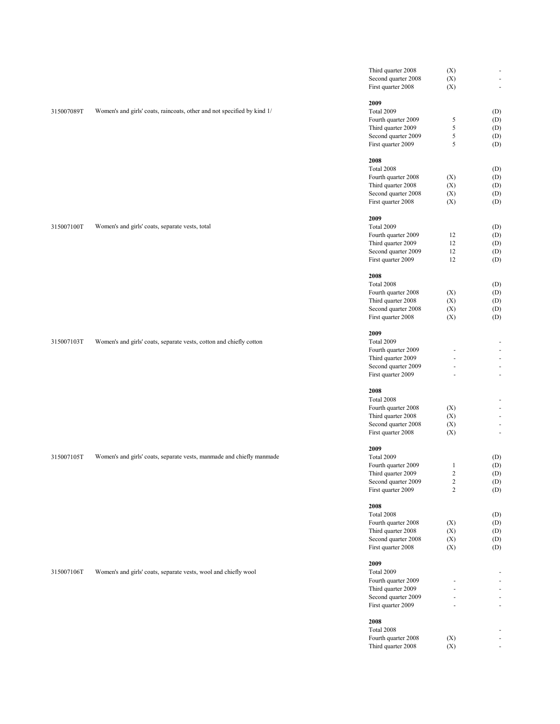|            |                                                                         | Third quarter 2008                        | (X)            |                            |
|------------|-------------------------------------------------------------------------|-------------------------------------------|----------------|----------------------------|
|            |                                                                         | Second quarter 2008                       | (X)            | $\bar{\phantom{a}}$        |
|            |                                                                         | First quarter 2008                        | (X)            | $\sim$                     |
|            |                                                                         |                                           |                |                            |
|            |                                                                         | 2009                                      |                |                            |
| 315007089T | Women's and girls' coats, raincoats, other and not specified by kind 1/ | Total 2009                                |                | (D)                        |
|            |                                                                         | Fourth quarter 2009<br>Third quarter 2009 | 5<br>5         | (D)<br>(D)                 |
|            |                                                                         | Second quarter 2009                       | $\sqrt{5}$     | (D)                        |
|            |                                                                         | First quarter 2009                        | 5              | (D)                        |
|            |                                                                         |                                           |                |                            |
|            |                                                                         | 2008                                      |                |                            |
|            |                                                                         | Total 2008                                |                | (D)                        |
|            |                                                                         | Fourth quarter 2008                       | (X)            | (D)                        |
|            |                                                                         | Third quarter 2008                        | (X)            | (D)                        |
|            |                                                                         | Second quarter 2008                       | (X)            | (D)                        |
|            |                                                                         | First quarter 2008                        | (X)            | (D)                        |
|            |                                                                         |                                           |                |                            |
|            |                                                                         | 2009                                      |                |                            |
| 315007100T | Women's and girls' coats, separate vests, total                         | Total 2009                                |                | (D)                        |
|            |                                                                         | Fourth quarter 2009                       | 12             | (D)                        |
|            |                                                                         | Third quarter 2009                        | 12             | (D)                        |
|            |                                                                         | Second quarter 2009                       | 12             | (D)                        |
|            |                                                                         | First quarter 2009                        | 12             | (D)                        |
|            |                                                                         | 2008                                      |                |                            |
|            |                                                                         | Total 2008                                |                |                            |
|            |                                                                         | Fourth quarter 2008                       | (X)            | (D)<br>(D)                 |
|            |                                                                         | Third quarter 2008                        | (X)            | (D)                        |
|            |                                                                         | Second quarter 2008                       | (X)            | (D)                        |
|            |                                                                         | First quarter 2008                        | (X)            | (D)                        |
|            |                                                                         |                                           |                |                            |
|            |                                                                         | 2009                                      |                |                            |
| 315007103T | Women's and girls' coats, separate vests, cotton and chiefly cotton     | Total 2009                                |                |                            |
|            |                                                                         | Fourth quarter 2009                       |                | ä,                         |
|            |                                                                         | Third quarter 2009                        |                | $\sim$                     |
|            |                                                                         | Second quarter 2009                       |                | ÷.                         |
|            |                                                                         | First quarter 2009                        | ä,             | ä,                         |
|            |                                                                         |                                           |                |                            |
|            |                                                                         | 2008                                      |                |                            |
|            |                                                                         | Total 2008                                |                |                            |
|            |                                                                         | Fourth quarter 2008                       | (X)            | $\blacksquare$             |
|            |                                                                         | Third quarter 2008                        | (X)            | ÷.                         |
|            |                                                                         | Second quarter 2008                       | (X)            | $\overline{\phantom{a}}$   |
|            |                                                                         | First quarter 2008                        | (X)            | ÷.                         |
|            |                                                                         | 2009                                      |                |                            |
| 315007105T | Women's and girls' coats, separate vests, manmade and chiefly manmade   | Total 2009                                |                | (D)                        |
|            |                                                                         | Fourth quarter 2009                       | $\mathbf{1}$   | (D)                        |
|            |                                                                         | Third quarter 2009                        | $\overline{c}$ | $\left( \mathrm{D}\right)$ |
|            |                                                                         | Second quarter 2009                       | $\sqrt{2}$     | (D)                        |
|            |                                                                         | First quarter 2009                        | $\overline{c}$ | (D)                        |
|            |                                                                         |                                           |                |                            |
|            |                                                                         | 2008                                      |                |                            |
|            |                                                                         | Total 2008                                |                | (D)                        |
|            |                                                                         | Fourth quarter 2008                       | (X)            | (D)                        |
|            |                                                                         | Third quarter 2008                        | (X)            | (D)                        |
|            |                                                                         | Second quarter 2008                       | (X)            | (D)                        |
|            |                                                                         | First quarter 2008                        | (X)            | (D)                        |
|            |                                                                         |                                           |                |                            |
|            |                                                                         | 2009                                      |                |                            |
| 315007106T | Women's and girls' coats, separate vests, wool and chiefly wool         | Total 2009                                |                |                            |
|            |                                                                         | Fourth quarter 2009                       |                |                            |
|            |                                                                         | Third quarter 2009                        |                | ÷.                         |
|            |                                                                         | Second quarter 2009                       |                |                            |
|            |                                                                         | First quarter 2009                        |                | $\blacksquare$             |
|            |                                                                         | 2008                                      |                |                            |
|            |                                                                         | Total 2008                                |                |                            |
|            |                                                                         | Fourth quarter 2008                       | (X)            | $\overline{\phantom{a}}$   |
|            |                                                                         | Third quarter 2008                        | (X)            | $\omega$ .                 |
|            |                                                                         |                                           |                |                            |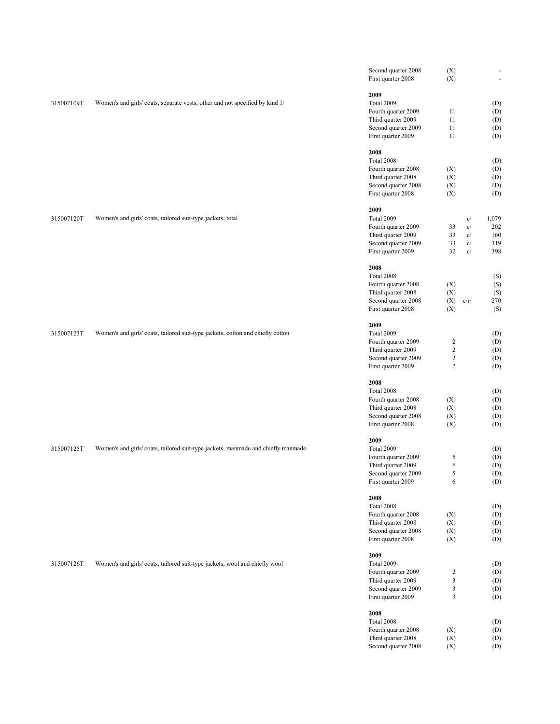|            |                                                                                   | Second quarter 2008<br>First quarter 2008                       | (X)<br>(X)                       |                                           | $\overline{\phantom{a}}$<br>ä, |
|------------|-----------------------------------------------------------------------------------|-----------------------------------------------------------------|----------------------------------|-------------------------------------------|--------------------------------|
| 315007109T | Women's and girls' coats, separate vests, other and not specified by kind 1/      | 2009<br>Total 2009<br>Fourth quarter 2009<br>Third quarter 2009 | 11<br>11                         |                                           | (D)<br>(D)<br>(D)              |
|            |                                                                                   | Second quarter 2009<br>First quarter 2009                       | 11<br>11                         |                                           | (D)<br>(D)                     |
|            |                                                                                   | 2008                                                            |                                  |                                           |                                |
|            |                                                                                   | Total 2008<br>Fourth quarter 2008                               | (X)                              |                                           | (D)<br>(D)                     |
|            |                                                                                   | Third quarter 2008                                              | (X)                              |                                           | (D)                            |
|            |                                                                                   | Second quarter 2008<br>First quarter 2008                       | (X)<br>(X)                       |                                           | (D)<br>(D)                     |
|            |                                                                                   | 2009                                                            |                                  |                                           |                                |
| 315007120T | Women's and girls' coats, tailored suit-type jackets, total                       | Total 2009<br>Fourth quarter 2009                               | 33                               | c/<br>c/                                  | 1,079<br>202                   |
|            |                                                                                   | Third quarter 2009                                              | 33                               | c/                                        | 160                            |
|            |                                                                                   | Second quarter 2009<br>First quarter 2009                       | 33<br>32                         | $\mathbf{c}/% \mathbf{c}^{\prime }$<br>c/ | 319<br>398                     |
|            |                                                                                   | 2008                                                            |                                  |                                           |                                |
|            |                                                                                   | Total 2008<br>Fourth quarter 2008                               | (X)                              |                                           | (S)<br>(S)                     |
|            |                                                                                   | Third quarter 2008                                              | (X)                              |                                           | (S)                            |
|            |                                                                                   | Second quarter 2008                                             | (X)                              | c/r/                                      | 270                            |
|            |                                                                                   | First quarter 2008                                              | (X)                              |                                           | (S)                            |
| 315007123T | Women's and girls' coats, tailored suit-type jackets, cotton and chiefly cotton   | 2009<br>Total 2009                                              |                                  |                                           | (D)                            |
|            |                                                                                   | Fourth quarter 2009                                             | $\overline{c}$                   |                                           | (D)                            |
|            |                                                                                   | Third quarter 2009<br>Second quarter 2009                       | $\overline{c}$<br>$\overline{c}$ |                                           | (D)<br>(D)                     |
|            |                                                                                   | First quarter 2009                                              | $\overline{c}$                   |                                           | (D)                            |
|            |                                                                                   | 2008                                                            |                                  |                                           |                                |
|            |                                                                                   | Total 2008                                                      |                                  |                                           | (D)                            |
|            |                                                                                   | Fourth quarter 2008<br>Third quarter 2008                       | (X)<br>(X)                       |                                           | (D)<br>(D)                     |
|            |                                                                                   | Second quarter 2008                                             | (X)                              |                                           | (D)                            |
|            |                                                                                   | First quarter 2008                                              | (X)                              |                                           | (D)                            |
| 315007125T | Women's and girls' coats, tailored suit-type jackets, manmade and chiefly manmade | 2009<br>Total 2009                                              |                                  |                                           | (D)                            |
|            |                                                                                   | Fourth quarter 2009                                             | 5                                |                                           | (D)                            |
|            |                                                                                   | Third quarter 2009<br>Second quarter 2009                       | 6<br>5                           |                                           | (D)<br>(D)                     |
|            |                                                                                   | First quarter 2009                                              | 6                                |                                           | (D)                            |
|            |                                                                                   | 2008                                                            |                                  |                                           |                                |
|            |                                                                                   | Total 2008<br>Fourth quarter 2008                               | (X)                              |                                           | (D)<br>(D)                     |
|            |                                                                                   | Third quarter 2008                                              | (X)                              |                                           | (D)                            |
|            |                                                                                   | Second quarter 2008<br>First quarter 2008                       | (X)                              |                                           | (D)                            |
|            |                                                                                   |                                                                 | (X)                              |                                           | (D)                            |
| 315007126T | Women's and girls' coats, tailored suit-type jackets, wool and chiefly wool       | 2009<br><b>Total 2009</b>                                       |                                  |                                           | (D)                            |
|            |                                                                                   | Fourth quarter 2009                                             | $\boldsymbol{2}$                 |                                           | (D)                            |
|            |                                                                                   | Third quarter 2009<br>Second quarter 2009                       | 3<br>3                           |                                           | (D)<br>(D)                     |
|            |                                                                                   | First quarter 2009                                              | 3                                |                                           | (D)                            |
|            |                                                                                   | 2008                                                            |                                  |                                           |                                |
|            |                                                                                   | Total 2008<br>Fourth quarter 2008                               | (X)                              |                                           | (D)<br>(D)                     |
|            |                                                                                   | Third quarter 2008                                              | (X)                              |                                           | (D)                            |
|            |                                                                                   | Second quarter 2008                                             | (X)                              |                                           | (D)                            |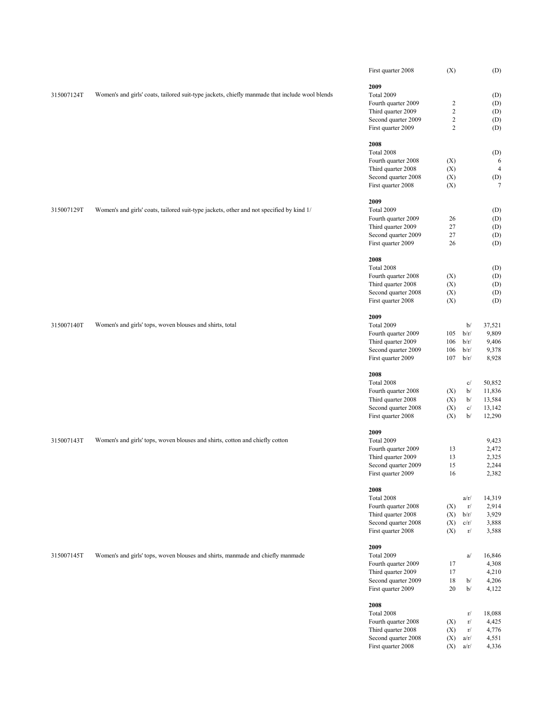|            |                                                                                                | First quarter 2008  | (X)                     |      | (D)            |
|------------|------------------------------------------------------------------------------------------------|---------------------|-------------------------|------|----------------|
|            |                                                                                                | 2009                |                         |      |                |
| 315007124T | Women's and girls' coats, tailored suit-type jackets, chiefly manmade that include wool blends | Total 2009          |                         |      | (D)            |
|            |                                                                                                | Fourth quarter 2009 | $\overline{\mathbf{c}}$ |      | (D)            |
|            |                                                                                                | Third quarter 2009  | $\overline{c}$          |      | (D)            |
|            |                                                                                                | Second quarter 2009 | $\overline{c}$          |      | (D)            |
|            |                                                                                                | First quarter 2009  | $\overline{c}$          |      | (D)            |
|            |                                                                                                | 2008                |                         |      |                |
|            |                                                                                                | Total 2008          |                         |      | (D)            |
|            |                                                                                                | Fourth quarter 2008 | (X)                     |      | 6              |
|            |                                                                                                | Third quarter 2008  | (X)                     |      | $\overline{4}$ |
|            |                                                                                                | Second quarter 2008 | (X)                     |      | (D)            |
|            |                                                                                                | First quarter 2008  | (X)                     |      | 7              |
|            |                                                                                                | 2009                |                         |      |                |
| 315007129T | Women's and girls' coats, tailored suit-type jackets, other and not specified by kind 1/       | Total 2009          |                         |      | (D)            |
|            |                                                                                                | Fourth quarter 2009 | 26                      |      | (D)            |
|            |                                                                                                | Third quarter 2009  | 27                      |      | (D)            |
|            |                                                                                                | Second quarter 2009 | 27                      |      | (D)            |
|            |                                                                                                | First quarter 2009  | 26                      |      | (D)            |
|            |                                                                                                | 2008                |                         |      |                |
|            |                                                                                                | Total 2008          |                         |      | (D)            |
|            |                                                                                                | Fourth quarter 2008 | (X)                     |      | (D)            |
|            |                                                                                                | Third quarter 2008  | (X)                     |      | (D)            |
|            |                                                                                                | Second quarter 2008 | (X)                     |      | (D)            |
|            |                                                                                                | First quarter 2008  | (X)                     |      | (D)            |
|            |                                                                                                | 2009                |                         |      |                |
| 315007140T | Women's and girls' tops, woven blouses and shirts, total                                       | Total 2009          |                         | b/   | 37,521         |
|            |                                                                                                | Fourth quarter 2009 | 105                     | b/r/ | 9,809          |
|            |                                                                                                | Third quarter 2009  | 106                     | b/r/ | 9,406          |
|            |                                                                                                | Second quarter 2009 | 106                     | b/r/ | 9,378          |
|            |                                                                                                | First quarter 2009  | 107                     | b/r/ | 8,928          |
|            |                                                                                                | 2008                |                         |      |                |
|            |                                                                                                | Total 2008          |                         | c/   | 50,852         |
|            |                                                                                                | Fourth quarter 2008 | (X)                     | b/   | 11,836         |
|            |                                                                                                | Third quarter 2008  | (X)                     | b/   | 13,584         |
|            |                                                                                                | Second quarter 2008 | (X)                     | c/   | 13,142         |
|            |                                                                                                | First quarter 2008  | (X)                     | b/   | 12,290         |
|            |                                                                                                | 2009                |                         |      |                |
| 315007143T | Women's and girls' tops, woven blouses and shirts, cotton and chiefly cotton                   | Total 2009          |                         |      | 9,423          |
|            |                                                                                                | Fourth quarter 2009 | 13                      |      | 2,472          |
|            |                                                                                                | Third quarter 2009  | 13                      |      | 2,325          |
|            |                                                                                                | Second quarter 2009 | 15                      |      | 2,244          |
|            |                                                                                                | First quarter 2009  | 16                      |      | 2,382          |
|            |                                                                                                | 2008                |                         |      |                |
|            |                                                                                                | Total 2008          |                         | a/r/ | 14,319         |
|            |                                                                                                | Fourth quarter 2008 | (X)                     | r/   | 2,914          |
|            |                                                                                                | Third quarter 2008  | (X)                     | b/r/ | 3,929          |
|            |                                                                                                | Second quarter 2008 | (X)                     | c/r/ | 3,888          |
|            |                                                                                                | First quarter 2008  | (X)                     | r/   | 3,588          |
|            |                                                                                                | 2009                |                         |      |                |
| 315007145T | Women's and girls' tops, woven blouses and shirts, manmade and chiefly manmade                 | Total 2009          |                         | a/   | 16,846         |
|            |                                                                                                | Fourth quarter 2009 | 17                      |      | 4,308          |
|            |                                                                                                | Third quarter 2009  | 17                      |      | 4,210          |
|            |                                                                                                | Second quarter 2009 | 18                      | b/   | 4,206          |
|            |                                                                                                | First quarter 2009  | 20                      | b/   | 4,122          |
|            |                                                                                                | 2008                |                         |      |                |
|            |                                                                                                | Total 2008          |                         | r/   | 18,088         |
|            |                                                                                                | Fourth quarter 2008 | (X)                     | r/   | 4,425          |
|            |                                                                                                | Third quarter 2008  | (X)                     | r/   | 4,776          |
|            |                                                                                                | Second quarter 2008 | (X)                     | a/r/ | 4,551          |
|            |                                                                                                | First quarter 2008  | (X)                     | a/r/ | 4,336          |
|            |                                                                                                |                     |                         |      |                |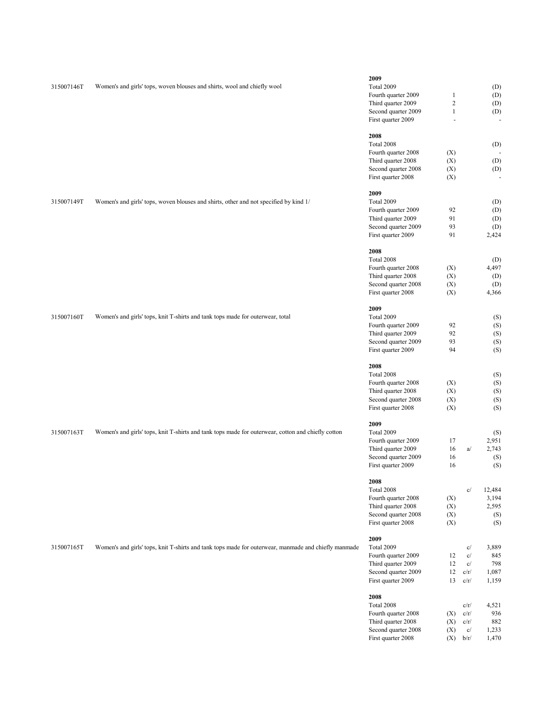| 315007146T | Women's and girls' tops, woven blouses and shirts, wool and chiefly wool                             | 2009<br>Total 2009<br>Fourth quarter 2009<br>Third quarter 2009<br>Second quarter 2009<br>First quarter 2009<br>2008<br>Total 2008<br>Fourth quarter 2008<br>Third quarter 2008<br>Second quarter 2008 | $\mathbf{1}$<br>$\overline{c}$<br>$\mathbf{1}$<br>$\bar{a}$<br>(X)<br>(X)<br>(X) |                                    | (D)<br>(D)<br>(D)<br>(D)<br>(D)<br>(D)<br>(D) |
|------------|------------------------------------------------------------------------------------------------------|--------------------------------------------------------------------------------------------------------------------------------------------------------------------------------------------------------|----------------------------------------------------------------------------------|------------------------------------|-----------------------------------------------|
| 315007149T | Women's and girls' tops, woven blouses and shirts, other and not specified by kind 1/                | First quarter 2008<br>2009<br>Total 2009<br>Fourth quarter 2009<br>Third quarter 2009<br>Second quarter 2009<br>First quarter 2009                                                                     | (X)<br>92<br>91<br>93<br>91                                                      |                                    | (D)<br>(D)<br>(D)<br>(D)<br>2,424             |
|            |                                                                                                      | 2008<br>Total 2008<br>Fourth quarter 2008<br>Third quarter 2008<br>Second quarter 2008<br>First quarter 2008                                                                                           | (X)<br>(X)<br>(X)<br>(X)                                                         |                                    | (D)<br>4,497<br>(D)<br>(D)<br>4,366           |
| 315007160T | Women's and girls' tops, knit T-shirts and tank tops made for outerwear, total                       | 2009<br>Total 2009<br>Fourth quarter 2009<br>Third quarter 2009<br>Second quarter 2009<br>First quarter 2009                                                                                           | 92<br>92<br>93<br>94                                                             |                                    | (S)<br>(S)<br>(S)<br>(S)<br>(S)               |
|            |                                                                                                      | 2008<br>Total 2008<br>Fourth quarter 2008<br>Third quarter 2008<br>Second quarter 2008<br>First quarter 2008                                                                                           | (X)<br>(X)<br>(X)<br>(X)                                                         |                                    | (S)<br>(S)<br>(S)<br>(S)<br>(S)               |
| 315007163T | Women's and girls' tops, knit T-shirts and tank tops made for outerwear, cotton and chiefly cotton   | 2009<br>Total 2009<br>Fourth quarter 2009<br>Third quarter 2009<br>Second quarter 2009<br>First quarter 2009                                                                                           | 17<br>16<br>16<br>16                                                             | a/                                 | (S)<br>2,951<br>2,743<br>(S)<br>(S)           |
|            |                                                                                                      | 2008<br>Total 2008<br>Fourth quarter 2008<br>Third quarter 2008<br>Second quarter 2008<br>First quarter 2008                                                                                           | (X)<br>(X)<br>(X)<br>(X)                                                         | c/                                 | 12,484<br>3,194<br>2,595<br>(S)<br>(S)        |
| 315007165T | Women's and girls' tops, knit T-shirts and tank tops made for outerwear, manmade and chiefly manmade | 2009<br>Total 2009<br>Fourth quarter 2009<br>Third quarter 2009<br>Second quarter 2009<br>First quarter 2009                                                                                           | 12<br>12<br>12<br>13                                                             | c/<br>c/<br>c/<br>c/r/<br>c/r/     | 3,889<br>845<br>798<br>1,087<br>1,159         |
|            |                                                                                                      | 2008<br>Total 2008<br>Fourth quarter 2008<br>Third quarter 2008<br>Second quarter 2008<br>First quarter 2008                                                                                           | (X)<br>(X)<br>(X)<br>(X)                                                         | c/r/<br>c/r/<br>c/r/<br>c/<br>b/r/ | 4,521<br>936<br>882<br>1,233<br>1,470         |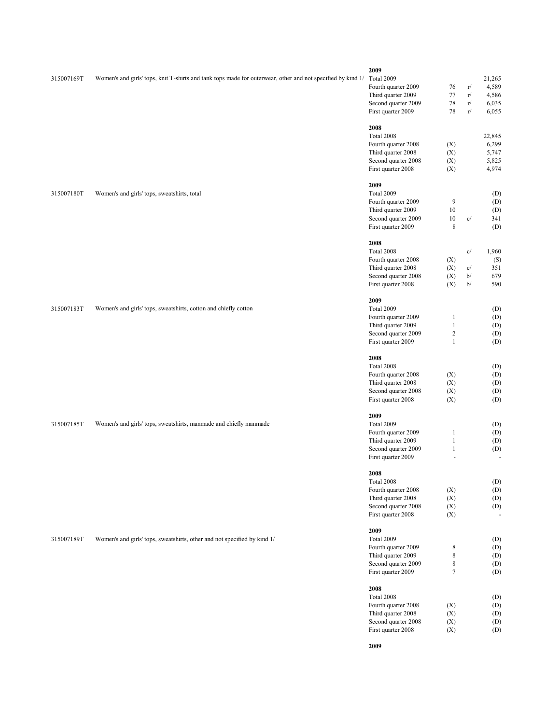| 315007169T | Women's and girls' tops, knit T-shirts and tank tops made for outerwear, other and not specified by kind 1/ | 2009<br>Total 2009<br>Fourth quarter 2009<br>Third quarter 2009<br>Second quarter 2009<br>First quarter 2009                       | 76<br>77<br>78<br>78                                       | r/<br>r/<br>r/<br>r/ | 21,265<br>4,589<br>4,586<br>6,035<br>6,055 |
|------------|-------------------------------------------------------------------------------------------------------------|------------------------------------------------------------------------------------------------------------------------------------|------------------------------------------------------------|----------------------|--------------------------------------------|
|            |                                                                                                             | 2008<br>Total 2008<br>Fourth quarter 2008<br>Third quarter 2008<br>Second quarter 2008<br>First quarter 2008                       | (X)<br>(X)<br>(X)<br>(X)                                   |                      | 22,845<br>6,299<br>5,747<br>5,825<br>4,974 |
| 315007180T | Women's and girls' tops, sweatshirts, total                                                                 | 2009<br>Total 2009<br>Fourth quarter 2009<br>Third quarter 2009<br>Second quarter 2009<br>First quarter 2009                       | 9<br>10<br>$10\,$<br>$\,$ 8 $\,$                           | c/                   | (D)<br>(D)<br>(D)<br>341<br>(D)            |
|            |                                                                                                             | 2008<br>Total 2008<br>Fourth quarter 2008<br>Third quarter 2008<br>Second quarter 2008<br>First quarter 2008                       | (X)<br>(X)<br>(X)<br>(X)                                   | c/<br>c/<br>b/<br>b/ | 1,960<br>(S)<br>351<br>679<br>590          |
| 315007183T | Women's and girls' tops, sweatshirts, cotton and chiefly cotton                                             | 2009<br>Total 2009<br>Fourth quarter 2009<br>Third quarter 2009<br>Second quarter 2009<br>First quarter 2009                       | $\mathbf{1}$<br>$\mathbf{1}$<br>$\sqrt{2}$<br>$\mathbf{1}$ |                      | (D)<br>(D)<br>(D)<br>(D)<br>(D)            |
|            |                                                                                                             | 2008<br>Total 2008<br>Fourth quarter 2008<br>Third quarter 2008<br>Second quarter 2008<br>First quarter 2008                       | (X)<br>(X)<br>(X)<br>(X)                                   |                      | (D)<br>(D)<br>(D)<br>(D)<br>(D)            |
| 315007185T | Women's and girls' tops, sweatshirts, manmade and chiefly manmade                                           | 2009<br>Total 2009<br>Fourth quarter 2009<br>Third quarter 2009<br>Second quarter 2009<br>First quarter 2009                       | 1<br>$\mathbf{1}$<br>$\mathbf{1}$                          |                      | (D)<br>(D)<br>(D)<br>(D)                   |
|            |                                                                                                             | 2008<br>Total 2008<br>Fourth quarter 2008<br>Third quarter 2008<br>Second quarter 2008                                             | (X)<br>(X)<br>(X)                                          |                      | (D)<br>(D)<br>(D)<br>(D)                   |
| 315007189T | Women's and girls' tops, sweatshirts, other and not specified by kind 1/                                    | First quarter 2008<br>2009<br>Total 2009<br>Fourth quarter 2009<br>Third quarter 2009<br>Second quarter 2009                       | (X)<br>8<br>$\,$ 8 $\,$<br>$\,$ 8 $\,$                     |                      | (D)<br>(D)<br>(D)<br>(D)                   |
|            |                                                                                                             | First quarter 2009<br>2008<br>Total 2008<br>Fourth quarter 2008<br>Third quarter 2008<br>Second quarter 2008<br>First quarter 2008 | $\boldsymbol{7}$<br>(X)<br>(X)<br>(X)<br>(X)               |                      | (D)<br>(D)<br>(D)<br>(D)<br>(D)<br>(D)     |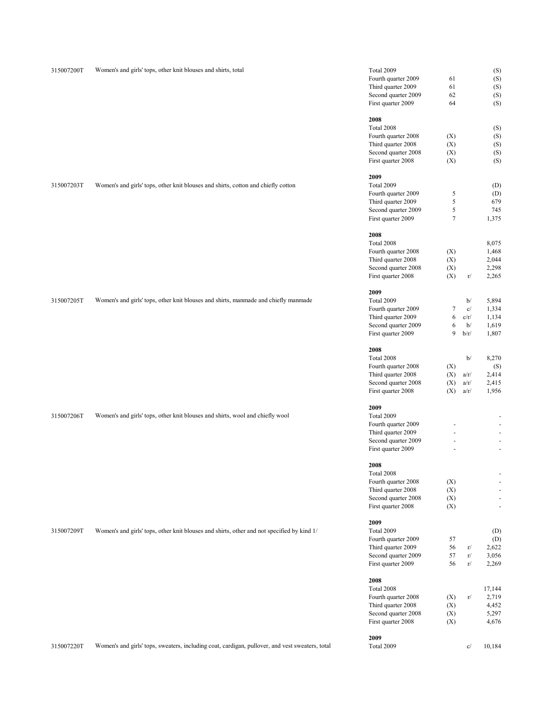| 315007200T | Women's and girls' tops, other knit blouses and shirts, total                                   | Total 2009<br>Fourth quarter 2009<br>Third quarter 2009<br>Second quarter 2009<br>First quarter 2009         | 61<br>61<br>62<br>64          |                                | (S)<br>(S)<br>(S)<br>(S)<br>(S)                                                                                       |
|------------|-------------------------------------------------------------------------------------------------|--------------------------------------------------------------------------------------------------------------|-------------------------------|--------------------------------|-----------------------------------------------------------------------------------------------------------------------|
|            |                                                                                                 | 2008<br>Total 2008<br>Fourth quarter 2008<br>Third quarter 2008<br>Second quarter 2008<br>First quarter 2008 | (X)<br>(X)<br>(X)<br>(X)      |                                | (S)<br>(S)<br>(S)<br>(S)<br>(S)                                                                                       |
| 315007203T | Women's and girls' tops, other knit blouses and shirts, cotton and chiefly cotton               | 2009<br>Total 2009<br>Fourth quarter 2009<br>Third quarter 2009<br>Second quarter 2009<br>First quarter 2009 | 5<br>5<br>5<br>$\overline{7}$ |                                | (D)<br>(D)<br>679<br>745<br>1,375                                                                                     |
|            |                                                                                                 | 2008<br>Total 2008<br>Fourth quarter 2008<br>Third quarter 2008<br>Second quarter 2008<br>First quarter 2008 | (X)<br>(X)<br>(X)<br>(X)      | r/                             | 8,075<br>1,468<br>2,044<br>2,298<br>2,265                                                                             |
| 315007205T | Women's and girls' tops, other knit blouses and shirts, manmade and chiefly manmade             | 2009<br>Total 2009<br>Fourth quarter 2009<br>Third quarter 2009<br>Second quarter 2009<br>First quarter 2009 | 7<br>6<br>6<br>9              | b/<br>c/<br>c/r/<br>b/<br>b/r/ | 5,894<br>1,334<br>1,134<br>1,619<br>1,807                                                                             |
|            |                                                                                                 | 2008<br>Total 2008<br>Fourth quarter 2008<br>Third quarter 2008<br>Second quarter 2008                       | (X)<br>(X)<br>(X)             | b/<br>a/r/<br>a/r/             | 8,270<br>(S)<br>2,414<br>2,415                                                                                        |
| 315007206T | Women's and girls' tops, other knit blouses and shirts, wool and chiefly wool                   | First quarter 2008<br>2009<br>Total 2009<br>Fourth quarter 2009<br>Third quarter 2009<br>Second quarter 2009 | (X)<br>L,<br>L,               | a/r/                           | 1,956<br>$\overline{\phantom{a}}$<br>$\overline{\phantom{a}}$<br>$\overline{\phantom{a}}$<br>$\overline{\phantom{a}}$ |
|            |                                                                                                 | First quarter 2009<br>2008<br>Total 2008<br>Fourth quarter 2008<br>Third quarter 2008<br>Second quarter 2008 | ÷,<br>(X)<br>(X)<br>(X)       |                                | $\blacksquare$<br>$\qquad \qquad \blacksquare$<br>$\overline{\phantom{a}}$<br>÷,<br>$\overline{\phantom{a}}$          |
| 315007209T | Women's and girls' tops, other knit blouses and shirts, other and not specified by kind 1/      | First quarter 2008<br>2009<br>Total 2009<br>Fourth quarter 2009<br>Third quarter 2009<br>Second quarter 2009 | (X)<br>57<br>56<br>57         | r/<br>r/                       | $\overline{\phantom{a}}$<br>(D)<br>(D)<br>2,622<br>3,056                                                              |
|            |                                                                                                 | First quarter 2009<br>2008<br>Total 2008<br>Fourth quarter 2008<br>Third quarter 2008<br>Second quarter 2008 | 56<br>(X)<br>(X)<br>(X)       | r/<br>r/                       | 2,269<br>17,144<br>2,719<br>4,452<br>5,297                                                                            |
| 315007220T | Women's and girls' tops, sweaters, including coat, cardigan, pullover, and vest sweaters, total | First quarter 2008<br>2009<br>Total 2009                                                                     | (X)                           | c/                             | 4,676<br>10,184                                                                                                       |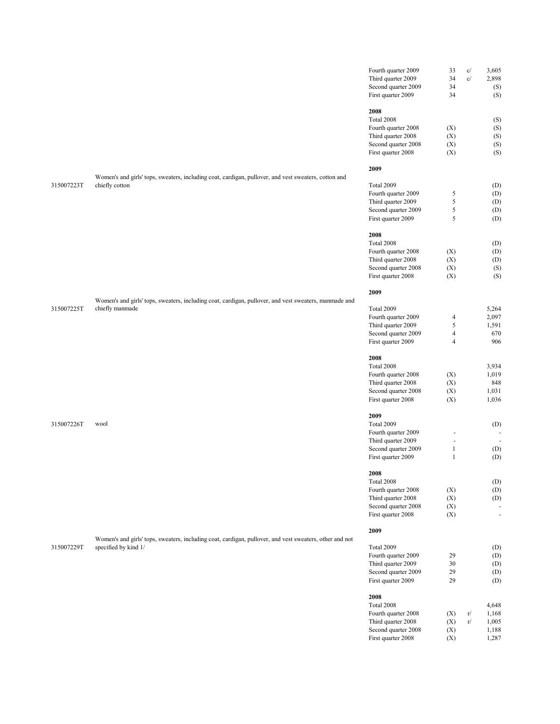|            |                                                                                                         | Fourth quarter 2009 | 33                       | c/                                  | 3,605          |
|------------|---------------------------------------------------------------------------------------------------------|---------------------|--------------------------|-------------------------------------|----------------|
|            |                                                                                                         | Third quarter 2009  | 34                       | $\mathbf{c}/% \mathbf{c}^{\prime }$ | 2,898          |
|            |                                                                                                         | Second quarter 2009 | 34                       |                                     | (S)            |
|            |                                                                                                         | First quarter 2009  | 34                       |                                     | (S)            |
|            |                                                                                                         |                     |                          |                                     |                |
|            |                                                                                                         | 2008                |                          |                                     |                |
|            |                                                                                                         | Total 2008          |                          |                                     | (S)            |
|            |                                                                                                         | Fourth quarter 2008 | (X)                      |                                     | (S)            |
|            |                                                                                                         | Third quarter 2008  | (X)                      |                                     | (S)            |
|            |                                                                                                         | Second quarter 2008 | (X)                      |                                     | (S)            |
|            |                                                                                                         | First quarter 2008  | (X)                      |                                     | (S)            |
|            |                                                                                                         | 2009                |                          |                                     |                |
|            | Women's and girls' tops, sweaters, including coat, cardigan, pullover, and vest sweaters, cotton and    |                     |                          |                                     |                |
| 315007223T | chiefly cotton                                                                                          | Total 2009          |                          |                                     | (D)            |
|            |                                                                                                         | Fourth quarter 2009 | 5                        |                                     | (D)            |
|            |                                                                                                         | Third quarter 2009  | $\mathfrak s$            |                                     | (D)            |
|            |                                                                                                         | Second quarter 2009 | $\mathfrak s$            |                                     | (D)            |
|            |                                                                                                         | First quarter 2009  | $\sqrt{5}$               |                                     | (D)            |
|            |                                                                                                         |                     |                          |                                     |                |
|            |                                                                                                         | 2008                |                          |                                     |                |
|            |                                                                                                         | Total 2008          |                          |                                     | (D)            |
|            |                                                                                                         | Fourth quarter 2008 | (X)                      |                                     | (D)            |
|            |                                                                                                         | Third quarter 2008  | (X)                      |                                     | (D)            |
|            |                                                                                                         | Second quarter 2008 | (X)                      |                                     | (S)            |
|            |                                                                                                         | First quarter 2008  | (X)                      |                                     | (S)            |
|            |                                                                                                         | 2009                |                          |                                     |                |
|            | Women's and girls' tops, sweaters, including coat, cardigan, pullover, and vest sweaters, manmade and   |                     |                          |                                     |                |
| 315007225T | chiefly manmade                                                                                         | Total 2009          |                          |                                     | 5,264          |
|            |                                                                                                         | Fourth quarter 2009 | 4                        |                                     | 2,097          |
|            |                                                                                                         | Third quarter 2009  | $\sqrt{5}$               |                                     | 1,591          |
|            |                                                                                                         | Second quarter 2009 | $\overline{4}$           |                                     | 670            |
|            |                                                                                                         | First quarter 2009  | $\overline{4}$           |                                     | 906            |
|            |                                                                                                         |                     |                          |                                     |                |
|            |                                                                                                         | 2008                |                          |                                     |                |
|            |                                                                                                         | Total 2008          |                          |                                     | 3,934          |
|            |                                                                                                         | Fourth quarter 2008 | (X)                      |                                     | 1,019          |
|            |                                                                                                         | Third quarter 2008  | (X)                      |                                     | 848            |
|            |                                                                                                         | Second quarter 2008 | (X)                      |                                     | 1,031          |
|            |                                                                                                         | First quarter 2008  | (X)                      |                                     | 1,036          |
|            |                                                                                                         |                     |                          |                                     |                |
|            |                                                                                                         | 2009                |                          |                                     |                |
| 315007226T | wool                                                                                                    | Total 2009          |                          |                                     | (D)            |
|            |                                                                                                         | Fourth quarter 2009 | $\overline{\phantom{a}}$ |                                     |                |
|            |                                                                                                         | Third quarter 2009  | ä,                       |                                     | $\sim$         |
|            |                                                                                                         | Second quarter 2009 | $\mathbf{1}$             |                                     | (D)            |
|            |                                                                                                         | First quarter 2009  | $\mathbf{1}$             |                                     | (D)            |
|            |                                                                                                         | 2008                |                          |                                     |                |
|            |                                                                                                         | Total 2008          |                          |                                     | (D)            |
|            |                                                                                                         | Fourth quarter 2008 | (X)                      |                                     | (D)            |
|            |                                                                                                         |                     |                          |                                     |                |
|            |                                                                                                         | Third quarter 2008  | (X)                      |                                     | (D)            |
|            |                                                                                                         | Second quarter 2008 | (X)                      |                                     |                |
|            |                                                                                                         | First quarter 2008  | (X)                      |                                     | $\blacksquare$ |
|            |                                                                                                         | 2009                |                          |                                     |                |
|            | Women's and girls' tops, sweaters, including coat, cardigan, pullover, and vest sweaters, other and not |                     |                          |                                     |                |
| 315007229T | specified by kind 1/                                                                                    | Total 2009          |                          |                                     | (D)            |
|            |                                                                                                         | Fourth quarter 2009 | 29                       |                                     | (D)            |
|            |                                                                                                         | Third quarter 2009  | 30                       |                                     | (D)            |
|            |                                                                                                         | Second quarter 2009 | 29                       |                                     | (D)            |
|            |                                                                                                         | First quarter 2009  | 29                       |                                     | (D)            |
|            |                                                                                                         |                     |                          |                                     |                |
|            |                                                                                                         | 2008                |                          |                                     |                |
|            |                                                                                                         | Total 2008          |                          |                                     | 4,648          |
|            |                                                                                                         | Fourth quarter 2008 | (X)                      | r/                                  | 1,168          |

Third quarter 2008  $(X)$  r/ 1,005 Second quarter 2008 (X) 1,188<br>First quarter 2008 (X) 1,287

First quarter  $2008$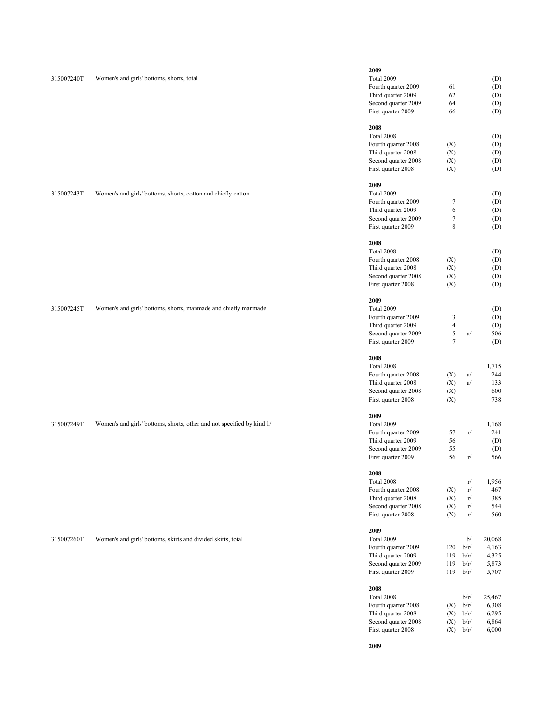| 315007240T | Women's and girls' bottoms, shorts, total                              | 2009<br><b>Total 2009</b><br>Fourth quarter 2009<br>Third quarter 2009<br>Second quarter 2009<br>First quarter 2009                                                                                                                                                                                                                                                                                                                                                                                                                                                                                                                                                                                                                                                                                                                                                                                                                                                                                                                                                                                                                                                                                                                                 | 61<br>62<br>64<br>66            | (D)<br>(D)<br>(D)<br>(D)<br>(D) |
|------------|------------------------------------------------------------------------|-----------------------------------------------------------------------------------------------------------------------------------------------------------------------------------------------------------------------------------------------------------------------------------------------------------------------------------------------------------------------------------------------------------------------------------------------------------------------------------------------------------------------------------------------------------------------------------------------------------------------------------------------------------------------------------------------------------------------------------------------------------------------------------------------------------------------------------------------------------------------------------------------------------------------------------------------------------------------------------------------------------------------------------------------------------------------------------------------------------------------------------------------------------------------------------------------------------------------------------------------------|---------------------------------|---------------------------------|
|            |                                                                        | 2008<br>Total 2008<br>Fourth quarter 2008<br>Third quarter 2008<br>Second quarter 2008<br>First quarter 2008                                                                                                                                                                                                                                                                                                                                                                                                                                                                                                                                                                                                                                                                                                                                                                                                                                                                                                                                                                                                                                                                                                                                        | (X)<br>(X)<br>(X)<br>(X)        | (D)<br>(D)<br>(D)<br>(D)<br>(D) |
| 315007243T | Women's and girls' bottoms, shorts, cotton and chiefly cotton          | 2009<br>Total 2009<br>Fourth quarter 2009<br>Third quarter 2009<br>Second quarter 2009<br>First quarter 2009                                                                                                                                                                                                                                                                                                                                                                                                                                                                                                                                                                                                                                                                                                                                                                                                                                                                                                                                                                                                                                                                                                                                        | 7<br>6<br>$\boldsymbol{7}$<br>8 | (D)<br>(D)<br>(D)<br>(D)<br>(D) |
|            |                                                                        | 2008<br>Total 2008<br>(D)<br>Fourth quarter 2008<br>(X)<br>(D)<br>Third quarter 2008<br>(X)<br>(D)<br>Second quarter 2008<br>(X)<br>(D)<br>First quarter 2008<br>(X)<br>(D)<br>2009<br>Total 2009<br>(D)<br>Fourth quarter 2009<br>3<br>(D)<br>$\overline{\mathcal{L}}$<br>Third quarter 2009<br>(D)<br>$\mathfrak s$<br>Second quarter 2009<br>506<br>a/<br>$\tau$<br>First quarter 2009<br>(D)<br>2008<br>Total 2008<br>1,715<br>Fourth quarter 2008<br>(X)<br>244<br>a/<br>Third quarter 2008<br>(X)<br>a/<br>133<br>(X)<br>600<br>Second quarter 2008<br>First quarter 2008<br>(X)<br>738<br>2009<br>Total 2009<br>1,168<br>Fourth quarter 2009<br>57<br>241<br>r/<br>56<br>Third quarter 2009<br>(D)<br>55<br>Second quarter 2009<br>(D)<br>56<br>First quarter 2009<br>566<br>r/<br>2008<br>Total 2008<br>1,956<br>r/<br>Fourth quarter 2008<br>(X)<br>$\rm r/$<br>467<br>Third quarter 2008<br>385<br>(X)<br>r/<br>Second quarter 2008<br>(X)<br>r/<br>544<br>First quarter 2008<br>560<br>(X)<br>r/<br>2009<br>Total 2009<br>20,068<br>b/<br>Fourth quarter 2009<br>4,163<br>120<br>b/r/<br>Third quarter 2009<br>119<br>b/r/<br>4,325<br>Second quarter 2009<br>5,873<br>119<br>b/r/<br>First quarter 2009<br>119<br>b/r/<br>5,707<br>2008 |                                 |                                 |
| 315007245T | Women's and girls' bottoms, shorts, manmade and chiefly manmade        |                                                                                                                                                                                                                                                                                                                                                                                                                                                                                                                                                                                                                                                                                                                                                                                                                                                                                                                                                                                                                                                                                                                                                                                                                                                     |                                 |                                 |
|            |                                                                        |                                                                                                                                                                                                                                                                                                                                                                                                                                                                                                                                                                                                                                                                                                                                                                                                                                                                                                                                                                                                                                                                                                                                                                                                                                                     |                                 |                                 |
| 315007249T | Women's and girls' bottoms, shorts, other and not specified by kind 1/ |                                                                                                                                                                                                                                                                                                                                                                                                                                                                                                                                                                                                                                                                                                                                                                                                                                                                                                                                                                                                                                                                                                                                                                                                                                                     |                                 |                                 |
|            |                                                                        |                                                                                                                                                                                                                                                                                                                                                                                                                                                                                                                                                                                                                                                                                                                                                                                                                                                                                                                                                                                                                                                                                                                                                                                                                                                     |                                 |                                 |
| 315007260T | Women's and girls' bottoms, skirts and divided skirts, total           |                                                                                                                                                                                                                                                                                                                                                                                                                                                                                                                                                                                                                                                                                                                                                                                                                                                                                                                                                                                                                                                                                                                                                                                                                                                     |                                 |                                 |
|            |                                                                        |                                                                                                                                                                                                                                                                                                                                                                                                                                                                                                                                                                                                                                                                                                                                                                                                                                                                                                                                                                                                                                                                                                                                                                                                                                                     |                                 |                                 |

|     | b/r/ | 25,467 |
|-----|------|--------|
| (X) | b/r/ | 6.308  |
| (X) | b/r/ | 6.295  |
| (X) | b/r/ | 6.864  |
| (X) | b/r/ | 6,000  |
|     |      |        |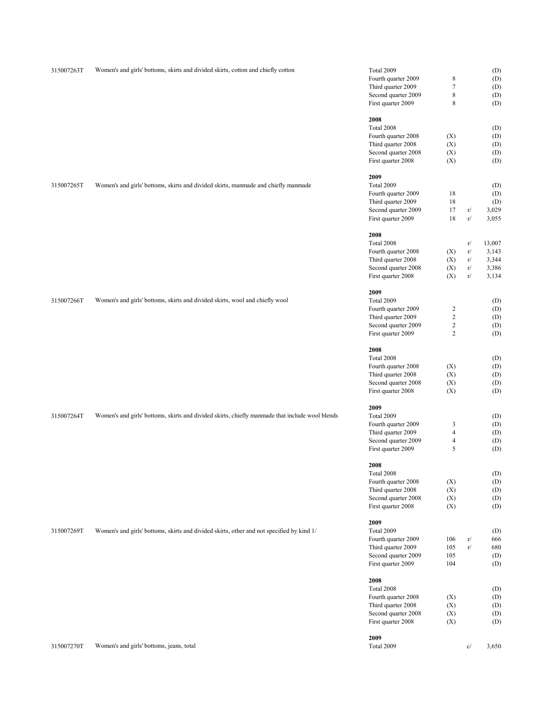| 315007263T | Women's and girls' bottoms, skirts and divided skirts, cotton and chiefly cotton                | Total 2009<br>Fourth quarter 2009<br>Third quarter 2009<br>Second quarter 2009<br>First quarter 2009<br>2008 | 8<br>$\tau$<br>8<br>8                                                         |                                  | (D)<br>(D)<br>(D)<br>(D)<br>(D)            |
|------------|-------------------------------------------------------------------------------------------------|--------------------------------------------------------------------------------------------------------------|-------------------------------------------------------------------------------|----------------------------------|--------------------------------------------|
|            |                                                                                                 | Total 2008<br>Fourth quarter 2008<br>Third quarter 2008<br>Second quarter 2008<br>First quarter 2008         | (X)<br>(X)<br>(X)<br>(X)                                                      |                                  | (D)<br>(D)<br>(D)<br>(D)<br>(D)            |
| 315007265T | Women's and girls' bottoms, skirts and divided skirts, manmade and chiefly manmade              | 2009<br>Total 2009<br>Fourth quarter 2009<br>Third quarter 2009<br>Second quarter 2009<br>First quarter 2009 | 18<br>$18\,$<br>17<br>18                                                      | r/<br>r/                         | (D)<br>(D)<br>(D)<br>3,029<br>3,055        |
|            |                                                                                                 | 2008<br>Total 2008<br>Fourth quarter 2008<br>Third quarter 2008<br>Second quarter 2008<br>First quarter 2008 | (X)<br>(X)<br>(X)<br>(X)                                                      | r/<br>r/<br>r/<br>$\rm r/$<br>r/ | 13,007<br>3,143<br>3,344<br>3,386<br>3,134 |
| 315007266T | Women's and girls' bottoms, skirts and divided skirts, wool and chiefly wool                    | 2009<br>Total 2009<br>Fourth quarter 2009<br>Third quarter 2009<br>Second quarter 2009<br>First quarter 2009 | $\overline{\mathbf{c}}$<br>$\overline{c}$<br>$\overline{c}$<br>$\overline{2}$ |                                  | (D)<br>(D)<br>(D)<br>(D)<br>(D)            |
|            |                                                                                                 | 2008<br>Total 2008<br>Fourth quarter 2008<br>Third quarter 2008<br>Second quarter 2008<br>First quarter 2008 | (X)<br>(X)<br>(X)<br>(X)                                                      |                                  | (D)<br>(D)<br>(D)<br>(D)<br>(D)            |
| 315007264T | Women's and girls' bottoms, skirts and divided skirts, chiefly manmade that include wool blends | 2009<br>Total 2009<br>Fourth quarter 2009<br>Third quarter 2009<br>Second quarter 2009<br>First quarter 2009 | 3<br>$\overline{4}$<br>4<br>5                                                 |                                  | (D)<br>(D)<br>(D)<br>(D)<br>(D)            |
|            |                                                                                                 | 2008<br>Total 2008<br>Fourth quarter 2008<br>Third quarter 2008<br>Second quarter 2008<br>First quarter 2008 | (X)<br>(X)<br>(X)<br>(X)                                                      |                                  | (D)<br>(D)<br>(D)<br>(D)<br>(D)            |
| 315007269T | Women's and girls' bottoms, skirts and divided skirts, other and not specified by kind 1/       | 2009<br>Total 2009<br>Fourth quarter 2009<br>Third quarter 2009<br>Second quarter 2009<br>First quarter 2009 | 106<br>105<br>105<br>104                                                      | r/<br>$\rm r/$                   | (D)<br>666<br>680<br>(D)<br>(D)            |
|            |                                                                                                 | 2008<br>Total 2008<br>Fourth quarter 2008<br>Third quarter 2008<br>Second quarter 2008<br>First quarter 2008 | (X)<br>(X)<br>(X)<br>(X)                                                      |                                  | (D)<br>(D)<br>(D)<br>(D)<br>(D)            |
| 315007270T | Women's and girls' bottoms, jeans, total                                                        | 2009<br>Total 2009                                                                                           |                                                                               | c/                               | 3,650                                      |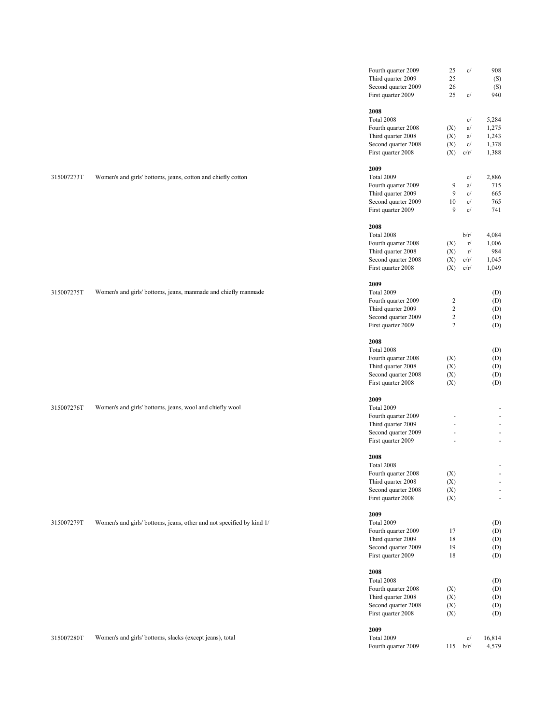|            |                                                                       | Fourth quarter 2009<br>Third quarter 2009<br>Second quarter 2009<br>First quarter 2009                       | 25<br>25<br>26<br>25                                                          | c/<br>c/                         | 908<br>(S)<br>(S)<br>940                                                                           |
|------------|-----------------------------------------------------------------------|--------------------------------------------------------------------------------------------------------------|-------------------------------------------------------------------------------|----------------------------------|----------------------------------------------------------------------------------------------------|
|            |                                                                       | 2008<br>Total 2008<br>Fourth quarter 2008<br>Third quarter 2008<br>Second quarter 2008<br>First quarter 2008 | (X)<br>(X)<br>(X)<br>(X)                                                      | c/<br>a/<br>a/<br>c/<br>c/r/     | 5,284<br>1,275<br>1,243<br>1,378<br>1,388                                                          |
| 315007273T | Women's and girls' bottoms, jeans, cotton and chiefly cotton          | 2009<br>Total 2009<br>Fourth quarter 2009<br>Third quarter 2009<br>Second quarter 2009<br>First quarter 2009 | 9<br>9<br>10<br>9                                                             | c/<br>a/<br>c/<br>c/<br>c/       | 2,886<br>715<br>665<br>765<br>741                                                                  |
|            |                                                                       | 2008<br>Total 2008<br>Fourth quarter 2008<br>Third quarter 2008<br>Second quarter 2008<br>First quarter 2008 | (X)<br>(X)<br>(X)<br>(X)                                                      | b/r/<br>r/<br>r/<br>c/r/<br>c/r/ | 4,084<br>1,006<br>984<br>1,045<br>1,049                                                            |
| 315007275T | Women's and girls' bottoms, jeans, manmade and chiefly manmade        | 2009<br>Total 2009<br>Fourth quarter 2009<br>Third quarter 2009<br>Second quarter 2009<br>First quarter 2009 | $\overline{\mathbf{c}}$<br>$\overline{c}$<br>$\overline{c}$<br>$\overline{c}$ |                                  | (D)<br>(D)<br>(D)<br>(D)<br>(D)                                                                    |
|            |                                                                       | 2008<br>Total 2008<br>Fourth quarter 2008<br>Third quarter 2008<br>Second quarter 2008<br>First quarter 2008 | (X)<br>(X)<br>(X)<br>(X)                                                      |                                  | (D)<br>(D)<br>(D)<br>(D)<br>(D)                                                                    |
| 315007276T | Women's and girls' bottoms, jeans, wool and chiefly wool              | 2009<br>Total 2009<br>Fourth quarter 2009<br>Third quarter 2009<br>Second quarter 2009                       | ÷,<br>L.                                                                      |                                  | $\overline{\phantom{a}}$<br>$\overline{\phantom{a}}$<br>$\blacksquare$<br>$\overline{\phantom{a}}$ |
|            |                                                                       | First quarter 2009<br>2008<br>Total 2008<br>Fourth quarter 2008<br>Third quarter 2008<br>Second quarter 2008 | (X)<br>(X)<br>(X)                                                             |                                  | $\omega$<br>$\overline{\phantom{a}}$<br>$\overline{\phantom{a}}$                                   |
| 315007279T | Women's and girls' bottoms, jeans, other and not specified by kind 1/ | First quarter 2008<br>2009<br>Total 2009<br>Fourth quarter 2009<br>Third quarter 2009<br>Second quarter 2009 | (X)<br>17<br>18<br>19                                                         |                                  | $\blacksquare$<br>(D)<br>(D)<br>(D)<br>(D)                                                         |
|            |                                                                       | First quarter 2009<br>2008<br>Total 2008<br>Fourth quarter 2008<br>Third quarter 2008<br>Second quarter 2008 | $18\,$<br>(X)<br>(X)<br>(X)                                                   |                                  | (D)<br>(D)<br>(D)<br>(D)<br>(D)                                                                    |
| 315007280T | Women's and girls' bottoms, slacks (except jeans), total              | First quarter 2008<br>2009<br>Total 2009<br>Fourth quarter 2009                                              | (X)                                                                           | c/<br>$115$ $b/r/$               | (D)<br>16,814<br>4,579                                                                             |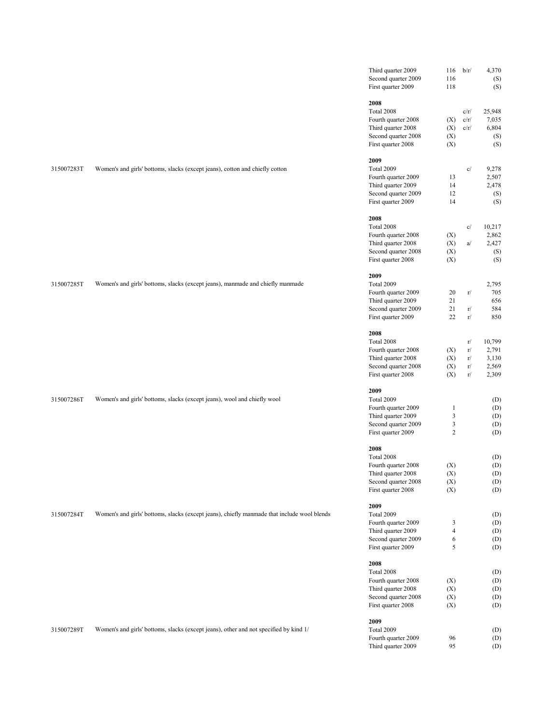|            |                                                                                             | Third quarter 2009<br>Second quarter 2009<br>First quarter 2009                        | 116<br>116<br>118   | b/r/                 | 4,370<br>(S)<br>(S)             |
|------------|---------------------------------------------------------------------------------------------|----------------------------------------------------------------------------------------|---------------------|----------------------|---------------------------------|
|            |                                                                                             | 2008<br>Total 2008<br>Fourth quarter 2008<br>Third quarter 2008<br>Second quarter 2008 | (X)<br>(X)<br>(X)   | c/r/<br>c/r/<br>c/r/ | 25,948<br>7,035<br>6,804<br>(S) |
|            |                                                                                             | First quarter 2008                                                                     | (X)                 |                      | (S)                             |
| 315007283T |                                                                                             | 2009<br>Total 2009                                                                     |                     | c/                   |                                 |
|            | Women's and girls' bottoms, slacks (except jeans), cotton and chiefly cotton                | Fourth quarter 2009                                                                    | 13                  |                      | 9,278<br>2,507                  |
|            |                                                                                             | Third quarter 2009                                                                     | 14                  |                      | 2,478                           |
|            |                                                                                             | Second quarter 2009<br>First quarter 2009                                              | 12<br>14            |                      | (S)<br>(S)                      |
|            |                                                                                             | 2008                                                                                   |                     |                      |                                 |
|            |                                                                                             | Total 2008                                                                             |                     | c/                   | 10,217                          |
|            |                                                                                             | Fourth quarter 2008                                                                    | (X)                 |                      | 2,862                           |
|            |                                                                                             | Third quarter 2008                                                                     | (X)                 | a/                   | 2,427                           |
|            |                                                                                             | Second quarter 2008                                                                    | (X)                 |                      | (S)                             |
|            |                                                                                             | First quarter 2008                                                                     | (X)                 |                      | (S)                             |
| 315007285T | Women's and girls' bottoms, slacks (except jeans), manmade and chiefly manmade              | 2009<br>Total 2009                                                                     |                     |                      | 2,795                           |
|            |                                                                                             | Fourth quarter 2009                                                                    | 20                  | r/                   | 705                             |
|            |                                                                                             | Third quarter 2009                                                                     | 21                  |                      | 656                             |
|            |                                                                                             | Second quarter 2009                                                                    | 21                  | r/                   | 584                             |
|            |                                                                                             | First quarter 2009                                                                     | 22                  | r/                   | 850                             |
|            |                                                                                             | 2008                                                                                   |                     |                      |                                 |
|            |                                                                                             | Total 2008                                                                             |                     | r/                   | 10,799                          |
|            |                                                                                             | Fourth quarter 2008<br>Third quarter 2008                                              | (X)<br>(X)          | r/<br>r/             | 2,791<br>3,130                  |
|            |                                                                                             | Second quarter 2008                                                                    | (X)                 | r/                   | 2,569                           |
|            |                                                                                             | First quarter 2008                                                                     | (X)                 | r/                   | 2,309                           |
|            |                                                                                             | 2009                                                                                   |                     |                      |                                 |
| 315007286T | Women's and girls' bottoms, slacks (except jeans), wool and chiefly wool                    | Total 2009                                                                             |                     |                      | (D)                             |
|            |                                                                                             | Fourth quarter 2009                                                                    | $\mathbf{1}$        |                      | (D)                             |
|            |                                                                                             | Third quarter 2009                                                                     | $\mathbf{3}$        |                      | (D)                             |
|            |                                                                                             | Second quarter 2009<br>First quarter 2009                                              | 3<br>$\overline{c}$ |                      | (D)<br>(D)                      |
|            |                                                                                             | 2008                                                                                   |                     |                      |                                 |
|            |                                                                                             | Total 2008                                                                             |                     |                      | (D)                             |
|            |                                                                                             | Fourth quarter 2008                                                                    | (X)                 |                      | (D)                             |
|            |                                                                                             | Third quarter 2008                                                                     | (X)                 |                      | (D)                             |
|            |                                                                                             | Second quarter 2008<br>First quarter 2008                                              | (X)<br>(X)          |                      | (D)<br>(D)                      |
|            |                                                                                             | 2009                                                                                   |                     |                      |                                 |
| 315007284T | Women's and girls' bottoms, slacks (except jeans), chiefly manmade that include wool blends | Total 2009                                                                             |                     |                      | (D)                             |
|            |                                                                                             | Fourth quarter 2009                                                                    | 3                   |                      | (D)                             |
|            |                                                                                             | Third quarter 2009                                                                     | $\overline{4}$      |                      | (D)                             |
|            |                                                                                             | Second quarter 2009                                                                    | 6                   |                      | (D)                             |
|            |                                                                                             | First quarter 2009                                                                     | 5                   |                      | (D)                             |
|            |                                                                                             | 2008                                                                                   |                     |                      |                                 |
|            |                                                                                             | Total 2008                                                                             |                     |                      | (D)                             |
|            |                                                                                             | Fourth quarter 2008                                                                    | (X)                 |                      | (D)                             |
|            |                                                                                             | Third quarter 2008<br>Second quarter 2008                                              | (X)<br>(X)          |                      | (D)<br>(D)                      |
|            |                                                                                             | First quarter 2008                                                                     | (X)                 |                      | (D)                             |
|            |                                                                                             | 2009                                                                                   |                     |                      |                                 |
| 315007289T | Women's and girls' bottoms, slacks (except jeans), other and not specified by kind 1/       | Total 2009                                                                             |                     |                      | (D)                             |
|            |                                                                                             | Fourth quarter 2009                                                                    | 96                  |                      | (D)                             |
|            |                                                                                             | Third quarter 2009                                                                     | 95                  |                      | (D)                             |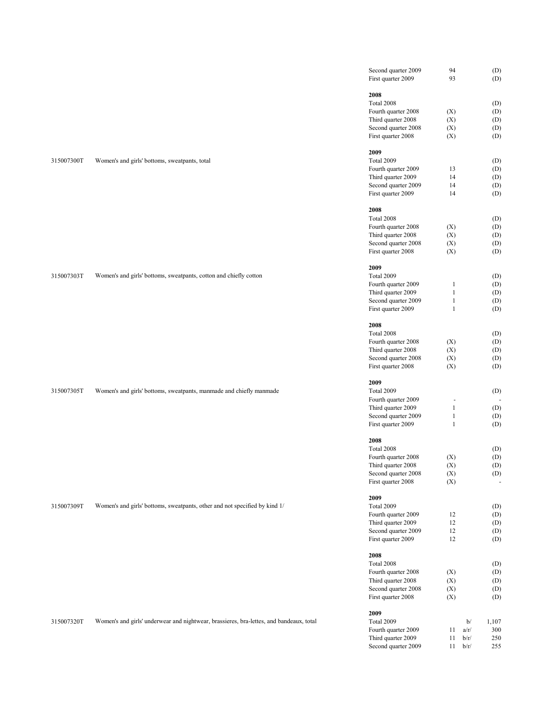|            |                                                                                         | Second quarter 2009<br>First quarter 2009 | 94<br>93     |      | (D)<br>(D)     |
|------------|-----------------------------------------------------------------------------------------|-------------------------------------------|--------------|------|----------------|
|            |                                                                                         | 2008                                      |              |      |                |
|            |                                                                                         | Total 2008                                |              |      | (D)            |
|            |                                                                                         | Fourth quarter 2008                       | (X)          |      | (D)            |
|            |                                                                                         | Third quarter 2008                        | (X)          |      | (D)            |
|            |                                                                                         | Second quarter 2008                       | (X)          |      | (D)            |
|            |                                                                                         | First quarter 2008                        | (X)          |      | (D)            |
|            |                                                                                         |                                           |              |      |                |
|            |                                                                                         | 2009                                      |              |      |                |
| 315007300T | Women's and girls' bottoms, sweatpants, total                                           | Total 2009                                |              |      | (D)            |
|            |                                                                                         | Fourth quarter 2009                       | 13           |      | (D)            |
|            |                                                                                         | Third quarter 2009                        | 14           |      | (D)            |
|            |                                                                                         | Second quarter 2009<br>First quarter 2009 | 14<br>14     |      | (D)<br>(D)     |
|            |                                                                                         |                                           |              |      |                |
|            |                                                                                         | 2008                                      |              |      |                |
|            |                                                                                         | Total 2008                                |              |      | (D)            |
|            |                                                                                         | Fourth quarter 2008                       | (X)          |      | (D)            |
|            |                                                                                         | Third quarter 2008                        | (X)          |      | (D)            |
|            |                                                                                         | Second quarter 2008                       | (X)          |      | (D)            |
|            |                                                                                         | First quarter 2008                        | (X)          |      | (D)            |
|            |                                                                                         | 2009                                      |              |      |                |
| 315007303T | Women's and girls' bottoms, sweatpants, cotton and chiefly cotton                       | Total 2009                                |              |      | (D)            |
|            |                                                                                         | Fourth quarter 2009                       | 1            |      | (D)            |
|            |                                                                                         | Third quarter 2009                        | $\mathbf{1}$ |      | (D)            |
|            |                                                                                         | Second quarter 2009                       | $\mathbf{1}$ |      | (D)            |
|            |                                                                                         | First quarter 2009                        | $\mathbf{1}$ |      | (D)            |
|            |                                                                                         | 2008                                      |              |      |                |
|            |                                                                                         | Total 2008                                |              |      | (D)            |
|            |                                                                                         | Fourth quarter 2008                       | (X)          |      | (D)            |
|            |                                                                                         | Third quarter 2008                        | (X)          |      | (D)            |
|            |                                                                                         | Second quarter 2008                       | (X)          |      | (D)            |
|            |                                                                                         | First quarter 2008                        | (X)          |      | (D)            |
|            |                                                                                         | 2009                                      |              |      |                |
| 315007305T | Women's and girls' bottoms, sweatpants, manmade and chiefly manmade                     | Total 2009                                |              |      | (D)            |
|            |                                                                                         | Fourth quarter 2009                       | ÷            |      |                |
|            |                                                                                         | Third quarter 2009                        | $\mathbf{1}$ |      | (D)            |
|            |                                                                                         | Second quarter 2009                       | $\mathbf{1}$ |      | (D)            |
|            |                                                                                         | First quarter 2009                        | $\mathbf{1}$ |      | (D)            |
|            |                                                                                         | 2008                                      |              |      |                |
|            |                                                                                         | Total 2008                                |              |      | (D)            |
|            |                                                                                         | Fourth quarter 2008                       | (X)          |      | (D)            |
|            |                                                                                         | Third quarter 2008                        | (X)          |      | (D)            |
|            |                                                                                         | Second quarter 2008                       | (X)          |      | (D)            |
|            |                                                                                         | First quarter 2008                        | (X)          |      | $\blacksquare$ |
|            |                                                                                         | 2009                                      |              |      |                |
| 315007309T | Women's and girls' bottoms, sweatpants, other and not specified by kind 1/              | Total 2009                                |              |      | (D)            |
|            |                                                                                         | Fourth quarter 2009                       | 12           |      | (D)            |
|            |                                                                                         | Third quarter 2009                        | 12           |      | (D)            |
|            |                                                                                         | Second quarter 2009                       | 12           |      | (D)            |
|            |                                                                                         | First quarter 2009                        | 12           |      | (D)            |
|            |                                                                                         | 2008                                      |              |      |                |
|            |                                                                                         | Total 2008                                |              |      | (D)            |
|            |                                                                                         | Fourth quarter 2008                       | (X)          |      | (D)            |
|            |                                                                                         | Third quarter 2008                        | (X)          |      | (D)            |
|            |                                                                                         | Second quarter 2008                       | (X)          |      | (D)            |
|            |                                                                                         | First quarter 2008                        | (X)          |      | (D)            |
|            |                                                                                         | 2009                                      |              |      |                |
| 315007320T | Women's and girls' underwear and nightwear, brassieres, bra-lettes, and bandeaux, total | Total 2009                                |              | b/   | 1,107          |
|            |                                                                                         | Fourth quarter 2009                       | 11           | a/r/ | 300            |
|            |                                                                                         | Third quarter 2009                        | 11           | b/r/ | 250            |
|            |                                                                                         | Second quarter 2009                       | 11           | b/r/ | 255            |
|            |                                                                                         |                                           |              |      |                |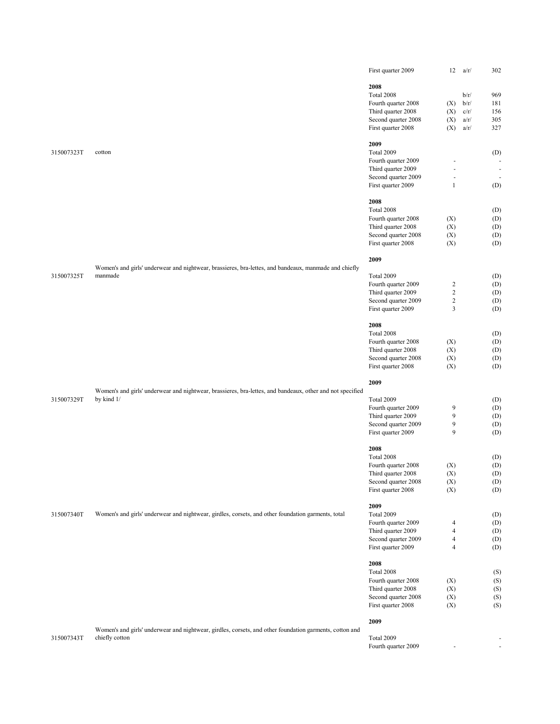|            |                                                                                                           | First quarter 2009  | 12             | a/r/ | 302                          |
|------------|-----------------------------------------------------------------------------------------------------------|---------------------|----------------|------|------------------------------|
|            |                                                                                                           |                     |                |      |                              |
|            |                                                                                                           | 2008                |                |      |                              |
|            |                                                                                                           | Total 2008          |                | b/r/ | 969                          |
|            |                                                                                                           | Fourth quarter 2008 | (X)            | b/r/ | 181                          |
|            |                                                                                                           | Third quarter 2008  | (X)            | c/r/ | 156                          |
|            |                                                                                                           | Second quarter 2008 | (X)            | a/r/ | 305                          |
|            |                                                                                                           | First quarter 2008  | (X)            | a/r/ | 327                          |
|            |                                                                                                           | 2009                |                |      |                              |
| 315007323T | cotton                                                                                                    | Total 2009          |                |      | (D)                          |
|            |                                                                                                           | Fourth quarter 2009 |                |      | $\overline{\phantom{a}}$     |
|            |                                                                                                           | Third quarter 2009  |                |      | $\overline{\phantom{a}}$     |
|            |                                                                                                           | Second quarter 2009 |                |      | $\overline{\phantom{a}}$     |
|            |                                                                                                           | First quarter 2009  | $\mathbf{1}$   |      | (D)                          |
|            |                                                                                                           | 2008                |                |      |                              |
|            |                                                                                                           | Total 2008          |                |      | (D)                          |
|            |                                                                                                           | Fourth quarter 2008 | (X)            |      | (D)                          |
|            |                                                                                                           | Third quarter 2008  | (X)            |      | (D)                          |
|            |                                                                                                           | Second quarter 2008 | (X)            |      | (D)                          |
|            |                                                                                                           | First quarter 2008  | (X)            |      | (D)                          |
|            |                                                                                                           | 2009                |                |      |                              |
|            | Women's and girls' underwear and nightwear, brassieres, bra-lettes, and bandeaux, manmade and chiefly     |                     |                |      |                              |
| 315007325T | manmade                                                                                                   | Total 2009          |                |      | (D)                          |
|            |                                                                                                           | Fourth quarter 2009 | $\overline{2}$ |      | (D)                          |
|            |                                                                                                           | Third quarter 2009  | $\sqrt{2}$     |      | (D)                          |
|            |                                                                                                           | Second quarter 2009 | $\overline{c}$ |      | (D)                          |
|            |                                                                                                           | First quarter 2009  | 3              |      | (D)                          |
|            |                                                                                                           | 2008                |                |      |                              |
|            |                                                                                                           | Total 2008          |                |      |                              |
|            |                                                                                                           | Fourth quarter 2008 | (X)            |      | (D)<br>(D)                   |
|            |                                                                                                           | Third quarter 2008  | (X)            |      |                              |
|            |                                                                                                           | Second quarter 2008 | (X)            |      | (D)                          |
|            |                                                                                                           | First quarter 2008  | (X)            |      | (D)<br>(D)                   |
|            |                                                                                                           |                     |                |      |                              |
|            | Women's and girls' underwear and nightwear, brassieres, bra-lettes, and bandeaux, other and not specified | 2009                |                |      |                              |
| 315007329T | by kind 1/                                                                                                | Total 2009          |                |      | (D)                          |
|            |                                                                                                           | Fourth quarter 2009 | 9              |      | (D)                          |
|            |                                                                                                           | Third quarter 2009  | 9              |      | (D)                          |
|            |                                                                                                           | Second quarter 2009 | 9              |      | (D)                          |
|            |                                                                                                           | First quarter 2009  | 9              |      | (D)                          |
|            |                                                                                                           | 2008                |                |      |                              |
|            |                                                                                                           | Total 2008          |                |      | (D)                          |
|            |                                                                                                           | Fourth quarter 2008 | (X)            |      | (D)                          |
|            |                                                                                                           | Third quarter 2008  | $(\mathbf{X})$ |      | $\left( \mathrm{D}\right)$   |
|            |                                                                                                           | Second quarter 2008 | (X)            |      | (D)                          |
|            |                                                                                                           | First quarter 2008  | (X)            |      | (D)                          |
|            |                                                                                                           | 2009                |                |      |                              |
| 315007340T | Women's and girls' underwear and nightwear, girdles, corsets, and other foundation garments, total        | Total 2009          |                |      | (D)                          |
|            |                                                                                                           | Fourth quarter 2009 | 4              |      | (D)                          |
|            |                                                                                                           | Third quarter 2009  | 4              |      | (D)                          |
|            |                                                                                                           | Second quarter 2009 | 4              |      | (D)                          |
|            |                                                                                                           | First quarter 2009  | $\overline{4}$ |      | (D)                          |
|            |                                                                                                           |                     |                |      |                              |
|            |                                                                                                           | 2008                |                |      |                              |
|            |                                                                                                           | Total 2008          |                |      | (S)                          |
|            |                                                                                                           | Fourth quarter 2008 | (X)            |      | (S)                          |
|            |                                                                                                           | Third quarter 2008  | (X)            |      | (S)                          |
|            |                                                                                                           | Second quarter 2008 | (X)            |      | (S)                          |
|            |                                                                                                           | First quarter 2008  | (X)            |      | (S)                          |
|            |                                                                                                           | 2009                |                |      |                              |
|            | Women's and girls' underwear and nightwear, girdles, corsets, and other foundation garments, cotton and   |                     |                |      |                              |
| 315007343T | chiefly cotton                                                                                            | Total 2009          |                |      |                              |
|            |                                                                                                           | Fourth quarter 2009 |                |      | $\qquad \qquad \blacksquare$ |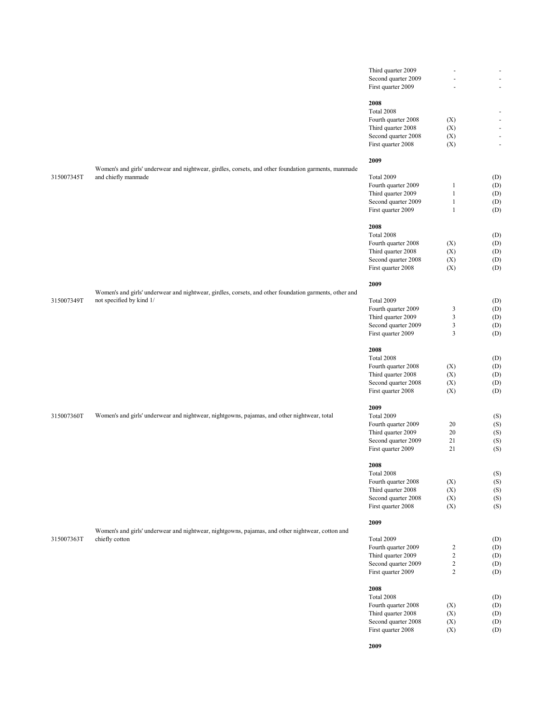|            |                                                                                                        | Third quarter 2009  | $\overline{\phantom{a}}$ |            |
|------------|--------------------------------------------------------------------------------------------------------|---------------------|--------------------------|------------|
|            |                                                                                                        | Second quarter 2009 | ÷,                       |            |
|            |                                                                                                        | First quarter 2009  |                          | ÷          |
|            |                                                                                                        |                     |                          |            |
|            |                                                                                                        | 2008                |                          |            |
|            |                                                                                                        | Total 2008          |                          |            |
|            |                                                                                                        | Fourth quarter 2008 | (X)                      | f          |
|            |                                                                                                        | Third quarter 2008  | (X)                      |            |
|            |                                                                                                        | Second quarter 2008 | (X)                      | ł,         |
|            |                                                                                                        | First quarter 2008  | (X)                      | ł,         |
|            |                                                                                                        | 2009                |                          |            |
|            | Women's and girls' underwear and nightwear, girdles, corsets, and other foundation garments, manmade   |                     |                          |            |
| 315007345T | and chiefly manmade                                                                                    | Total 2009          |                          | (D)        |
|            |                                                                                                        | Fourth quarter 2009 | $\mathbf{1}$             | (D)        |
|            |                                                                                                        | Third quarter 2009  | $\mathbf{1}$             | (D)        |
|            |                                                                                                        | Second quarter 2009 | $\mathbf{1}$             | (D)        |
|            |                                                                                                        | First quarter 2009  | $\mathbf{1}$             | (D)        |
|            |                                                                                                        |                     |                          |            |
|            |                                                                                                        | 2008                |                          |            |
|            |                                                                                                        | Total 2008          |                          | (D)        |
|            |                                                                                                        | Fourth quarter 2008 | (X)                      | (D)        |
|            |                                                                                                        | Third quarter 2008  | (X)                      | (D)        |
|            |                                                                                                        | Second quarter 2008 | (X)                      | (D)        |
|            |                                                                                                        | First quarter 2008  | (X)                      | (D)        |
|            |                                                                                                        |                     |                          |            |
|            |                                                                                                        | 2009                |                          |            |
|            | Women's and girls' underwear and nightwear, girdles, corsets, and other foundation garments, other and |                     |                          |            |
| 315007349T | not specified by kind 1/                                                                               | Total 2009          |                          | (D)        |
|            |                                                                                                        | Fourth quarter 2009 | 3                        | (D)        |
|            |                                                                                                        | Third quarter 2009  | 3                        | (D)        |
|            |                                                                                                        | Second quarter 2009 | $\mathfrak{Z}$           | (D)        |
|            |                                                                                                        | First quarter 2009  | 3                        | (D)        |
|            |                                                                                                        |                     |                          |            |
|            |                                                                                                        | 2008                |                          |            |
|            |                                                                                                        | Total 2008          |                          | (D)        |
|            |                                                                                                        | Fourth quarter 2008 | (X)                      | (D)        |
|            |                                                                                                        | Third quarter 2008  | (X)                      | (D)        |
|            |                                                                                                        | Second quarter 2008 | (X)                      | (D)        |
|            |                                                                                                        | First quarter 2008  | (X)                      | (D)        |
|            |                                                                                                        | 2009                |                          |            |
| 315007360T |                                                                                                        | Total 2009          |                          |            |
|            | Women's and girls' underwear and nightwear, nightgowns, pajamas, and other nightwear, total            | Fourth quarter 2009 | 20                       | (S)<br>(S) |
|            |                                                                                                        | Third quarter 2009  | 20                       | (S)        |
|            |                                                                                                        | Second quarter 2009 | 21                       | (S)        |
|            |                                                                                                        | First quarter 2009  | 21                       | (S)        |
|            |                                                                                                        |                     |                          |            |
|            |                                                                                                        | 2008                |                          |            |
|            |                                                                                                        | Total 2008          |                          | (S)        |
|            |                                                                                                        | Fourth quarter 2008 | (X)                      | (S)        |
|            |                                                                                                        | Third quarter 2008  | (X)                      | (S)        |
|            |                                                                                                        | Second quarter 2008 | (X)                      | (S)        |
|            |                                                                                                        | First quarter 2008  | (X)                      | (S)        |
|            |                                                                                                        |                     |                          |            |
|            |                                                                                                        | 2009                |                          |            |
|            | Women's and girls' underwear and nightwear, nightgowns, pajamas, and other nightwear, cotton and       |                     |                          |            |
| 315007363T | chiefly cotton                                                                                         | Total 2009          |                          | (D)        |
|            |                                                                                                        | Fourth quarter 2009 | $\overline{\mathbf{c}}$  | (D)        |
|            |                                                                                                        | Third quarter 2009  | $\sqrt{2}$               | (D)        |
|            |                                                                                                        | Second quarter 2009 | $\sqrt{2}$               | (D)        |
|            |                                                                                                        | First quarter 2009  | $\overline{c}$           | (D)        |
|            |                                                                                                        |                     |                          |            |
|            |                                                                                                        | 2008                |                          |            |
|            |                                                                                                        | Total 2008          |                          | (D)        |
|            |                                                                                                        | Fourth quarter 2008 | (X)                      | (D)        |
|            |                                                                                                        | Third quarter 2008  | (X)                      | (D)        |
|            |                                                                                                        | Second quarter 2008 | (X)                      | (D)        |
|            |                                                                                                        | First quarter 2008  | (X)                      | (D)        |

**2009**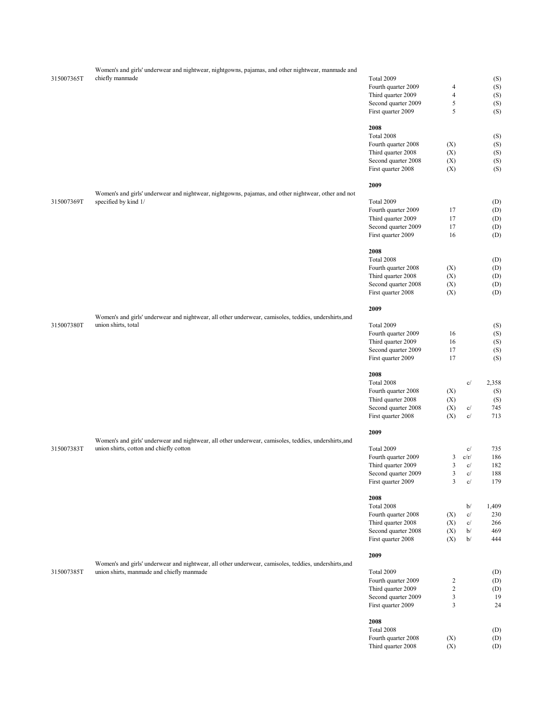| 315007365T | Women's and girls' underwear and nightwear, nightgowns, pajamas, and other nightwear, manmade and<br>chiefly manmade | Total 2009                                |                     |          | (S)        |
|------------|----------------------------------------------------------------------------------------------------------------------|-------------------------------------------|---------------------|----------|------------|
|            |                                                                                                                      | Fourth quarter 2009                       | $\overline{4}$      |          | (S)        |
|            |                                                                                                                      | Third quarter 2009                        | $\overline{4}$      |          | (S)        |
|            |                                                                                                                      | Second quarter 2009                       | $\sqrt{5}$          |          | (S)        |
|            |                                                                                                                      | First quarter 2009                        | 5                   |          | (S)        |
|            |                                                                                                                      | 2008<br>Total 2008                        |                     |          | (S)        |
|            |                                                                                                                      | Fourth quarter 2008                       | (X)                 |          | (S)        |
|            |                                                                                                                      | Third quarter 2008                        | (X)                 |          | (S)        |
|            |                                                                                                                      | Second quarter 2008                       | (X)                 |          | (S)        |
|            |                                                                                                                      | First quarter 2008                        | (X)                 |          | (S)        |
|            |                                                                                                                      | 2009                                      |                     |          |            |
|            | Women's and girls' underwear and nightwear, nightgowns, pajamas, and other nightwear, other and not                  |                                           |                     |          |            |
| 315007369T | specified by kind 1/                                                                                                 | Total 2009                                |                     |          | (D)        |
|            |                                                                                                                      | Fourth quarter 2009                       | 17<br>17            |          | (D)        |
|            |                                                                                                                      | Third quarter 2009<br>Second quarter 2009 | 17                  |          | (D)        |
|            |                                                                                                                      | First quarter 2009                        | 16                  |          | (D)<br>(D) |
|            |                                                                                                                      |                                           |                     |          |            |
|            |                                                                                                                      | 2008<br>Total 2008                        |                     |          | (D)        |
|            |                                                                                                                      | Fourth quarter 2008                       | (X)                 |          | (D)        |
|            |                                                                                                                      | Third quarter 2008                        | (X)                 |          | (D)        |
|            |                                                                                                                      | Second quarter 2008                       | (X)                 |          | (D)        |
|            |                                                                                                                      | First quarter 2008                        | (X)                 |          | (D)        |
|            |                                                                                                                      | 2009                                      |                     |          |            |
|            | Women's and girls' underwear and nightwear, all other underwear, camisoles, teddies, undershirts, and                |                                           |                     |          |            |
| 315007380T | union shirts, total                                                                                                  | Total 2009                                |                     |          | (S)        |
|            |                                                                                                                      | Fourth quarter 2009                       | 16                  |          | (S)        |
|            |                                                                                                                      | Third quarter 2009                        | 16                  |          | (S)        |
|            |                                                                                                                      | Second quarter 2009<br>First quarter 2009 | 17<br>17            |          | (S)<br>(S) |
|            |                                                                                                                      | 2008                                      |                     |          |            |
|            |                                                                                                                      | Total 2008                                |                     | c/       | 2,358      |
|            |                                                                                                                      | Fourth quarter 2008                       | (X)                 |          | (S)        |
|            |                                                                                                                      | Third quarter 2008                        | (X)                 |          | (S)        |
|            |                                                                                                                      | Second quarter 2008                       | (X)                 | c/       | 745        |
|            |                                                                                                                      | First quarter 2008                        | (X)                 | c/       | 713        |
|            |                                                                                                                      | 2009                                      |                     |          |            |
|            | Women's and girls' underwear and nightwear, all other underwear, camisoles, teddies, undershirts, and                |                                           |                     |          |            |
| 315007383T | union shirts, cotton and chiefly cotton                                                                              | Total 2009                                |                     | c/       | 735        |
|            |                                                                                                                      | Fourth quarter 2009                       | 3                   | c/r/     | 186        |
|            |                                                                                                                      | Third quarter 2009                        | 3                   | c/       | 182        |
|            |                                                                                                                      | Second quarter 2009<br>First quarter 2009 | 3<br>$\mathfrak{Z}$ | c/<br>c/ | 188<br>179 |
|            |                                                                                                                      |                                           |                     |          |            |
|            |                                                                                                                      | 2008                                      |                     |          |            |
|            |                                                                                                                      | Total 2008                                |                     | b/       | 1,409      |
|            |                                                                                                                      | Fourth quarter 2008                       | (X)                 | c/       | 230        |
|            |                                                                                                                      | Third quarter 2008                        | (X)                 | c/       | 266        |
|            |                                                                                                                      | Second quarter 2008<br>First quarter 2008 | (X)<br>(X)          | b/<br>b/ | 469<br>444 |
|            |                                                                                                                      |                                           |                     |          |            |
|            | Women's and girls' underwear and nightwear, all other underwear, camisoles, teddies, undershirts, and                | 2009                                      |                     |          |            |
| 315007385T | union shirts, manmade and chiefly manmade                                                                            | Total 2009                                |                     |          | (D)        |
|            |                                                                                                                      | Fourth quarter 2009                       | $\overline{c}$      |          | (D)        |
|            |                                                                                                                      | Third quarter 2009                        | $\overline{c}$      |          | (D)        |
|            |                                                                                                                      | Second quarter 2009                       | $\mathfrak{Z}$      |          | 19         |
|            |                                                                                                                      | First quarter 2009                        | 3                   |          | 24         |
|            |                                                                                                                      | 2008                                      |                     |          |            |
|            |                                                                                                                      | Total 2008                                |                     |          | (D)        |
|            |                                                                                                                      | Fourth quarter 2008                       | (X)                 |          | (D)        |
|            |                                                                                                                      | Third quarter 2008                        | (X)                 |          | (D)        |
|            |                                                                                                                      |                                           |                     |          |            |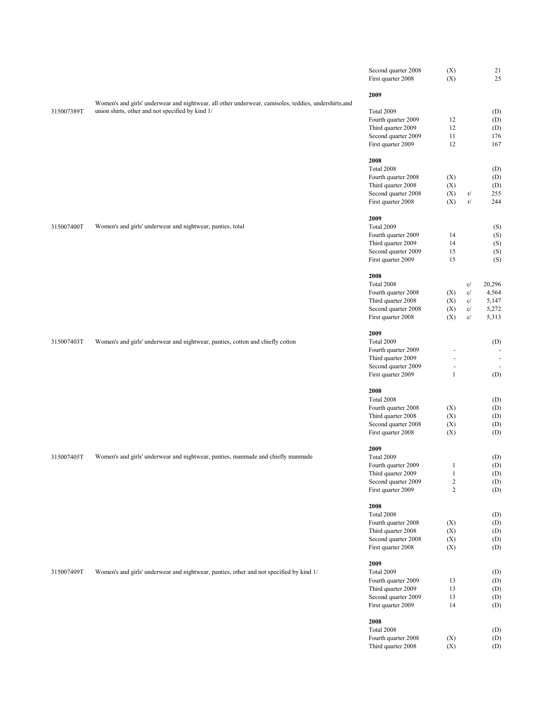|            |                                                                                                       | Second quarter 2008<br>First quarter 2008 | (X)<br>(X)               |    | 21<br>25 |
|------------|-------------------------------------------------------------------------------------------------------|-------------------------------------------|--------------------------|----|----------|
|            |                                                                                                       | 2009                                      |                          |    |          |
|            | Women's and girls' underwear and nightwear, all other underwear, camisoles, teddies, undershirts, and |                                           |                          |    |          |
| 315007389T | union shirts, other and not specified by kind 1/                                                      | Total 2009                                |                          |    | (D)      |
|            |                                                                                                       | Fourth quarter 2009                       | 12                       |    | (D)      |
|            |                                                                                                       | Third quarter 2009                        | 12                       |    | (D)      |
|            |                                                                                                       | Second quarter 2009                       | 11                       |    | 176      |
|            |                                                                                                       | First quarter 2009                        | 12                       |    | 167      |
|            |                                                                                                       |                                           |                          |    |          |
|            |                                                                                                       | 2008                                      |                          |    |          |
|            |                                                                                                       | Total 2008                                |                          |    | (D)      |
|            |                                                                                                       | Fourth quarter 2008                       | (X)                      |    | (D)      |
|            |                                                                                                       | Third quarter 2008                        | (X)                      |    | (D)      |
|            |                                                                                                       | Second quarter 2008                       | (X)                      | r/ | 255      |
|            |                                                                                                       | First quarter 2008                        | (X)                      | r/ | 244      |
|            |                                                                                                       | 2009                                      |                          |    |          |
| 315007400T | Women's and girls' underwear and nightwear, panties, total                                            | Total 2009                                |                          |    | (S)      |
|            |                                                                                                       | Fourth quarter 2009                       | 14                       |    | (S)      |
|            |                                                                                                       | Third quarter 2009                        | 14                       |    | (S)      |
|            |                                                                                                       | Second quarter 2009                       | 15                       |    | (S)      |
|            |                                                                                                       | First quarter 2009                        | 15                       |    | (S)      |
|            |                                                                                                       |                                           |                          |    |          |
|            |                                                                                                       | 2008                                      |                          |    |          |
|            |                                                                                                       | Total 2008                                |                          | c/ | 20,296   |
|            |                                                                                                       | Fourth quarter 2008                       | (X)                      | c/ | 4,564    |
|            |                                                                                                       | Third quarter 2008                        | (X)                      | c/ | 5,147    |
|            |                                                                                                       | Second quarter 2008                       | (X)                      | c/ | 5,272    |
|            |                                                                                                       | First quarter 2008                        | (X)                      | c/ | 5,313    |
|            |                                                                                                       | 2009                                      |                          |    |          |
| 315007403T | Women's and girls' underwear and nightwear, panties, cotton and chiefly cotton                        | Total 2009                                |                          |    | (D)      |
|            |                                                                                                       | Fourth quarter 2009                       | L,                       |    |          |
|            |                                                                                                       | Third quarter 2009                        | $\overline{\phantom{a}}$ |    | ł,       |
|            |                                                                                                       | Second quarter 2009                       | $\blacksquare$           |    |          |
|            |                                                                                                       | First quarter 2009                        | $\mathbf{1}$             |    | (D)      |
|            |                                                                                                       | 2008                                      |                          |    |          |
|            |                                                                                                       | Total 2008                                |                          |    | (D)      |
|            |                                                                                                       | Fourth quarter 2008                       |                          |    | (D)      |
|            |                                                                                                       |                                           | (X)                      |    |          |
|            |                                                                                                       | Third quarter 2008                        | (X)                      |    | (D)      |
|            |                                                                                                       | Second quarter 2008                       | (X)                      |    | (D)      |
|            |                                                                                                       | First quarter 2008                        | (X)                      |    | (D)      |
|            |                                                                                                       | 2009                                      |                          |    |          |
| 315007405T | Women's and girls' underwear and nightwear, panties, manmade and chiefly manmade                      | Total 2009                                |                          |    | (D)      |
|            |                                                                                                       | Fourth quarter 2009                       | $\mathbf{1}$             |    | (D)      |
|            |                                                                                                       | Third quarter 2009                        | $\mathbf{1}$             |    | (D)      |
|            |                                                                                                       | Second quarter 2009                       | $\boldsymbol{2}$         |    | (D)      |
|            |                                                                                                       | First quarter 2009                        | $\overline{c}$           |    | (D)      |
|            |                                                                                                       | 2008                                      |                          |    |          |
|            |                                                                                                       | Total 2008                                |                          |    | (D)      |
|            |                                                                                                       | Fourth quarter 2008                       | (X)                      |    | (D)      |
|            |                                                                                                       | Third quarter 2008                        | (X)                      |    | (D)      |
|            |                                                                                                       | Second quarter 2008                       | (X)                      |    | (D)      |
|            |                                                                                                       | First quarter 2008                        | (X)                      |    | (D)      |
|            |                                                                                                       |                                           |                          |    |          |
|            |                                                                                                       | 2009                                      |                          |    |          |
| 315007409T | Women's and girls' underwear and nightwear, panties, other and not specified by kind 1/               | Total 2009                                |                          |    | (D)      |
|            |                                                                                                       | Fourth quarter 2009                       | 13                       |    | (D)      |
|            |                                                                                                       | Third quarter 2009                        | 13                       |    | (D)      |
|            |                                                                                                       | Second quarter 2009                       | 13                       |    | (D)      |
|            |                                                                                                       | First quarter 2009                        | 14                       |    | (D)      |
|            |                                                                                                       | 2008                                      |                          |    |          |
|            |                                                                                                       | Total 2008                                |                          |    | (D)      |
|            |                                                                                                       | Fourth quarter 2008                       | (X)                      |    | (D)      |
|            |                                                                                                       | Third quarter 2008                        | (X)                      |    | (D)      |
|            |                                                                                                       |                                           |                          |    |          |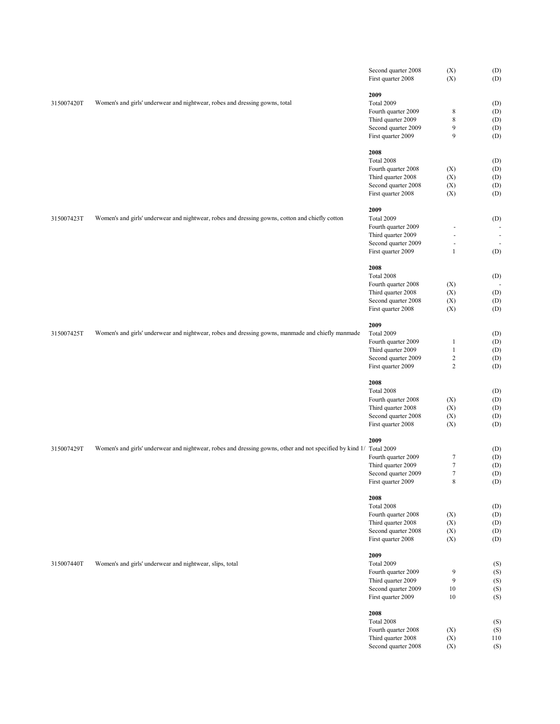|            |                                                                                                                     | Second quarter 2008<br>First quarter 2008 | (X)<br>(X)               | (D)<br>(D) |
|------------|---------------------------------------------------------------------------------------------------------------------|-------------------------------------------|--------------------------|------------|
|            |                                                                                                                     |                                           |                          |            |
| 315007420T | Women's and girls' underwear and nightwear, robes and dressing gowns, total                                         | 2009                                      |                          |            |
|            |                                                                                                                     | Total 2009                                |                          | (D)        |
|            |                                                                                                                     | Fourth quarter 2009<br>Third quarter 2009 | $\,$ 8 $\,$<br>8         | (D)<br>(D) |
|            |                                                                                                                     | Second quarter 2009                       | 9                        | (D)        |
|            |                                                                                                                     | First quarter 2009                        | 9                        | (D)        |
|            |                                                                                                                     |                                           |                          |            |
|            |                                                                                                                     | 2008                                      |                          |            |
|            |                                                                                                                     | Total 2008                                |                          | (D)        |
|            |                                                                                                                     | Fourth quarter 2008<br>Third quarter 2008 | (X)<br>(X)               | (D)<br>(D) |
|            |                                                                                                                     | Second quarter 2008                       | (X)                      | (D)        |
|            |                                                                                                                     | First quarter 2008                        | (X)                      | (D)        |
|            |                                                                                                                     |                                           |                          |            |
| 315007423T | Women's and girls' underwear and nightwear, robes and dressing gowns, cotton and chiefly cotton                     | 2009<br>Total 2009                        |                          | (D)        |
|            |                                                                                                                     | Fourth quarter 2009                       | ä,                       |            |
|            |                                                                                                                     | Third quarter 2009                        | $\overline{\phantom{a}}$ | ÷          |
|            |                                                                                                                     | Second quarter 2009                       | ä,                       |            |
|            |                                                                                                                     | First quarter 2009                        | $\mathbf{1}$             | (D)        |
|            |                                                                                                                     |                                           |                          |            |
|            |                                                                                                                     | 2008<br>Total 2008                        |                          |            |
|            |                                                                                                                     | Fourth quarter 2008                       | (X)                      | (D)        |
|            |                                                                                                                     | Third quarter 2008                        | (X)                      | (D)        |
|            |                                                                                                                     | Second quarter 2008                       | (X)                      | (D)        |
|            |                                                                                                                     | First quarter 2008                        | (X)                      | (D)        |
|            |                                                                                                                     |                                           |                          |            |
| 315007425T | Women's and girls' underwear and nightwear, robes and dressing gowns, manmade and chiefly manmade                   | 2009<br>Total 2009                        |                          | (D)        |
|            |                                                                                                                     | Fourth quarter 2009                       | $\mathbf{1}$             | (D)        |
|            |                                                                                                                     | Third quarter 2009                        | $\mathbf{1}$             | (D)        |
|            |                                                                                                                     | Second quarter 2009                       | $\overline{c}$           | (D)        |
|            |                                                                                                                     | First quarter 2009                        | $\overline{c}$           | (D)        |
|            |                                                                                                                     | 2008                                      |                          |            |
|            |                                                                                                                     | Total 2008                                |                          | (D)        |
|            |                                                                                                                     | Fourth quarter 2008                       | (X)                      | (D)        |
|            |                                                                                                                     | Third quarter 2008                        | (X)                      | (D)        |
| 315007429T |                                                                                                                     | Second quarter 2008                       | (X)                      | (D)        |
|            |                                                                                                                     | First quarter 2008                        | (X)                      | (D)        |
|            |                                                                                                                     | 2009                                      |                          |            |
|            | Women's and girls' underwear and nightwear, robes and dressing gowns, other and not specified by kind 1/ Total 2009 |                                           |                          | (D)        |
|            |                                                                                                                     | Fourth quarter 2009                       | $\tau$                   | (D)        |
|            |                                                                                                                     | Third quarter 2009                        | $\tau$                   | (D)        |
|            |                                                                                                                     | Second quarter 2009                       | $\tau$                   | (D)        |
|            |                                                                                                                     | First quarter 2009                        | 8                        | (D)        |
|            |                                                                                                                     | 2008                                      |                          |            |
|            |                                                                                                                     | Total 2008                                |                          | (D)        |
|            |                                                                                                                     | Fourth quarter 2008                       | (X)                      | (D)        |
|            |                                                                                                                     | Third quarter 2008                        | (X)                      | (D)        |
|            |                                                                                                                     | Second quarter 2008                       | (X)                      | (D)        |
|            |                                                                                                                     | First quarter 2008                        | (X)                      | (D)        |
|            |                                                                                                                     | 2009                                      |                          |            |
| 315007440T | Women's and girls' underwear and nightwear, slips, total                                                            | <b>Total 2009</b>                         |                          | (S)        |
|            |                                                                                                                     | Fourth quarter 2009                       | 9                        | (S)        |
|            |                                                                                                                     | Third quarter 2009                        | 9                        | (S)        |
|            |                                                                                                                     | Second quarter 2009                       | 10                       | (S)        |
|            |                                                                                                                     | First quarter 2009                        | 10                       | (S)        |
|            |                                                                                                                     | 2008                                      |                          |            |
|            |                                                                                                                     | Total 2008                                |                          | (S)        |
|            |                                                                                                                     | Fourth quarter 2008                       | (X)                      | (S)        |
|            |                                                                                                                     | Third quarter 2008                        | (X)                      | 110        |
|            |                                                                                                                     | Second quarter 2008                       | (X)                      | (S)        |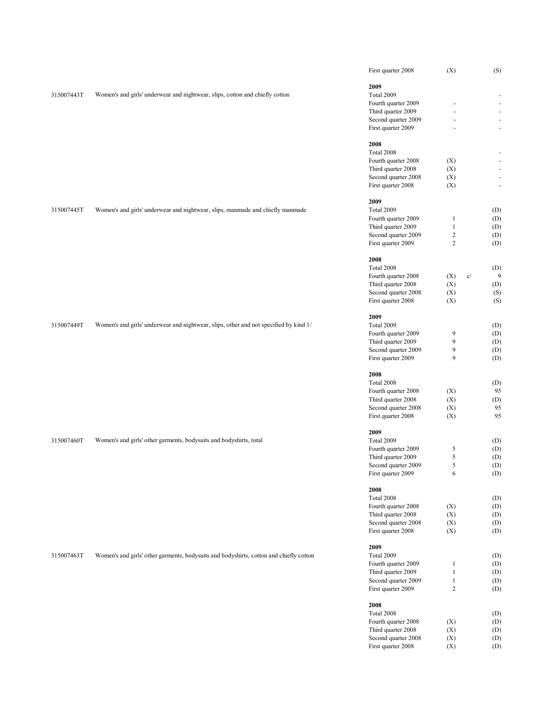|            |                                                                                        | First quarter 2008                        | (X)                          |    | (S)                      |
|------------|----------------------------------------------------------------------------------------|-------------------------------------------|------------------------------|----|--------------------------|
|            |                                                                                        | 2009                                      |                              |    |                          |
| 315007443T | Women's and girls' underwear and nightwear, slips, cotton and chiefly cotton           | Total 2009                                |                              |    | $\overline{\phantom{a}}$ |
|            |                                                                                        | Fourth quarter 2009                       |                              |    | $\overline{\phantom{a}}$ |
|            |                                                                                        | Third quarter 2009                        |                              |    | $\overline{\phantom{a}}$ |
|            |                                                                                        | Second quarter 2009                       | ä,                           |    | $\overline{\phantom{a}}$ |
|            |                                                                                        | First quarter 2009                        |                              |    | ÷                        |
|            |                                                                                        | 2008                                      |                              |    |                          |
|            |                                                                                        | Total 2008                                |                              |    | ÷                        |
|            |                                                                                        | Fourth quarter 2008                       | (X)                          |    | $\overline{\phantom{a}}$ |
|            |                                                                                        | Third quarter 2008                        | (X)                          |    | $\overline{\phantom{a}}$ |
|            |                                                                                        | Second quarter 2008<br>First quarter 2008 | (X)<br>(X)                   |    | ÷<br>$\blacksquare$      |
|            |                                                                                        |                                           |                              |    |                          |
|            |                                                                                        | 2009                                      |                              |    |                          |
| 315007445T | Women's and girls' underwear and nightwear, slips, manmade and chiefly manmade         | Total 2009                                |                              |    | (D)                      |
|            |                                                                                        | Fourth quarter 2009<br>Third quarter 2009 | $\mathbf{1}$<br>$\mathbf{1}$ |    | (D)<br>(D)               |
|            |                                                                                        | Second quarter 2009                       | $\sqrt{2}$                   |    | (D)                      |
|            |                                                                                        | First quarter 2009                        | $\overline{2}$               |    | (D)                      |
|            |                                                                                        |                                           |                              |    |                          |
|            |                                                                                        | 2008<br>Total 2008                        |                              |    | (D)                      |
|            |                                                                                        | Fourth quarter 2008                       | (X)                          | c/ | 9                        |
|            |                                                                                        | Third quarter 2008                        | (X)                          |    | (D)                      |
|            |                                                                                        | Second quarter 2008                       | (X)                          |    | (S)                      |
|            |                                                                                        | First quarter 2008                        | (X)                          |    | (S)                      |
|            |                                                                                        |                                           |                              |    |                          |
| 315007449T | Women's and girls' underwear and nightwear, slips, other and not specified by kind 1/  | 2009<br>Total 2009                        |                              |    | (D)                      |
|            |                                                                                        | Fourth quarter 2009                       | 9                            |    | (D)                      |
|            |                                                                                        | Third quarter 2009                        | 9                            |    | (D)                      |
|            |                                                                                        | Second quarter 2009                       | 9                            |    | (D)                      |
|            |                                                                                        | First quarter 2009                        | 9                            |    | (D)                      |
|            |                                                                                        | 2008                                      |                              |    |                          |
|            |                                                                                        | Total 2008                                |                              |    | (D)                      |
|            |                                                                                        | Fourth quarter 2008                       | (X)                          |    | 95                       |
|            |                                                                                        | Third quarter 2008                        | (X)                          |    | (D)                      |
|            |                                                                                        | Second quarter 2008                       | (X)                          |    | 95                       |
|            |                                                                                        | First quarter 2008                        | (X)                          |    | 95                       |
|            |                                                                                        | 2009                                      |                              |    |                          |
| 315007460T | Women's and girls' other garments, bodysuits and bodyshirts, total                     | Total 2009                                |                              |    | (D)                      |
|            |                                                                                        | Fourth quarter 2009                       | 5                            |    | (D)                      |
|            |                                                                                        | Third quarter 2009                        | 5                            |    | (D)                      |
|            |                                                                                        | Second quarter 2009                       | 5                            |    | (D)                      |
|            |                                                                                        | First quarter 2009                        | 6                            |    | (D)                      |
|            |                                                                                        | 2008                                      |                              |    |                          |
|            |                                                                                        | Total 2008                                |                              |    | (D)                      |
|            |                                                                                        | Fourth quarter 2008                       | (X)                          |    | (D)                      |
|            |                                                                                        | Third quarter 2008                        | (X)                          |    | (D)                      |
|            |                                                                                        | Second quarter 2008<br>First quarter 2008 | (X)                          |    | (D)                      |
|            |                                                                                        |                                           | (X)                          |    | (D)                      |
|            |                                                                                        | 2009                                      |                              |    |                          |
| 315007463T | Women's and girls' other garments, bodysuits and bodyshirts, cotton and chiefly cotton | Total 2009                                |                              |    | (D)                      |
|            |                                                                                        | Fourth quarter 2009                       | $\mathbf{1}$<br>$\mathbf{1}$ |    | (D)                      |
|            |                                                                                        | Third quarter 2009<br>Second quarter 2009 | $\mathbf{1}$                 |    | (D)<br>(D)               |
|            |                                                                                        | First quarter 2009                        | $\overline{2}$               |    | (D)                      |
|            |                                                                                        |                                           |                              |    |                          |
|            |                                                                                        | 2008<br>Total 2008                        |                              |    | (D)                      |
|            |                                                                                        | Fourth quarter 2008                       | (X)                          |    | (D)                      |
|            |                                                                                        | Third quarter 2008                        | (X)                          |    | (D)                      |
|            |                                                                                        | Second quarter 2008                       | (X)                          |    | (D)                      |
|            |                                                                                        | First quarter 2008                        | (X)                          |    | (D)                      |
|            |                                                                                        |                                           |                              |    |                          |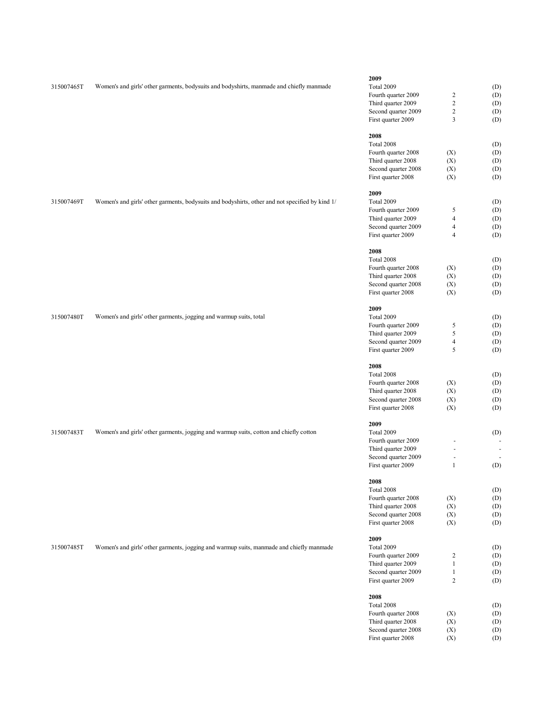|            |                                                                                                 | 2009                |                          |     |
|------------|-------------------------------------------------------------------------------------------------|---------------------|--------------------------|-----|
| 315007465T | Women's and girls' other garments, bodysuits and bodyshirts, manmade and chiefly manmade        | Total 2009          |                          | (D) |
|            |                                                                                                 | Fourth quarter 2009 | $\boldsymbol{2}$         | (D) |
|            |                                                                                                 | Third quarter 2009  | $\overline{c}$           | (D) |
|            |                                                                                                 | Second quarter 2009 | $\overline{c}$           | (D) |
|            |                                                                                                 | First quarter 2009  | 3                        | (D) |
|            |                                                                                                 |                     |                          |     |
|            |                                                                                                 | 2008                |                          |     |
|            |                                                                                                 | Total 2008          |                          | (D) |
|            |                                                                                                 | Fourth quarter 2008 | (X)                      | (D) |
|            |                                                                                                 | Third quarter 2008  | (X)                      | (D) |
|            |                                                                                                 | Second quarter 2008 | (X)                      | (D) |
|            |                                                                                                 | First quarter 2008  | (X)                      | (D) |
|            |                                                                                                 | 2009                |                          |     |
| 315007469T | Women's and girls' other garments, bodysuits and bodyshirts, other and not specified by kind 1/ | Total 2009          |                          | (D) |
|            |                                                                                                 | Fourth quarter 2009 | 5                        | (D) |
|            |                                                                                                 | Third quarter 2009  | $\overline{\mathbf{4}}$  | (D) |
|            |                                                                                                 | Second quarter 2009 | $\overline{\mathbf{4}}$  | (D) |
|            |                                                                                                 | First quarter 2009  | $\overline{4}$           | (D) |
|            |                                                                                                 | 2008                |                          |     |
|            |                                                                                                 | Total 2008          |                          |     |
|            |                                                                                                 | Fourth quarter 2008 |                          | (D) |
|            |                                                                                                 |                     | (X)                      | (D) |
|            |                                                                                                 | Third quarter 2008  | (X)                      | (D) |
|            |                                                                                                 | Second quarter 2008 | (X)                      | (D) |
|            |                                                                                                 | First quarter 2008  | (X)                      | (D) |
|            |                                                                                                 | 2009                |                          |     |
| 315007480T | Women's and girls' other garments, jogging and warmup suits, total                              | Total 2009          |                          | (D) |
|            |                                                                                                 | Fourth quarter 2009 | 5                        | (D) |
|            |                                                                                                 | Third quarter 2009  | 5                        | (D) |
|            |                                                                                                 | Second quarter 2009 | $\overline{\mathcal{L}}$ | (D) |
|            |                                                                                                 | First quarter 2009  | 5                        | (D) |
|            |                                                                                                 |                     |                          |     |
|            |                                                                                                 | 2008                |                          |     |
|            |                                                                                                 | Total 2008          |                          | (D) |
|            |                                                                                                 | Fourth quarter 2008 | (X)                      | (D) |
|            |                                                                                                 | Third quarter 2008  | (X)                      | (D) |
|            |                                                                                                 | Second quarter 2008 | (X)                      | (D) |
|            |                                                                                                 | First quarter 2008  | (X)                      | (D) |
|            |                                                                                                 | 2009                |                          |     |
| 315007483T | Women's and girls' other garments, jogging and warmup suits, cotton and chiefly cotton          | Total 2009          |                          | (D) |
|            |                                                                                                 | Fourth quarter 2009 | ä,                       |     |
|            |                                                                                                 | Third quarter 2009  | $\overline{\phantom{a}}$ |     |
|            |                                                                                                 | Second quarter 2009 | $\overline{\phantom{a}}$ |     |
|            |                                                                                                 | First quarter 2009  | $\mathbf{1}$             | (D) |
|            |                                                                                                 | 2008                |                          |     |
|            |                                                                                                 | Total 2008          |                          | (D) |
|            |                                                                                                 | Fourth quarter 2008 | (X)                      | (D) |
|            |                                                                                                 | Third quarter 2008  |                          |     |
|            |                                                                                                 |                     | (X)                      | (D) |
|            |                                                                                                 | Second quarter 2008 | (X)                      | (D) |
|            |                                                                                                 | First quarter 2008  | (X)                      | (D) |
|            |                                                                                                 | 2009                |                          |     |
| 315007485T | Women's and girls' other garments, jogging and warmup suits, manmade and chiefly manmade        | Total 2009          |                          | (D) |
|            |                                                                                                 | Fourth quarter 2009 | $\overline{c}$           | (D) |
|            |                                                                                                 | Third quarter 2009  | $\mathbf{1}$             | (D) |
|            |                                                                                                 | Second quarter 2009 | $\mathbf{1}$             | (D) |
|            |                                                                                                 | First quarter 2009  | $\overline{c}$           | (D) |
|            |                                                                                                 | 2008                |                          |     |
|            |                                                                                                 | Total 2008          |                          | (D) |
|            |                                                                                                 | Fourth quarter 2008 | (X)                      | (D) |
|            |                                                                                                 | Third quarter 2008  | (X)                      | (D) |
|            |                                                                                                 |                     |                          |     |

Second quarter 2008 (X) (D) First quarter 2008 (X) (D)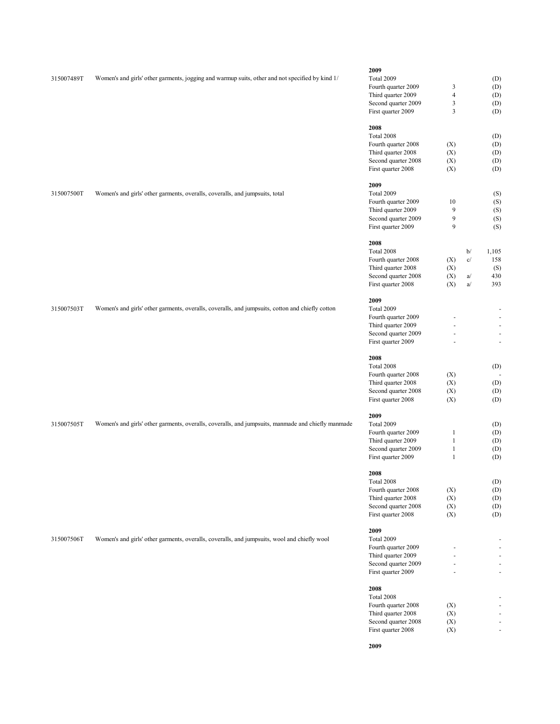|            |                                                                                                    | 2009                                      |                |    |                                            |
|------------|----------------------------------------------------------------------------------------------------|-------------------------------------------|----------------|----|--------------------------------------------|
| 315007489T | Women's and girls' other garments, jogging and warmup suits, other and not specified by kind 1/    | Total 2009                                |                |    | (D)                                        |
|            |                                                                                                    | Fourth quarter 2009                       | 3              |    | (D)                                        |
|            |                                                                                                    | Third quarter 2009                        | $\overline{4}$ |    | (D)                                        |
|            |                                                                                                    | Second quarter 2009                       | 3              |    | (D)                                        |
|            |                                                                                                    |                                           | $\mathfrak{Z}$ |    |                                            |
|            |                                                                                                    | First quarter 2009                        |                |    | (D)                                        |
|            |                                                                                                    | 2008                                      |                |    |                                            |
|            |                                                                                                    | Total 2008                                |                |    | (D)                                        |
|            |                                                                                                    | Fourth quarter 2008                       | (X)            |    | (D)                                        |
|            |                                                                                                    | Third quarter 2008                        | (X)            |    | (D)                                        |
|            |                                                                                                    |                                           |                |    |                                            |
|            |                                                                                                    | Second quarter 2008                       | (X)            |    | (D)                                        |
|            |                                                                                                    | First quarter 2008                        | (X)            |    | (D)                                        |
|            |                                                                                                    | 2009                                      |                |    |                                            |
| 315007500T | Women's and girls' other garments, overalls, coveralls, and jumpsuits, total                       | Total 2009                                |                |    | (S)                                        |
|            |                                                                                                    | Fourth quarter 2009                       | 10             |    | (S)                                        |
|            |                                                                                                    | Third quarter 2009                        | 9              |    | (S)                                        |
|            |                                                                                                    | Second quarter 2009                       | 9              |    | (S)                                        |
|            |                                                                                                    | First quarter 2009                        | 9              |    | (S)                                        |
|            |                                                                                                    |                                           |                |    |                                            |
|            |                                                                                                    | 2008                                      |                |    |                                            |
|            |                                                                                                    | Total 2008                                |                | b/ | 1,105                                      |
|            |                                                                                                    | Fourth quarter 2008                       | (X)            | c/ | 158                                        |
|            |                                                                                                    | Third quarter 2008                        | (X)            |    | (S)                                        |
|            |                                                                                                    | Second quarter 2008                       | (X)            | a/ | 430                                        |
|            |                                                                                                    | First quarter 2008                        | (X)            | a/ | 393                                        |
|            |                                                                                                    | 2009                                      |                |    |                                            |
| 315007503T | Women's and girls' other garments, overalls, coveralls, and jumpsuits, cotton and chiefly cotton   | Total 2009                                |                |    | $\overline{\phantom{a}}$                   |
|            |                                                                                                    | Fourth quarter 2009                       |                |    | $\blacksquare$                             |
|            |                                                                                                    |                                           |                |    |                                            |
|            |                                                                                                    | Third quarter 2009                        |                |    | $\blacksquare$                             |
|            |                                                                                                    | Second quarter 2009                       | ä,             |    | $\blacksquare$                             |
|            |                                                                                                    | First quarter 2009                        |                |    | $\overline{\phantom{a}}$                   |
|            |                                                                                                    |                                           |                |    |                                            |
|            |                                                                                                    | 2008                                      |                |    |                                            |
|            |                                                                                                    |                                           |                |    |                                            |
|            |                                                                                                    | Total 2008                                |                |    | (D)                                        |
|            |                                                                                                    | Fourth quarter 2008                       | (X)            |    | $\overline{\phantom{a}}$                   |
|            |                                                                                                    | Third quarter 2008                        | (X)            |    | (D)                                        |
|            |                                                                                                    | Second quarter 2008                       | (X)            |    | (D)                                        |
|            |                                                                                                    | First quarter 2008                        | (X)            |    | (D)                                        |
|            |                                                                                                    | 2009                                      |                |    |                                            |
| 315007505T | Women's and girls' other garments, overalls, coveralls, and jumpsuits, manmade and chiefly manmade | Total 2009                                |                |    | (D)                                        |
|            |                                                                                                    | Fourth quarter 2009                       | $\mathbf{1}$   |    | (D)                                        |
|            |                                                                                                    | Third quarter 2009                        | $\mathbf{1}$   |    | (D)                                        |
|            |                                                                                                    | Second quarter 2009                       | $\mathbf{1}$   |    | (D)                                        |
|            |                                                                                                    | First quarter 2009                        | $\mathbf{1}$   |    | (D)                                        |
|            |                                                                                                    |                                           |                |    |                                            |
|            |                                                                                                    | 2008                                      |                |    |                                            |
|            |                                                                                                    | Total 2008                                |                |    | (D)                                        |
|            |                                                                                                    | Fourth quarter 2008                       | (X)            |    | (D)                                        |
|            |                                                                                                    | Third quarter 2008                        | (X)            |    | (D)                                        |
|            |                                                                                                    | Second quarter 2008                       | (X)            |    | (D)                                        |
|            |                                                                                                    | First quarter 2008                        | (X)            |    | (D)                                        |
|            |                                                                                                    |                                           |                |    |                                            |
|            |                                                                                                    | 2009                                      |                |    | $\blacksquare$                             |
| 315007506T | Women's and girls' other garments, overalls, coveralls, and jumpsuits, wool and chiefly wool       | Total 2009                                |                |    |                                            |
|            |                                                                                                    | Fourth quarter 2009                       |                |    | $\overline{\phantom{a}}$                   |
|            |                                                                                                    | Third quarter 2009                        |                |    | $\overline{\phantom{a}}$                   |
|            |                                                                                                    | Second quarter 2009<br>First quarter 2009 |                |    | $\blacksquare$<br>$\overline{\phantom{a}}$ |
|            |                                                                                                    |                                           |                |    |                                            |
|            |                                                                                                    | 2008                                      |                |    |                                            |
|            |                                                                                                    | Total 2008                                |                |    | $\sim$                                     |
|            |                                                                                                    | Fourth quarter 2008                       | (X)            |    | $\sim$                                     |
|            |                                                                                                    | Third quarter 2008                        | (X)            |    | $\blacksquare$                             |
|            |                                                                                                    | Second quarter 2008<br>First quarter 2008 | (X)<br>(X)     |    | ÷.                                         |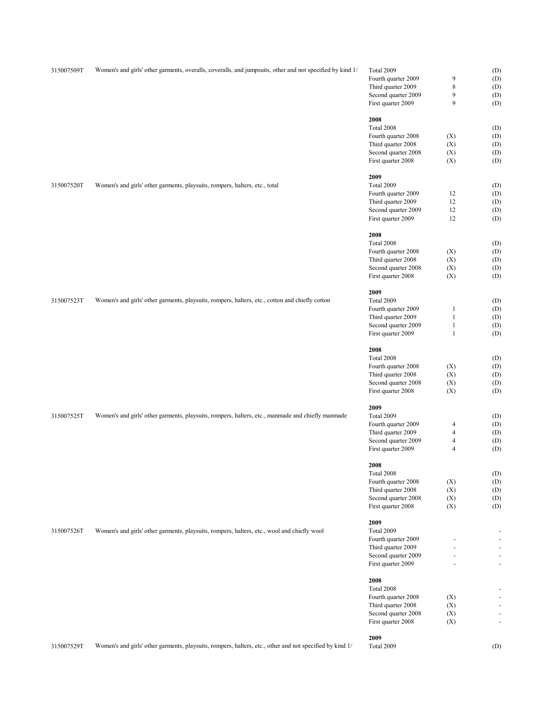| 315007509T | Women's and girls' other garments, overalls, coveralls, and jumpsuits, other and not specified by kind 1/ | Total 2009          |                | (D)            |
|------------|-----------------------------------------------------------------------------------------------------------|---------------------|----------------|----------------|
|            |                                                                                                           | Fourth quarter 2009 | 9              | (D)            |
|            |                                                                                                           | Third quarter 2009  | $\,$ 8 $\,$    | (D)            |
|            |                                                                                                           | Second quarter 2009 | 9              | (D)            |
|            |                                                                                                           | First quarter 2009  | 9              | (D)            |
|            |                                                                                                           |                     |                |                |
|            |                                                                                                           | 2008                |                |                |
|            |                                                                                                           | Total 2008          |                | (D)            |
|            |                                                                                                           | Fourth quarter 2008 | (X)            | (D)            |
|            |                                                                                                           |                     |                |                |
|            |                                                                                                           | Third quarter 2008  | (X)            | (D)            |
|            |                                                                                                           | Second quarter 2008 | (X)            | (D)            |
|            |                                                                                                           | First quarter 2008  | (X)            | (D)            |
|            |                                                                                                           | 2009                |                |                |
| 315007520T | Women's and girls' other garments, playsuits, rompers, halters, etc., total                               | Total 2009          |                | (D)            |
|            |                                                                                                           | Fourth quarter 2009 |                |                |
|            |                                                                                                           |                     | 12             | (D)            |
|            |                                                                                                           | Third quarter 2009  | 12             | (D)            |
|            |                                                                                                           | Second quarter 2009 | 12             | (D)            |
|            |                                                                                                           | First quarter 2009  | 12             | (D)            |
|            |                                                                                                           | 2008                |                |                |
|            |                                                                                                           |                     |                |                |
|            |                                                                                                           | Total 2008          |                | (D)            |
|            |                                                                                                           | Fourth quarter 2008 | (X)            | (D)            |
|            |                                                                                                           | Third quarter 2008  | (X)            | (D)            |
|            |                                                                                                           | Second quarter 2008 | (X)            | (D)            |
|            |                                                                                                           | First quarter 2008  | (X)            | (D)            |
|            |                                                                                                           |                     |                |                |
|            |                                                                                                           | 2009                |                |                |
| 315007523T | Women's and girls' other garments, playsuits, rompers, halters, etc., cotton and chiefly cotton           | Total 2009          |                | (D)            |
|            |                                                                                                           | Fourth quarter 2009 | $\mathbf{1}$   | (D)            |
|            |                                                                                                           | Third quarter 2009  | $\mathbf{1}$   | (D)            |
|            |                                                                                                           | Second quarter 2009 | $\mathbf{1}$   | (D)            |
|            |                                                                                                           | First quarter 2009  | $\mathbf{1}$   | (D)            |
|            |                                                                                                           |                     |                |                |
|            |                                                                                                           | 2008                |                |                |
|            |                                                                                                           | Total 2008          |                | (D)            |
|            |                                                                                                           | Fourth quarter 2008 | (X)            | (D)            |
|            |                                                                                                           | Third quarter 2008  | (X)            | (D)            |
|            |                                                                                                           | Second quarter 2008 | (X)            | (D)            |
|            |                                                                                                           | First quarter 2008  | (X)            | (D)            |
|            |                                                                                                           |                     |                |                |
|            |                                                                                                           | 2009                |                |                |
| 315007525T | Women's and girls' other garments, playsuits, rompers, halters, etc., manmade and chiefly manmade         | Total 2009          |                | (D)            |
|            |                                                                                                           | Fourth quarter 2009 |                |                |
|            |                                                                                                           |                     | 4              | (D)            |
|            |                                                                                                           | Third quarter 2009  | $\overline{4}$ | (D)            |
|            |                                                                                                           | Second quarter 2009 | $\overline{4}$ | (D)            |
|            |                                                                                                           | First quarter 2009  | $\overline{4}$ | (D)            |
|            |                                                                                                           |                     |                |                |
|            |                                                                                                           | 2008                |                |                |
|            |                                                                                                           | Total 2008          |                | (D)            |
|            |                                                                                                           | Fourth quarter 2008 | (X)            | (D)            |
|            |                                                                                                           | Third quarter 2008  | (X)            | (D)            |
|            |                                                                                                           | Second quarter 2008 | (X)            | (D)            |
|            |                                                                                                           | First quarter 2008  | (X)            | (D)            |
|            |                                                                                                           |                     |                |                |
|            |                                                                                                           | 2009                |                |                |
| 315007526T | Women's and girls' other garments, playsuits, rompers, halters, etc., wool and chiefly wool               | Total 2009          |                |                |
|            |                                                                                                           | Fourth quarter 2009 |                |                |
|            |                                                                                                           | Third quarter 2009  | ÷.             |                |
|            |                                                                                                           | Second quarter 2009 | ä,             | ٠              |
|            |                                                                                                           | First quarter 2009  | ÷.             | $\overline{a}$ |
|            |                                                                                                           |                     |                |                |
|            |                                                                                                           | 2008                |                |                |
|            |                                                                                                           | Total 2008          |                |                |
|            |                                                                                                           | Fourth quarter 2008 | (X)            |                |
|            |                                                                                                           | Third quarter 2008  | (X)            |                |
|            |                                                                                                           | Second quarter 2008 | (X)            |                |
|            |                                                                                                           | First quarter 2008  | (X)            |                |
|            |                                                                                                           |                     |                |                |
|            |                                                                                                           | 2009                |                |                |
| 315007529T | Women's and girls' other garments, playsuits, rompers, halters, etc., other and not specified by kind 1/  | Total 2009          |                | (D)            |
|            |                                                                                                           |                     |                |                |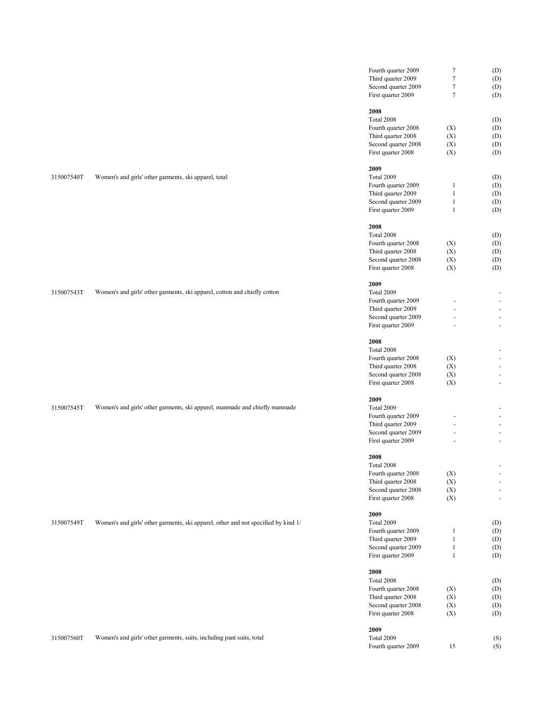|            |                                                                                    | Fourth quarter 2009                       | $\boldsymbol{7}$ | (D)     |
|------------|------------------------------------------------------------------------------------|-------------------------------------------|------------------|---------|
|            |                                                                                    | Third quarter 2009                        | $\overline{7}$   | (D)     |
|            |                                                                                    | Second quarter 2009                       | $\boldsymbol{7}$ | (D)     |
|            |                                                                                    | First quarter 2009                        | $7\phantom{.0}$  | (D)     |
|            |                                                                                    | 2008                                      |                  |         |
|            |                                                                                    | Total 2008                                |                  | (D)     |
|            |                                                                                    | Fourth quarter 2008                       | (X)              | (D)     |
|            |                                                                                    |                                           |                  |         |
|            |                                                                                    | Third quarter 2008                        | (X)              | (D)     |
|            |                                                                                    | Second quarter 2008                       | (X)              | (D)     |
|            |                                                                                    | First quarter 2008                        | (X)              | (D)     |
|            |                                                                                    | 2009                                      |                  |         |
| 315007540T | Women's and girls' other garments, ski apparel, total                              | Total 2009                                |                  | (D)     |
|            |                                                                                    | Fourth quarter 2009                       | $\mathbf{1}$     | (D)     |
|            |                                                                                    | Third quarter 2009                        | $\mathbf{1}$     | (D)     |
|            |                                                                                    | Second quarter 2009                       | $\mathbf{1}$     | (D)     |
|            |                                                                                    | First quarter 2009                        | $\mathbf{1}$     | (D)     |
|            |                                                                                    | 2008                                      |                  |         |
|            |                                                                                    | Total 2008                                |                  | (D)     |
|            |                                                                                    | Fourth quarter 2008                       | (X)              | (D)     |
|            |                                                                                    | Third quarter 2008                        | (X)              | (D)     |
|            |                                                                                    | Second quarter 2008                       | (X)              | (D)     |
|            |                                                                                    | First quarter 2008                        | (X)              | (D)     |
|            |                                                                                    | 2009                                      |                  |         |
| 315007543T | Women's and girls' other garments, ski apparel, cotton and chiefly cotton          | Total 2009                                |                  |         |
|            |                                                                                    | Fourth quarter 2009                       |                  | ÷       |
|            |                                                                                    | Third quarter 2009                        |                  |         |
|            |                                                                                    | Second quarter 2009                       |                  | ÷       |
|            |                                                                                    | First quarter 2009                        |                  | ÷       |
|            |                                                                                    | 2008                                      |                  |         |
|            |                                                                                    | Total 2008                                |                  |         |
|            |                                                                                    | Fourth quarter 2008                       | (X)              |         |
|            |                                                                                    |                                           |                  | ÷       |
|            |                                                                                    | Third quarter 2008                        | (X)              | ÷       |
|            |                                                                                    | Second quarter 2008<br>First quarter 2008 | (X)<br>(X)       | -<br>÷, |
|            |                                                                                    |                                           |                  |         |
|            |                                                                                    | 2009                                      |                  |         |
| 315007545T | Women's and girls' other garments, ski apparel, manmade and chiefly manmade        | Total 2009                                |                  |         |
|            |                                                                                    | Fourth quarter 2009                       |                  |         |
|            |                                                                                    | Third quarter 2009                        |                  |         |
|            |                                                                                    | Second quarter 2009<br>First quarter 2009 |                  | ÷<br>ł, |
|            |                                                                                    |                                           |                  |         |
|            |                                                                                    | 2008                                      |                  |         |
|            |                                                                                    | Total 2008                                |                  |         |
|            |                                                                                    | Fourth quarter 2008                       | (X)              |         |
|            |                                                                                    | Third quarter 2008                        | (X)              |         |
|            |                                                                                    | Second quarter 2008                       | (X)              | ÷       |
|            |                                                                                    | First quarter 2008                        | (X)              | Ĭ.      |
|            |                                                                                    | 2009                                      |                  |         |
| 315007549T | Women's and girls' other garments, ski apparel, other and not specified by kind 1/ | Total 2009                                |                  | (D)     |
|            |                                                                                    | Fourth quarter 2009                       | $\mathbf{1}$     | (D)     |
|            |                                                                                    | Third quarter 2009                        | $\mathbf{1}$     | (D)     |
|            |                                                                                    | Second quarter 2009                       | $\mathbf{1}$     | (D)     |
|            |                                                                                    | First quarter 2009                        | $\mathbf{1}$     | (D)     |
|            |                                                                                    | 2008                                      |                  |         |
|            |                                                                                    | Total 2008                                |                  | (D)     |
|            |                                                                                    | Fourth quarter 2008                       | (X)              | (D)     |
|            |                                                                                    | Third quarter 2008                        | (X)              | (D)     |
|            |                                                                                    | Second quarter 2008                       | (X)              | (D)     |
|            |                                                                                    | First quarter 2008                        | (X)              | (D)     |
|            |                                                                                    | 2009                                      |                  |         |
| 315007560T | Women's and girls' other garments, suits, including pant suits, total              | Total 2009                                |                  | (S)     |
|            |                                                                                    | Fourth quarter 2009                       | 15               | (S)     |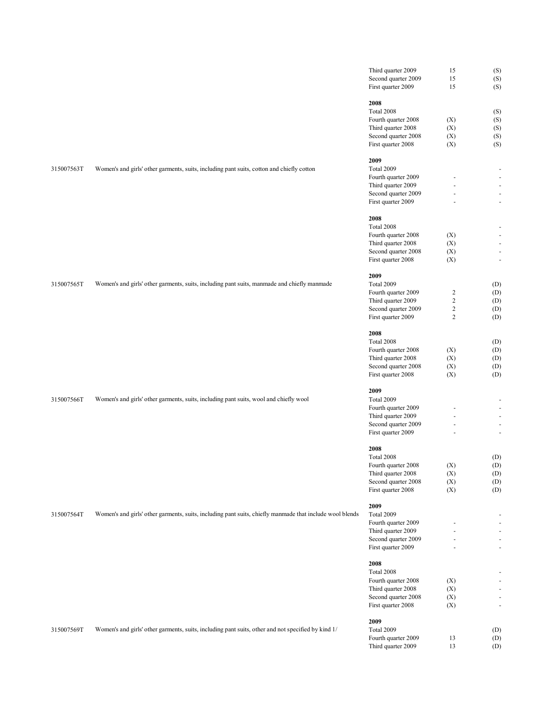|            |                                                                                                          | Third quarter 2009                        | 15               | (S)                                        |
|------------|----------------------------------------------------------------------------------------------------------|-------------------------------------------|------------------|--------------------------------------------|
|            |                                                                                                          | Second quarter 2009                       | 15               | (S)                                        |
|            |                                                                                                          | First quarter 2009                        | 15               | (S)                                        |
|            |                                                                                                          |                                           |                  |                                            |
|            |                                                                                                          | 2008<br>Total 2008                        |                  |                                            |
|            |                                                                                                          | Fourth quarter 2008                       | (X)              | (S)<br>(S)                                 |
|            |                                                                                                          | Third quarter 2008                        | (X)              | (S)                                        |
|            |                                                                                                          | Second quarter 2008                       | (X)              | (S)                                        |
|            |                                                                                                          | First quarter 2008                        | (X)              | (S)                                        |
|            |                                                                                                          |                                           |                  |                                            |
|            |                                                                                                          | 2009                                      |                  |                                            |
| 315007563T | Women's and girls' other garments, suits, including pant suits, cotton and chiefly cotton                | Total 2009                                |                  |                                            |
|            |                                                                                                          | Fourth quarter 2009                       |                  | ÷.                                         |
|            |                                                                                                          | Third quarter 2009                        |                  |                                            |
|            |                                                                                                          | Second quarter 2009                       |                  | ÷.                                         |
|            |                                                                                                          | First quarter 2009                        |                  | $\sim$                                     |
|            |                                                                                                          |                                           |                  |                                            |
|            |                                                                                                          | 2008                                      |                  |                                            |
|            |                                                                                                          | Total 2008                                |                  | $\overline{\phantom{a}}$<br>$\blacksquare$ |
|            |                                                                                                          | Fourth quarter 2008<br>Third quarter 2008 | (X)<br>(X)       | $\overline{\phantom{a}}$                   |
|            |                                                                                                          | Second quarter 2008                       | (X)              | ÷.                                         |
|            |                                                                                                          | First quarter 2008                        | (X)              | $\blacksquare$                             |
|            |                                                                                                          |                                           |                  |                                            |
|            |                                                                                                          | 2009                                      |                  |                                            |
| 315007565T | Women's and girls' other garments, suits, including pant suits, manmade and chiefly manmade              | Total 2009                                |                  | (D)                                        |
|            |                                                                                                          | Fourth quarter 2009                       | 2                | (D)                                        |
|            |                                                                                                          | Third quarter 2009                        | $\sqrt{2}$       | (D)                                        |
|            |                                                                                                          | Second quarter 2009                       | $\boldsymbol{2}$ | (D)                                        |
|            |                                                                                                          | First quarter 2009                        | $\boldsymbol{2}$ | (D)                                        |
|            |                                                                                                          |                                           |                  |                                            |
|            |                                                                                                          | 2008                                      |                  |                                            |
|            |                                                                                                          | Total 2008                                |                  | (D)                                        |
|            |                                                                                                          | Fourth quarter 2008                       | (X)              | (D)                                        |
|            |                                                                                                          | Third quarter 2008                        | (X)              | (D)                                        |
|            |                                                                                                          | Second quarter 2008<br>First quarter 2008 | (X)<br>(X)       | (D)<br>(D)                                 |
|            |                                                                                                          |                                           |                  |                                            |
|            |                                                                                                          | 2009                                      |                  |                                            |
| 315007566T | Women's and girls' other garments, suits, including pant suits, wool and chiefly wool                    | Total 2009                                |                  |                                            |
|            |                                                                                                          | Fourth quarter 2009                       |                  | $\sim$                                     |
|            |                                                                                                          | Third quarter 2009                        |                  |                                            |
|            |                                                                                                          | Second quarter 2009                       |                  | ÷.                                         |
|            |                                                                                                          | First quarter 2009                        |                  | $\sim$                                     |
|            |                                                                                                          |                                           |                  |                                            |
|            |                                                                                                          | 2008                                      |                  |                                            |
|            |                                                                                                          | Total 2008                                |                  | (D)                                        |
|            |                                                                                                          | Fourth quarter 2008                       | (X)              | (D)                                        |
|            |                                                                                                          | Third quarter 2008                        | $(\mathbf{X})$   | (D)                                        |
|            |                                                                                                          | Second quarter 2008<br>First quarter 2008 | (X)              | (D)<br>(D)                                 |
|            |                                                                                                          |                                           | (X)              |                                            |
|            |                                                                                                          | 2009                                      |                  |                                            |
| 315007564T | Women's and girls' other garments, suits, including pant suits, chiefly manmade that include wool blends | Total 2009                                |                  | ٠                                          |
|            |                                                                                                          | Fourth quarter 2009                       |                  | $\overline{\phantom{a}}$                   |
|            |                                                                                                          | Third quarter 2009                        |                  | ÷.                                         |
|            |                                                                                                          | Second quarter 2009                       |                  | $\overline{\phantom{a}}$                   |
|            |                                                                                                          | First quarter 2009                        |                  | ÷.                                         |
|            |                                                                                                          |                                           |                  |                                            |
|            |                                                                                                          | 2008                                      |                  |                                            |
|            |                                                                                                          | Total 2008                                |                  | $\sim$                                     |
|            |                                                                                                          | Fourth quarter 2008                       | (X)              |                                            |
|            |                                                                                                          | Third quarter 2008                        | (X)              | ÷.                                         |
|            |                                                                                                          | Second quarter 2008                       | (X)              |                                            |
|            |                                                                                                          | First quarter 2008                        | (X)              | $\blacksquare$                             |
|            |                                                                                                          | 2009                                      |                  |                                            |
| 315007569T | Women's and girls' other garments, suits, including pant suits, other and not specified by kind 1/       | Total 2009                                |                  | (D)                                        |
|            |                                                                                                          | Fourth quarter 2009                       | 13               | (D)                                        |
|            |                                                                                                          | Third quarter 2009                        | 13               | (D)                                        |
|            |                                                                                                          |                                           |                  |                                            |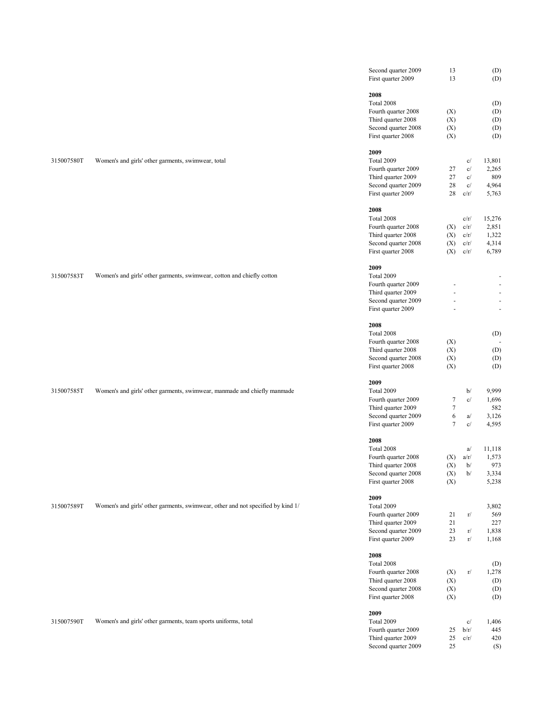|            |                                                                                 | Second quarter 2009<br>First quarter 2009                       | 13<br>13                             |              | (D)<br>(D)        |  |
|------------|---------------------------------------------------------------------------------|-----------------------------------------------------------------|--------------------------------------|--------------|-------------------|--|
|            |                                                                                 | 2008<br>Total 2008<br>Fourth quarter 2008                       | (X)                                  |              | (D)<br>(D)        |  |
|            |                                                                                 | Third quarter 2008<br>Second quarter 2008<br>First quarter 2008 | (X)<br>(X)<br>(X)                    |              | (D)<br>(D)<br>(D) |  |
| 315007580T | Women's and girls' other garments, swimwear, total                              | 2009<br>Total 2009                                              |                                      | c/           | 13,801            |  |
|            |                                                                                 | Fourth quarter 2009<br>Third quarter 2009                       | 27<br>27                             | c/<br>c/     | 2,265<br>809      |  |
|            |                                                                                 | Second quarter 2009<br>First quarter 2009                       | 28<br>28                             | c/<br>c/r/   | 4,964<br>5,763    |  |
|            |                                                                                 | 2008<br>Total 2008                                              |                                      | c/r/         | 15,276            |  |
|            |                                                                                 | Fourth quarter 2008<br>Third quarter 2008                       | (X)<br>(X)                           | c/r/<br>c/r/ | 2,851<br>1,322    |  |
|            |                                                                                 | Second quarter 2008<br>First quarter 2008                       | (X)<br>(X)                           | c/r/<br>c/r/ | 4,314<br>6,789    |  |
| 315007583T | Women's and girls' other garments, swimwear, cotton and chiefly cotton          | 2009<br>Total 2009                                              |                                      |              |                   |  |
|            |                                                                                 | Fourth quarter 2009                                             |                                      |              |                   |  |
|            |                                                                                 | Third quarter 2009<br>Second quarter 2009                       | ä,                                   |              |                   |  |
|            |                                                                                 | First quarter 2009                                              |                                      |              |                   |  |
|            |                                                                                 | 2008<br>Total 2008                                              |                                      |              | (D)               |  |
|            |                                                                                 | Fourth quarter 2008                                             | (X)                                  |              | $\sim$            |  |
|            |                                                                                 | Third quarter 2008                                              | (X)                                  |              | (D)               |  |
|            |                                                                                 | Second quarter 2008<br>First quarter 2008                       | (X)<br>(X)                           |              | (D)<br>(D)        |  |
|            |                                                                                 | 2009                                                            |                                      |              |                   |  |
| 315007585T | Women's and girls' other garments, swimwear, manmade and chiefly manmade        | Total 2009                                                      |                                      | b/           | 9,999             |  |
|            |                                                                                 | Fourth quarter 2009<br>Third quarter 2009                       | $\boldsymbol{7}$<br>$\boldsymbol{7}$ | c/           | 1,696<br>582      |  |
|            |                                                                                 | Second quarter 2009                                             | 6                                    | a/           | 3,126             |  |
|            |                                                                                 | First quarter 2009                                              | $\tau$                               | c/           | 4,595             |  |
|            |                                                                                 | 2008                                                            |                                      |              |                   |  |
|            |                                                                                 | Total 2008<br>Fourth quarter 2008                               | (X)                                  | a/<br>a/r/   | 11,118<br>1,573   |  |
|            |                                                                                 | Third quarter 2008                                              | (X)                                  | b/           | 973               |  |
|            |                                                                                 | Second quarter 2008<br>First quarter 2008                       | (X)<br>(X)                           | b/           | 3,334<br>5,238    |  |
| 315007589T | Women's and girls' other garments, swimwear, other and not specified by kind 1/ | 2009<br>Total 2009                                              |                                      |              | 3,802             |  |
|            |                                                                                 | Fourth quarter 2009                                             | 21                                   | r/           | 569               |  |
|            |                                                                                 | Third quarter 2009<br>Second quarter 2009                       | 21<br>23                             | $\Gamma/$    | 227<br>1,838      |  |
|            |                                                                                 | First quarter 2009                                              | 23                                   | $\Gamma/$    | 1,168             |  |
|            |                                                                                 | 2008<br>Total 2008                                              |                                      |              | (D)               |  |
|            |                                                                                 | Fourth quarter 2008<br>Third quarter 2008                       | (X)<br>(X)                           | r/           | 1,278<br>(D)      |  |
|            |                                                                                 | Second quarter 2008                                             | (X)                                  |              | (D)               |  |
|            |                                                                                 | First quarter 2008                                              | (X)                                  |              | (D)               |  |
| 315007590T |                                                                                 | 2009<br>Total 2009                                              |                                      | c/           | 1,406             |  |
|            | Women's and girls' other garments, team sports uniforms, total                  | Fourth quarter 2009                                             | 25                                   | b/r/         | 445               |  |
|            |                                                                                 | Third quarter 2009                                              | 25                                   | c/r/         | 420               |  |
|            |                                                                                 | Second quarter 2009                                             | 25                                   |              | (S)               |  |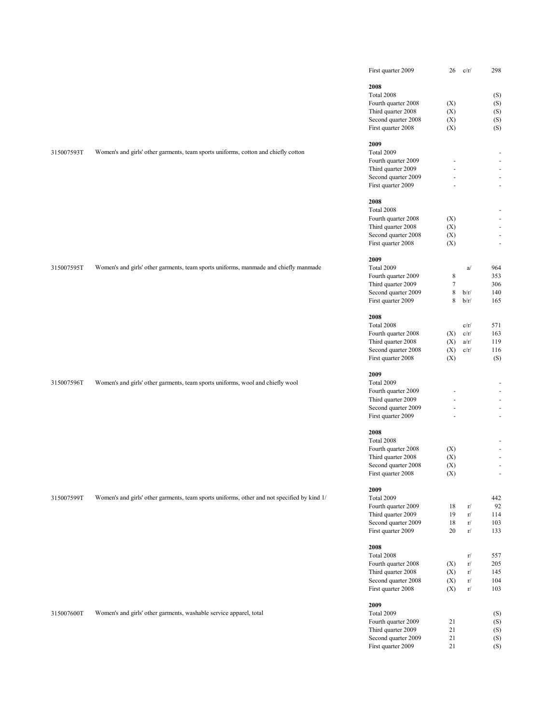|            |                                                                                             | First quarter 2009                        | 26               | c/r/      | 298                      |
|------------|---------------------------------------------------------------------------------------------|-------------------------------------------|------------------|-----------|--------------------------|
|            |                                                                                             | 2008                                      |                  |           |                          |
|            |                                                                                             | Total 2008                                |                  |           | (S)                      |
|            |                                                                                             | Fourth quarter 2008                       | (X)              |           | (S)                      |
|            |                                                                                             | Third quarter 2008                        | (X)              |           | (S)                      |
|            |                                                                                             | Second quarter 2008                       | (X)              |           | (S)                      |
|            |                                                                                             | First quarter 2008                        | (X)              |           | (S)                      |
|            |                                                                                             |                                           |                  |           |                          |
|            |                                                                                             | 2009                                      |                  |           |                          |
| 315007593T | Women's and girls' other garments, team sports uniforms, cotton and chiefly cotton          | Total 2009                                |                  |           |                          |
|            |                                                                                             | Fourth quarter 2009                       |                  |           |                          |
|            |                                                                                             | Third quarter 2009                        |                  |           |                          |
|            |                                                                                             | Second quarter 2009<br>First quarter 2009 |                  |           | $\omega$                 |
|            |                                                                                             |                                           |                  |           |                          |
|            |                                                                                             | 2008                                      |                  |           |                          |
|            |                                                                                             | Total 2008                                |                  |           |                          |
|            |                                                                                             | Fourth quarter 2008                       | (X)              |           |                          |
|            |                                                                                             | Third quarter 2008                        | (X)              |           | $\sim$                   |
|            |                                                                                             | Second quarter 2008                       | (X)<br>(X)       |           | $\omega$                 |
|            |                                                                                             | First quarter 2008                        |                  |           |                          |
|            |                                                                                             | 2009                                      |                  |           |                          |
| 315007595T | Women's and girls' other garments, team sports uniforms, manmade and chiefly manmade        | Total 2009                                |                  | a/        | 964                      |
|            |                                                                                             | Fourth quarter 2009                       | $\,8\,$          |           | 353                      |
|            |                                                                                             | Third quarter 2009                        | $\boldsymbol{7}$ |           | 306                      |
|            |                                                                                             | Second quarter 2009                       | $\,$ 8 $\,$      | b/r/      | 140                      |
|            |                                                                                             | First quarter 2009                        | $\,$ 8 $\,$      | b/r/      | 165                      |
|            |                                                                                             | 2008                                      |                  |           |                          |
|            |                                                                                             | Total 2008                                |                  | c/r/      | 571                      |
|            |                                                                                             | Fourth quarter 2008                       | (X)              | c/r/      | 163                      |
|            |                                                                                             | Third quarter 2008                        | (X)              | a/r/      | 119                      |
|            |                                                                                             | Second quarter 2008                       | (X)              | c/r/      | 116                      |
|            |                                                                                             | First quarter 2008                        | (X)              |           | (S)                      |
|            |                                                                                             | 2009                                      |                  |           |                          |
| 315007596T | Women's and girls' other garments, team sports uniforms, wool and chiefly wool              | Total 2009                                |                  |           |                          |
|            |                                                                                             | Fourth quarter 2009                       |                  |           | ÷.                       |
|            |                                                                                             | Third quarter 2009                        |                  |           |                          |
|            |                                                                                             | Second quarter 2009                       |                  |           | $\sim$                   |
|            |                                                                                             | First quarter 2009                        |                  |           | $\sim$                   |
|            |                                                                                             | 2008                                      |                  |           |                          |
|            |                                                                                             | Total 2008                                |                  |           |                          |
|            |                                                                                             | Fourth quarter 2008                       | (X)              |           | $\sim$                   |
|            |                                                                                             | Third quarter 2008                        | (X)              |           | $\overline{\phantom{a}}$ |
|            |                                                                                             | Second quarter 2008                       | (X)              |           | $\sim$                   |
|            |                                                                                             | First quarter 2008                        | (X)              |           |                          |
|            |                                                                                             | 2009                                      |                  |           |                          |
| 315007599T | Women's and girls' other garments, team sports uniforms, other and not specified by kind 1/ | Total 2009                                |                  |           | 442                      |
|            |                                                                                             | Fourth quarter 2009                       | 18               | r/        | 92                       |
|            |                                                                                             | Third quarter 2009                        | 19               | $\rm r/$  | 114                      |
|            |                                                                                             | Second quarter 2009                       | 18               | $\rm r/$  | 103                      |
|            |                                                                                             | First quarter 2009                        | $20\,$           | $\rm r/$  | 133                      |
|            |                                                                                             | 2008                                      |                  |           |                          |
|            |                                                                                             | Total 2008                                |                  | r/        | 557                      |
|            |                                                                                             | Fourth quarter 2008                       | (X)              | r/        | 205                      |
|            |                                                                                             | Third quarter 2008                        | (X)              | r/        | 145                      |
|            |                                                                                             | Second quarter 2008                       | (X)              | $\rm r/$  | 104                      |
|            |                                                                                             | First quarter 2008                        | (X)              | $\Gamma/$ | 103                      |
|            |                                                                                             | 2009                                      |                  |           |                          |
| 315007600T | Women's and girls' other garments, washable service apparel, total                          | Total 2009                                |                  |           | (S)                      |
|            |                                                                                             | Fourth quarter 2009                       | 21               |           | (S)                      |
|            |                                                                                             | Third quarter 2009                        | 21               |           | (S)                      |
|            |                                                                                             | Second quarter 2009                       | 21               |           | (S)                      |
|            |                                                                                             | First quarter 2009                        | 21               |           | (S)                      |
|            |                                                                                             |                                           |                  |           |                          |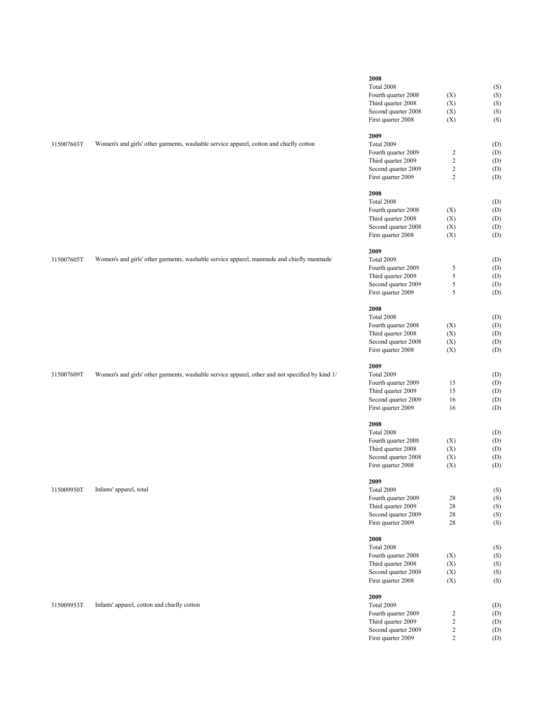|                                             | 2008                              |                |            |
|---------------------------------------------|-----------------------------------|----------------|------------|
|                                             | Total 2008                        |                | (S)        |
|                                             | Fourth quarter 2008               | (X)            | (S)        |
|                                             | Third quarter 2008                | (X)            | (S)        |
|                                             | Second quarter 2008               | (X)            | (S)        |
|                                             | First quarter 2008                | (X)            | (S)        |
|                                             | 2009                              |                |            |
| apparel, cotton and chiefly cotton          | Total 2009                        |                | (D)        |
|                                             | Fourth quarter 2009               | 2              | (D)        |
|                                             | Third quarter 2009                | $\overline{c}$ | (D)        |
|                                             | Second quarter 2009               | $\overline{c}$ | (D)        |
|                                             | First quarter 2009                | $\overline{c}$ | (D)        |
|                                             | 2008                              |                |            |
|                                             | Total 2008<br>Fourth quarter 2008 |                | (D)        |
|                                             | Third quarter 2008                | (X)<br>(X)     | (D)<br>(D) |
|                                             | Second quarter 2008               | (X)            | (D)        |
|                                             | First quarter 2008                | (X)            | (D)        |
|                                             | 2009                              |                |            |
| apparel, manmade and chiefly manmade        | Total 2009                        |                | (D)        |
|                                             | Fourth quarter 2009               | 5              | (D)        |
|                                             | Third quarter 2009                | 5              | (D)        |
|                                             | Second quarter 2009               | 5              | (D)        |
|                                             | First quarter 2009                | 5              | (D)        |
|                                             | 2008                              |                |            |
|                                             | Total 2008                        |                | (D)        |
|                                             | Fourth quarter 2008               | (X)            | (D)        |
|                                             | Third quarter 2008                | (X)            | (D)        |
|                                             | Second quarter 2008               | (X)            | (D)        |
|                                             | First quarter 2008                | (X)            | (D)        |
|                                             | 2009                              |                |            |
| apparel, other and not specified by kind 1/ | Total 2009                        |                | (D)        |
|                                             | Fourth quarter 2009               | 15             | (D)        |
|                                             | Third quarter 2009                | 15             | (D)        |
|                                             | Second quarter 2009               | 16             | (D)        |
|                                             | First quarter 2009                | 16             | (D)        |
|                                             | 2008                              |                |            |
|                                             | Total 2008                        |                | (D)        |
|                                             | Fourth quarter 2008               | (X)            | (D)        |
|                                             | Third quarter 2008                | (X)            | (D)        |
|                                             | Second quarter 2008               | (X)            | (D)        |
|                                             | First quarter 2008                | (X)            | (D)        |
|                                             | 2009                              |                |            |
|                                             | Total 2009                        |                | (S)        |
|                                             | Fourth quarter 2009               | 28             | (S)        |
|                                             | Third quarter 2009                | 28             | (S)        |
|                                             | Second quarter 2009               | 28             | (S)        |
|                                             | First quarter 2009                | 28             | (S)        |
|                                             | 2008                              |                |            |
|                                             | Total 2008                        |                | (S)        |
|                                             | Fourth quarter 2008               | (X)            | (S)        |
|                                             | Third quarter 2008                | (X)            | (S)        |
|                                             | Second quarter 2008               | (X)            | (S)        |
|                                             | First quarter 2008                | (X)            | (S)        |
|                                             | 2009                              |                |            |
|                                             | Total 2009                        |                | (D)        |
|                                             | Fourth quarter 2009               | 2              | (D)        |
|                                             | Third quarter 2009                | $\overline{c}$ | (D)        |
|                                             | Second quarter 2009               | $\overline{c}$ | (D)        |
|                                             | First quarter 2009                | $\overline{c}$ | (D)        |

315007603T Women's and girls' other garments, washable service

315007605T Women's and girls' other garments, washable service

315007609T Women's and girls' other garments, washable service

315009950T Infants' apparel, total

315009953T Infants' apparel, cotton and chiefly cotton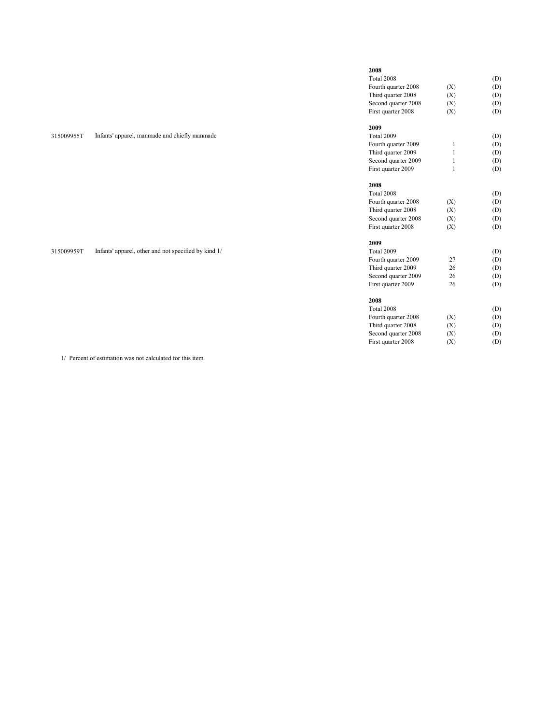|            |                                                      | 2008                |              |     |
|------------|------------------------------------------------------|---------------------|--------------|-----|
|            |                                                      | Total 2008          |              | (D) |
|            |                                                      | Fourth quarter 2008 | (X)          | (D) |
|            |                                                      | Third quarter 2008  | (X)          | (D) |
|            |                                                      | Second quarter 2008 | (X)          | (D) |
|            |                                                      | First quarter 2008  | (X)          | (D) |
|            |                                                      | 2009                |              |     |
| 315009955T | Infants' apparel, manmade and chiefly manmade        | Total 2009          |              | (D) |
|            |                                                      | Fourth quarter 2009 |              | (D) |
|            |                                                      | Third quarter 2009  | $\mathbf{1}$ | (D) |
|            |                                                      | Second quarter 2009 | $\mathbf{1}$ | (D) |
|            |                                                      | First quarter 2009  | $\mathbf{1}$ | (D) |
|            |                                                      | 2008                |              |     |
|            |                                                      | Total 2008          |              | (D) |
|            |                                                      | Fourth quarter 2008 | (X)          | (D) |
|            |                                                      | Third quarter 2008  | (X)          | (D) |
|            |                                                      | Second quarter 2008 | (X)          | (D) |
|            |                                                      | First quarter 2008  | (X)          | (D) |
|            |                                                      | 2009                |              |     |
| 315009959T | Infants' apparel, other and not specified by kind 1/ | Total 2009          |              | (D) |
|            |                                                      | Fourth quarter 2009 | 27           | (D) |
|            |                                                      | Third quarter 2009  | 26           | (D) |
|            |                                                      | Second quarter 2009 | 26           | (D) |
|            |                                                      | First quarter 2009  | 26           | (D) |
|            |                                                      | 2008                |              |     |
|            |                                                      | Total 2008          |              | (D) |
|            |                                                      | Fourth quarter 2008 | (X)          | (D) |
|            |                                                      | Third quarter 2008  | (X)          | (D) |

Second quarter 2008 (X) (D) First quarter 2008 (X) (D)

1/ Percent of estimation was not calculated for this item.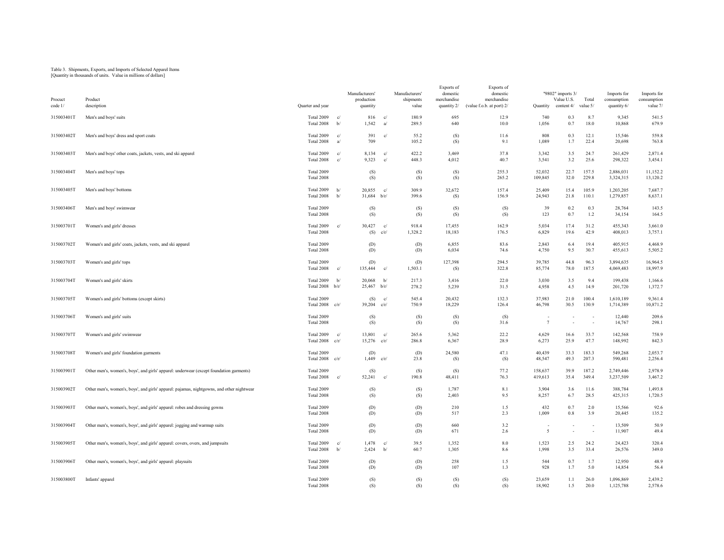## Table 3. Shipments, Exports, and Imports of Selected Apparel Items [Quantity in thousands of units. Value in millions of dollars]

| Procuct<br>code 1/ | Product<br>description                                                                    | Quarter and year                |            | Manufacturers'<br>production<br>quantity |                    | Manufacturers'<br>shipments<br>value | Exports of<br>domestic<br>merchandise<br>quantity 2/ | Exports of<br>domestic<br>merchandise<br>(value f.o.b. at port) $2/$ | Quantity           | "9802" imports 3/<br>Value U.S.<br>content 4/ | Total<br>value 5/ | Imports for<br>consumption<br>quantity 6/ | Imports for<br>consumption<br>value 7/ |
|--------------------|-------------------------------------------------------------------------------------------|---------------------------------|------------|------------------------------------------|--------------------|--------------------------------------|------------------------------------------------------|----------------------------------------------------------------------|--------------------|-----------------------------------------------|-------------------|-------------------------------------------|----------------------------------------|
| 315003401T         | Men's and boys' suits                                                                     | Total 2009<br>Total 2008        | c/<br>b/   | 816<br>1,542                             | c/<br>a/           | 180.9<br>289.5                       | 695<br>640                                           | 12.9<br>10.0                                                         | 740<br>1,056       | 0.3<br>0.7                                    | 8.7<br>18.0       | 9,345<br>10,868                           | 541.5<br>679.9                         |
| 315003402T         | Men's and boys' dress and sport coats                                                     | Total 2009<br>Total 2008        | c/<br>a    | 391<br>709                               | c/                 | 55.2<br>105.2                        | (S)<br>(S)                                           | 11.6<br>9.1                                                          | 808<br>1,089       | 0.3<br>1.7                                    | 12.1<br>22.4      | 15,546<br>20,698                          | 559.8<br>763.8                         |
| 315003403T         | Men's and boys' other coats, jackets, vests, and ski apparel                              | Total 2009<br>Total 2008        | c/<br>c/   | 8,134<br>9,323                           | $\mathbf{c}$<br>c/ | 422.2<br>448.3                       | 3,469<br>4,012                                       | 37.8<br>40.7                                                         | 3,342<br>3,541     | 3.5<br>3.2                                    | 24.7<br>25.6      | 261,429<br>298,322                        | 2,871.4<br>3,454.1                     |
| 315003404T         | Men's and boys' tops                                                                      | Total 2009<br>Total 2008        |            | (S)<br>(S)                               |                    | (S)<br>(S)                           | (S)<br>(S)                                           | 255.3<br>265.2                                                       | 52,032<br>109,845  | 22.7<br>32.0                                  | 157.5<br>229.8    | 2,886,031<br>3,324,315                    | 11,152.2<br>13,120.2                   |
| 315003405T         | Men's and boys' bottoms                                                                   | Total 2009<br>Total 2008        | b/<br>b/   | 20,855<br>$31,684$ b/r/                  | $_{\rm cl}$        | 309.9<br>399.6                       | 32,672<br>(S)                                        | 157.4<br>156.9                                                       | 25,409<br>24,943   | 15.4<br>21.8                                  | 105.9<br>110.1    | 1,203,205<br>1,279,857                    | 7,687.7<br>8,637.1                     |
| 315003406T         | Men's and boys' swimwear                                                                  | Total 2009<br>Total 2008        |            | (S)<br>(S)                               |                    | (S)<br>(S)                           | (S)<br>(S)                                           | (S)<br>(S)                                                           | 39<br>123          | 0.2<br>0.7                                    | 0.3<br>1.2        | 28,764<br>34,154                          | 143.5<br>164.5                         |
| 315003701T         | Women's and girls' dresses                                                                | Total 2009<br>Total 2008        | c/         | 30,427<br>(S)                            | c/<br>c/r/         | 918.4<br>1,328.2                     | 17,455<br>18,183                                     | 162.9<br>176.5                                                       | 5,034<br>6,829     | 17.4<br>19.6                                  | 31.2<br>42.9      | 455,343<br>408,013                        | 3,661.0<br>3,757.1                     |
| 315003702T         | Women's and girls' coats, jackets, vests, and ski apparel                                 | Total 2009<br>Total 2008        |            | (D)<br>(D)                               |                    | (D)<br>(D)                           | 6,855<br>6,034                                       | 83.6<br>74.6                                                         | 2,843<br>4,750     | 6.4<br>9.5                                    | 19.4<br>30.7      | 405,915<br>455,613                        | 4,468.9<br>5,505.2                     |
| 315003703T         | Women's and girls' tops                                                                   | Total 2009<br>Total 2008        | c/         | (D)<br>135,444                           | c/                 | (D)<br>1,503.1                       | 127,398<br>(S)                                       | 294.5<br>322.8                                                       | 39,785<br>85,774   | 44.8<br>78.0                                  | 96.3<br>187.5     | 3,894,635<br>4,069,483                    | 16,964.5<br>18,997.9                   |
| 315003704T         | Women's and girls' skirts                                                                 | Total 2009<br>Total $2008$ b/r/ | b/         | 20,068<br>$25,467$ b/r/                  | b/                 | 217.3<br>278.2                       | 3,416<br>5,239                                       | 22.0<br>31.5                                                         | 3,030<br>4,958     | 3.5<br>4.5                                    | 9.4<br>14.9       | 199,438<br>201,720                        | 1,166.6<br>1,372.7                     |
| 315003705T         | Women's and girls' bottoms (except skirts)                                                | Total 2009<br>Total 2008        | c/r/       | (S)<br>39,204                            | c/<br>c/r/         | 545.4<br>750.9                       | 20.432<br>18,229                                     | 132.3<br>126.4                                                       | 37,983<br>46,798   | 21.0<br>30.5                                  | 100.4<br>130.9    | 1,610,189<br>1,714,389                    | 9.361.4<br>10,871.2                    |
| 315003706T         | Women's and girls' suits                                                                  | Total 2009<br>Total 2008        |            | (S)<br>(S)                               |                    | (S)<br>(S)                           | (S)<br>(S)                                           | (S)<br>31.6                                                          | $7\phantom{.0}$    |                                               |                   | 12,440<br>14,767                          | 209.6<br>298.1                         |
| 315003707T         | Women's and girls' swimwear                                                               | Total 2009<br>Total 2008        | c/<br>c/r/ | 13,801<br>$15,276$ c/r/                  | c/                 | 265.6<br>286.8                       | 5,362<br>6,367                                       | 22.2<br>28.9                                                         | 4,629<br>6,273     | 16.6<br>25.9                                  | 33.7<br>47.7      | 142,568<br>148,992                        | 758.9<br>842.3                         |
| 315003708T         | Women's and girls' foundation garments                                                    | Total 2009<br>Total 2008        | c/r/       | (D)<br>1,449                             | c/r/               | (D)<br>23.8                          | 24,580<br>(S)                                        | 47.1<br>(S)                                                          | 40,439<br>48,547   | 33.3<br>49.3                                  | 183.3<br>207.3    | 549,268<br>590,481                        | 2,053.7<br>2,256.4                     |
| 315003901T         | Other men's, women's, boys', and girls' apparel: underwear (except foundation garments)   | Total 2009<br>Total 2008        | c/         | (S)<br>52,241                            | c/                 | (S)<br>190.8                         | (S)<br>48,411                                        | 77.2<br>76.3                                                         | 158,637<br>419,613 | 39.9<br>35.4                                  | 187.2<br>349.4    | 2,749,446<br>3,237,509                    | 2,978.9<br>3,467.2                     |
| 315003902T         | Other men's, women's, boys', and girls' apparel: pajamas, nightgowns, and other nightwear | Total 2009<br>Total 2008        |            | (S)<br>(S)                               |                    | (S)<br>(S)                           | 1,787<br>2,403                                       | 8.1<br>9.5                                                           | 3,904<br>8,257     | 3.6<br>6.7                                    | 11.6<br>28.5      | 388,784<br>425,315                        | 1,493.8<br>1,720.5                     |
| 315003903T         | Other men's, women's, boys', and girls' apparel: robes and dressing gowns                 | Total 2009<br>Total 2008        |            | (D)<br>(D)                               |                    | (D)<br>(D)                           | 210<br>517                                           | 1.5<br>2.3                                                           | 432<br>1,009       | 0.7<br>0.8                                    | 2.0<br>3.9        | 15,566<br>20,445                          | 92.6<br>135.2                          |
| 315003904T         | Other men's, women's, boys', and girls' apparel: jogging and warmup suits                 | Total 2009<br>Total 2008        |            | (D)<br>(D)                               |                    | (D)<br>(D)                           | 660<br>671                                           | 3.2<br>2.6                                                           | $\overline{5}$     |                                               | $\sim$            | 13,509<br>11,907                          | 50.9<br>49.4                           |
| 315003905T         | Other men's, women's, boys', and girls' apparel: covers, overs, and jumpsuits             | Total 2009<br>Total 2008        | c/<br>b/   | 1,478<br>2,424                           | c/<br>b/           | 39.5<br>60.7                         | 1,352<br>1,305                                       | 8.0<br>8.6                                                           | 1,523<br>1,998     | 2.5<br>3.5                                    | 24.2<br>33.4      | 24,423<br>26,576                          | 320.4<br>349.0                         |
| 315003906T         | Other men's, women's, boys', and girls' apparel: playsuits                                | Total 2009<br>Total 2008        |            | (D)<br>(D)                               |                    | (D)<br>(D)                           | 258<br>107                                           | 1.5<br>1.3                                                           | 544<br>928         | 0.7<br>1.7                                    | 1.7<br>5.0        | 12,950<br>14,854                          | 48.9<br>56.4                           |
| 315003800T         | Infants' apparel                                                                          | Total 2009<br>Total 2008        |            | (S)<br>(S)                               |                    | (S)<br>(S)                           | (S)<br>(S)                                           | (S)<br>(S)                                                           | 23,659<br>18,902   | 1.1<br>1.5                                    | 26.0<br>20.0      | 1,096,869<br>1,125,788                    | 2,439.2<br>2,578.6                     |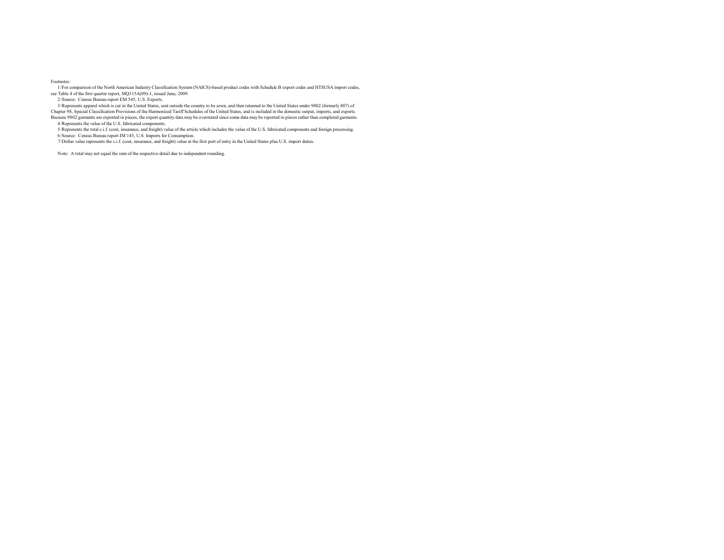## Footnotes:

 1/For comparison of the North American Industry Classification System (NAICS)-based product codes with Schedule B export codes and HTSUSA import codes, see Table 4 of the first quarter report, MQ315A(09)-1, issued June, 2009.

2/Source: Census Bureau report EM 545, U.S. Exports.

 3/Represents apparel which is cut in the United States, sent outside the country to be sewn, and then returned to the United States under 9802 (formerly 807) of Chapter 98, Special Classification Provisions of the Harmonized Tariff Schedules of the United States, and is included in the domestic output, imports, and exports.

Because 9802 garments are exported in pieces, the export quantity data may be overstated since some data may be reported in pieces rather than completed garments.

4/Represents the value of the U.S. fabricated components.<br>5/Represents the total c.i.f. (cost, insurance, and freight) value of the article which includes the value of the U.S. fabricated components and foreign processing.

6/Source: Census Bureau report IM 145, U.S. Imports for Consumption.

7/Dollar value represents the c.i.f. (cost, insurance, and freight) value at the first port of entry in the United States plus U.S. import duties.

Note: A total may not equal the sum of the respective detail due to independent rounding.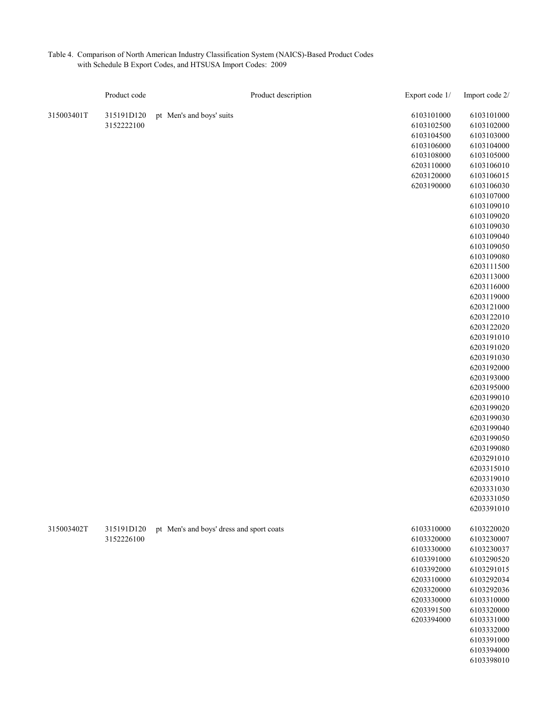| Table 4. Comparison of North American Industry Classification System (NAICS)-Based Product Codes |
|--------------------------------------------------------------------------------------------------|
| with Schedule B Export Codes, and HTSUSA Import Codes: 2009                                      |

|            | Product code |                                          | Product description | Export code 1/ | Import code 2/           |
|------------|--------------|------------------------------------------|---------------------|----------------|--------------------------|
| 315003401T | 315191D120   | pt Men's and boys' suits                 |                     | 6103101000     | 6103101000               |
|            | 3152222100   |                                          |                     | 6103102500     | 6103102000               |
|            |              |                                          |                     | 6103104500     | 6103103000               |
|            |              |                                          |                     | 6103106000     | 6103104000               |
|            |              |                                          |                     | 6103108000     | 6103105000               |
|            |              |                                          |                     | 6203110000     | 6103106010               |
|            |              |                                          |                     | 6203120000     | 6103106015               |
|            |              |                                          |                     | 6203190000     | 6103106030               |
|            |              |                                          |                     |                | 6103107000               |
|            |              |                                          |                     |                | 6103109010               |
|            |              |                                          |                     |                | 6103109020               |
|            |              |                                          |                     |                | 6103109030               |
|            |              |                                          |                     |                | 6103109040               |
|            |              |                                          |                     |                | 6103109050               |
|            |              |                                          |                     |                | 6103109080               |
|            |              |                                          |                     |                | 6203111500               |
|            |              |                                          |                     |                | 6203113000               |
|            |              |                                          |                     |                | 6203116000               |
|            |              |                                          |                     |                | 6203119000               |
|            |              |                                          |                     |                | 6203121000               |
|            |              |                                          |                     |                | 6203122010               |
|            |              |                                          |                     |                | 6203122020               |
|            |              |                                          |                     |                | 6203191010               |
|            |              |                                          |                     |                | 6203191020               |
|            |              |                                          |                     |                | 6203191030               |
|            |              |                                          |                     |                | 6203192000               |
|            |              |                                          |                     |                | 6203193000               |
|            |              |                                          |                     |                | 6203195000               |
|            |              |                                          |                     |                | 6203199010               |
|            |              |                                          |                     |                | 6203199020               |
|            |              |                                          |                     |                | 6203199030               |
|            |              |                                          |                     |                | 6203199040               |
|            |              |                                          |                     |                | 6203199050               |
|            |              |                                          |                     |                | 6203199080               |
|            |              |                                          |                     |                | 6203291010               |
|            |              |                                          |                     |                | 6203315010               |
|            |              |                                          |                     |                | 6203319010<br>6203331030 |
|            |              |                                          |                     |                | 6203331050               |
|            |              |                                          |                     |                | 6203391010               |
|            |              |                                          |                     |                |                          |
| 315003402T | 315191D120   | pt Men's and boys' dress and sport coats |                     | 6103310000     | 6103220020               |
|            | 3152226100   |                                          |                     | 6103320000     | 6103230007               |
|            |              |                                          |                     | 6103330000     | 6103230037               |
|            |              |                                          |                     | 6103391000     | 6103290520               |
|            |              |                                          |                     | 6103392000     | 6103291015               |
|            |              |                                          |                     | 6203310000     | 6103292034               |
|            |              |                                          |                     | 6203320000     | 6103292036               |
|            |              |                                          |                     | 6203330000     | 6103310000               |
|            |              |                                          |                     | 6203391500     | 6103320000               |
|            |              |                                          |                     | 6203394000     | 6103331000               |
|            |              |                                          |                     |                | 6103332000               |
|            |              |                                          |                     |                | 6103391000               |
|            |              |                                          |                     |                | 6103394000               |
|            |              |                                          |                     |                | 6103398010               |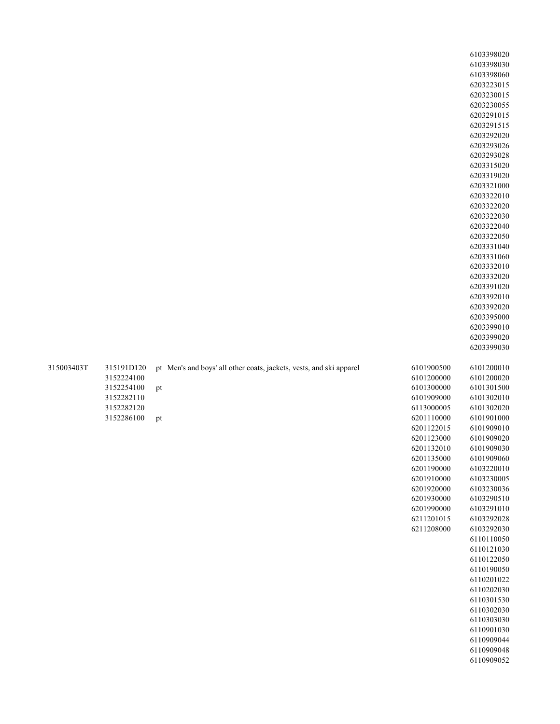|            |            |                                                                     |            | 6103398020               |
|------------|------------|---------------------------------------------------------------------|------------|--------------------------|
|            |            |                                                                     |            | 6103398030               |
|            |            |                                                                     |            | 6103398060               |
|            |            |                                                                     |            | 6203223015               |
|            |            |                                                                     |            | 6203230015               |
|            |            |                                                                     |            | 6203230055               |
|            |            |                                                                     |            | 6203291015               |
|            |            |                                                                     |            | 6203291515               |
|            |            |                                                                     |            | 6203292020               |
|            |            |                                                                     |            | 6203293026               |
|            |            |                                                                     |            | 6203293028               |
|            |            |                                                                     |            | 6203315020               |
|            |            |                                                                     |            | 6203319020               |
|            |            |                                                                     |            | 6203321000               |
|            |            |                                                                     |            |                          |
|            |            |                                                                     |            | 6203322010               |
|            |            |                                                                     |            | 6203322020               |
|            |            |                                                                     |            | 6203322030               |
|            |            |                                                                     |            | 6203322040               |
|            |            |                                                                     |            | 6203322050               |
|            |            |                                                                     |            | 6203331040<br>6203331060 |
|            |            |                                                                     |            |                          |
|            |            |                                                                     |            | 6203332010<br>6203332020 |
|            |            |                                                                     |            |                          |
|            |            |                                                                     |            | 6203391020<br>6203392010 |
|            |            |                                                                     |            | 6203392020               |
|            |            |                                                                     |            | 6203395000               |
|            |            |                                                                     |            | 6203399010               |
|            |            |                                                                     |            | 6203399020               |
|            |            |                                                                     |            | 6203399030               |
|            |            |                                                                     |            |                          |
|            |            |                                                                     |            |                          |
|            |            |                                                                     |            |                          |
| 315003403T | 315191D120 | pt Men's and boys' all other coats, jackets, vests, and ski apparel | 6101900500 | 6101200010               |
|            | 3152224100 |                                                                     | 6101200000 | 6101200020               |
|            | 3152254100 | pt                                                                  | 6101300000 | 6101301500               |
|            | 3152282110 |                                                                     | 6101909000 | 6101302010               |
|            | 3152282120 |                                                                     | 6113000005 | 6101302020               |
|            | 3152286100 | pt                                                                  | 6201110000 | 6101901000               |
|            |            |                                                                     | 6201122015 | 6101909010               |
|            |            |                                                                     | 6201123000 | 6101909020               |
|            |            |                                                                     | 6201132010 | 6101909030               |
|            |            |                                                                     | 6201135000 | 6101909060               |
|            |            |                                                                     | 6201190000 | 6103220010               |
|            |            |                                                                     | 6201910000 | 6103230005               |
|            |            |                                                                     | 6201920000 | 6103230036               |
|            |            |                                                                     | 6201930000 | 6103290510               |
|            |            |                                                                     | 6201990000 | 6103291010               |
|            |            |                                                                     | 6211201015 | 6103292028               |
|            |            |                                                                     | 6211208000 | 6103292030               |
|            |            |                                                                     |            | 6110110050               |
|            |            |                                                                     |            | 6110121030               |
|            |            |                                                                     |            | 6110122050               |
|            |            |                                                                     |            | 6110190050               |
|            |            |                                                                     |            | 6110201022               |
|            |            |                                                                     |            | 6110202030               |
|            |            |                                                                     |            | 6110301530               |
|            |            |                                                                     |            | 6110302030               |
|            |            |                                                                     |            | 6110303030               |
|            |            |                                                                     |            | 6110901030<br>6110909044 |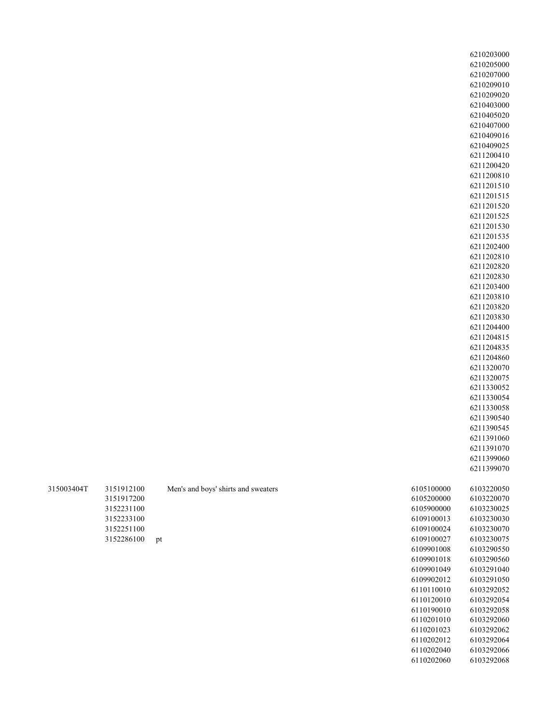| 315003404T | 3151912100 | Men's and boys' shirts and sweaters |
|------------|------------|-------------------------------------|
|            | 3151917200 |                                     |
|            | 3152231100 |                                     |
|            | 3152233100 |                                     |
|            | 3152251100 |                                     |
|            | 3152286100 | рt                                  |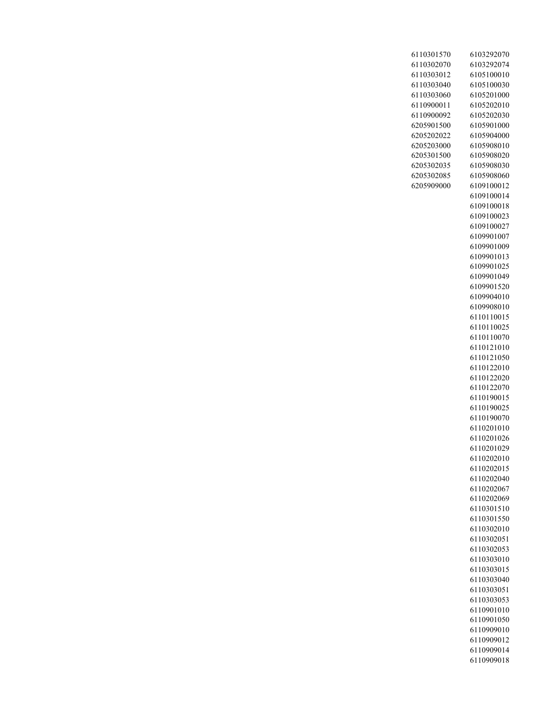| 6110301570 | 6103292070               |
|------------|--------------------------|
| 6110302070 | 6103292074               |
| 6110303012 | 6105100010               |
| 6110303040 | 6105100030               |
| 6110303060 | 6105201000               |
| 6110900011 | 6105202010               |
| 6110900092 | 6105202030               |
|            |                          |
| 6205901500 | 6105901000               |
| 6205202022 | 6105904000               |
| 6205203000 | 6105908010               |
| 6205301500 | 6105908020               |
| 6205302035 | 6105908030               |
| 6205302085 | 6105908060               |
| 6205909000 | 6109100012               |
|            | 6109100014               |
|            | 6109100018               |
|            | 6109100023               |
|            | 6109100027               |
|            | 6109901007               |
|            | 6109901009               |
|            | 6109901013               |
|            | 6109901025               |
|            | 6109901049               |
|            | 6109901520               |
|            | 6109904010               |
|            | 6109908010               |
|            | 6110110015               |
|            | 6110110025               |
|            | 6110110070               |
|            | 6110121010               |
|            | 6110121050               |
|            | 6110122010               |
|            | 6110122020               |
|            | 6110122070               |
|            | 6110190015               |
|            | 6110190025               |
|            | 6110190070               |
|            | 6110201010               |
|            | 6110201026               |
|            | 6110201029               |
|            | 6110202010               |
|            | 6110202015               |
|            |                          |
|            | 6110202040               |
|            | 6110202067<br>6110202069 |
|            |                          |
|            | 6110301510               |
|            | 6110301550               |
|            | 6110302010               |
|            | 6110302051               |
|            | 6110302053               |
|            | 6110303010               |
|            | 6110303015               |
|            | 6110303040               |
|            | 6110303051               |
|            | 6110303053               |
|            | 6110901010               |
|            | 6110901050               |
|            | 6110909010               |
|            | 6110909012               |
|            | 6110909014               |
|            | 6110909018               |
|            |                          |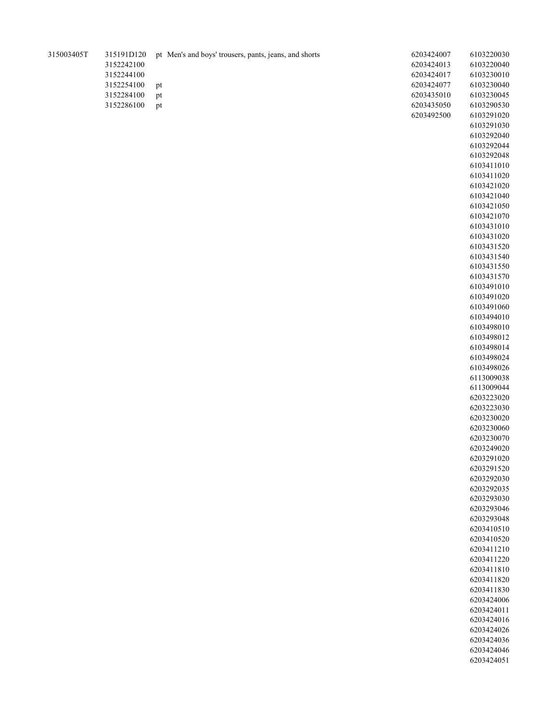| 315003405T | 315191D120 | pt Men's and boys' trousers, pants, jeans, and shorts | 6203424007 | 6103220030 |
|------------|------------|-------------------------------------------------------|------------|------------|
|            | 3152242100 |                                                       | 6203424013 | 6103220040 |
|            | 3152244100 |                                                       | 6203424017 | 6103230010 |
|            | 3152254100 | pt                                                    | 6203424077 | 6103230040 |
|            | 3152284100 | pt                                                    | 6203435010 | 6103230045 |
|            | 3152286100 | pt                                                    | 6203435050 | 6103290530 |
|            |            |                                                       | 6203492500 | 6103291020 |
|            |            |                                                       |            | 6103291030 |
|            |            |                                                       |            | 6103292040 |
|            |            |                                                       |            | 6103292044 |
|            |            |                                                       |            | 6103292048 |
|            |            |                                                       |            | 6103411010 |
|            |            |                                                       |            | 6103411020 |
|            |            |                                                       |            | 6103421020 |
|            |            |                                                       |            | 6103421040 |
|            |            |                                                       |            | 6103421050 |
|            |            |                                                       |            | 6103421070 |
|            |            |                                                       |            | 6103431010 |
|            |            |                                                       |            | 6103431020 |
|            |            |                                                       |            | 6103431520 |
|            |            |                                                       |            | 6103431540 |
|            |            |                                                       |            | 6103431550 |
|            |            |                                                       |            | 6103431570 |
|            |            |                                                       |            | 6103491010 |
|            |            |                                                       |            | 6103491020 |
|            |            |                                                       |            | 6103491060 |
|            |            |                                                       |            | 6103494010 |
|            |            |                                                       |            | 6103498010 |
|            |            |                                                       |            | 6103498012 |
|            |            |                                                       |            | 6103498014 |
|            |            |                                                       |            | 6103498024 |
|            |            |                                                       |            | 6103498026 |
|            |            |                                                       |            | 6113009038 |
|            |            |                                                       |            | 6113009044 |
|            |            |                                                       |            | 6203223020 |
|            |            |                                                       |            | 6203223030 |
|            |            |                                                       |            | 6203230020 |
|            |            |                                                       |            | 6203230060 |
|            |            |                                                       |            | 6203230070 |
|            |            |                                                       |            | 6203249020 |
|            |            |                                                       |            | 6203291020 |
|            |            |                                                       |            | 6203291520 |
|            |            |                                                       |            | 6203292030 |
|            |            |                                                       |            | 6203292035 |
|            |            |                                                       |            | 6203293030 |
|            |            |                                                       |            | 6203293046 |
|            |            |                                                       |            | 6203293048 |
|            |            |                                                       |            | 6203410510 |
|            |            |                                                       |            | 6203410520 |
|            |            |                                                       |            | 6203411210 |
|            |            |                                                       |            | 6203411220 |
|            |            |                                                       |            | 6203411810 |
|            |            |                                                       |            | 6203411820 |
|            |            |                                                       |            | 6203411830 |
|            |            |                                                       |            | 6203424006 |
|            |            |                                                       |            | 6203424011 |
|            |            |                                                       |            | 6203424016 |
|            |            |                                                       |            | 6203424026 |
|            |            |                                                       |            | 6203424036 |
|            |            |                                                       |            | 6203424046 |
|            |            |                                                       |            | 6203424051 |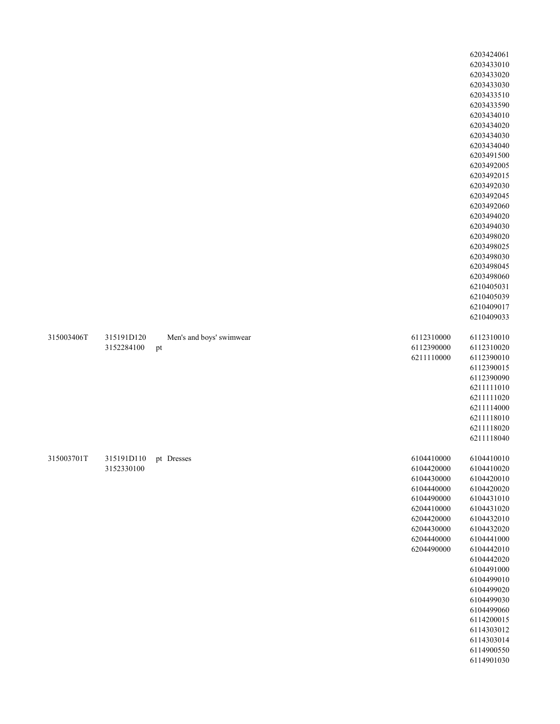|            |                                     |                                |                                                                                                                                          | 6203424061<br>6203433010<br>6203433020<br>6203433030<br>6203433510<br>6203433590<br>6203434010<br>6203434020<br>6203434030<br>6203434040<br>6203491500<br>6203492005<br>6203492015<br>6203492030<br>6203492045<br>6203492060<br>6203494020<br>6203494030<br>6203498020<br>6203498025<br>6203498030<br>6203498045<br>6203498060<br>6210405031<br>6210405039<br>6210409017<br>6210409033 |
|------------|-------------------------------------|--------------------------------|------------------------------------------------------------------------------------------------------------------------------------------|----------------------------------------------------------------------------------------------------------------------------------------------------------------------------------------------------------------------------------------------------------------------------------------------------------------------------------------------------------------------------------------|
| 315003406T | 315191D120<br>3152284100            | Men's and boys' swimwear<br>pt | 6112310000<br>6112390000<br>6211110000                                                                                                   | 6112310010<br>6112310020<br>6112390010<br>6112390015<br>6112390090<br>6211111010<br>6211111020<br>6211114000<br>6211118010<br>6211118020<br>6211118040                                                                                                                                                                                                                                 |
| 315003701T | 315191D110 pt Dresses<br>3152330100 |                                | 6104410000<br>6104420000<br>6104430000<br>6104440000<br>6104490000<br>6204410000<br>6204420000<br>6204430000<br>6204440000<br>6204490000 | 6104410010<br>6104410020<br>6104420010<br>6104420020<br>6104431010<br>6104431020<br>6104432010<br>6104432020<br>6104441000<br>6104442010<br>6104442020<br>6104491000<br>6104499010<br>6104499020<br>6104499030<br>6104499060<br>6114200015<br>6114303012<br>6114303014<br>6114900550<br>6114901030                                                                                     |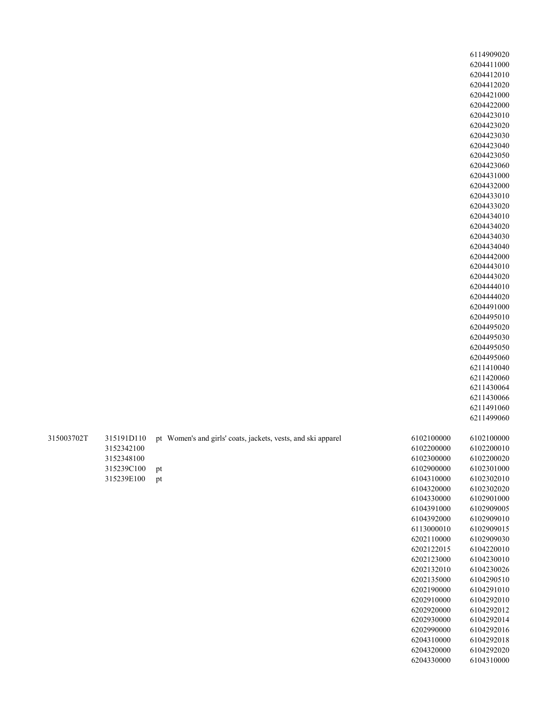|            | 6114909020 |
|------------|------------|
|            | 6204411000 |
|            | 6204412010 |
|            | 6204412020 |
|            | 6204421000 |
|            | 6204422000 |
|            | 6204423010 |
|            | 6204423020 |
|            | 6204423030 |
|            | 6204423040 |
|            | 6204423050 |
|            | 6204423060 |
|            | 6204431000 |
|            | 6204432000 |
|            | 6204433010 |
|            | 6204433020 |
|            | 6204434010 |
|            | 6204434020 |
|            | 6204434030 |
|            | 6204434040 |
|            | 6204442000 |
|            | 6204443010 |
|            | 6204443020 |
|            | 6204444010 |
|            | 6204444020 |
|            | 6204491000 |
|            | 6204495010 |
|            | 6204495020 |
|            | 6204495030 |
|            | 6204495050 |
|            | 6204495060 |
|            | 6211410040 |
|            | 6211420060 |
|            | 6211430064 |
|            | 6211430066 |
|            | 6211491060 |
|            | 6211499060 |
| 6102100000 | 6102100000 |
| 6102200000 | 6102200010 |
| 6102300000 | 6102200020 |
| 6102900000 | 6102301000 |
| 6104310000 | 6102302010 |
| 6104320000 | 6102302020 |
| 6104330000 | 6102901000 |
| 6104391000 | 6102909005 |
| 6104392000 | 6102909010 |
| 6113000010 | 6102909015 |
| 6202110000 | 6102909030 |
| 6202122015 | 6104220010 |
| 6202123000 | 6104230010 |
| 6202132010 | 6104230026 |
| 6202135000 | 6104290510 |
| 6202190000 | 6104291010 |
| 6202910000 | 6104292010 |
| 6202920000 | 6104292012 |
| 6202930000 | 6104292014 |
| 6202990000 | 6104292016 |
| 6204310000 | 6104292018 |
| 6204320000 | 6104292020 |
| 6204330000 | 6104310000 |

| 3150037021 |            | 315191D110 pt Women's and girls' coats, jackets, vests, and ski apparel |
|------------|------------|-------------------------------------------------------------------------|
|            | 3152342100 |                                                                         |
|            | 3152348100 |                                                                         |
|            | 315239C100 | <sup>Dt</sup>                                                           |
|            | 315239E100 | Dt.                                                                     |
|            |            |                                                                         |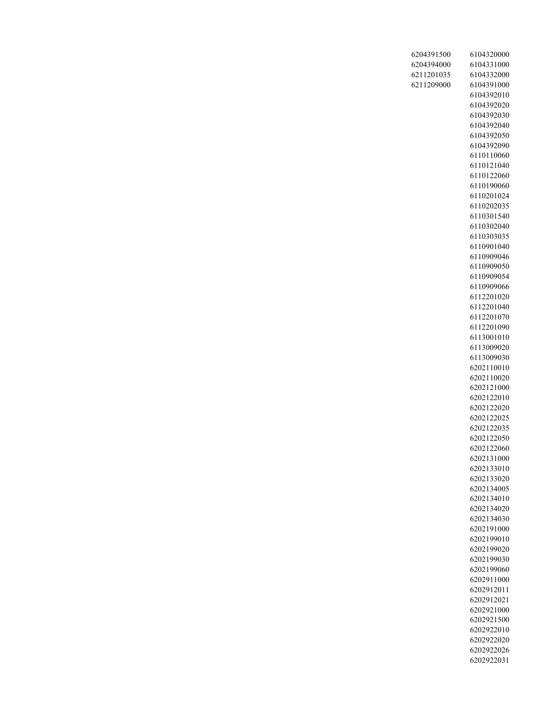| 6204391500 | 6104320000               |
|------------|--------------------------|
| 6204394000 | 6104331000               |
| 6211201035 | 6104332000               |
| 6211209000 | 6104391000               |
|            | 6104392010               |
|            | 6104392020               |
|            | 6104392030               |
|            | 6104392040               |
|            | 6104392050               |
|            | 6104392090<br>6110110060 |
|            | 6110121040               |
|            | 6110122060               |
|            | 6110190060               |
|            | 6110201024               |
|            | 6110202035               |
|            | 6110301540               |
|            | 6110302040               |
|            | 6110303035               |
|            | 6110901040               |
|            | 6110909046               |
|            | 6110909050               |
|            | 6110909054               |
|            | 6110909066               |
|            | 6112201020               |
|            | 6112201040<br>6112201070 |
|            | 6112201090               |
|            | 6113001010               |
|            | 6113009020               |
|            | 6113009030               |
|            | 6202110010               |
|            | 6202110020               |
|            | 6202121000               |
|            | 6202122010               |
|            | 6202122020               |
|            | 6202122025               |
|            | 6202122035<br>6202122050 |
|            | 6202122060               |
|            | 6202131000               |
|            | 6202133010               |
|            | 6202133020               |
|            | 6202134005               |
|            | 6202134010               |
|            | 6202134020               |
|            | 6202134030               |
|            | 6202191000               |
|            | 6202199010               |
|            | 6202199020<br>6202199030 |
|            | 6202199060               |
|            | 6202911000               |
|            | 6202912011               |
|            | 6202912021               |
|            | 6202921000               |
|            | 6202921500               |
|            | 6202922010               |
|            | 6202922020               |
|            | 6202922026               |
|            | 6202922031               |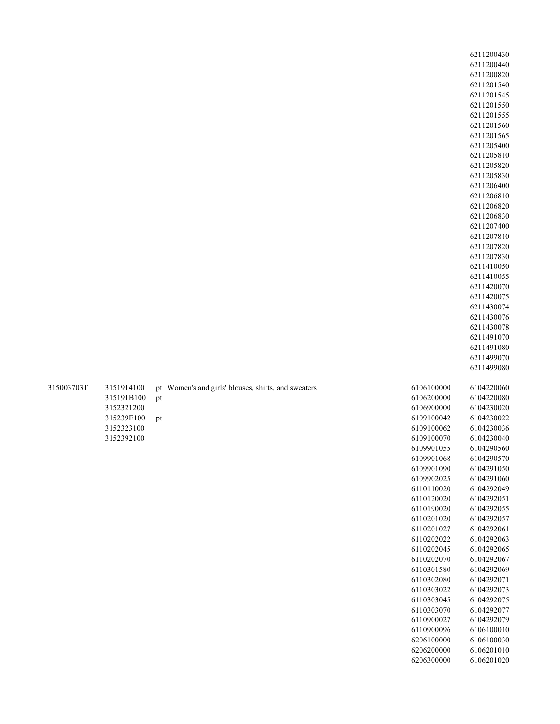|            | 6211200430 |
|------------|------------|
|            | 6211200440 |
|            | 6211200820 |
|            | 6211201540 |
|            | 6211201545 |
|            | 6211201550 |
|            | 6211201555 |
|            | 6211201560 |
|            | 6211201565 |
|            |            |
|            | 6211205400 |
|            | 6211205810 |
|            | 6211205820 |
|            | 6211205830 |
|            | 6211206400 |
|            | 6211206810 |
|            | 6211206820 |
|            | 6211206830 |
|            | 6211207400 |
|            | 6211207810 |
|            | 6211207820 |
|            | 6211207830 |
|            |            |
|            | 6211410050 |
|            | 6211410055 |
|            | 6211420070 |
|            | 6211420075 |
|            | 6211430074 |
|            | 6211430076 |
|            | 6211430078 |
|            | 6211491070 |
|            | 6211491080 |
|            | 6211499070 |
|            | 6211499080 |
|            |            |
| 6106100000 | 6104220060 |
| 6106200000 | 6104220080 |
|            |            |
| 6106900000 | 6104230020 |
| 6109100042 | 6104230022 |
| 6109100062 | 6104230036 |
| 6109100070 | 6104230040 |
| 6109901055 | 6104290560 |
| 6109901068 | 6104290570 |
| 6109901090 | 6104291050 |
| 6109902025 | 6104291060 |
| 6110110020 | 6104292049 |
| 6110120020 | 6104292051 |
| 6110190020 | 6104292055 |
| 6110201020 | 6104292057 |
| 6110201027 | 6104292061 |
| 6110202022 | 6104292063 |
|            |            |
| 6110202045 | 6104292065 |
| 6110202070 | 6104292067 |
| 6110301580 | 6104292069 |
| 6110302080 | 6104292071 |
| 6110303022 | 6104292073 |
| 6110303045 | 6104292075 |
| 6110303070 | 6104292077 |
| 6110900027 | 6104292079 |
| 6110900096 | 6106100010 |
| 6206100000 | 6106100030 |
| 6206200000 | 6106201010 |
| 6206300000 | 6106201020 |
|            |            |

315003703T

3151914100 pt Women's and girls' blouses, shirts, and sweaters 315191B100 pt 3152321200 315239E100 pt 3152323100 3152392100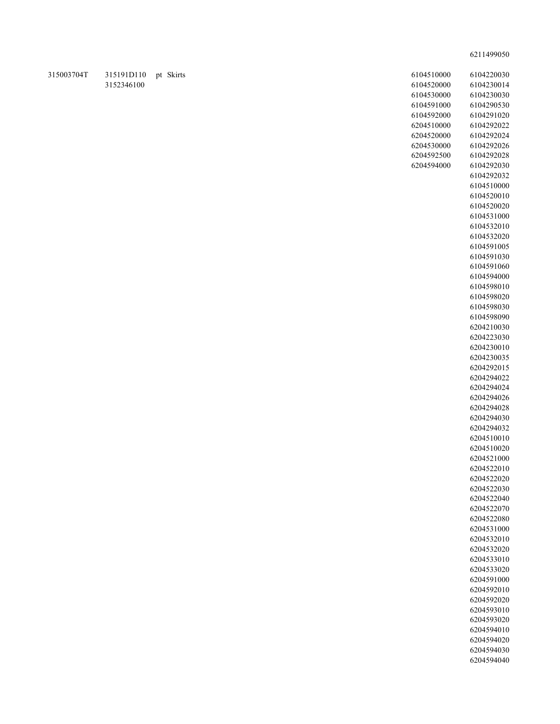| 6104510000 | 6104220030               |
|------------|--------------------------|
| 6104520000 | 6104230014               |
| 6104530000 | 6104230030               |
| 6104591000 | 6104290530               |
| 6104592000 | 6104291020               |
| 6204510000 | 6104292022               |
| 6204520000 | 6104292024               |
| 6204530000 | 6104292026               |
| 6204592500 | 6104292028               |
| 6204594000 | 6104292030               |
|            | 6104292032               |
|            | 6104510000               |
|            | 6104520010               |
|            | 6104520020               |
|            | 6104531000               |
|            | 6104532010               |
|            | 6104532020               |
|            | 6104591005               |
|            | 6104591030               |
|            | 6104591060               |
|            | 6104594000               |
|            | 6104598010               |
|            | 6104598020               |
|            | 6104598030               |
|            | 6104598090               |
|            | 6204210030               |
|            | 6204223030               |
|            | 6204230010               |
|            | 6204230035               |
|            | 6204292015               |
|            | 6204294022               |
|            | 6204294024               |
|            | 6204294026               |
|            | 6204294028               |
|            | 6204294030               |
|            | 6204294032               |
|            | 6204510010               |
|            | 6204510020               |
|            | 6204521000               |
|            | 6204522010               |
|            | 6204522020               |
|            | 6204522030               |
|            | 6204522040<br>6204522070 |
|            | 6204522080               |
|            | 6204531000               |
|            | 6204532010               |
|            | 6204532020               |
|            | 6204533010               |
|            | 6204533020               |
|            | 6204591000               |
|            | 6204592010               |
|            | 6204592020               |
|            | 6204593010               |
|            | 6204593020               |
|            | 6204594010               |
|            | 6204594020               |
|            | 6204594030               |
|            | 6204594040               |
|            |                          |

315003704T 315191D110 pt Skirts 3152346100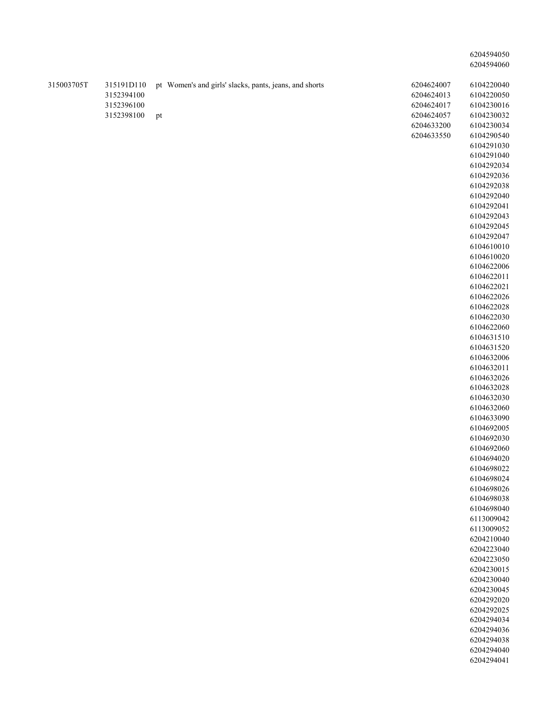| 315003705T | 315191D110<br>3152394100 |    | pt Women's and girls' slacks, pants, jeans, and shorts | 6204624007<br>6204624013 | 6104220040<br>6104220050 |
|------------|--------------------------|----|--------------------------------------------------------|--------------------------|--------------------------|
|            | 3152396100               |    |                                                        | 6204624017               | 6104230016               |
|            | 3152398100               | pt |                                                        | 6204624057               | 6104230032               |
|            |                          |    |                                                        | 6204633200               | 6104230034               |
|            |                          |    |                                                        | 6204633550               | 6104290540               |
|            |                          |    |                                                        |                          | 6104291030               |
|            |                          |    |                                                        |                          | 6104291040               |
|            |                          |    |                                                        |                          | 6104292034               |
|            |                          |    |                                                        |                          | 6104292036               |
|            |                          |    |                                                        |                          | 6104292038               |
|            |                          |    |                                                        |                          | 6104292040<br>6104292041 |
|            |                          |    |                                                        |                          | 6104292043               |
|            |                          |    |                                                        |                          | 6104292045               |
|            |                          |    |                                                        |                          | 6104292047               |
|            |                          |    |                                                        |                          | 6104610010               |
|            |                          |    |                                                        |                          | 6104610020               |
|            |                          |    |                                                        |                          | 6104622006               |
|            |                          |    |                                                        |                          | 6104622011               |
|            |                          |    |                                                        |                          | 6104622021               |
|            |                          |    |                                                        |                          | 6104622026               |
|            |                          |    |                                                        |                          | 6104622028               |
|            |                          |    |                                                        |                          | 6104622030               |
|            |                          |    |                                                        |                          | 6104622060               |
|            |                          |    |                                                        |                          | 6104631510               |
|            |                          |    |                                                        |                          | 6104631520               |
|            |                          |    |                                                        |                          | 6104632006               |
|            |                          |    |                                                        |                          | 6104632011               |
|            |                          |    |                                                        |                          | 6104632026<br>6104632028 |
|            |                          |    |                                                        |                          | 6104632030               |
|            |                          |    |                                                        |                          | 6104632060               |
|            |                          |    |                                                        |                          | 6104633090               |
|            |                          |    |                                                        |                          | 6104692005               |
|            |                          |    |                                                        |                          | 6104692030               |
|            |                          |    |                                                        |                          | 6104692060               |
|            |                          |    |                                                        |                          | 6104694020               |
|            |                          |    |                                                        |                          | 6104698022               |
|            |                          |    |                                                        |                          | 6104698024               |
|            |                          |    |                                                        |                          | 6104698026               |
|            |                          |    |                                                        |                          | 6104698038               |
|            |                          |    |                                                        |                          | 6104698040<br>6113009042 |
|            |                          |    |                                                        |                          | 6113009052               |
|            |                          |    |                                                        |                          | 6204210040               |
|            |                          |    |                                                        |                          | 6204223040               |
|            |                          |    |                                                        |                          | 6204223050               |
|            |                          |    |                                                        |                          | 6204230015               |
|            |                          |    |                                                        |                          | 6204230040               |
|            |                          |    |                                                        |                          | 6204230045               |
|            |                          |    |                                                        |                          | 6204292020               |
|            |                          |    |                                                        |                          | 6204292025               |
|            |                          |    |                                                        |                          | 6204294034               |
|            |                          |    |                                                        |                          | 6204294036               |
|            |                          |    |                                                        |                          | 6204294038               |
|            |                          |    |                                                        |                          | 6204294040               |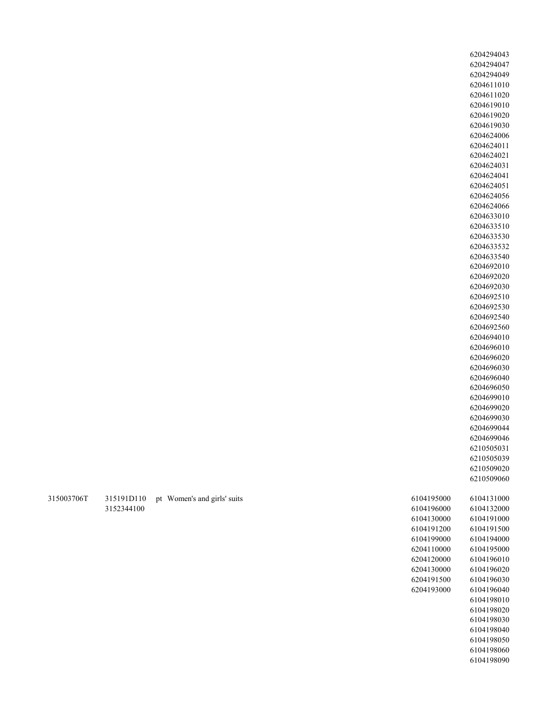315003706T 315191D110 pt Women's and girls' suits 6104195000 6104131000 6104196000 6104132000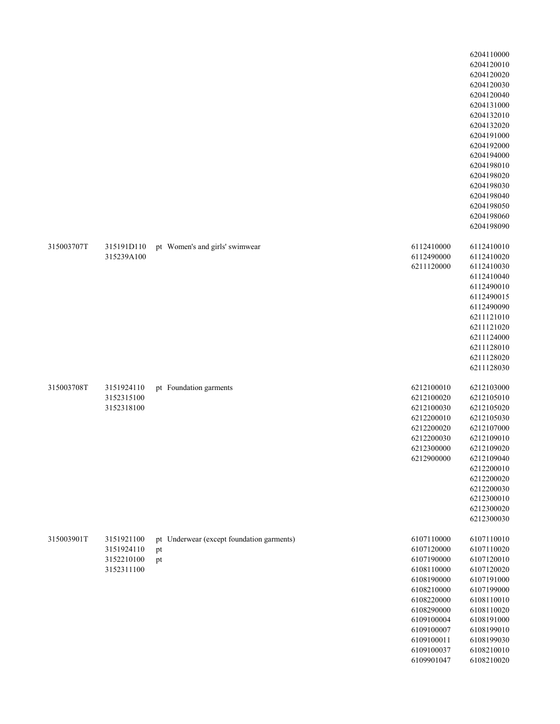|            |                                                      |                                                       |                                                                                                                                                                                    | 6204110000<br>6204120010<br>6204120020<br>6204120030<br>6204120040<br>6204131000<br>6204132010<br>6204132020<br>6204191000<br>6204192000<br>6204194000<br>6204198010<br>6204198020<br>6204198030<br>6204198040<br>6204198050<br>6204198060<br>6204198090 |
|------------|------------------------------------------------------|-------------------------------------------------------|------------------------------------------------------------------------------------------------------------------------------------------------------------------------------------|----------------------------------------------------------------------------------------------------------------------------------------------------------------------------------------------------------------------------------------------------------|
| 315003707T | 315191D110<br>315239A100                             | pt Women's and girls' swimwear                        | 6112410000<br>6112490000<br>6211120000                                                                                                                                             | 6112410010<br>6112410020<br>6112410030<br>6112410040<br>6112490010<br>6112490015<br>6112490090<br>6211121010<br>6211121020<br>6211124000<br>6211128010<br>6211128020<br>6211128030                                                                       |
| 315003708T | 3151924110<br>3152315100<br>3152318100               | pt Foundation garments                                | 6212100010<br>6212100020<br>6212100030<br>6212200010<br>6212200020<br>6212200030<br>6212300000<br>6212900000                                                                       | 6212103000<br>6212105010<br>6212105020<br>6212105030<br>6212107000<br>6212109010<br>6212109020<br>6212109040<br>6212200010<br>6212200020<br>6212200030<br>6212300010<br>6212300020<br>6212300030                                                         |
| 315003901T | 3151921100<br>3151924110<br>3152210100<br>3152311100 | pt Underwear (except foundation garments)<br>pt<br>pt | 6107110000<br>6107120000<br>6107190000<br>6108110000<br>6108190000<br>6108210000<br>6108220000<br>6108290000<br>6109100004<br>6109100007<br>6109100011<br>6109100037<br>6109901047 | 6107110010<br>6107110020<br>6107120010<br>6107120020<br>6107191000<br>6107199000<br>6108110010<br>6108110020<br>6108191000<br>6108199010<br>6108199030<br>6108210010<br>6108210020                                                                       |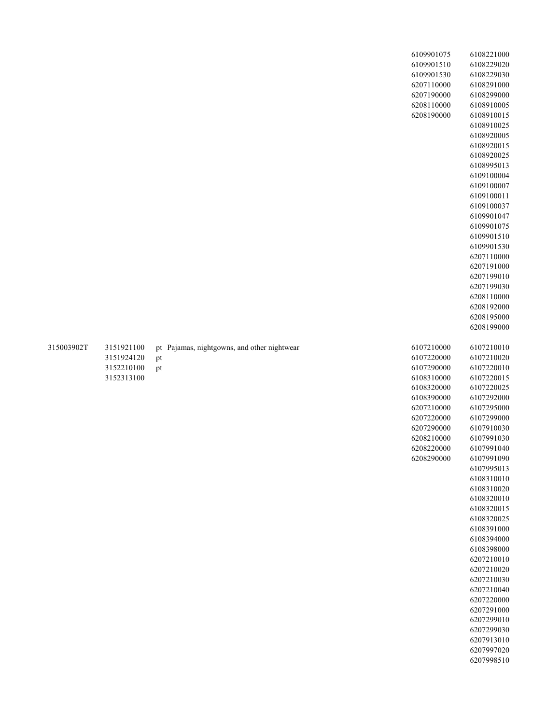|            |                                                      |                                                         | 6109901075<br>6109901510<br>6109901530<br>6207110000<br>6207190000<br>6208110000<br>6208190000                                                                       | 6108221000<br>6108229020<br>6108229030<br>6108291000<br>6108299000<br>6108910005<br>6108910015<br>6108910025<br>6108920005<br>6108920015<br>6108920025<br>6108995013<br>6109100004<br>6109100007<br>6109100011<br>6109100037<br>6109901047<br>6109901075<br>6109901510<br>6109901530<br>6207110000<br>6207191000<br>6207199010<br>6207199030<br>6208110000<br>6208192000<br>6208195000<br>6208199000                                           |
|------------|------------------------------------------------------|---------------------------------------------------------|----------------------------------------------------------------------------------------------------------------------------------------------------------------------|------------------------------------------------------------------------------------------------------------------------------------------------------------------------------------------------------------------------------------------------------------------------------------------------------------------------------------------------------------------------------------------------------------------------------------------------|
| 315003902T | 3151921100<br>3151924120<br>3152210100<br>3152313100 | pt Pajamas, nightgowns, and other nightwear<br>pt<br>pt | 6107210000<br>6107220000<br>6107290000<br>6108310000<br>6108320000<br>6108390000<br>6207210000<br>6207220000<br>6207290000<br>6208210000<br>6208220000<br>6208290000 | 6107210010<br>6107210020<br>6107220010<br>6107220015<br>6107220025<br>6107292000<br>6107295000<br>6107299000<br>6107910030<br>6107991030<br>6107991040<br>6107991090<br>6107995013<br>6108310010<br>6108310020<br>6108320010<br>6108320015<br>6108320025<br>6108391000<br>6108394000<br>6108398000<br>6207210010<br>6207210020<br>6207210030<br>6207210040<br>6207220000<br>6207291000<br>6207299010<br>6207299030<br>6207913010<br>6207997020 |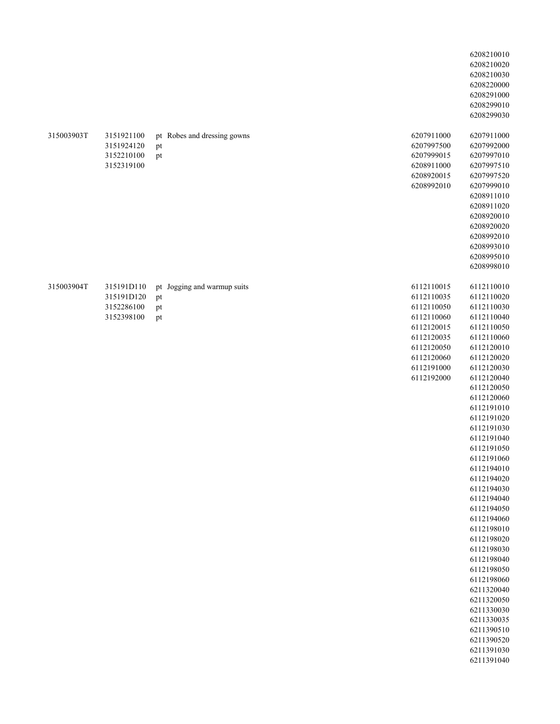|            |                                                      |                                               |                                                                                                                                          | 6208210010<br>6208210020<br>6208210030<br>6208220000<br>6208291000<br>6208299010<br>6208299030                                                                                                                                                                                                                                                                                                                                                                                                                                                   |
|------------|------------------------------------------------------|-----------------------------------------------|------------------------------------------------------------------------------------------------------------------------------------------|--------------------------------------------------------------------------------------------------------------------------------------------------------------------------------------------------------------------------------------------------------------------------------------------------------------------------------------------------------------------------------------------------------------------------------------------------------------------------------------------------------------------------------------------------|
| 315003903T | 3151921100<br>3151924120<br>3152210100<br>3152319100 | pt Robes and dressing gowns<br>pt<br>pt       | 6207911000<br>6207997500<br>6207999015<br>6208911000<br>6208920015<br>6208992010                                                         | 6207911000<br>6207992000<br>6207997010<br>6207997510<br>6207997520<br>6207999010<br>6208911010<br>6208911020<br>6208920010<br>6208920020<br>6208992010<br>6208993010<br>6208995010<br>6208998010                                                                                                                                                                                                                                                                                                                                                 |
| 315003904T | 315191D110<br>315191D120<br>3152286100<br>3152398100 | pt Jogging and warmup suits<br>pt<br>pt<br>pt | 6112110015<br>6112110035<br>6112110050<br>6112110060<br>6112120015<br>6112120035<br>6112120050<br>6112120060<br>6112191000<br>6112192000 | 6112110010<br>6112110020<br>6112110030<br>6112110040<br>6112110050<br>6112110060<br>6112120010<br>6112120020<br>6112120030<br>6112120040<br>6112120050<br>6112120060<br>6112191010<br>6112191020<br>6112191030<br>6112191040<br>6112191050<br>6112191060<br>6112194010<br>6112194020<br>6112194030<br>6112194040<br>6112194050<br>6112194060<br>6112198010<br>6112198020<br>6112198030<br>6112198040<br>6112198050<br>6112198060<br>6211320040<br>6211320050<br>6211330030<br>6211330035<br>6211390510<br>6211390520<br>6211391030<br>6211391040 |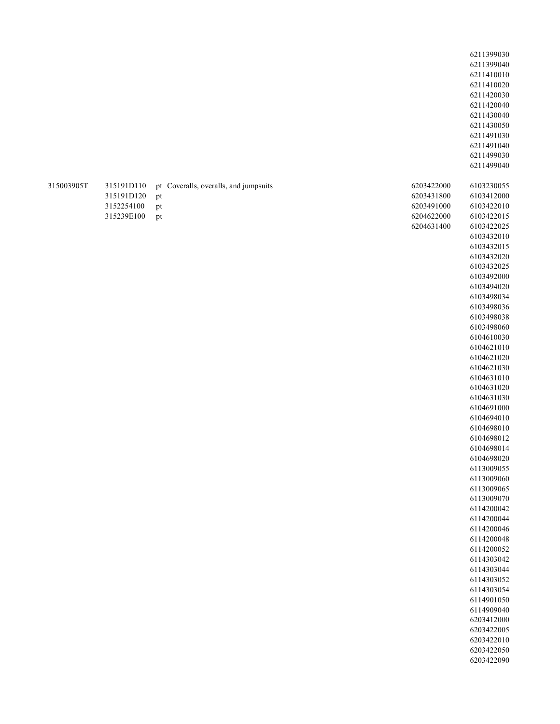|            |                                                      |                                                         | 6211399030<br>6211399040<br>6211410010<br>6211410020<br>6211420030<br>6211420040<br>6211430040<br>6211430050<br>6211491030<br>6211491040<br>6211499030<br>6211499040                                                                                                                                                                                                                                                                                                                                                                                                                                                                                                                                                                                               |
|------------|------------------------------------------------------|---------------------------------------------------------|--------------------------------------------------------------------------------------------------------------------------------------------------------------------------------------------------------------------------------------------------------------------------------------------------------------------------------------------------------------------------------------------------------------------------------------------------------------------------------------------------------------------------------------------------------------------------------------------------------------------------------------------------------------------------------------------------------------------------------------------------------------------|
| 315003905T | 315191D110<br>315191D120<br>3152254100<br>315239E100 | pt Coveralls, overalls, and jumpsuits<br>pt<br>pt<br>pt | 6203422000<br>6103230055<br>6103412000<br>6203431800<br>6103422010<br>6203491000<br>6103422015<br>6204622000<br>6204631400<br>6103422025<br>6103432010<br>6103432015<br>6103432020<br>6103432025<br>6103492000<br>6103494020<br>6103498034<br>6103498036<br>6103498038<br>6103498060<br>6104610030<br>6104621010<br>6104621020<br>6104621030<br>6104631010<br>6104631020<br>6104631030<br>6104691000<br>6104694010<br>6104698010<br>6104698012<br>6104698014<br>6104698020<br>6113009055<br>6113009060<br>6113009065<br>6113009070<br>6114200042<br>6114200044<br>6114200046<br>6114200048<br>6114200052<br>6114303042<br>6114303044<br>6114303052<br>6114303054<br>6114901050<br>6114909040<br>6203412000<br>6203422005<br>6203422010<br>6203422050<br>6203422090 |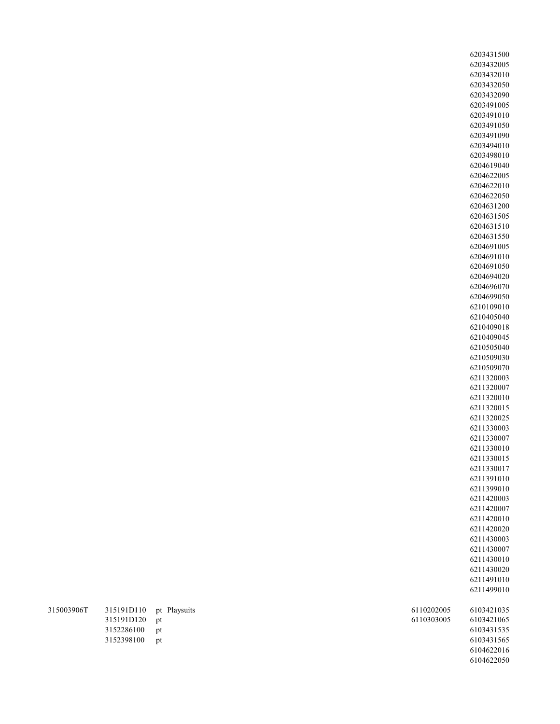| 315003906T | 315191D110 pt Playsuits<br>315191D120 pt |    |
|------------|------------------------------------------|----|
|            | 3152286100 pt                            |    |
|            | 3152398100                               | nt |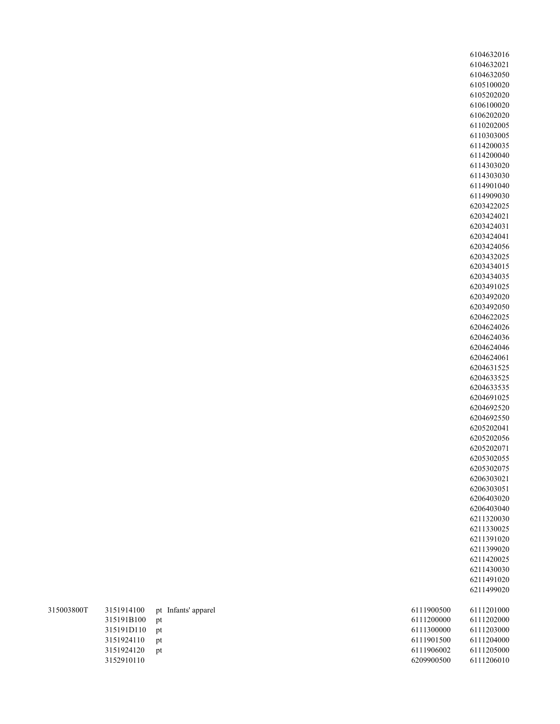| 315003800T |               | 3151914100 pt Infants' apparel | 6111900500 | 6111201000 |
|------------|---------------|--------------------------------|------------|------------|
|            | 315191B100 pt |                                | 6111200000 | 6111202000 |
|            | 315191D110 pt |                                | 6111300000 | 6111203000 |
|            | 3151924110    | pt                             | 6111901500 | 6111204000 |
|            | 3151924120    | <sub>pt</sub>                  | 6111906002 | 6111205000 |
|            | 3152910110    |                                | 6209900500 | 6111206010 |
|            |               |                                |            |            |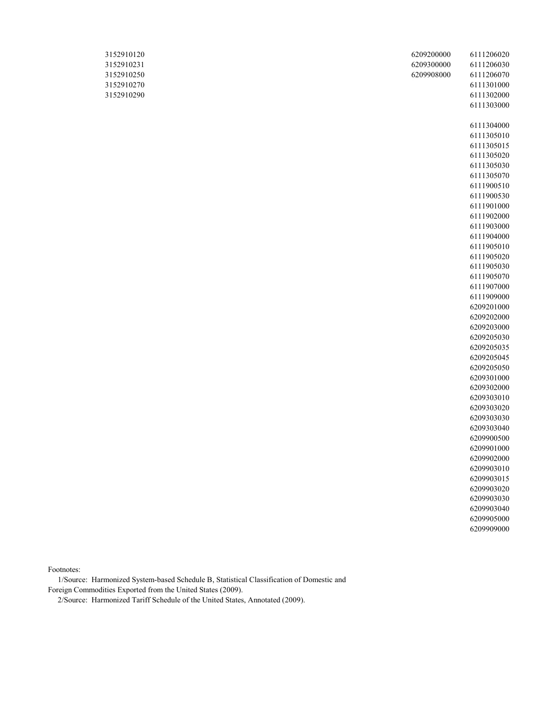| 3152910120 | 6209200000 | 6111206020 |
|------------|------------|------------|
| 3152910231 | 6209300000 | 6111206030 |
| 3152910250 | 6209908000 | 6111206070 |
| 3152910270 |            | 6111301000 |
| 3152910290 |            | 6111302000 |
|            |            | 6111303000 |
|            |            |            |
|            |            | 6111304000 |
|            |            | 6111305010 |
|            |            | 6111305015 |
|            |            | 6111305020 |
|            |            | 6111305030 |
|            |            | 6111305070 |
|            |            | 6111900510 |
|            |            | 6111900530 |
|            |            | 6111901000 |
|            |            | 6111902000 |
|            |            | 6111903000 |
|            |            | 6111904000 |
|            |            | 6111905010 |
|            |            | 6111905020 |
|            |            | 6111905030 |
|            |            | 6111905070 |
|            |            | 6111907000 |
|            |            | 6111909000 |
|            |            | 6209201000 |
|            |            | 6209202000 |
|            |            | 6209203000 |
|            |            | 6209205030 |
|            |            | 6209205035 |
|            |            | 6209205045 |
|            |            | 6209205050 |
|            |            | 6209301000 |
|            |            | 6209302000 |
|            |            | 6209303010 |
|            |            | 6209303020 |
|            |            | 6209303030 |
|            |            | 6209303040 |
|            |            | 6209900500 |
|            |            | 6209901000 |
|            |            | 6209902000 |
|            |            | 6209903010 |
|            |            | 6209903015 |
|            |            | 6209903020 |
|            |            | 6209903030 |
|            |            | 6209903040 |

Footnotes:

 1/Source: Harmonized System-based Schedule B, Statistical Classification of Domestic and Foreign Commodities Exported from the United States (2009).

2/Source: Harmonized Tariff Schedule of the United States, Annotated (2009).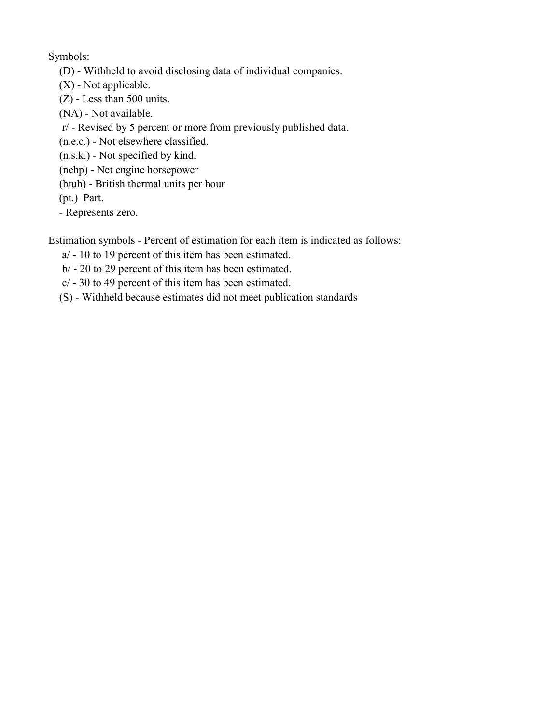Symbols:

- (D) Withheld to avoid disclosing data of individual companies.
- (X) Not applicable.
- (Z) Less than 500 units.
- (NA) Not available.
- r/ Revised by 5 percent or more from previously published data.
- (n.e.c.) Not elsewhere classified.
- (n.s.k.) Not specified by kind.
- (nehp) Net engine horsepower
- (btuh) British thermal units per hour
- (pt.) Part.
- Represents zero.

Estimation symbols - Percent of estimation for each item is indicated as follows:

- a/ 10 to 19 percent of this item has been estimated.
- b/ 20 to 29 percent of this item has been estimated.
- c/ 30 to 49 percent of this item has been estimated.
- (S) Withheld because estimates did not meet publication standards